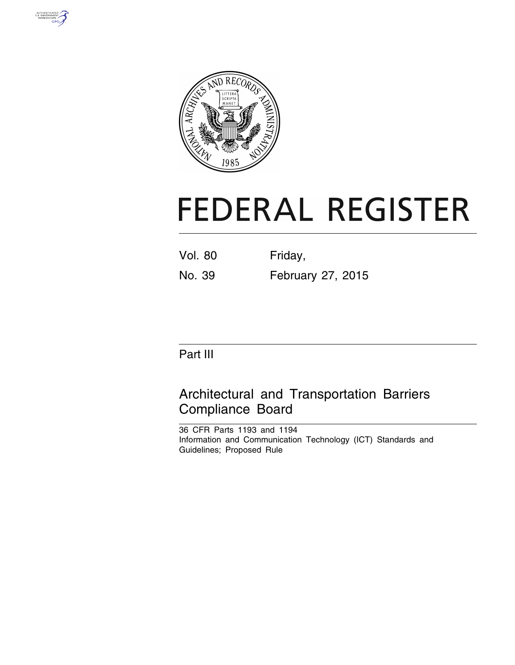



# **FEDERAL REGISTER**

Vol. 80 Friday, No. 39 February 27, 2015

Part III

# Architectural and Transportation Barriers Compliance Board

36 CFR Parts 1193 and 1194 Information and Communication Technology (ICT) Standards and Guidelines; Proposed Rule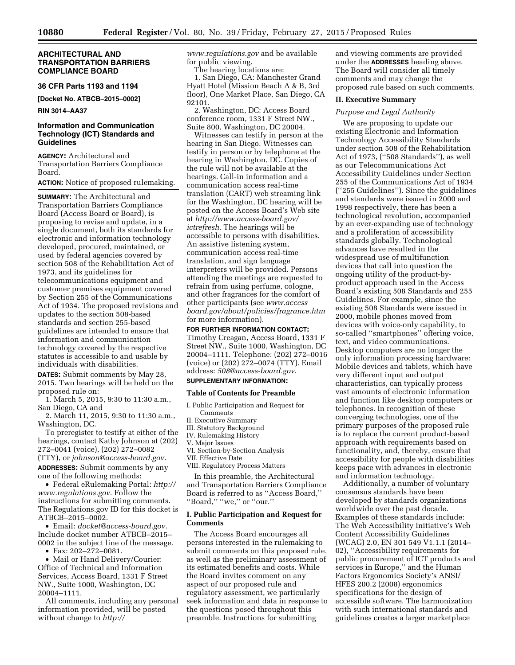# **ARCHITECTURAL AND TRANSPORTATION BARRIERS COMPLIANCE BOARD**

# **36 CFR Parts 1193 and 1194**

**[Docket No. ATBCB–2015–0002]** 

# **RIN 3014–AA37**

# **Information and Communication Technology (ICT) Standards and Guidelines**

**AGENCY:** Architectural and Transportation Barriers Compliance Board.

### **ACTION:** Notice of proposed rulemaking.

**SUMMARY:** The Architectural and Transportation Barriers Compliance Board (Access Board or Board), is proposing to revise and update, in a single document, both its standards for electronic and information technology developed, procured, maintained, or used by federal agencies covered by section 508 of the Rehabilitation Act of 1973, and its guidelines for telecommunications equipment and customer premises equipment covered by Section 255 of the Communications Act of 1934. The proposed revisions and updates to the section 508-based standards and section 255-based guidelines are intended to ensure that information and communication technology covered by the respective statutes is accessible to and usable by individuals with disabilities.

**DATES:** Submit comments by May 28, 2015. Two hearings will be held on the proposed rule on:

1. March 5, 2015, 9:30 to 11:30 a.m., San Diego, CA and

2. March 11, 2015, 9:30 to 11:30 a.m., Washington, DC.

To preregister to testify at either of the hearings, contact Kathy Johnson at (202) 272–0041 (voice), (202) 272–0082 (TTY), or *[johnson@access-board.gov](mailto:johnson@access-board.gov)*.

**ADDRESSES:** Submit comments by any one of the following methods:

• Federal eRulemaking Portal: *[http://](http://www.regulations.gov) [www.regulations.gov](http://www.regulations.gov)*. Follow the instructions for submitting comments. The Regulations.gov ID for this docket is ATBCB–2015–0002.

• Email: *[docket@access-board.gov](mailto:docket@access-board.gov)*. Include docket number ATBCB–2015– 0002 in the subject line of the message.

• Fax: 202–272–0081.

• Mail or Hand Delivery/Courier: Office of Technical and Information Services, Access Board, 1331 F Street NW., Suite 1000, Washington, DC 20004–1111.

All comments, including any personal information provided, will be posted without change to *[http://](http://www.regulations.gov)*

*[www.regulations.gov](http://www.regulations.gov)* and be available for public viewing.

The hearing locations are:

1. San Diego, CA: Manchester Grand Hyatt Hotel (Mission Beach A & B, 3rd floor), One Market Place, San Diego, CA 92101.

2. Washington, DC: Access Board conference room, 1331 F Street NW., Suite 800, Washington, DC 20004.

Witnesses can testify in person at the hearing in San Diego. Witnesses can testify in person or by telephone at the hearing in Washington, DC. Copies of the rule will not be available at the hearings. Call-in information and a communication access real-time translation (CART) web streaming link for the Washington, DC hearing will be posted on the Access Board's Web site at *[http://www.access-board.gov/](http://www.access-board.gov/ictrefresh) [ictrefresh](http://www.access-board.gov/ictrefresh)*. The hearings will be accessible to persons with disabilities. An assistive listening system, communication access real-time translation, and sign language interpreters will be provided. Persons attending the meetings are requested to refrain from using perfume, cologne, and other fragrances for the comfort of other participants (see *[www.access](http://www.accessboard.gov/about/policies/fragrance.htm) [board.gov/about/policies/fragrance.htm](http://www.accessboard.gov/about/policies/fragrance.htm)*  for more information).

# **FOR FURTHER INFORMATION CONTACT:**

Timothy Creagan, Access Board, 1331 F Street NW., Suite 1000, Washington, DC 20004–1111. Telephone: (202) 272–0016 (voice) or (202) 272–0074 (TTY). Email address: *[508@access-board.gov](mailto:508@access-board.gov)*.

# **SUPPLEMENTARY INFORMATION:**

### **Table of Contents for Preamble**

- I. Public Participation and Request for Comments
- II. Executive Summary
- III. Statutory Background
- IV. Rulemaking History V. Major Issues
- VI. Section-by-Section Analysis
- VII. Effective Date

VIII. Regulatory Process Matters

In this preamble, the Architectural and Transportation Barriers Compliance Board is referred to as ''Access Board,'' ''Board,'' ''we,'' or ''our.''

# **I. Public Participation and Request for Comments**

The Access Board encourages all persons interested in the rulemaking to submit comments on this proposed rule, as well as the preliminary assessment of its estimated benefits and costs. While the Board invites comment on any aspect of our proposed rule and regulatory assessment, we particularly seek information and data in response to the questions posed throughout this preamble. Instructions for submitting

and viewing comments are provided under the **ADDRESSES** heading above. The Board will consider all timely comments and may change the proposed rule based on such comments.

# **II. Executive Summary**

# *Purpose and Legal Authority*

We are proposing to update our existing Electronic and Information Technology Accessibility Standards under section 508 of the Rehabilitation Act of 1973, (''508 Standards''), as well as our Telecommunications Act Accessibility Guidelines under Section 255 of the Communications Act of 1934 (''255 Guidelines''). Since the guidelines and standards were issued in 2000 and 1998 respectively, there has been a technological revolution, accompanied by an ever-expanding use of technology and a proliferation of accessibility standards globally. Technological advances have resulted in the widespread use of multifunction devices that call into question the ongoing utility of the product-byproduct approach used in the Access Board's existing 508 Standards and 255 Guidelines. For example, since the existing 508 Standards were issued in 2000, mobile phones moved from devices with voice-only capability, to so-called ''smartphones'' offering voice, text, and video communications. Desktop computers are no longer the only information processing hardware: Mobile devices and tablets, which have very different input and output characteristics, can typically process vast amounts of electronic information and function like desktop computers or telephones. In recognition of these converging technologies, one of the primary purposes of the proposed rule is to replace the current product-based approach with requirements based on functionality, and, thereby, ensure that accessibility for people with disabilities keeps pace with advances in electronic and information technology.

Additionally, a number of voluntary consensus standards have been developed by standards organizations worldwide over the past decade. Examples of these standards include: The Web Accessibility Initiative's Web Content Accessibility Guidelines (WCAG) 2.0, EN 301 549 V1.1.1 (2014– 02), ''Accessibility requirements for public procurement of ICT products and services in Europe,'' and the Human Factors Ergonomics Society's ANSI/ HFES 200.2 (2008) ergonomics specifications for the design of accessible software. The harmonization with such international standards and guidelines creates a larger marketplace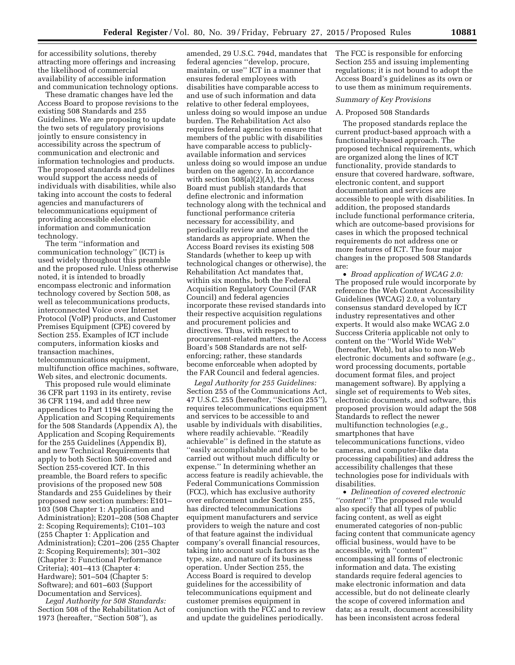for accessibility solutions, thereby attracting more offerings and increasing the likelihood of commercial availability of accessible information and communication technology options.

These dramatic changes have led the Access Board to propose revisions to the existing 508 Standards and 255 Guidelines. We are proposing to update the two sets of regulatory provisions jointly to ensure consistency in accessibility across the spectrum of communication and electronic and information technologies and products. The proposed standards and guidelines would support the access needs of individuals with disabilities, while also taking into account the costs to federal agencies and manufacturers of telecommunications equipment of providing accessible electronic information and communication technology.

The term ''information and communication technology'' (ICT) is used widely throughout this preamble and the proposed rule. Unless otherwise noted, it is intended to broadly encompass electronic and information technology covered by Section 508, as well as telecommunications products, interconnected Voice over Internet Protocol (VoIP) products, and Customer Premises Equipment (CPE) covered by Section 255. Examples of ICT include computers, information kiosks and transaction machines, telecommunications equipment, multifunction office machines, software, Web sites, and electronic documents.

This proposed rule would eliminate 36 CFR part 1193 in its entirety, revise 36 CFR 1194, and add three new appendices to Part 1194 containing the Application and Scoping Requirements for the 508 Standards (Appendix A), the Application and Scoping Requirements for the 255 Guidelines (Appendix B), and new Technical Requirements that apply to both Section 508-covered and Section 255-covered ICT. In this preamble, the Board refers to specific provisions of the proposed new 508 Standards and 255 Guidelines by their proposed new section numbers: E101– 103 (508 Chapter 1: Application and Administration); E201–208 (508 Chapter 2: Scoping Requirements); C101–103 (255 Chapter 1: Application and Administration); C201–206 (255 Chapter 2: Scoping Requirements); 301–302 (Chapter 3: Functional Performance Criteria); 401–413 (Chapter 4: Hardware); 501–504 (Chapter 5: Software); and 601–603 (Support Documentation and Services).

*Legal Authority for 508 Standards:*  Section 508 of the Rehabilitation Act of 1973 (hereafter, ''Section 508''), as

amended, 29 U.S.C. 794d, mandates that federal agencies ''develop, procure, maintain, or use'' ICT in a manner that ensures federal employees with disabilities have comparable access to and use of such information and data relative to other federal employees, unless doing so would impose an undue burden. The Rehabilitation Act also requires federal agencies to ensure that members of the public with disabilities have comparable access to publiclyavailable information and services unless doing so would impose an undue burden on the agency. In accordance with section  $508(a)(2)(A)$ , the Access Board must publish standards that define electronic and information technology along with the technical and functional performance criteria necessary for accessibility, and periodically review and amend the standards as appropriate. When the Access Board revises its existing 508 Standards (whether to keep up with technological changes or otherwise), the Rehabilitation Act mandates that, within six months, both the Federal Acquisition Regulatory Council (FAR Council) and federal agencies incorporate these revised standards into their respective acquisition regulations and procurement policies and directives. Thus, with respect to procurement-related matters, the Access Board's 508 Standards are not selfenforcing; rather, these standards become enforceable when adopted by the FAR Council and federal agencies.

*Legal Authority for 255 Guidelines:*  Section 255 of the Communications Act, 47 U.S.C. 255 (hereafter, ''Section 255''), requires telecommunications equipment and services to be accessible to and usable by individuals with disabilities, where readily achievable. ''Readily achievable'' is defined in the statute as ''easily accomplishable and able to be carried out without much difficulty or expense.'' In determining whether an access feature is readily achievable, the Federal Communications Commission (FCC), which has exclusive authority over enforcement under Section 255, has directed telecommunications equipment manufacturers and service providers to weigh the nature and cost of that feature against the individual company's overall financial resources, taking into account such factors as the type, size, and nature of its business operation. Under Section 255, the Access Board is required to develop guidelines for the accessibility of telecommunications equipment and customer premises equipment in conjunction with the FCC and to review and update the guidelines periodically.

The FCC is responsible for enforcing Section 255 and issuing implementing regulations; it is not bound to adopt the Access Board's guidelines as its own or to use them as minimum requirements.

### *Summary of Key Provisions*

### A. Proposed 508 Standards

The proposed standards replace the current product-based approach with a functionality-based approach. The proposed technical requirements, which are organized along the lines of ICT functionality, provide standards to ensure that covered hardware, software, electronic content, and support documentation and services are accessible to people with disabilities. In addition, the proposed standards include functional performance criteria, which are outcome-based provisions for cases in which the proposed technical requirements do not address one or more features of ICT. The four major changes in the proposed 508 Standards are:

• *Broad application of WCAG 2.0:*  The proposed rule would incorporate by reference the Web Content Accessibility Guidelines (WCAG) 2.0, a voluntary consensus standard developed by ICT industry representatives and other experts. It would also make WCAG 2.0 Success Criteria applicable not only to content on the ''World Wide Web'' (hereafter, Web), but also to non-Web electronic documents and software (*e.g.,*  word processing documents, portable document format files, and project management software). By applying a single set of requirements to Web sites, electronic documents, and software, this proposed provision would adapt the 508 Standards to reflect the newer multifunction technologies (*e.g.,*  smartphones that have telecommunications functions, video cameras, and computer-like data processing capabilities) and address the accessibility challenges that these technologies pose for individuals with disabilities.

• *Delineation of covered electronic ''content'':* The proposed rule would also specify that all types of public facing content, as well as eight enumerated categories of non-public facing content that communicate agency official business, would have to be accessible, with ''content'' encompassing all forms of electronic information and data. The existing standards require federal agencies to make electronic information and data accessible, but do not delineate clearly the scope of covered information and data; as a result, document accessibility has been inconsistent across federal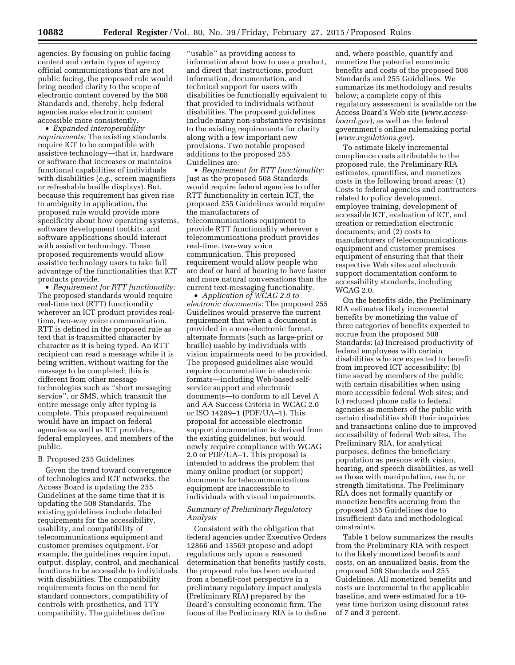agencies. By focusing on public facing content and certain types of agency official communications that are not public facing, the proposed rule would bring needed clarity to the scope of electronic content covered by the 508 Standards and, thereby, help federal agencies make electronic content accessible more consistently.

• *Expanded interoperability requirements:* The existing standards require ICT to be compatible with assistive technology—that is, hardware or software that increases or maintains functional capabilities of individuals with disabilities (*e.g.,* screen magnifiers or refreshable braille displays). But, because this requirement has given rise to ambiguity in application, the proposed rule would provide more specificity about how operating systems, software development toolkits, and software applications should interact with assistive technology. These proposed requirements would allow assistive technology users to take full advantage of the functionalities that ICT products provide.

• *Requirement for RTT functionality:*  The proposed standards would require real-time text (RTT) functionality wherever an ICT product provides realtime, two-way voice communication. RTT is defined in the proposed rule as text that is transmitted character by character as it is being typed. An RTT recipient can read a message while it is being written, without waiting for the message to be completed; this is different from other message technologies such as ''short messaging service'', or SMS, which transmit the entire message only after typing is complete. This proposed requirement would have an impact on federal agencies as well as ICT providers, federal employees, and members of the public.

### B. Proposed 255 Guidelines

Given the trend toward convergence of technologies and ICT networks, the Access Board is updating the 255 Guidelines at the same time that it is updating the 508 Standards. The existing guidelines include detailed requirements for the accessibility, usability, and compatibility of telecommunications equipment and customer premises equipment. For example, the guidelines require input, output, display, control, and mechanical functions to be accessible to individuals with disabilities. The compatibility requirements focus on the need for standard connectors, compatibility of controls with prosthetics, and TTY compatibility. The guidelines define

''usable'' as providing access to information about how to use a product, and direct that instructions, product information, documentation, and technical support for users with disabilities be functionally equivalent to that provided to individuals without disabilities. The proposed guidelines include many non-substantive revisions to the existing requirements for clarity along with a few important new provisions. Two notable proposed additions to the proposed 255 Guidelines are:

• *Requirement for RTT functionality:*  Just as the proposed 508 Standards would require federal agencies to offer RTT functionality in certain ICT, the proposed 255 Guidelines would require the manufacturers of telecommunications equipment to provide RTT functionality wherever a telecommunications product provides real-time, two-way voice communication. This proposed requirement would allow people who are deaf or hard of hearing to have faster and more natural conversations than the current text-messaging functionality.

• *Application of WCAG 2.0 to electronic documents:* The proposed 255 Guidelines would preserve the current requirement that when a document is provided in a non-electronic format, alternate formats (such as large-print or braille) usable by individuals with vision impairments need to be provided. The proposed guidelines also would require documentation in electronic formats—including Web-based selfservice support and electronic documents—to conform to all Level A and AA Success Criteria in WCAG 2.0 or ISO 14289–1 (PDF/UA–1). This proposal for accessible electronic support documentation is derived from the existing guidelines, but would newly require compliance with WCAG 2.0 or PDF/UA–1. This proposal is intended to address the problem that many online product (or support) documents for telecommunications equipment are inaccessible to individuals with visual impairments.

# *Summary of Preliminary Regulatory Analysis*

Consistent with the obligation that federal agencies under Executive Orders 12866 and 13563 propose and adopt regulations only upon a reasoned determination that benefits justify costs, the proposed rule has been evaluated from a benefit-cost perspective in a preliminary regulatory impact analysis (Preliminary RIA) prepared by the Board's consulting economic firm. The focus of the Preliminary RIA is to define

and, where possible, quantify and monetize the potential economic benefits and costs of the proposed 508 Standards and 255 Guidelines. We summarize its methodology and results below; a complete copy of this regulatory assessment is available on the Access Board's Web site (*[www.access](http://www.access-board.gov)[board.gov](http://www.access-board.gov)*), as well as the federal government's online rulemaking portal (*[www.regulations.gov](http://www.regulations.gov)*).

To estimate likely incremental compliance costs attributable to the proposed rule, the Preliminary RIA estimates, quantifies, and monetizes costs in the following broad areas: (1) Costs to federal agencies and contractors related to policy development, employee training, development of accessible ICT, evaluation of ICT, and creation or remediation electronic documents; and (2) costs to manufacturers of telecommunications equipment and customer premises equipment of ensuring that that their respective Web sites and electronic support documentation conform to accessibility standards, including WCAG 2.0.

On the benefits side, the Preliminary RIA estimates likely incremental benefits by monetizing the value of three categories of benefits expected to accrue from the proposed 508 Standards: (a) Increased productivity of federal employees with certain disabilities who are expected to benefit from improved ICT accessibility; (b) time saved by members of the public with certain disabilities when using more accessible federal Web sites; and (c) reduced phone calls to federal agencies as members of the public with certain disabilities shift their inquiries and transactions online due to improved accessibility of federal Web sites. The Preliminary RIA, for analytical purposes, defines the beneficiary population as persons with vision, hearing, and speech disabilities, as well as those with manipulation, reach, or strength limitations. The Preliminary RIA does not formally quantify or monetize benefits accruing from the proposed 255 Guidelines due to insufficient data and methodological constraints.

Table 1 below summarizes the results from the Preliminary RIA with respect to the likely monetized benefits and costs, on an annualized basis, from the proposed 508 Standards and 255 Guidelines. All monetized benefits and costs are incremental to the applicable baseline, and were estimated for a 10 year time horizon using discount rates of 7 and 3 percent.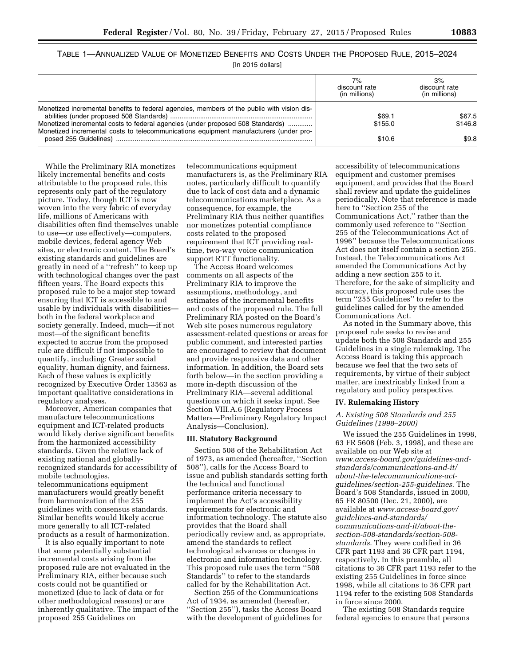TABLE 1—ANNUALIZED VALUE OF MONETIZED BENEFITS AND COSTS UNDER THE PROPOSED RULE, 2015–2024

| [In 2015 dollars] |  |
|-------------------|--|
|-------------------|--|

|                                                                                                                                                                                                                                                                       | 7%<br>discount rate<br>(in millions) | 3%<br>discount rate<br>(in millions) |
|-----------------------------------------------------------------------------------------------------------------------------------------------------------------------------------------------------------------------------------------------------------------------|--------------------------------------|--------------------------------------|
| Monetized incremental benefits to federal agencies, members of the public with vision dis-<br>Monetized incremental costs to federal agencies (under proposed 508 Standards)<br>Monetized incremental costs to telecommunications equipment manufacturers (under pro- | \$69.1<br>\$155.0                    | \$67.5<br>\$146.8                    |
|                                                                                                                                                                                                                                                                       | \$10.6                               | \$9.8                                |

While the Preliminary RIA monetizes likely incremental benefits and costs attributable to the proposed rule, this represents only part of the regulatory picture. Today, though ICT is now woven into the very fabric of everyday life, millions of Americans with disabilities often find themselves unable to use—or use effectively—computers, mobile devices, federal agency Web sites, or electronic content. The Board's existing standards and guidelines are greatly in need of a ''refresh'' to keep up with technological changes over the past fifteen years. The Board expects this proposed rule to be a major step toward ensuring that ICT is accessible to and usable by individuals with disabilities both in the federal workplace and society generally. Indeed, much—if not most—of the significant benefits expected to accrue from the proposed rule are difficult if not impossible to quantify, including: Greater social equality, human dignity, and fairness. Each of these values is explicitly recognized by Executive Order 13563 as important qualitative considerations in regulatory analyses.

Moreover, American companies that manufacture telecommunications equipment and ICT-related products would likely derive significant benefits from the harmonized accessibility standards. Given the relative lack of existing national and globallyrecognized standards for accessibility of mobile technologies, telecommunications equipment manufacturers would greatly benefit from harmonization of the 255 guidelines with consensus standards. Similar benefits would likely accrue more generally to all ICT-related products as a result of harmonization.

It is also equally important to note that some potentially substantial incremental costs arising from the proposed rule are not evaluated in the Preliminary RIA, either because such costs could not be quantified or monetized (due to lack of data or for other methodological reasons) or are inherently qualitative. The impact of the proposed 255 Guidelines on

telecommunications equipment manufacturers is, as the Preliminary RIA notes, particularly difficult to quantify due to lack of cost data and a dynamic telecommunications marketplace. As a consequence, for example, the Preliminary RIA thus neither quantifies nor monetizes potential compliance costs related to the proposed requirement that ICT providing realtime, two-way voice communication support RTT functionality.

The Access Board welcomes comments on all aspects of the Preliminary RIA to improve the assumptions, methodology, and estimates of the incremental benefits and costs of the proposed rule. The full Preliminary RIA posted on the Board's Web site poses numerous regulatory assessment-related questions or areas for public comment, and interested parties are encouraged to review that document and provide responsive data and other information. In addition, the Board sets forth below—in the section providing a more in-depth discussion of the Preliminary RIA—several additional questions on which it seeks input. See Section VIII.A.6 (Regulatory Process Matters—Preliminary Regulatory Impact Analysis—Conclusion).

# **III. Statutory Background**

Section 508 of the Rehabilitation Act of 1973, as amended (hereafter, ''Section 508''), calls for the Access Board to issue and publish standards setting forth the technical and functional performance criteria necessary to implement the Act's accessibility requirements for electronic and information technology. The statute also provides that the Board shall periodically review and, as appropriate, amend the standards to reflect technological advances or changes in electronic and information technology. This proposed rule uses the term ''508 Standards'' to refer to the standards called for by the Rehabilitation Act.

Section 255 of the Communications Act of 1934, as amended (hereafter, ''Section 255''), tasks the Access Board with the development of guidelines for

accessibility of telecommunications equipment and customer premises equipment, and provides that the Board shall review and update the guidelines periodically. Note that reference is made here to ''Section 255 of the Communications Act,'' rather than the commonly used reference to ''Section 255 of the Telecommunications Act of 1996'' because the Telecommunications Act does not itself contain a section 255. Instead, the Telecommunications Act amended the Communications Act by adding a new section 255 to it. Therefore, for the sake of simplicity and accuracy, this proposed rule uses the term ''255 Guidelines'' to refer to the guidelines called for by the amended Communications Act.

As noted in the Summary above, this proposed rule seeks to revise and update both the 508 Standards and 255 Guidelines in a single rulemaking. The Access Board is taking this approach because we feel that the two sets of requirements, by virtue of their subject matter, are inextricably linked from a regulatory and policy perspective.

### **IV. Rulemaking History**

# *A. Existing 508 Standards and 255 Guidelines (1998–2000)*

We issued the 255 Guidelines in 1998, 63 FR 5608 (Feb. 3, 1998), and these are available on our Web site at *[www.access-board.gov/guidelines-and](www.access-board.gov/guidelines-and-standards/communications-and-it/about-the-telecommunications-act-guidelines/section-255-guidelines)[standards/communications-and-it/](www.access-board.gov/guidelines-and-standards/communications-and-it/about-the-telecommunications-act-guidelines/section-255-guidelines) [about-the-telecommunications-act](www.access-board.gov/guidelines-and-standards/communications-and-it/about-the-telecommunications-act-guidelines/section-255-guidelines)[guidelines/section-255-guidelines](www.access-board.gov/guidelines-and-standards/communications-and-it/about-the-telecommunications-act-guidelines/section-255-guidelines)*. The Board's 508 Standards, issued in 2000, 65 FR 80500 (Dec. 21, 2000), are available at *[www.access-board.gov/](http://www.access-board.gov/guidelines-and-standards/communications-and-it/about-the-section-508-standards/section-508-standards) [guidelines-and-standards/](http://www.access-board.gov/guidelines-and-standards/communications-and-it/about-the-section-508-standards/section-508-standards) [communications-and-it/about-the](http://www.access-board.gov/guidelines-and-standards/communications-and-it/about-the-section-508-standards/section-508-standards)[section-508-standards/section-508](http://www.access-board.gov/guidelines-and-standards/communications-and-it/about-the-section-508-standards/section-508-standards) [standards](http://www.access-board.gov/guidelines-and-standards/communications-and-it/about-the-section-508-standards/section-508-standards)*. They were codified in 36 CFR part 1193 and 36 CFR part 1194, respectively. In this preamble, all citations to 36 CFR part 1193 refer to the existing 255 Guidelines in force since 1998, while all citations to 36 CFR part 1194 refer to the existing 508 Standards in force since 2000.

The existing 508 Standards require federal agencies to ensure that persons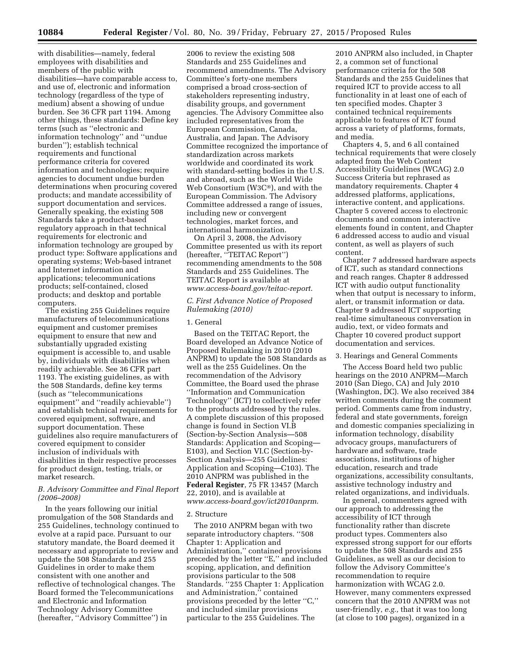with disabilities—namely, federal employees with disabilities and members of the public with disabilities—have comparable access to, and use of, electronic and information technology (regardless of the type of medium) absent a showing of undue burden. See 36 CFR part 1194. Among other things, these standards: Define key terms (such as ''electronic and information technology'' and ''undue burden''); establish technical requirements and functional performance criteria for covered information and technologies; require agencies to document undue burden determinations when procuring covered products; and mandate accessibility of support documentation and services. Generally speaking, the existing 508 Standards take a product-based regulatory approach in that technical requirements for electronic and information technology are grouped by product type: Software applications and operating systems; Web-based intranet and Internet information and applications; telecommunications products; self-contained, closed products; and desktop and portable computers.

The existing 255 Guidelines require manufacturers of telecommunications equipment and customer premises equipment to ensure that new and substantially upgraded existing equipment is accessible to, and usable by, individuals with disabilities when readily achievable. See 36 CFR part 1193. The existing guidelines, as with the 508 Standards, define key terms (such as ''telecommunications equipment'' and ''readily achievable'') and establish technical requirements for covered equipment, software, and support documentation. These guidelines also require manufacturers of covered equipment to consider inclusion of individuals with disabilities in their respective processes for product design, testing, trials, or market research.

# *B. Advisory Committee and Final Report (2006–2008)*

In the years following our initial promulgation of the 508 Standards and 255 Guidelines, technology continued to evolve at a rapid pace. Pursuant to our statutory mandate, the Board deemed it necessary and appropriate to review and update the 508 Standards and 255 Guidelines in order to make them consistent with one another and reflective of technological changes. The Board formed the Telecommunications and Electronic and Information Technology Advisory Committee (hereafter, ''Advisory Committee'') in

2006 to review the existing 508 Standards and 255 Guidelines and recommend amendments. The Advisory Committee's forty-one members comprised a broad cross-section of stakeholders representing industry, disability groups, and government agencies. The Advisory Committee also included representatives from the European Commission, Canada, Australia, and Japan. The Advisory Committee recognized the importance of standardization across markets worldwide and coordinated its work with standard-setting bodies in the U.S. and abroad, such as the World Wide Web Consortium (W3C®), and with the European Commission. The Advisory Committee addressed a range of issues, including new or convergent technologies, market forces, and international harmonization.

On April 3, 2008, the Advisory Committee presented us with its report (hereafter, ''TEITAC Report'') recommending amendments to the 508 Standards and 255 Guidelines. The TEITAC Report is available at *[www.access-board.gov/teitac-report](http://www.access-board.gov/teitac-report)*.

# *C. First Advance Notice of Proposed Rulemaking (2010)*

### 1. General

Based on the TEITAC Report, the Board developed an Advance Notice of Proposed Rulemaking in 2010 (2010 ANPRM) to update the 508 Standards as well as the 255 Guidelines. On the recommendation of the Advisory Committee, the Board used the phrase ''Information and Communication Technology'' (ICT) to collectively refer to the products addressed by the rules. A complete discussion of this proposed change is found in Section VI.B (Section-by-Section Analysis—508 Standards: Application and Scoping— E103), and Section VI.C (Section-by-Section Analysis—255 Guidelines: Application and Scoping—C103). The 2010 ANPRM was published in the **Federal Register**, 75 FR 13457 (March 22, 2010), and is available at *[www.access-board.gov/ict2010anprm](http://www.access-board.gov/ict2010anprm)*.

### 2. Structure

The 2010 ANPRM began with two separate introductory chapters. ''508 Chapter 1: Application and Administration,'' contained provisions preceded by the letter ''E,'' and included scoping, application, and definition provisions particular to the 508 Standards. "255 Chapter 1: Application and Administration,'' contained provisions preceded by the letter ''C,'' and included similar provisions particular to the 255 Guidelines. The

2010 ANPRM also included, in Chapter 2, a common set of functional performance criteria for the 508 Standards and the 255 Guidelines that required ICT to provide access to all functionality in at least one of each of ten specified modes. Chapter 3 contained technical requirements applicable to features of ICT found across a variety of platforms, formats, and media.

Chapters 4, 5, and 6 all contained technical requirements that were closely adapted from the Web Content Accessibility Guidelines (WCAG) 2.0 Success Criteria but rephrased as mandatory requirements. Chapter 4 addressed platforms, applications, interactive content, and applications. Chapter 5 covered access to electronic documents and common interactive elements found in content, and Chapter 6 addressed access to audio and visual content, as well as players of such content.

Chapter 7 addressed hardware aspects of ICT, such as standard connections and reach ranges. Chapter 8 addressed ICT with audio output functionality when that output is necessary to inform, alert, or transmit information or data. Chapter 9 addressed ICT supporting real-time simultaneous conversation in audio, text, or video formats and Chapter 10 covered product support documentation and services.

### 3. Hearings and General Comments

The Access Board held two public hearings on the 2010 ANPRM—March 2010 (San Diego, CA) and July 2010 (Washington, DC). We also received 384 written comments during the comment period. Comments came from industry, federal and state governments, foreign and domestic companies specializing in information technology, disability advocacy groups, manufacturers of hardware and software, trade associations, institutions of higher education, research and trade organizations, accessibility consultants, assistive technology industry and related organizations, and individuals.

In general, commenters agreed with our approach to addressing the accessibility of ICT through functionality rather than discrete product types. Commenters also expressed strong support for our efforts to update the 508 Standards and 255 Guidelines, as well as our decision to follow the Advisory Committee's recommendation to require harmonization with WCAG 2.0. However, many commenters expressed concern that the 2010 ANPRM was not user-friendly, *e.g.,* that it was too long (at close to 100 pages), organized in a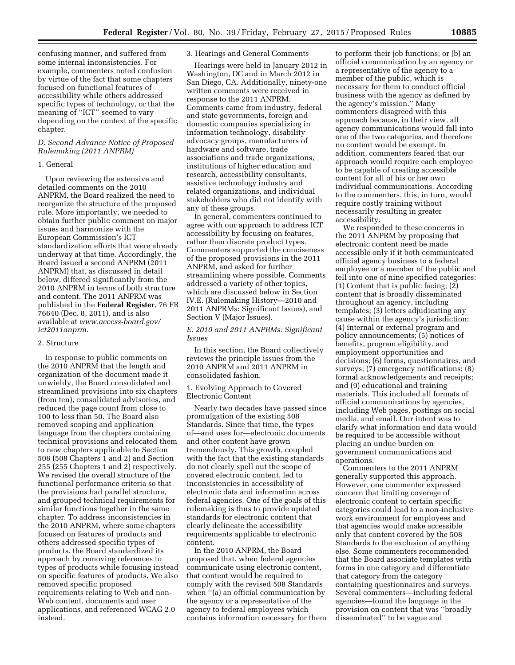confusing manner, and suffered from some internal inconsistencies. For example, commenters noted confusion by virtue of the fact that some chapters focused on functional features of accessibility while others addressed specific types of technology, or that the meaning of ''ICT'' seemed to vary depending on the context of the specific chapter.

# *D. Second Advance Notice of Proposed Rulemaking (2011 ANPRM)*

# 1. General

Upon reviewing the extensive and detailed comments on the 2010 ANPRM, the Board realized the need to reorganize the structure of the proposed rule. More importantly, we needed to obtain further public comment on major issues and harmonize with the European Commission's ICT standardization efforts that were already underway at that time. Accordingly, the Board issued a second ANPRM (2011 ANPRM) that, as discussed in detail below, differed significantly from the 2010 ANPRM in terms of both structure and content. The 2011 ANPRM was published in the **Federal Register**, 76 FR 76640 (Dec. 8, 2011), and is also available at *[www.access-board.gov/](http://www.access-board.gov/ict2011anprm) [ict2011anprm.](http://www.access-board.gov/ict2011anprm)* 

### 2. Structure

In response to public comments on the 2010 ANPRM that the length and organization of the document made it unwieldy, the Board consolidated and streamlined provisions into six chapters (from ten), consolidated advisories, and reduced the page count from close to 100 to less than 50. The Board also removed scoping and application language from the chapters containing technical provisions and relocated them to new chapters applicable to Section 508 (508 Chapters 1 and 2) and Section 255 (255 Chapters 1 and 2) respectively. We revised the overall structure of the functional performance criteria so that the provisions had parallel structure, and grouped technical requirements for similar functions together in the same chapter. To address inconsistencies in the 2010 ANPRM, where some chapters focused on features of products and others addressed specific types of products, the Board standardized its approach by removing references to types of products while focusing instead on specific features of products. We also removed specific proposed requirements relating to Web and non-Web content, documents and user applications, and referenced WCAG 2.0 instead.

### 3. Hearings and General Comments

Hearings were held in January 2012 in Washington, DC and in March 2012 in San Diego, CA. Additionally, ninety-one written comments were received in response to the 2011 ANPRM. Comments came from industry, federal and state governments, foreign and domestic companies specializing in information technology, disability advocacy groups, manufacturers of hardware and software, trade associations and trade organizations, institutions of higher education and research, accessibility consultants, assistive technology industry and related organizations, and individual stakeholders who did not identify with any of these groups.

In general, commenters continued to agree with our approach to address ICT accessibility by focusing on features, rather than discrete product types. Commenters supported the conciseness of the proposed provisions in the 2011 ANPRM, and asked for further streamlining where possible. Comments addressed a variety of other topics, which are discussed below in Section IV.E. (Rulemaking History—2010 and 2011 ANPRMs: Significant Issues), and Section V (Major Issues).

# *E. 2010 and 2011 ANPRMs: Significant Issues*

In this section, the Board collectively reviews the principle issues from the 2010 ANPRM and 2011 ANPRM in consolidated fashion.

# 1. Evolving Approach to Covered Electronic Content

Nearly two decades have passed since promulgation of the existing 508 Standards. Since that time, the types of—and uses for—electronic documents and other content have grown tremendously. This growth, coupled with the fact that the existing standards do not clearly spell out the scope of covered electronic content, led to inconsistencies in accessibility of electronic data and information across federal agencies. One of the goals of this rulemaking is thus to provide updated standards for electronic content that clearly delineate the accessibility requirements applicable to electronic content.

In the 2010 ANPRM, the Board proposed that, when federal agencies communicate using electronic content, that content would be required to comply with the revised 508 Standards when  $``$ (a) an official communication by the agency or a representative of the agency to federal employees which contains information necessary for them

to perform their job functions; or (b) an official communication by an agency or a representative of the agency to a member of the public, which is necessary for them to conduct official business with the agency as defined by the agency's mission.'' Many commenters disagreed with this approach because, in their view, all agency communications would fall into one of the two categories, and therefore no content would be exempt. In addition, commenters feared that our approach would require each employee to be capable of creating accessible content for all of his or her own individual communications. According to the commenters, this, in turn, would require costly training without necessarily resulting in greater accessibility.

We responded to these concerns in the 2011 ANPRM by proposing that electronic content need be made accessible only if it both communicated official agency business to a federal employee or a member of the public and fell into one of nine specified categories: (1) Content that is public facing; (2) content that is broadly disseminated throughout an agency, including templates; (3) letters adjudicating any cause within the agency's jurisdiction; (4) internal or external program and policy announcements; (5) notices of benefits, program eligibility, and employment opportunities and decisions; (6) forms, questionnaires, and surveys; (7) emergency notifications; (8) formal acknowledgements and receipts; and (9) educational and training materials. This included all formats of official communications by agencies, including Web pages, postings on social media, and email. Our intent was to clarify what information and data would be required to be accessible without placing an undue burden on government communications and operations.

Commenters to the 2011 ANPRM generally supported this approach. However, one commenter expressed concern that limiting coverage of electronic content to certain specific categories could lead to a non-inclusive work environment for employees and that agencies would make accessible only that content covered by the 508 Standards to the exclusion of anything else. Some commenters recommended that the Board associate templates with forms in one category and differentiate that category from the category containing questionnaires and surveys. Several commenters—including federal agencies—found the language in the provision on content that was ''broadly disseminated'' to be vague and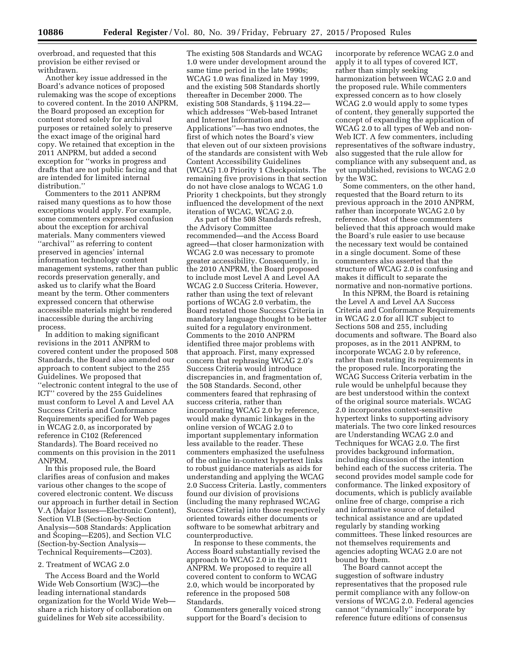overbroad, and requested that this provision be either revised or withdrawn.

Another key issue addressed in the Board's advance notices of proposed rulemaking was the scope of exceptions to covered content. In the 2010 ANPRM, the Board proposed an exception for content stored solely for archival purposes or retained solely to preserve the exact image of the original hard copy. We retained that exception in the 2011 ANPRM, but added a second exception for ''works in progress and drafts that are not public facing and that are intended for limited internal distribution.''

Commenters to the 2011 ANPRM raised many questions as to how those exceptions would apply. For example, some commenters expressed confusion about the exception for archival materials. Many commenters viewed ''archival'' as referring to content preserved in agencies' internal information technology content management systems, rather than public records preservation generally, and asked us to clarify what the Board meant by the term. Other commenters expressed concern that otherwise accessible materials might be rendered inaccessible during the archiving process.

In addition to making significant revisions in the 2011 ANPRM to covered content under the proposed 508 Standards, the Board also amended our approach to content subject to the 255 Guidelines. We proposed that ''electronic content integral to the use of ICT'' covered by the 255 Guidelines must conform to Level A and Level AA Success Criteria and Conformance Requirements specified for Web pages in WCAG 2.0, as incorporated by reference in C102 (Referenced Standards). The Board received no comments on this provision in the 2011 ANPRM.

In this proposed rule, the Board clarifies areas of confusion and makes various other changes to the scope of covered electronic content. We discuss our approach in further detail in Section V.A (Major Issues—Electronic Content), Section VI.B (Section-by-Section Analysis—508 Standards: Application and Scoping—E205), and Section VI.C (Section-by-Section Analysis— Technical Requirements—C203).

### 2. Treatment of WCAG 2.0

The Access Board and the World Wide Web Consortium (W3C)—the leading international standards organization for the World Wide Web share a rich history of collaboration on guidelines for Web site accessibility.

The existing 508 Standards and WCAG 1.0 were under development around the same time period in the late 1990s; WCAG 1.0 was finalized in May 1999, and the existing 508 Standards shortly thereafter in December 2000. The existing 508 Standards, § 1194.22 which addresses ''Web-based Intranet and Internet Information and Applications''—has two endnotes, the first of which notes the Board's view that eleven out of our sixteen provisions of the standards are consistent with Web Content Accessibility Guidelines (WCAG) 1.0 Priority 1 Checkpoints. The remaining five provisions in that section do not have close analogs to WCAG 1.0 Priority 1 checkpoints, but they strongly influenced the development of the next iteration of WCAG, WCAG 2.0.

As part of the 508 Standards refresh, the Advisory Committee recommended—and the Access Board agreed—that closer harmonization with WCAG 2.0 was necessary to promote greater accessibility. Consequently, in the 2010 ANPRM, the Board proposed to include most Level A and Level AA WCAG 2.0 Success Criteria. However, rather than using the text of relevant portions of WCAG 2.0 verbatim, the Board restated those Success Criteria in mandatory language thought to be better suited for a regulatory environment. Comments to the 2010 ANPRM identified three major problems with that approach. First, many expressed concern that rephrasing WCAG 2.0's Success Criteria would introduce discrepancies in, and fragmentation of, the 508 Standards. Second, other commenters feared that rephrasing of success criteria, rather than incorporating WCAG 2.0 by reference, would make dynamic linkages in the online version of WCAG 2.0 to important supplementary information less available to the reader. These commenters emphasized the usefulness of the online in-context hypertext links to robust guidance materials as aids for understanding and applying the WCAG 2.0 Success Criteria. Lastly, commenters found our division of provisions (including the many rephrased WCAG Success Criteria) into those respectively oriented towards either documents or software to be somewhat arbitrary and counterproductive.

In response to these comments, the Access Board substantially revised the approach to WCAG 2.0 in the 2011 ANPRM. We proposed to require all covered content to conform to WCAG 2.0, which would be incorporated by reference in the proposed 508 Standards.

Commenters generally voiced strong support for the Board's decision to

incorporate by reference WCAG 2.0 and apply it to all types of covered ICT, rather than simply seeking harmonization between WCAG 2.0 and the proposed rule. While commenters expressed concern as to how closely WCAG 2.0 would apply to some types of content, they generally supported the concept of expanding the application of WCAG 2.0 to all types of Web and non-Web ICT. A few commenters, including representatives of the software industry, also suggested that the rule allow for compliance with any subsequent and, as yet unpublished, revisions to WCAG 2.0 by the W3C.

Some commenters, on the other hand, requested that the Board return to its previous approach in the 2010 ANPRM, rather than incorporate WCAG 2.0 by reference. Most of these commenters believed that this approach would make the Board's rule easier to use because the necessary text would be contained in a single document. Some of these commenters also asserted that the structure of WCAG 2.0 is confusing and makes it difficult to separate the normative and non-normative portions.

In this NPRM, the Board is retaining the Level A and Level AA Success Criteria and Conformance Requirements in WCAG 2.0 for all ICT subject to Sections 508 and 255, including documents and software. The Board also proposes, as in the 2011 ANPRM, to incorporate WCAG 2.0 by reference, rather than restating its requirements in the proposed rule. Incorporating the WCAG Success Criteria verbatim in the rule would be unhelpful because they are best understood within the context of the original source materials. WCAG 2.0 incorporates context-sensitive hypertext links to supporting advisory materials. The two core linked resources are Understanding WCAG 2.0 and Techniques for WCAG 2.0. The first provides background information, including discussion of the intention behind each of the success criteria. The second provides model sample code for conformance. The linked expository of documents, which is publicly available online free of charge, comprise a rich and informative source of detailed technical assistance and are updated regularly by standing working committees. These linked resources are not themselves requirements and agencies adopting WCAG 2.0 are not bound by them.

The Board cannot accept the suggestion of software industry representatives that the proposed rule permit compliance with any follow-on versions of WCAG 2.0. Federal agencies cannot ''dynamically'' incorporate by reference future editions of consensus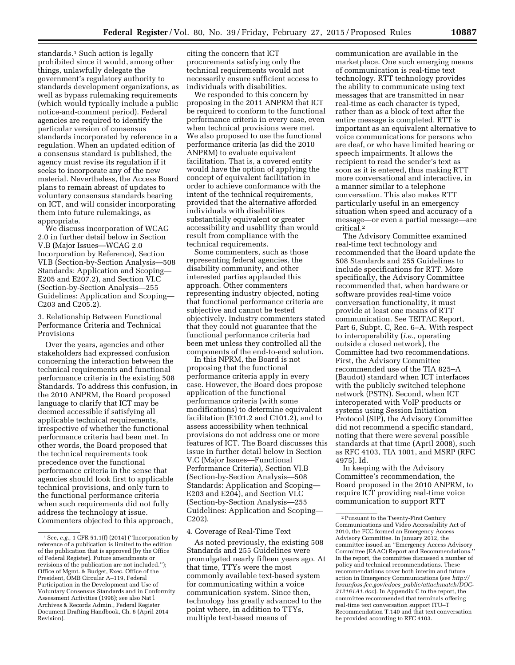standards.<sup>1</sup> Such action is legally prohibited since it would, among other things, unlawfully delegate the government's regulatory authority to standards development organizations, as well as bypass rulemaking requirements (which would typically include a public notice-and-comment period). Federal agencies are required to identify the particular version of consensus standards incorporated by reference in a regulation. When an updated edition of a consensus standard is published, the agency must revise its regulation if it seeks to incorporate any of the new material. Nevertheless, the Access Board plans to remain abreast of updates to voluntary consensus standards bearing on ICT, and will consider incorporating them into future rulemakings, as appropriate.

We discuss incorporation of WCAG 2.0 in further detail below in Section V.B (Major Issues—WCAG 2.0 Incorporation by Reference), Section VI.B (Section-by-Section Analysis—508 Standards: Application and Scoping— E205 and E207.2), and Section VI.C (Section-by-Section Analysis—255 Guidelines: Application and Scoping— C203 and C205.2).

# 3. Relationship Between Functional Performance Criteria and Technical Provisions

Over the years, agencies and other stakeholders had expressed confusion concerning the interaction between the technical requirements and functional performance criteria in the existing 508 Standards. To address this confusion, in the 2010 ANPRM, the Board proposed language to clarify that ICT may be deemed accessible if satisfying all applicable technical requirements, irrespective of whether the functional performance criteria had been met. In other words, the Board proposed that the technical requirements took precedence over the functional performance criteria in the sense that agencies should look first to applicable technical provisions, and only turn to the functional performance criteria when such requirements did not fully address the technology at issue. Commenters objected to this approach,

citing the concern that ICT procurements satisfying only the technical requirements would not necessarily ensure sufficient access to individuals with disabilities.

We responded to this concern by proposing in the 2011 ANPRM that ICT be required to conform to the functional performance criteria in every case, even when technical provisions were met. We also proposed to use the functional performance criteria (as did the 2010 ANPRM) to evaluate equivalent facilitation. That is, a covered entity would have the option of applying the concept of equivalent facilitation in order to achieve conformance with the intent of the technical requirements, provided that the alternative afforded individuals with disabilities substantially equivalent or greater accessibility and usability than would result from compliance with the technical requirements.

Some commenters, such as those representing federal agencies, the disability community, and other interested parties applauded this approach. Other commenters representing industry objected, noting that functional performance criteria are subjective and cannot be tested objectively. Industry commenters stated that they could not guarantee that the functional performance criteria had been met unless they controlled all the components of the end-to-end solution.

In this NPRM, the Board is not proposing that the functional performance criteria apply in every case. However, the Board does propose application of the functional performance criteria (with some modifications) to determine equivalent facilitation (E101.2 and C101.2), and to assess accessibility when technical provisions do not address one or more features of ICT. The Board discusses this issue in further detail below in Section V.C (Major Issues—Functional Performance Criteria), Section VI.B (Section-by-Section Analysis—508 Standards: Application and Scoping— E203 and E204), and Section VI.C (Section-by-Section Analysis—255 Guidelines: Application and Scoping— C202).

# 4. Coverage of Real-Time Text

As noted previously, the existing 508 Standards and 255 Guidelines were promulgated nearly fifteen years ago. At that time, TTYs were the most commonly available text-based system for communicating within a voice communication system. Since then, technology has greatly advanced to the point where, in addition to TTYs, multiple text-based means of

communication are available in the marketplace. One such emerging means of communication is real-time text technology. RTT technology provides the ability to communicate using text messages that are transmitted in near real-time as each character is typed, rather than as a block of text after the entire message is completed. RTT is important as an equivalent alternative to voice communications for persons who are deaf, or who have limited hearing or speech impairments. It allows the recipient to read the sender's text as soon as it is entered, thus making RTT more conversational and interactive, in a manner similar to a telephone conversation. This also makes RTT particularly useful in an emergency situation when speed and accuracy of a message—or even a partial message—are critical.2

The Advisory Committee examined real-time text technology and recommended that the Board update the 508 Standards and 255 Guidelines to include specifications for RTT. More specifically, the Advisory Committee recommended that, when hardware or software provides real-time voice conversation functionality, it must provide at least one means of RTT communication. See TEITAC Report, Part 6, Subpt. C, Rec. 6–A. With respect to interoperability (*i.e.,* operating outside a closed network), the Committee had two recommendations. First, the Advisory Committee recommended use of the TIA 825–A (Baudot) standard when ICT interfaces with the publicly switched telephone network (PSTN). Second, when ICT interoperated with VoIP products or systems using Session Initiation Protocol (SIP), the Advisory Committee did not recommend a specific standard, noting that there were several possible standards at that time (April 2008), such as RFC 4103, TIA 1001, and MSRP (RFC 4975). Id.

In keeping with the Advisory Committee's recommendation, the Board proposed in the 2010 ANPRM, to require ICT providing real-time voice communication to support RTT

<sup>1</sup>See, *e.g.,* 1 CFR 51.1(f) (2014) (''Incorporation by reference of a publication is limited to the edition of the publication that is approved [by the Office of Federal Register]. Future amendments or revisions of the publication are not included.''); Office of Mgmt. & Budget, Exec. Office of the President, OMB Circular A–119, Federal Participation in the Development and Use of Voluntary Consensus Standards and in Conformity Assessment Activities (1998); see also Nat'l Archives & Records Admin., Federal Register Document Drafting Handbook, Ch. 6 (April 2014 Revision).

<sup>2</sup>Pursuant to the Twenty-First Century Communications and Video Accessibility Act of 2010, the FCC formed an Emergency Access Advisory Committee. In January 2012, the committee issued an ''Emergency Access Advisory Committee (EAAC) Report and Recommendations.'' In the report, the committee discussed a number of policy and technical recommendations. These recommendations cover both interim and future action in Emergency Communications (see *[http://](http://hraunfoss.fcc.gov/edocs_public/attachmatch/DOC-312161A1.doc) hraunfoss.fcc.gov/edocs*\_*[public/attachmatch/DOC-](http://hraunfoss.fcc.gov/edocs_public/attachmatch/DOC-312161A1.doc)[312161A1.doc](http://hraunfoss.fcc.gov/edocs_public/attachmatch/DOC-312161A1.doc)*). In Appendix C to the report, the committee recommended that terminals offering real-time text conversation support ITU–T Recommendation T.140 and that text conversation be provided according to RFC 4103.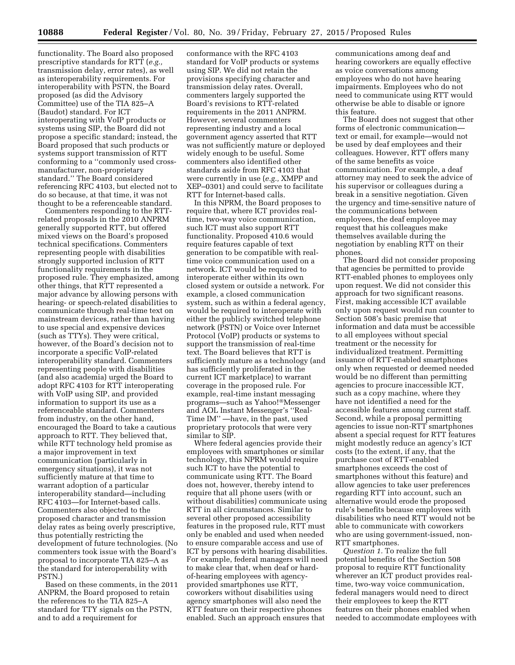functionality. The Board also proposed prescriptive standards for RTT (*e.g.,*  transmission delay, error rates), as well as interoperability requirements. For interoperability with PSTN, the Board proposed (as did the Advisory Committee) use of the TIA 825–A (Baudot) standard. For ICT interoperating with VoIP products or systems using SIP, the Board did not propose a specific standard; instead, the Board proposed that such products or systems support transmission of RTT conforming to a ''commonly used crossmanufacturer, non-proprietary standard.'' The Board considered referencing RFC 4103, but elected not to do so because, at that time, it was not thought to be a referenceable standard.

Commenters responding to the RTTrelated proposals in the 2010 ANPRM generally supported RTT, but offered mixed views on the Board's proposed technical specifications. Commenters representing people with disabilities strongly supported inclusion of RTT functionality requirements in the proposed rule. They emphasized, among other things, that RTT represented a major advance by allowing persons with hearing- or speech-related disabilities to communicate through real-time text on mainstream devices, rather than having to use special and expensive devices (such as TTYs). They were critical, however, of the Board's decision not to incorporate a specific VoIP-related interoperability standard. Commenters representing people with disabilities (and also academia) urged the Board to adopt RFC 4103 for RTT interoperating with VoIP using SIP, and provided information to support its use as a referenceable standard. Commenters from industry, on the other hand, encouraged the Board to take a cautious approach to RTT. They believed that, while RTT technology held promise as a major improvement in text communication (particularly in emergency situations), it was not sufficiently mature at that time to warrant adoption of a particular interoperability standard—including RFC 4103—for Internet-based calls. Commenters also objected to the proposed character and transmission delay rates as being overly prescriptive, thus potentially restricting the development of future technologies. (No commenters took issue with the Board's proposal to incorporate TIA 825–A as the standard for interoperability with PSTN.)

Based on these comments, in the 2011 ANPRM, the Board proposed to retain the references to the TIA 825–A standard for TTY signals on the PSTN, and to add a requirement for

conformance with the RFC 4103 standard for VoIP products or systems using SIP. We did not retain the provisions specifying character and transmission delay rates. Overall, commenters largely supported the Board's revisions to RTT-related requirements in the 2011 ANPRM. However, several commenters representing industry and a local government agency asserted that RTT was not sufficiently mature or deployed widely enough to be useful. Some commenters also identified other standards aside from RFC 4103 that were currently in use (*e.g.,* XMPP and XEP–0301) and could serve to facilitate RTT for Internet-based calls.

In this NPRM, the Board proposes to require that, where ICT provides realtime, two-way voice communication, such ICT must also support RTT functionality. Proposed 410.6 would require features capable of text generation to be compatible with realtime voice communication used on a network. ICT would be required to interoperate either within its own closed system or outside a network. For example, a closed communication system, such as within a federal agency, would be required to interoperate with either the publicly switched telephone network (PSTN) or Voice over Internet Protocol (VoIP) products or systems to support the transmission of real-time text. The Board believes that RTT is sufficiently mature as a technology (and has sufficiently proliferated in the current ICT marketplace) to warrant coverage in the proposed rule. For example, real-time instant messaging programs—such as Yahoo!®Messenger and AOL Instant Messenger's ''Real-Time IM'' —have, in the past, used proprietary protocols that were very similar to SIP.

Where federal agencies provide their employees with smartphones or similar technology, this NPRM would require such ICT to have the potential to communicate using RTT. The Board does not, however, thereby intend to require that all phone users (with or without disabilities) communicate using RTT in all circumstances. Similar to several other proposed accessibility features in the proposed rule, RTT must only be enabled and used when needed to ensure comparable access and use of ICT by persons with hearing disabilities. For example, federal managers will need to make clear that, when deaf or hardof-hearing employees with agencyprovided smartphones use RTT, coworkers without disabilities using agency smartphones will also need the RTT feature on their respective phones enabled. Such an approach ensures that

communications among deaf and hearing coworkers are equally effective as voice conversations among employees who do not have hearing impairments. Employees who do not need to communicate using RTT would otherwise be able to disable or ignore this feature.

The Board does not suggest that other forms of electronic communication text or email, for example—would not be used by deaf employees and their colleagues. However, RTT offers many of the same benefits as voice communication. For example, a deaf attorney may need to seek the advice of his supervisor or colleagues during a break in a sensitive negotiation. Given the urgency and time-sensitive nature of the communications between employees, the deaf employee may request that his colleagues make themselves available during the negotiation by enabling RTT on their phones.

The Board did not consider proposing that agencies be permitted to provide RTT-enabled phones to employees only upon request. We did not consider this approach for two significant reasons. First, making accessible ICT available only upon request would run counter to Section 508's basic premise that information and data must be accessible to all employees without special treatment or the necessity for individualized treatment. Permitting issuance of RTT-enabled smartphones only when requested or deemed needed would be no different than permitting agencies to procure inaccessible ICT, such as a copy machine, where they have not identified a need for the accessible features among current staff. Second, while a proposal permitting agencies to issue non-RTT smartphones absent a special request for RTT features might modestly reduce an agency's ICT costs (to the extent, if any, that the purchase cost of RTT-enabled smartphones exceeds the cost of smartphones without this feature) and allow agencies to take user preferences regarding RTT into account, such an alternative would erode the proposed rule's benefits because employees with disabilities who need RTT would not be able to communicate with coworkers who are using government-issued, non-RTT smartphones.

*Question 1.* To realize the full potential benefits of the Section 508 proposal to require RTT functionality wherever an ICT product provides realtime, two-way voice communication, federal managers would need to direct their employees to keep the RTT features on their phones enabled when needed to accommodate employees with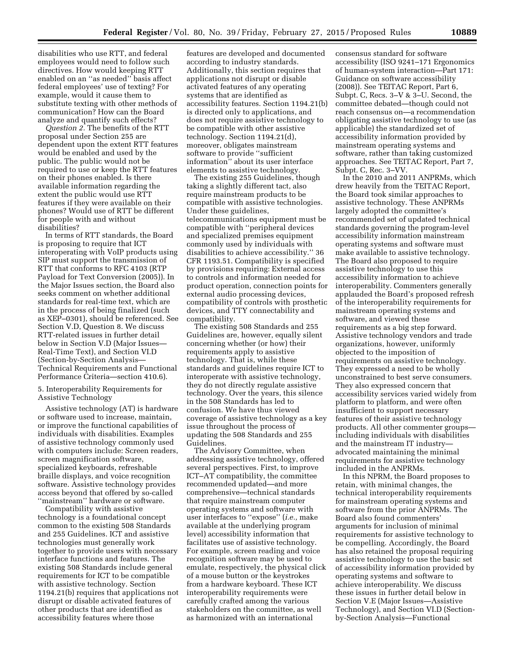disabilities who use RTT, and federal employees would need to follow such directives. How would keeping RTT enabled on an ''as needed'' basis affect federal employees' use of texting? For example, would it cause them to substitute texting with other methods of communication? How can the Board analyze and quantify such effects?

*Question 2.* The benefits of the RTT proposal under Section 255 are dependent upon the extent RTT features would be enabled and used by the public. The public would not be required to use or keep the RTT features on their phones enabled. Is there available information regarding the extent the public would use RTT features if they were available on their phones? Would use of RTT be different for people with and without disabilities?

In terms of RTT standards, the Board is proposing to require that ICT interoperating with VoIP products using SIP must support the transmission of RTT that conforms to RFC 4103 (RTP Payload for Text Conversion (2005)). In the Major Issues section, the Board also seeks comment on whether additional standards for real-time text, which are in the process of being finalized (such as XEP–0301), should be referenced. See Section V.D, Question 8. We discuss RTT-related issues in further detail below in Section V.D (Major Issues— Real-Time Text), and Section VI.D (Section-by-Section Analysis— Technical Requirements and Functional Performance Criteria—section 410.6).

5. Interoperability Requirements for Assistive Technology

Assistive technology (AT) is hardware or software used to increase, maintain, or improve the functional capabilities of individuals with disabilities. Examples of assistive technology commonly used with computers include: Screen readers, screen magnification software, specialized keyboards, refreshable braille displays, and voice recognition software. Assistive technology provides access beyond that offered by so-called ''mainstream'' hardware or software.

Compatibility with assistive technology is a foundational concept common to the existing 508 Standards and 255 Guidelines. ICT and assistive technologies must generally work together to provide users with necessary interface functions and features. The existing 508 Standards include general requirements for ICT to be compatible with assistive technology. Section 1194.21(b) requires that applications not disrupt or disable activated features of other products that are identified as accessibility features where those

features are developed and documented according to industry standards. Additionally, this section requires that applications not disrupt or disable activated features of any operating systems that are identified as accessibility features. Section 1194.21(b) is directed only to applications, and does not require assistive technology to be compatible with other assistive technology. Section 1194.21(d), moreover, obligates mainstream software to provide ''sufficient information'' about its user interface elements to assistive technology.

The existing 255 Guidelines, though taking a slightly different tact, also require mainstream products to be compatible with assistive technologies. Under these guidelines, telecommunications equipment must be compatible with ''peripheral devices and specialized premises equipment commonly used by individuals with disabilities to achieve accessibility.'' 36 CFR 1193.51. Compatibility is specified by provisions requiring: External access to controls and information needed for product operation, connection points for external audio processing devices, compatibility of controls with prosthetic devices, and TTY connectability and compatibility.

The existing 508 Standards and 255 Guidelines are, however, equally silent concerning whether (or how) their requirements apply to assistive technology. That is, while these standards and guidelines require ICT to interoperate with assistive technology, they do not directly regulate assistive technology. Over the years, this silence in the 508 Standards has led to confusion. We have thus viewed coverage of assistive technology as a key issue throughout the process of updating the 508 Standards and 255 Guidelines.

The Advisory Committee, when addressing assistive technology, offered several perspectives. First, to improve ICT–AT compatibility, the committee recommended updated—and more comprehensive—technical standards that require mainstream computer operating systems and software with user interfaces to ''expose'' (*i.e.,* make available at the underlying program level) accessibility information that facilitates use of assistive technology. For example, screen reading and voice recognition software may be used to emulate, respectively, the physical click of a mouse button or the keystrokes from a hardware keyboard. These ICT interoperability requirements were carefully crafted among the various stakeholders on the committee, as well as harmonized with an international

consensus standard for software accessibility (ISO 9241–171 Ergonomics of human-system interaction—Part 171: Guidance on software accessibility (2008)). See TEITAC Report, Part 6, Subpt. C, Recs. 3–V & 3–U. Second, the committee debated—though could not reach consensus on—a recommendation obligating assistive technology to use (as applicable) the standardized set of accessibility information provided by mainstream operating systems and software, rather than taking customized approaches. See TEITAC Report, Part 7, Subpt. C, Rec. 3–VV.

In the 2010 and 2011 ANPRMs, which drew heavily from the TEITAC Report, the Board took similar approaches to assistive technology. These ANPRMs largely adopted the committee's recommended set of updated technical standards governing the program-level accessibility information mainstream operating systems and software must make available to assistive technology. The Board also proposed to require assistive technology to use this accessibility information to achieve interoperability. Commenters generally applauded the Board's proposed refresh of the interoperability requirements for mainstream operating systems and software, and viewed these requirements as a big step forward. Assistive technology vendors and trade organizations, however, uniformly objected to the imposition of requirements on assistive technology. They expressed a need to be wholly unconstrained to best serve consumers. They also expressed concern that accessibility services varied widely from platform to platform, and were often insufficient to support necessary features of their assistive technology products. All other commenter groups including individuals with disabilities and the mainstream IT industry advocated maintaining the minimal requirements for assistive technology included in the ANPRMs.

In this NPRM, the Board proposes to retain, with minimal changes, the technical interoperability requirements for mainstream operating systems and software from the prior ANPRMs. The Board also found commenters' arguments for inclusion of minimal requirements for assistive technology to be compelling. Accordingly, the Board has also retained the proposal requiring assistive technology to use the basic set of accessibility information provided by operating systems and software to achieve interoperability. We discuss these issues in further detail below in Section V.E (Major Issues—Assistive Technology), and Section VI.D (Sectionby-Section Analysis—Functional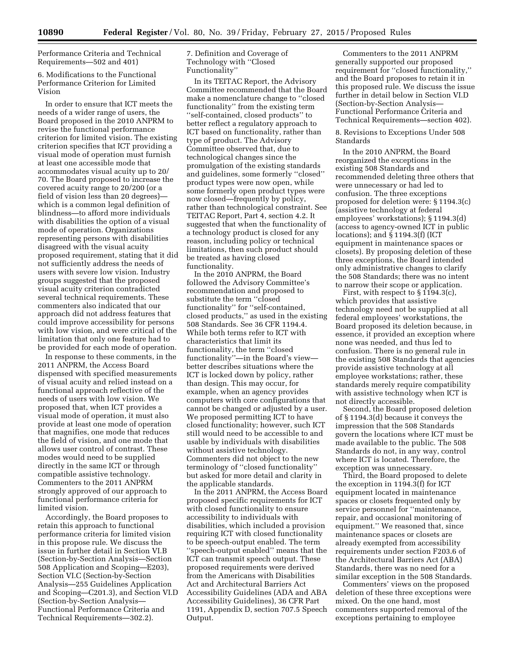Performance Criteria and Technical Requirements—502 and 401)

6. Modifications to the Functional Performance Criterion for Limited Vision

In order to ensure that ICT meets the needs of a wider range of users, the Board proposed in the 2010 ANPRM to revise the functional performance criterion for limited vision. The existing criterion specifies that ICT providing a visual mode of operation must furnish at least one accessible mode that accommodates visual acuity up to 20/ 70. The Board proposed to increase the covered acuity range to 20/200 (or a field of vision less than 20 degrees) which is a common legal definition of blindness—to afford more individuals with disabilities the option of a visual mode of operation. Organizations representing persons with disabilities disagreed with the visual acuity proposed requirement, stating that it did not sufficiently address the needs of users with severe low vision. Industry groups suggested that the proposed visual acuity criterion contradicted several technical requirements. These commenters also indicated that our approach did not address features that could improve accessibility for persons with low vision, and were critical of the limitation that only one feature had to be provided for each mode of operation.

In response to these comments, in the 2011 ANPRM, the Access Board dispensed with specified measurements of visual acuity and relied instead on a functional approach reflective of the needs of users with low vision. We proposed that, when ICT provides a visual mode of operation, it must also provide at least one mode of operation that magnifies, one mode that reduces the field of vision, and one mode that allows user control of contrast. These modes would need to be supplied directly in the same ICT or through compatible assistive technology. Commenters to the 2011 ANPRM strongly approved of our approach to functional performance criteria for limited vision.

Accordingly, the Board proposes to retain this approach to functional performance criteria for limited vision in this propose rule. We discuss the issue in further detail in Section VI.B (Section-by-Section Analysis—Section 508 Application and Scoping—E203), Section VI.C (Section-by-Section Analysis—255 Guidelines Application and Scoping—C201.3), and Section VI.D (Section-by-Section Analysis— Functional Performance Criteria and Technical Requirements—302.2).

7. Definition and Coverage of Technology with ''Closed Functionality''

In its TEITAC Report, the Advisory Committee recommended that the Board make a nomenclature change to ''closed functionality'' from the existing term ''self-contained, closed products'' to better reflect a regulatory approach to ICT based on functionality, rather than type of product. The Advisory Committee observed that, due to technological changes since the promulgation of the existing standards and guidelines, some formerly ''closed'' product types were now open, while some formerly open product types were now closed—frequently by policy, rather than technological constraint. See TEITAC Report, Part 4, section 4.2. It suggested that when the functionality of a technology product is closed for any reason, including policy or technical limitations, then such product should be treated as having closed functionality.

In the 2010 ANPRM, the Board followed the Advisory Committee's recommendation and proposed to substitute the term ''closed functionality'' for ''self-contained, closed products,'' as used in the existing 508 Standards. See 36 CFR 1194.4. While both terms refer to ICT with characteristics that limit its functionality, the term ''closed functionality''—in the Board's view better describes situations where the ICT is locked down by policy, rather than design. This may occur, for example, when an agency provides computers with core configurations that cannot be changed or adjusted by a user. We proposed permitting ICT to have closed functionality; however, such ICT still would need to be accessible to and usable by individuals with disabilities without assistive technology. Commenters did not object to the new terminology of ''closed functionality'' but asked for more detail and clarity in the applicable standards.

In the 2011 ANPRM, the Access Board proposed specific requirements for ICT with closed functionality to ensure accessibility to individuals with disabilities, which included a provision requiring ICT with closed functionality to be speech-output enabled. The term ''speech-output enabled'' means that the ICT can transmit speech output. These proposed requirements were derived from the Americans with Disabilities Act and Architectural Barriers Act Accessibility Guidelines (ADA and ABA Accessibility Guidelines), 36 CFR Part 1191, Appendix D, section 707.5 Speech Output.

Commenters to the 2011 ANPRM generally supported our proposed requirement for ''closed functionality,'' and the Board proposes to retain it in this proposed rule. We discuss the issue further in detail below in Section VI.D (Section-by-Section Analysis— Functional Performance Criteria and Technical Requirements—section 402).

8. Revisions to Exceptions Under 508 Standards

In the 2010 ANPRM, the Board reorganized the exceptions in the existing 508 Standards and recommended deleting three others that were unnecessary or had led to confusion. The three exceptions proposed for deletion were: § 1194.3(c) (assistive technology at federal employees' workstations); § 1194.3(d) (access to agency-owned ICT in public locations); and § 1194.3(f) (ICT equipment in maintenance spaces or closets). By proposing deletion of these three exceptions, the Board intended only administrative changes to clarify the 508 Standards; there was no intent to narrow their scope or application.

First, with respect to  $\S$  1194.3(c), which provides that assistive technology need not be supplied at all federal employees' workstations, the Board proposed its deletion because, in essence, it provided an exception where none was needed, and thus led to confusion. There is no general rule in the existing 508 Standards that agencies provide assistive technology at all employee workstations; rather, these standards merely require compatibility with assistive technology when ICT is not directly accessible.

Second, the Board proposed deletion of § 1194.3(d) because it conveys the impression that the 508 Standards govern the locations where ICT must be made available to the public. The 508 Standards do not, in any way, control where ICT is located. Therefore, the exception was unnecessary.

Third, the Board proposed to delete the exception in 1194.3(f) for ICT equipment located in maintenance spaces or closets frequented only by service personnel for ''maintenance, repair, and occasional monitoring of equipment.'' We reasoned that, since maintenance spaces or closets are already exempted from accessibility requirements under section F203.6 of the Architectural Barriers Act (ABA) Standards, there was no need for a similar exception in the 508 Standards.

Commenters' views on the proposed deletion of these three exceptions were mixed. On the one hand, most commenters supported removal of the exceptions pertaining to employee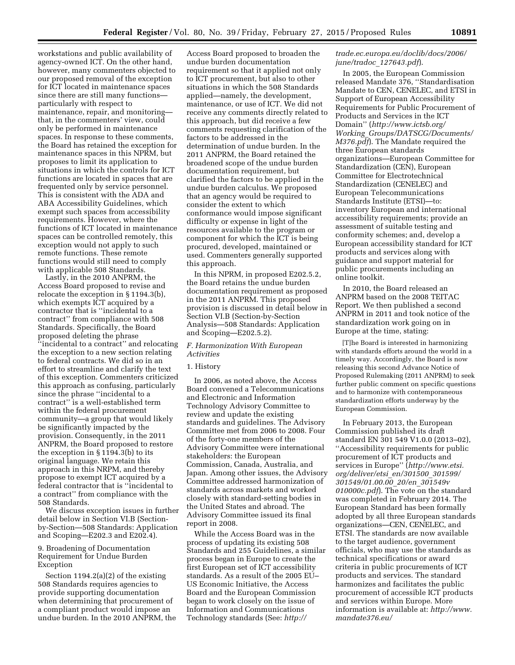workstations and public availability of agency-owned ICT. On the other hand, however, many commenters objected to our proposed removal of the exception for ICT located in maintenance spaces since there are still many functions particularly with respect to maintenance, repair, and monitoring that, in the commenters' view, could only be performed in maintenance spaces. In response to these comments, the Board has retained the exception for maintenance spaces in this NPRM, but proposes to limit its application to situations in which the controls for ICT functions are located in spaces that are frequented only by service personnel. This is consistent with the ADA and ABA Accessibility Guidelines, which exempt such spaces from accessibility requirements. However, where the functions of ICT located in maintenance spaces can be controlled remotely, this exception would not apply to such remote functions. These remote functions would still need to comply with applicable 508 Standards.

Lastly, in the 2010 ANPRM, the Access Board proposed to revise and relocate the exception in § 1194.3(b), which exempts ICT acquired by a contractor that is ''incidental to a contract'' from compliance with 508 Standards. Specifically, the Board proposed deleting the phrase ''incidental to a contract'' and relocating the exception to a new section relating to federal contracts. We did so in an effort to streamline and clarify the text of this exception. Commenters criticized this approach as confusing, particularly since the phrase ''incidental to a contract'' is a well-established term within the federal procurement community—a group that would likely be significantly impacted by the provision. Consequently, in the 2011 ANPRM, the Board proposed to restore the exception in § 1194.3(b) to its original language. We retain this approach in this NRPM, and thereby propose to exempt ICT acquired by a federal contractor that is ''incidental to a contract'' from compliance with the 508 Standards.

We discuss exception issues in further detail below in Section VI.B (Sectionby-Section—508 Standards: Application and Scoping—E202.3 and E202.4).

# 9. Broadening of Documentation Requirement for Undue Burden Exception

Section 1194.2(a)(2) of the existing 508 Standards requires agencies to provide supporting documentation when determining that procurement of a compliant product would impose an undue burden. In the 2010 ANPRM, the

Access Board proposed to broaden the undue burden documentation requirement so that it applied not only to ICT procurement, but also to other situations in which the 508 Standards applied—namely, the development, maintenance, or use of ICT. We did not receive any comments directly related to this approach, but did receive a few comments requesting clarification of the factors to be addressed in the determination of undue burden. In the 2011 ANPRM, the Board retained the broadened scope of the undue burden documentation requirement, but clarified the factors to be applied in the undue burden calculus. We proposed that an agency would be required to consider the extent to which conformance would impose significant difficulty or expense in light of the resources available to the program or component for which the ICT is being procured, developed, maintained or used. Commenters generally supported this approach.

In this NPRM, in proposed E202.5.2, the Board retains the undue burden documentation requirement as proposed in the 2011 ANPRM. This proposed provision is discussed in detail below in Section VI.B (Section-by-Section Analysis—508 Standards: Application and Scoping—E202.5.2).

# *F. Harmonization With European Activities*

# 1. History

In 2006, as noted above, the Access Board convened a Telecommunications and Electronic and Information Technology Advisory Committee to review and update the existing standards and guidelines. The Advisory Committee met from 2006 to 2008. Four of the forty-one members of the Advisory Committee were international stakeholders: the European Commission, Canada, Australia, and Japan. Among other issues, the Advisory Committee addressed harmonization of standards across markets and worked closely with standard-setting bodies in the United States and abroad. The Advisory Committee issued its final report in 2008.

While the Access Board was in the process of updating its existing 508 Standards and 255 Guidelines, a similar process began in Europe to create the first European set of ICT accessibility standards. As a result of the 2005 EU– US Economic Initiative, the Access Board and the European Commission began to work closely on the issue of Information and Communications Technology standards (See: *[http://](http://trade.ec.europa.eu/doclib/docs/2006/june/tradoc_127643.pdf)*

# *[trade.ec.europa.eu/doclib/docs/2006/](http://trade.ec.europa.eu/doclib/docs/2006/june/tradoc_127643.pdf) [june/tradoc](http://trade.ec.europa.eu/doclib/docs/2006/june/tradoc_127643.pdf)*\_*127643.pdf*).

In 2005, the European Commission released Mandate 376, ''Standardisation Mandate to CEN, CENELEC, and ETSI in Support of European Accessibility Requirements for Public Procurement of Products and Services in the ICT Domain'' (*[http://www.ictsb.org/](http://www.ictsb.org/Working_Groups/DATSCG/Documents/M376.pdf) Working*\_*[Groups/DATSCG/Documents/](http://www.ictsb.org/Working_Groups/DATSCG/Documents/M376.pdf) [M376.pdf](http://www.ictsb.org/Working_Groups/DATSCG/Documents/M376.pdf)*). The Mandate required the three European standards organizations—European Committee for Standardization (CEN), European Committee for Electrotechnical Standardization (CENELEC) and European Telecommunications Standards Institute (ETSI)—to: inventory European and international accessibility requirements; provide an assessment of suitable testing and conformity schemes; and, develop a European accessibility standard for ICT products and services along with guidance and support material for public procurements including an online toolkit.

In 2010, the Board released an ANPRM based on the 2008 TEITAC Report. We then published a second ANPRM in 2011 and took notice of the standardization work going on in Europe at the time, stating:

[T]he Board is interested in harmonizing with standards efforts around the world in a timely way. Accordingly, the Board is now releasing this second Advance Notice of Proposed Rulemaking (2011 ANPRM) to seek further public comment on specific questions and to harmonize with contemporaneous standardization efforts underway by the European Commission.

In February 2013, the European Commission published its draft standard EN 301 549 V1.0.0 (2013–02), ''Accessibility requirements for public procurement of ICT products and services in Europe'' (*[http://www.etsi.](http://www.etsi.org/deliver/etsi_en/301500_301599/301549/01.00.00_20/en_301549v010000c.pdf) [org/deliver/etsi](http://www.etsi.org/deliver/etsi_en/301500_301599/301549/01.00.00_20/en_301549v010000c.pdf)*\_*en/301500*\_*301599/ [301549/01.00.00](http://www.etsi.org/deliver/etsi_en/301500_301599/301549/01.00.00_20/en_301549v010000c.pdf)*\_*20/en*\_*301549v [010000c.pdf](http://www.etsi.org/deliver/etsi_en/301500_301599/301549/01.00.00_20/en_301549v010000c.pdf)*). The vote on the standard was completed in February 2014. The European Standard has been formally adopted by all three European standards organizations—CEN, CENELEC, and ETSI. The standards are now available to the target audience, government officials, who may use the standards as technical specifications or award criteria in public procurements of ICT products and services. The standard harmonizes and facilitates the public procurement of accessible ICT products and services within Europe. More information is available at: *[http://www.](http://www.mandate376.eu/) [mandate376.eu/](http://www.mandate376.eu/)*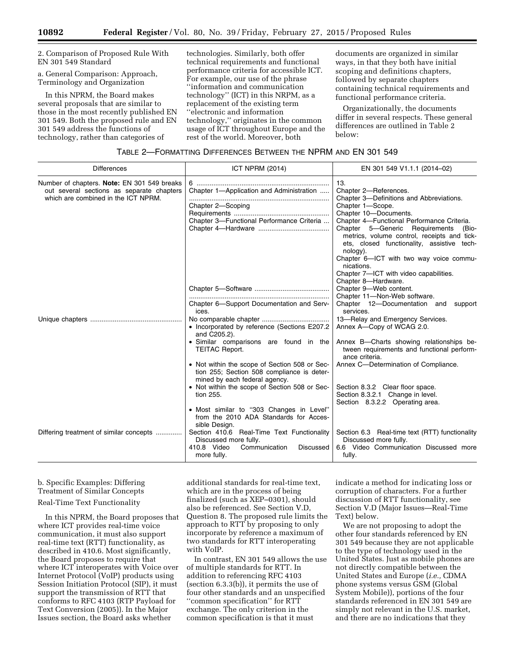2. Comparison of Proposed Rule With EN 301 549 Standard

a. General Comparison: Approach, Terminology and Organization

In this NPRM, the Board makes several proposals that are similar to those in the most recently published EN 301 549. Both the proposed rule and EN 301 549 address the functions of technology, rather than categories of

technologies. Similarly, both offer technical requirements and functional performance criteria for accessible ICT. For example, our use of the phrase ''information and communication technology'' (ICT) in this NRPM, as a replacement of the existing term ''electronic and information technology,'' originates in the common usage of ICT throughout Europe and the rest of the world. Moreover, both

documents are organized in similar ways, in that they both have initial scoping and definitions chapters, followed by separate chapters containing technical requirements and functional performance criteria.

Organizationally, the documents differ in several respects. These general differences are outlined in Table 2 below:

# TABLE 2—FORMATTING DIFFERENCES BETWEEN THE NPRM AND EN 301 549

| <b>Differences</b>                                                                                                              | <b>ICT NPRM (2014)</b>                                                                                                       | EN 301 549 V1.1.1 (2014-02)                                                                                                                      |
|---------------------------------------------------------------------------------------------------------------------------------|------------------------------------------------------------------------------------------------------------------------------|--------------------------------------------------------------------------------------------------------------------------------------------------|
| Number of chapters. Note: EN 301 549 breaks<br>out several sections as separate chapters<br>which are combined in the ICT NPRM. | Chapter 1-Application and Administration                                                                                     | 13.<br>Chapter 2-References.<br>Chapter 3-Definitions and Abbreviations.                                                                         |
|                                                                                                                                 | Chapter 2-Scoping                                                                                                            | Chapter 1-Scope.<br>Chapter 10-Documents.                                                                                                        |
|                                                                                                                                 | Chapter 3-Functional Performance Criteria                                                                                    | Chapter 4-Functional Performance Criteria.                                                                                                       |
|                                                                                                                                 |                                                                                                                              | Chapter 5-Generic Requirements<br>(Bio-<br>metrics, volume control, receipts and tick-<br>ets, closed functionality, assistive tech-<br>nology). |
|                                                                                                                                 |                                                                                                                              | Chapter 6-ICT with two way voice commu-<br>nications.                                                                                            |
|                                                                                                                                 |                                                                                                                              | Chapter 7-ICT with video capabilities.<br>Chapter 8-Hardware.                                                                                    |
|                                                                                                                                 |                                                                                                                              | Chapter 9-Web content.<br>Chapter 11-Non-Web software.                                                                                           |
|                                                                                                                                 | Chapter 6-Support Documentation and Serv-<br>ices.                                                                           | Chapter 12-Documentation and support<br>services.                                                                                                |
|                                                                                                                                 | • Incorporated by reference (Sections E207.2<br>and C205.2).                                                                 | 13-Relay and Emergency Services.<br>Annex A-Copy of WCAG 2.0.                                                                                    |
|                                                                                                                                 | · Similar comparisons are found in the<br><b>TEITAC Report.</b>                                                              | Annex B-Charts showing relationships be-<br>tween requirements and functional perform-<br>ance criteria.                                         |
|                                                                                                                                 | • Not within the scope of Section 508 or Sec-<br>tion 255; Section 508 compliance is deter-<br>mined by each federal agency. | Annex C--Determination of Compliance.                                                                                                            |
|                                                                                                                                 | • Not within the scope of Section 508 or Sec-<br>tion 255.                                                                   | Section 8.3.2 Clear floor space.<br>Section 8.3.2.1 Change in level.<br>Section 8.3.2.2 Operating area.                                          |
|                                                                                                                                 | • Most similar to "303 Changes in Level"<br>from the 2010 ADA Standards for Acces-<br>sible Design.                          |                                                                                                                                                  |
| Differing treatment of similar concepts                                                                                         | Section 410.6 Real-Time Text Functionality<br>Discussed more fully.<br>410.8 Video<br>Communication<br>Discussed             | Section 6.3 Real-time text (RTT) functionality<br>Discussed more fully.<br>6.6 Video Communication Discussed more                                |
|                                                                                                                                 | more fully.                                                                                                                  | fully.                                                                                                                                           |

b. Specific Examples: Differing Treatment of Similar Concepts Real-Time Text Functionality

In this NPRM, the Board proposes that where ICT provides real-time voice communication, it must also support real-time text (RTT) functionality, as described in 410.6. Most significantly, the Board proposes to require that where ICT interoperates with Voice over Internet Protocol (VoIP) products using Session Initiation Protocol (SIP), it must support the transmission of RTT that conforms to RFC 4103 (RTP Payload for Text Conversion (2005)). In the Major Issues section, the Board asks whether

additional standards for real-time text, which are in the process of being finalized (such as XEP–0301), should also be referenced. See Section V.D, Question 8. The proposed rule limits the approach to RTT by proposing to only incorporate by reference a maximum of two standards for RTT interoperating with VoIP.

In contrast, EN 301 549 allows the use of multiple standards for RTT. In addition to referencing RFC 4103 (section 6.3.3(b)), it permits the use of four other standards and an unspecified ''common specification'' for RTT exchange. The only criterion in the common specification is that it must

indicate a method for indicating loss or corruption of characters. For a further discussion of RTT functionality, see Section V.D (Major Issues—Real-Time Text) below.

We are not proposing to adopt the other four standards referenced by EN 301 549 because they are not applicable to the type of technology used in the United States. Just as mobile phones are not directly compatible between the United States and Europe (*i.e.,* CDMA phone systems versus GSM (Global System Mobile)), portions of the four standards referenced in EN 301 549 are simply not relevant in the U.S. market, and there are no indications that they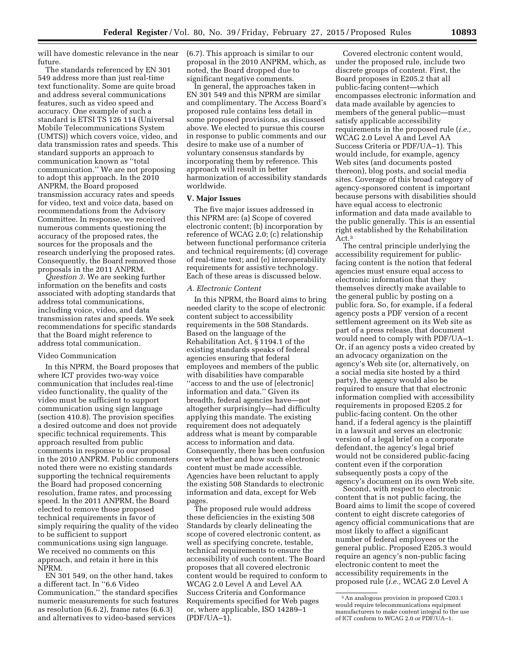will have domestic relevance in the near future.

The standards referenced by EN 301 549 address more than just real-time text functionality. Some are quite broad and address several communications features, such as video speed and accuracy. One example of such a standard is ETSI TS 126 114 (Universal Mobile Telecommunications System (UMTS)) which covers voice, video, and data transmission rates and speeds. This standard supports an approach to communication known as ''total communication.'' We are not proposing to adopt this approach. In the 2010 ANPRM, the Board proposed transmission accuracy rates and speeds for video, text and voice data, based on recommendations from the Advisory Committee. In response, we received numerous comments questioning the accuracy of the proposed rates, the sources for the proposals and the research underlying the proposed rates. Consequently, the Board removed those proposals in the 2011 ANPRM.

*Question 3.* We are seeking further information on the benefits and costs associated with adopting standards that address total communications, including voice, video, and data transmission rates and speeds. We seek recommendations for specific standards that the Board might reference to address total communication.

# Video Communication

In this NPRM, the Board proposes that where ICT provides two-way voice communication that includes real-time video functionality, the quality of the video must be sufficient to support communication using sign language (section 410.8). The provision specifies a desired outcome and does not provide specific technical requirements. This approach resulted from public comments in response to our proposal in the 2010 ANPRM. Public commenters noted there were no existing standards supporting the technical requirements the Board had proposed concerning resolution, frame rates, and processing speed. In the 2011 ANPRM, the Board elected to remove those proposed technical requirements in favor of simply requiring the quality of the video to be sufficient to support communications using sign language. We received no comments on this approach, and retain it here in this NPRM.

EN 301 549, on the other hand, takes a different tact. In ''6.6 Video Communication,'' the standard specifies numeric measurements for such features as resolution (6.6.2), frame rates (6.6.3) and alternatives to video-based services

(6.7). This approach is similar to our proposal in the 2010 ANPRM, which, as noted, the Board dropped due to significant negative comments.

In general, the approaches taken in EN 301 549 and this NPRM are similar and complimentary. The Access Board's proposed rule contains less detail in some proposed provisions, as discussed above. We elected to pursue this course in response to public comments and our desire to make use of a number of voluntary consensus standards by incorporating them by reference. This approach will result in better harmonization of accessibility standards worldwide.

# **V. Major Issues**

The five major issues addressed in this NPRM are: (a) Scope of covered electronic content; (b) incorporation by reference of WCAG 2.0; (c) relationship between functional performance criteria and technical requirements; (d) coverage of real-time text; and (e) interoperability requirements for assistive technology. Each of these areas is discussed below.

### *A. Electronic Content*

In this NPRM, the Board aims to bring needed clarity to the scope of electronic content subject to accessibility requirements in the 508 Standards. Based on the language of the Rehabilitation Act, § 1194.1 of the existing standards speaks of federal agencies ensuring that federal employees and members of the public with disabilities have comparable ''access to and the use of [electronic] information and data.'' Given its breadth, federal agencies have—not altogether surprisingly—had difficulty applying this mandate. The existing requirement does not adequately address what is meant by comparable access to information and data. Consequently, there has been confusion over whether and how such electronic content must be made accessible. Agencies have been reluctant to apply the existing 508 Standards to electronic information and data, except for Web pages.

The proposed rule would address these deficiencies in the existing 508 Standards by clearly delineating the scope of covered electronic content, as well as specifying concrete, testable, technical requirements to ensure the accessibility of such content. The Board proposes that all covered electronic content would be required to conform to WCAG 2.0 Level A and Level AA Success Criteria and Conformance Requirements specified for Web pages or, where applicable, ISO 14289–1 (PDF/UA–1).

Covered electronic content would, under the proposed rule, include two discrete groups of content. First, the Board proposes in E205.2 that all public-facing content—which encompasses electronic information and data made available by agencies to members of the general public—must satisfy applicable accessibility requirements in the proposed rule (*i.e.,*  WCAG 2.0 Level A and Level AA Success Criteria or PDF/UA–1). This would include, for example, agency Web sites (and documents posted thereon), blog posts, and social media sites. Coverage of this broad category of agency-sponsored content is important because persons with disabilities should have equal access to electronic information and data made available to the public generally. This is an essential right established by the Rehabilitation Act.3

The central principle underlying the accessibility requirement for publicfacing content is the notion that federal agencies must ensure equal access to electronic information that they themselves directly make available to the general public by posting on a public fora. So, for example, if a federal agency posts a PDF version of a recent settlement agreement on its Web site as part of a press release, that document would need to comply with PDF/UA–1. Or, if an agency posts a video created by an advocacy organization on the agency's Web site (or, alternatively, on a social media site hosted by a third party), the agency would also be required to ensure that that electronic information complied with accessibility requirements in proposed E205.2 for public-facing content. On the other hand, if a federal agency is the plaintiff in a lawsuit and serves an electronic version of a legal brief on a corporate defendant, the agency's legal brief would not be considered public-facing content even if the corporation subsequently posts a copy of the agency's document on its own Web site.

Second, with respect to electronic content that is not public facing, the Board aims to limit the scope of covered content to eight discrete categories of agency official communications that are most likely to affect a significant number of federal employees or the general public. Proposed E205.3 would require an agency's non-public facing electronic content to meet the accessibility requirements in the proposed rule (*i.e.,* WCAG 2.0 Level A

<sup>3</sup>An analogous provision in proposed C203.1 would require telecommunications equipment manufacturers to make content integral to the use of ICT conform to WCAG 2.0 or PDF/UA–1.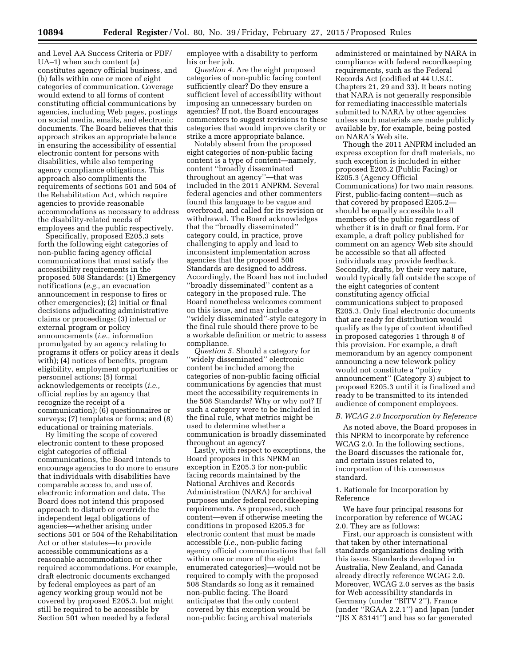and Level AA Success Criteria or PDF/ UA–1) when such content (a) constitutes agency official business, and (b) falls within one or more of eight categories of communication. Coverage would extend to all forms of content constituting official communications by agencies, including Web pages, postings on social media, emails, and electronic documents. The Board believes that this approach strikes an appropriate balance in ensuring the accessibility of essential electronic content for persons with disabilities, while also tempering agency compliance obligations. This approach also compliments the requirements of sections 501 and 504 of the Rehabilitation Act, which require agencies to provide reasonable accommodations as necessary to address the disability-related needs of employees and the public respectively.

Specifically, proposed E205.3 sets forth the following eight categories of non-public facing agency official communications that must satisfy the accessibility requirements in the proposed 508 Standards: (1) Emergency notifications (*e.g.,* an evacuation announcement in response to fires or other emergencies); (2) initial or final decisions adjudicating administrative claims or proceedings; (3) internal or external program or policy announcements (*i.e.,* information promulgated by an agency relating to programs it offers or policy areas it deals with); (4) notices of benefits, program eligibility, employment opportunities or personnel actions; (5) formal acknowledgements or receipts (*i.e.,*  official replies by an agency that recognize the receipt of a communication); (6) questionnaires or surveys; (7) templates or forms; and (8) educational or training materials.

By limiting the scope of covered electronic content to these proposed eight categories of official communications, the Board intends to encourage agencies to do more to ensure that individuals with disabilities have comparable access to, and use of, electronic information and data. The Board does not intend this proposed approach to disturb or override the independent legal obligations of agencies—whether arising under sections 501 or 504 of the Rehabilitation Act or other statutes—to provide accessible communications as a reasonable accommodation or other required accommodations. For example, draft electronic documents exchanged by federal employees as part of an agency working group would not be covered by proposed E205.3, but might still be required to be accessible by Section 501 when needed by a federal

employee with a disability to perform his or her job.

*Question 4.* Are the eight proposed categories of non-public facing content sufficiently clear? Do they ensure a sufficient level of accessibility without imposing an unnecessary burden on agencies? If not, the Board encourages commenters to suggest revisions to these categories that would improve clarity or strike a more appropriate balance.

Notably absent from the proposed eight categories of non-public facing content is a type of content—namely, content ''broadly disseminated throughout an agency''—that was included in the 2011 ANPRM. Several federal agencies and other commenters found this language to be vague and overbroad, and called for its revision or withdrawal. The Board acknowledges that the ''broadly disseminated'' category could, in practice, prove challenging to apply and lead to inconsistent implementation across agencies that the proposed 508 Standards are designed to address. Accordingly, the Board has not included ''broadly disseminated'' content as a category in the proposed rule. The Board nonetheless welcomes comment on this issue, and may include a ''widely disseminated''-style category in the final rule should there prove to be a workable definition or metric to assess compliance.

*Question 5.* Should a category for ''widely disseminated'' electronic content be included among the categories of non-public facing official communications by agencies that must meet the accessibility requirements in the 508 Standards? Why or why not? If such a category were to be included in the final rule, what metrics might be used to determine whether a communication is broadly disseminated throughout an agency?

Lastly, with respect to exceptions, the Board proposes in this NPRM an exception in E205.3 for non-public facing records maintained by the National Archives and Records Administration (NARA) for archival purposes under federal recordkeeping requirements. As proposed, such content—even if otherwise meeting the conditions in proposed E205.3 for electronic content that must be made accessible (*i.e.,* non-public facing agency official communications that fall within one or more of the eight enumerated categories)—would not be required to comply with the proposed 508 Standards so long as it remained non-public facing. The Board anticipates that the only content covered by this exception would be non-public facing archival materials

administered or maintained by NARA in compliance with federal recordkeeping requirements, such as the Federal Records Act (codified at 44 U.S.C. Chapters 21, 29 and 33). It bears noting that NARA is not generally responsible for remediating inaccessible materials submitted to NARA by other agencies unless such materials are made publicly available by, for example, being posted on NARA's Web site.

Though the 2011 ANPRM included an express exception for draft materials, no such exception is included in either proposed E205.2 (Public Facing) or E205.3 (Agency Official Communications) for two main reasons. First, public-facing content—such as that covered by proposed E205.2 should be equally accessible to all members of the public regardless of whether it is in draft or final form. For example, a draft policy published for comment on an agency Web site should be accessible so that all affected individuals may provide feedback. Secondly, drafts, by their very nature, would typically fall outside the scope of the eight categories of content constituting agency official communications subject to proposed E205.3. Only final electronic documents that are ready for distribution would qualify as the type of content identified in proposed categories 1 through 8 of this provision. For example, a draft memorandum by an agency component announcing a new telework policy would not constitute a ''policy announcement'' (Category 3) subject to proposed E205.3 until it is finalized and ready to be transmitted to its intended audience of component employees.

### *B. WCAG 2.0 Incorporation by Reference*

As noted above, the Board proposes in this NPRM to incorporate by reference WCAG 2.0. In the following sections, the Board discusses the rationale for, and certain issues related to, incorporation of this consensus standard.

# 1. Rationale for Incorporation by Reference

We have four principal reasons for incorporation by reference of WCAG 2.0. They are as follows:

First, our approach is consistent with that taken by other international standards organizations dealing with this issue. Standards developed in Australia, New Zealand, and Canada already directly reference WCAG 2.0. Moreover, WCAG 2.0 serves as the basis for Web accessibility standards in Germany (under ''BITV 2''), France (under ''RGAA 2.2.1'') and Japan (under ''JIS X 83141'') and has so far generated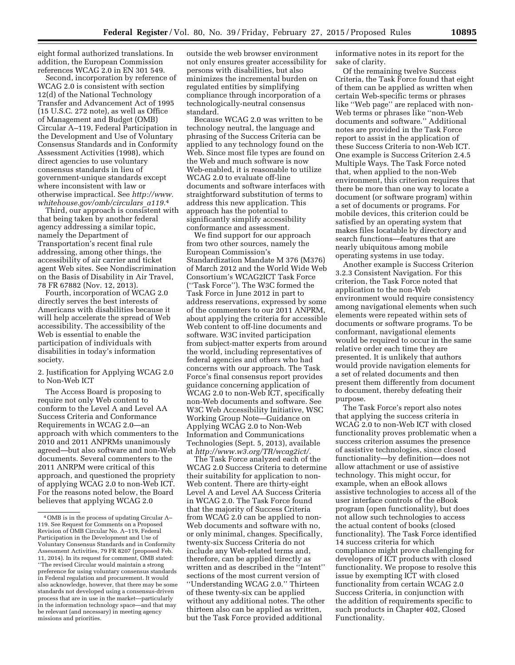eight formal authorized translations. In addition, the European Commission references WCAG 2.0 in EN 301 549.

Second, incorporation by reference of WCAG 2.0 is consistent with section 12(d) of the National Technology Transfer and Advancement Act of 1995 (15 U.S.C. 272 note), as well as Office of Management and Budget (OMB) Circular A–119, Federal Participation in the Development and Use of Voluntary Consensus Standards and in Conformity Assessment Activities (1998), which direct agencies to use voluntary consensus standards in lieu of government-unique standards except where inconsistent with law or otherwise impractical. See *[http://www.](http://www.whitehouse.gov/omb/circulars_a119.4) [whitehouse.gov/omb/circulars](http://www.whitehouse.gov/omb/circulars_a119.4)*\_*a119*.4

Third, our approach is consistent with that being taken by another federal agency addressing a similar topic, namely the Department of Transportation's recent final rule addressing, among other things, the accessibility of air carrier and ticket agent Web sites. See Nondiscrimination on the Basis of Disability in Air Travel, 78 FR 67882 (Nov. 12, 2013).

Fourth, incorporation of WCAG 2.0 directly serves the best interests of Americans with disabilities because it will help accelerate the spread of Web accessibility. The accessibility of the Web is essential to enable the participation of individuals with disabilities in today's information society.

# 2. Justification for Applying WCAG 2.0 to Non-Web ICT

The Access Board is proposing to require not only Web content to conform to the Level A and Level AA Success Criteria and Conformance Requirements in WCAG 2.0—an approach with which commenters to the 2010 and 2011 ANPRMs unanimously agreed—but also software and non-Web documents. Several commenters to the 2011 ANRPM were critical of this approach, and questioned the propriety of applying WCAG 2.0 to non-Web ICT. For the reasons noted below, the Board believes that applying WCAG 2.0

outside the web browser environment not only ensures greater accessibility for persons with disabilities, but also minimizes the incremental burden on regulated entities by simplifying compliance through incorporation of a technologically-neutral consensus standard.

Because WCAG 2.0 was written to be technology neutral, the language and phrasing of the Success Criteria can be applied to any technology found on the Web. Since most file types are found on the Web and much software is now Web-enabled, it is reasonable to utilize WCAG 2.0 to evaluate off-line documents and software interfaces with straightforward substitution of terms to address this new application. This approach has the potential to significantly simplify accessibility conformance and assessment.

We find support for our approach from two other sources, namely the European Commission's Standardization Mandate M 376 (M376) of March 2012 and the World Wide Web Consortium's WCAG2ICT Task Force (''Task Force''). The W3C formed the Task Force in June 2012 in part to address reservations, expressed by some of the commenters to our 2011 ANPRM, about applying the criteria for accessible Web content to off-line documents and software. W3C invited participation from subject-matter experts from around the world, including representatives of federal agencies and others who had concerns with our approach. The Task Force's final consensus report provides guidance concerning application of WCAG 2.0 to non-Web ICT, specifically non-Web documents and software. See W3C Web Accessibility Initiative, WSC Working Group Note—Guidance on Applying WCAG 2.0 to Non-Web Information and Communications Technologies (Sept. 5, 2013), available at *[http://www.w3.org/TR/wcag2ict/.](http://www.w3.org/TR/wcag2ict/)* 

The Task Force analyzed each of the WCAG 2.0 Success Criteria to determine their suitability for application to non-Web content. There are thirty-eight Level A and Level AA Success Criteria in WCAG 2.0. The Task Force found that the majority of Success Criteria from WCAG 2.0 can be applied to non-Web documents and software with no, or only minimal, changes. Specifically, twenty-six Success Criteria do not include any Web-related terms and, therefore, can be applied directly as written and as described in the ''Intent'' sections of the most current version of ''Understanding WCAG 2.0.'' Thirteen of these twenty-six can be applied without any additional notes. The other thirteen also can be applied as written, but the Task Force provided additional

informative notes in its report for the sake of clarity.

Of the remaining twelve Success Criteria, the Task Force found that eight of them can be applied as written when certain Web-specific terms or phrases like ''Web page'' are replaced with non-Web terms or phrases like ''non-Web documents and software.'' Additional notes are provided in the Task Force report to assist in the application of these Success Criteria to non-Web ICT. One example is Success Criterion 2.4.5 Multiple Ways. The Task Force noted that, when applied to the non-Web environment, this criterion requires that there be more than one way to locate a document (or software program) within a set of documents or programs. For mobile devices, this criterion could be satisfied by an operating system that makes files locatable by directory and search functions—features that are nearly ubiquitous among mobile operating systems in use today.

Another example is Success Criterion 3.2.3 Consistent Navigation. For this criterion, the Task Force noted that application to the non-Web environment would require consistency among navigational elements when such elements were repeated within sets of documents or software programs. To be conformant, navigational elements would be required to occur in the same relative order each time they are presented. It is unlikely that authors would provide navigation elements for a set of related documents and then present them differently from document to document, thereby defeating their purpose.

The Task Force's report also notes that applying the success criteria in WCAG 2.0 to non-Web ICT with closed functionality proves problematic when a success criterion assumes the presence of assistive technologies, since closed functionality—by definition—does not allow attachment or use of assistive technology. This might occur, for example, when an eBook allows assistive technologies to access all of the user interface controls of the eBook program (open functionality), but does not allow such technologies to access the actual content of books (closed functionality). The Task Force identified 14 success criteria for which compliance might prove challenging for developers of ICT products with closed functionality. We propose to resolve this issue by exempting ICT with closed functionality from certain WCAG 2.0 Success Criteria, in conjunction with the addition of requirements specific to such products in Chapter 402, Closed Functionality.

<sup>4</sup>OMB is in the process of updating Circular A– 119. See Request for Comments on a Proposed Revision of OMB Circular No. A–119, Federal Participation in the Development and Use of Voluntary Consensus Standards and in Conformity Assessment Activities, 79 FR 8207 (proposed Feb. 11, 2014). In its request for comment, OMB stated: ''The revised Circular would maintain a strong preference for using voluntary consensus standards in Federal regulation and procurement. It would also acknowledge, however, that there may be some standards not developed using a consensus-driven process that are in use in the market—particularly in the information technology space—and that may be relevant (and necessary) in meeting agency missions and priorities.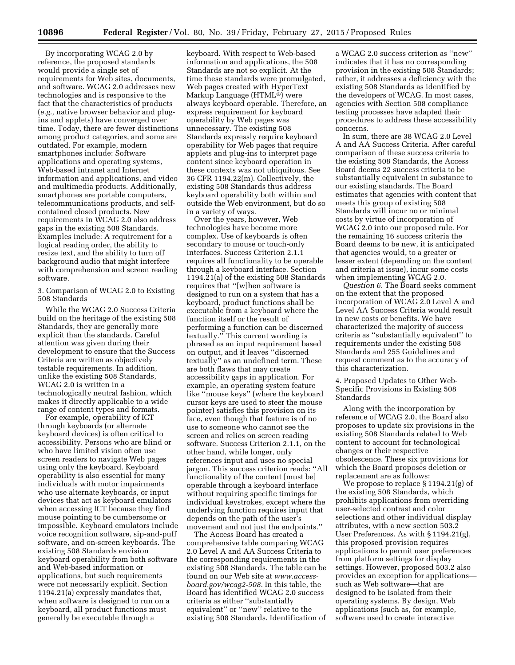By incorporating WCAG 2.0 by reference, the proposed standards would provide a single set of requirements for Web sites, documents, and software. WCAG 2.0 addresses new technologies and is responsive to the fact that the characteristics of products (*e.g.,* native browser behavior and plugins and applets) have converged over time. Today, there are fewer distinctions among product categories, and some are outdated. For example, modern smartphones include: Software applications and operating systems, Web-based intranet and Internet information and applications, and video and multimedia products. Additionally, smartphones are portable computers, telecommunications products, and selfcontained closed products. New requirements in WCAG 2.0 also address gaps in the existing 508 Standards. Examples include: A requirement for a logical reading order, the ability to resize text, and the ability to turn off background audio that might interfere with comprehension and screen reading software.

3. Comparison of WCAG 2.0 to Existing 508 Standards

While the WCAG 2.0 Success Criteria build on the heritage of the existing 508 Standards, they are generally more explicit than the standards. Careful attention was given during their development to ensure that the Success Criteria are written as objectively testable requirements. In addition, unlike the existing 508 Standards, WCAG 2.0 is written in a technologically neutral fashion, which makes it directly applicable to a wide range of content types and formats.

For example, operability of ICT through keyboards (or alternate keyboard devices) is often critical to accessibility. Persons who are blind or who have limited vision often use screen readers to navigate Web pages using only the keyboard. Keyboard operability is also essential for many individuals with motor impairments who use alternate keyboards, or input devices that act as keyboard emulators when accessing ICT because they find mouse pointing to be cumbersome or impossible. Keyboard emulators include voice recognition software, sip-and-puff software, and on-screen keyboards. The existing 508 Standards envision keyboard operability from both software and Web-based information or applications, but such requirements were not necessarily explicit. Section 1194.21(a) expressly mandates that, when software is designed to run on a keyboard, all product functions must generally be executable through a

keyboard. With respect to Web-based information and applications, the 508 Standards are not so explicit. At the time these standards were promulgated, Web pages created with HyperText Markup Language (HTML®) were always keyboard operable. Therefore, an express requirement for keyboard operability by Web pages was unnecessary. The existing 508 Standards expressly require keyboard operability for Web pages that require applets and plug-ins to interpret page content since keyboard operation in these contexts was not ubiquitous. See 36 CFR 1194.22(m). Collectively, the existing 508 Standards thus address keyboard operability both within and outside the Web environment, but do so in a variety of ways.

Over the years, however, Web technologies have become more complex. Use of keyboards is often secondary to mouse or touch-only interfaces. Success Criterion 2.1.1 requires all functionality to be operable through a keyboard interface. Section 1194.21(a) of the existing 508 Standards requires that ''[w]hen software is designed to run on a system that has a keyboard, product functions shall be executable from a keyboard where the function itself or the result of performing a function can be discerned textually.'' This current wording is phrased as an input requirement based on output, and it leaves ''discerned textually'' as an undefined term. These are both flaws that may create accessibility gaps in application. For example, an operating system feature like ''mouse keys'' (where the keyboard cursor keys are used to steer the mouse pointer) satisfies this provision on its face, even though that feature is of no use to someone who cannot see the screen and relies on screen reading software. Success Criterion 2.1.1, on the other hand, while longer, only references input and uses no special jargon. This success criterion reads: ''All functionality of the content [must be] operable through a keyboard interface without requiring specific timings for individual keystrokes, except where the underlying function requires input that depends on the path of the user's movement and not just the endpoints.''

The Access Board has created a comprehensive table comparing WCAG 2.0 Level A and AA Success Criteria to the corresponding requirements in the existing 508 Standards. The table can be found on our Web site at *[www.access](http://www.access-board.gov/wcag2-508)[board.gov/wcag2-508.](http://www.access-board.gov/wcag2-508)* In this table, the Board has identified WCAG 2.0 success criteria as either ''substantially equivalent'' or ''new'' relative to the existing 508 Standards. Identification of

a WCAG 2.0 success criterion as ''new'' indicates that it has no corresponding provision in the existing 508 Standards; rather, it addresses a deficiency with the existing 508 Standards as identified by the developers of WCAG. In most cases, agencies with Section 508 compliance testing processes have adapted their procedures to address these accessibility concerns.

In sum, there are 38 WCAG 2.0 Level A and AA Success Criteria. After careful comparison of these success criteria to the existing 508 Standards, the Access Board deems 22 success criteria to be substantially equivalent in substance to our existing standards. The Board estimates that agencies with content that meets this group of existing 508 Standards will incur no or minimal costs by virtue of incorporation of WCAG 2.0 into our proposed rule. For the remaining 16 success criteria the Board deems to be new, it is anticipated that agencies would, to a greater or lesser extent (depending on the content and criteria at issue), incur some costs when implementing WCAG 2.0.

*Question 6.* The Board seeks comment on the extent that the proposed incorporation of WCAG 2.0 Level A and Level AA Success Criteria would result in new costs or benefits. We have characterized the majority of success criteria as ''substantially equivalent'' to requirements under the existing 508 Standards and 255 Guidelines and request comment as to the accuracy of this characterization.

4. Proposed Updates to Other Web-Specific Provisions in Existing 508 Standards

Along with the incorporation by reference of WCAG 2.0, the Board also proposes to update six provisions in the existing 508 Standards related to Web content to account for technological changes or their respective obsolescence. These six provisions for which the Board proposes deletion or replacement are as follows:

We propose to replace § 1194.21(g) of the existing 508 Standards, which prohibits applications from overriding user-selected contrast and color selections and other individual display attributes, with a new section 503.2 User Preferences. As with § 1194.21(g), this proposed provision requires applications to permit user preferences from platform settings for display settings. However, proposed 503.2 also provides an exception for applications such as Web software—that are designed to be isolated from their operating systems. By design, Web applications (such as, for example, software used to create interactive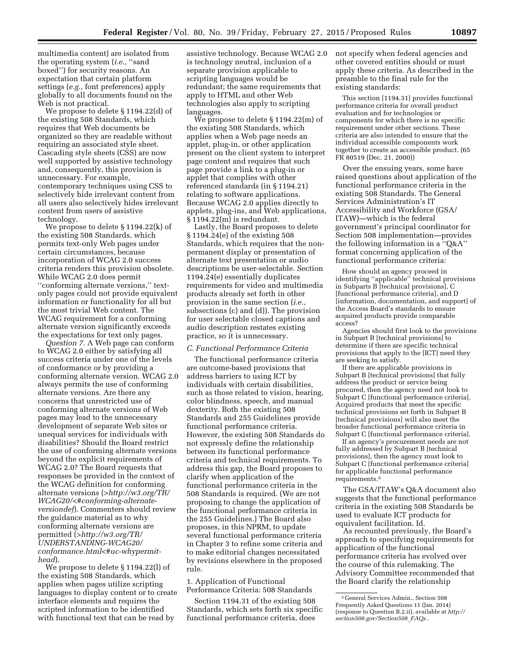multimedia content) are isolated from the operating system (*i.e.,* ''sand boxed'') for security reasons. An expectation that certain platform settings (*e.g.,* font preferences) apply globally to all documents found on the Web is not practical.

We propose to delete § 1194.22(d) of the existing 508 Standards, which requires that Web documents be organized so they are readable without requiring an associated style sheet. Cascading style sheets (CSS) are now well supported by assistive technology and, consequently, this provision is unnecessary. For example, contemporary techniques using CSS to selectively hide irrelevant content from all users also selectively hides irrelevant content from users of assistive technology.

We propose to delete § 1194.22(k) of the existing 508 Standards, which permits text-only Web pages under certain circumstances, because incorporation of WCAG 2.0 success criteria renders this provision obsolete. While WCAG 2.0 does permit ''conforming alternate versions,'' textonly pages could not provide equivalent information or functionality for all but the most trivial Web content. The WCAG requirement for a conforming alternate version significantly exceeds the expectations for text only pages.

*Question 7.* A Web page can conform to WCAG 2.0 either by satisfying all success criteria under one of the levels of conformance or by providing a conforming alternate version. WCAG 2.0 always permits the use of conforming alternate versions. Are there any concerns that unrestricted use of conforming alternate versions of Web pages may lead to the unnecessary development of separate Web sites or unequal services for individuals with disabilities? Should the Board restrict the use of conforming alternate versions beyond the explicit requirements of WCAG 2.0? The Board requests that responses be provided in the context of the WCAG definition for conforming alternate versions (*[>http://w3.org/TR/](>http://w3.org/TR/WCAG20/<#conforming-alternate-versiondef) [WCAG20/<#conforming-alternate](>http://w3.org/TR/WCAG20/<#conforming-alternate-versiondef)[versiondef](>http://w3.org/TR/WCAG20/<#conforming-alternate-versiondef)*). Commenters should review the guidance material as to why conforming alternate versions are permitted (*[>http://w3.org/TR/](>http://w3.org/TR/UNDERSTANDING-WCAG20/conformance.html<#uc-whypermit-head) [UNDERSTANDING-WCAG20/](>http://w3.org/TR/UNDERSTANDING-WCAG20/conformance.html<#uc-whypermit-head) [conformance.html<#uc-whypermit](>http://w3.org/TR/UNDERSTANDING-WCAG20/conformance.html<#uc-whypermit-head)[head](>http://w3.org/TR/UNDERSTANDING-WCAG20/conformance.html<#uc-whypermit-head)*).

We propose to delete § 1194.22(l) of the existing 508 Standards, which applies when pages utilize scripting languages to display content or to create interface elements and requires the scripted information to be identified with functional text that can be read by

assistive technology. Because WCAG 2.0 is technology neutral, inclusion of a separate provision applicable to scripting languages would be redundant; the same requirements that apply to HTML and other Web technologies also apply to scripting languages.

We propose to delete § 1194.22(m) of the existing 508 Standards, which applies when a Web page needs an applet, plug-in, or other application present on the client system to interpret page content and requires that such page provide a link to a plug-in or applet that complies with other referenced standards (in § 1194.21) relating to software applications. Because WCAG 2.0 applies directly to applets, plug-ins, and Web applications, § 1194.22(m) is redundant.

Lastly, the Board proposes to delete § 1194.24(e) of the existing 508 Standards, which requires that the nonpermanent display or presentation of alternate text presentation or audio descriptions be user-selectable. Section 1194.24(e) essentially duplicates requirements for video and multimedia products already set forth in other provision in the same section (*i.e.,*  subsections (c) and (d)). The provision for user selectable closed captions and audio description restates existing practice, so it is unnecessary.

### *C. Functional Performance Criteria*

The functional performance criteria are outcome-based provisions that address barriers to using ICT by individuals with certain disabilities, such as those related to vision, hearing, color blindness, speech, and manual dexterity. Both the existing 508 Standards and 255 Guidelines provide functional performance criteria. However, the existing 508 Standards do not expressly define the relationship between its functional performance criteria and technical requirements. To address this gap, the Board proposes to clarify when application of the functional performance criteria in the 508 Standards is required. (We are not proposing to change the application of the functional performance criteria in the 255 Guidelines.) The Board also proposes, in this NPRM, to update several functional performance criteria in Chapter 3 to refine some criteria and to make editorial changes necessitated by revisions elsewhere in the proposed rule.

1. Application of Functional Performance Criteria: 508 Standards

Section 1194.31 of the existing 508 Standards, which sets forth six specific functional performance criteria, does

not specify when federal agencies and other covered entities should or must apply these criteria. As described in the preamble to the final rule for the existing standards:

This section [1194.31] provides functional performance criteria for overall product evaluation and for technologies or components for which there is no specific requirement under other sections. These criteria are also intended to ensure that the individual accessible components work together to create an accessible product. (65 FR 80519 (Dec. 21, 2000))

Over the ensuing years, some have raised questions about application of the functional performance criteria in the existing 508 Standards. The General Services Administration's IT Accessibility and Workforce (GSA/ ITAW)—which is the federal government's principal coordinator for Section 508 implementation—provides the following information in a ''Q&A'' format concerning application of the functional performance criteria:

How should an agency proceed in identifying ''applicable'' technical provisions in Subparts B [technical provisions], C [functional performance criteria], and D [information, documentation, and support] of the Access Board's standards to ensure acquired products provide comparable access?

Agencies should first look to the provisions in Subpart B [technical provisions] to determine if there are specific technical provisions that apply to the [ICT] need they are seeking to satisfy.

If there are applicable provisions in Subpart B [technical provisions] that fully address the product or service being procured, then the agency need not look to Subpart C [functional performance criteria]. Acquired products that meet the specific technical provisions set forth in Subpart B [technical provisions] will also meet the broader functional performance criteria in Subpart C [functional performance criteria].

If an agency's procurement needs are not fully addressed by Subpart B [technical provisions], then the agency must look to Subpart C [functional performance criteria] for applicable functional performance requirements.5

The GSA/ITAW's Q&A document also suggests that the functional performance criteria in the existing 508 Standards be used to evaluate ICT products for equivalent facilitation. Id.

As recounted previously, the Board's approach to specifying requirements for application of the functional performance criteria has evolved over the course of this rulemaking. The Advisory Committee recommended that the Board clarify the relationship

<sup>5</sup> General Services Admin., Section 508 Frequently Asked Questions 11 (Jan. 2014) (response to Question B.2.ii), available at *[http://](http://section508.gov/Section508_FAQs) [section508.gov/Section508](http://section508.gov/Section508_FAQs)*\_*FAQs.*.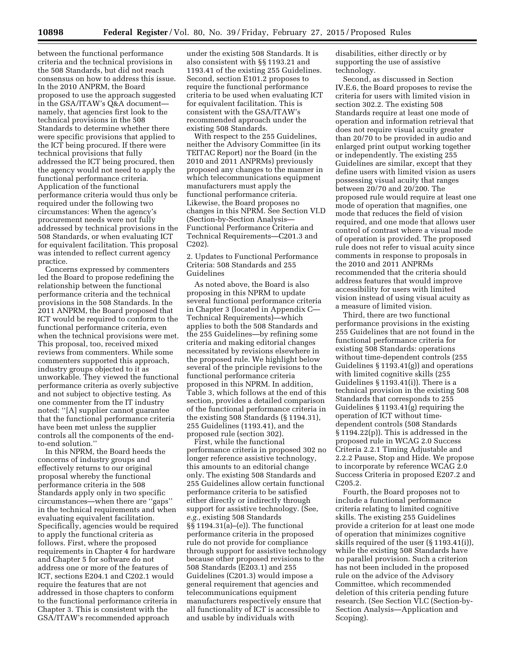between the functional performance criteria and the technical provisions in the 508 Standards, but did not reach consensus on how to address this issue. In the 2010 ANPRM, the Board proposed to use the approach suggested in the GSA/ITAW's Q&A document namely, that agencies first look to the technical provisions in the 508 Standards to determine whether there were specific provisions that applied to the ICT being procured. If there were technical provisions that fully addressed the ICT being procured, then the agency would not need to apply the functional performance criteria. Application of the functional performance criteria would thus only be required under the following two circumstances: When the agency's procurement needs were not fully addressed by technical provisions in the 508 Standards, or when evaluating ICT for equivalent facilitation. This proposal was intended to reflect current agency practice.

Concerns expressed by commenters led the Board to propose redefining the relationship between the functional performance criteria and the technical provisions in the 508 Standards. In the 2011 ANPRM, the Board proposed that ICT would be required to conform to the functional performance criteria, even when the technical provisions were met. This proposal, too, received mixed reviews from commenters. While some commenters supported this approach, industry groups objected to it as unworkable. They viewed the functional performance criteria as overly subjective and not subject to objective testing. As one commenter from the IT industry noted: ''[A] supplier cannot guarantee that the functional performance criteria have been met unless the supplier controls all the components of the endto-end solution.''

In this NPRM, the Board heeds the concerns of industry groups and effectively returns to our original proposal whereby the functional performance criteria in the 508 Standards apply only in two specific circumstances—when there are ''gaps'' in the technical requirements and when evaluating equivalent facilitation. Specifically, agencies would be required to apply the functional criteria as follows. First, where the proposed requirements in Chapter 4 for hardware and Chapter 5 for software do not address one or more of the features of ICT, sections E204.1 and C202.1 would require the features that are not addressed in those chapters to conform to the functional performance criteria in Chapter 3. This is consistent with the GSA/ITAW's recommended approach

under the existing 508 Standards. It is also consistent with §§ 1193.21 and 1193.41 of the existing 255 Guidelines. Second, section E101.2 proposes to require the functional performance criteria to be used when evaluating ICT for equivalent facilitation. This is consistent with the GSA/ITAW's recommended approach under the existing 508 Standards.

With respect to the 255 Guidelines, neither the Advisory Committee (in its TEITAC Report) nor the Board (in the 2010 and 2011 ANPRMs) previously proposed any changes to the manner in which telecommunications equipment manufacturers must apply the functional performance criteria. Likewise, the Board proposes no changes in this NPRM. See Section VI.D (Section-by-Section Analysis— Functional Performance Criteria and Technical Requirements—C201.3 and C202).

2. Updates to Functional Performance Criteria: 508 Standards and 255 Guidelines

As noted above, the Board is also proposing in this NPRM to update several functional performance criteria in Chapter 3 (located in Appendix C— Technical Requirements)—which applies to both the 508 Standards and the 255 Guidelines—by refining some criteria and making editorial changes necessitated by revisions elsewhere in the proposed rule. We highlight below several of the principle revisions to the functional performance criteria proposed in this NPRM. In addition, Table 3, which follows at the end of this section, provides a detailed comparison of the functional performance criteria in the existing 508 Standards (§ 1194.31), 255 Guidelines (1193.41), and the proposed rule (section 302).

First, while the functional performance criteria in proposed 302 no longer reference assistive technology, this amounts to an editorial change only. The existing 508 Standards and 255 Guidelines allow certain functional performance criteria to be satisfied either directly or indirectly through support for assistive technology. (See, *e.g.,* existing 508 Standards §§ 1194.31(a)–(e)). The functional performance criteria in the proposed rule do not provide for compliance through support for assistive technology because other proposed revisions to the 508 Standards (E203.1) and 255 Guidelines (C201.3) would impose a general requirement that agencies and telecommunications equipment manufacturers respectively ensure that all functionality of ICT is accessible to and usable by individuals with

disabilities, either directly or by supporting the use of assistive technology.

Second, as discussed in Section IV.E.6, the Board proposes to revise the criteria for users with limited vision in section 302.2. The existing 508 Standards require at least one mode of operation and information retrieval that does not require visual acuity greater than 20/70 to be provided in audio and enlarged print output working together or independently. The existing 255 Guidelines are similar, except that they define users with limited vision as users possessing visual acuity that ranges between 20/70 and 20/200. The proposed rule would require at least one mode of operation that magnifies, one mode that reduces the field of vision required, and one mode that allows user control of contrast where a visual mode of operation is provided. The proposed rule does not refer to visual acuity since comments in response to proposals in the 2010 and 2011 ANPRMs recommended that the criteria should address features that would improve accessibility for users with limited vision instead of using visual acuity as a measure of limited vision.

Third, there are two functional performance provisions in the existing 255 Guidelines that are not found in the functional performance criteria for existing 508 Standards: operations without time-dependent controls (255 Guidelines § 1193.41(g)) and operations with limited cognitive skills (255 Guidelines § 1193.41(i)). There is a technical provision in the existing 508 Standards that corresponds to 255 Guidelines § 1193.41(g) requiring the operation of ICT without timedependent controls (508 Standards § 1194.22(p)). This is addressed in the proposed rule in WCAG 2.0 Success Criteria 2.2.1 Timing Adjustable and 2.2.2 Pause, Stop and Hide. We propose to incorporate by reference WCAG 2.0 Success Criteria in proposed E207.2 and C205.2.

Fourth, the Board proposes not to include a functional performance criteria relating to limited cognitive skills. The existing 255 Guidelines provide a criterion for at least one mode of operation that minimizes cognitive skills required of the user (§ 1193.41(i)), while the existing 508 Standards have no parallel provision. Such a criterion has not been included in the proposed rule on the advice of the Advisory Committee, which recommended deletion of this criteria pending future research. (See Section VI.C (Section-by-Section Analysis—Application and Scoping).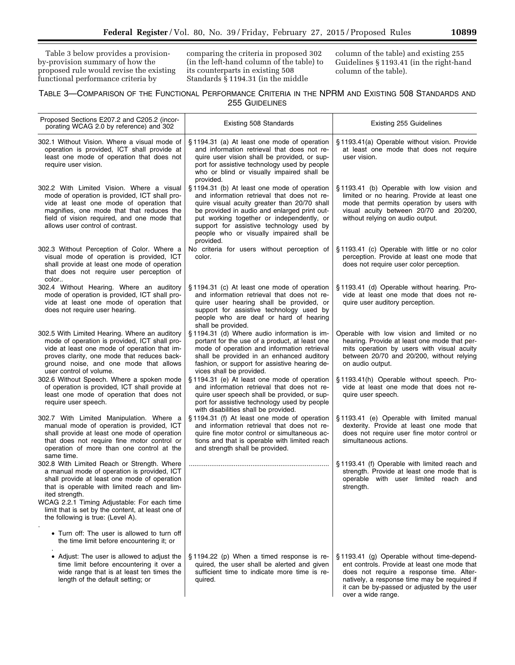Table 3 below provides a provisionby-provision summary of how the proposed rule would revise the existing functional performance criteria by

comparing the criteria in proposed 302 (in the left-hand column of the table) to its counterparts in existing 508 Standards § 1194.31 (in the middle

column of the table) and existing 255 Guidelines § 1193.41 (in the right-hand column of the table).

# TABLE 3—COMPARISON OF THE FUNCTIONAL PERFORMANCE CRITERIA IN THE NPRM AND EXISTING 508 STANDARDS AND 255 GUIDELINES

| Proposed Sections E207.2 and C205.2 (incor-<br>porating WCAG 2.0 by reference) and 302                                                                                                                                                                                 | Existing 508 Standards                                                                                                                                                                                                                                                                                                                       | Existing 255 Guidelines                                                                                                                                                                                                                                     |
|------------------------------------------------------------------------------------------------------------------------------------------------------------------------------------------------------------------------------------------------------------------------|----------------------------------------------------------------------------------------------------------------------------------------------------------------------------------------------------------------------------------------------------------------------------------------------------------------------------------------------|-------------------------------------------------------------------------------------------------------------------------------------------------------------------------------------------------------------------------------------------------------------|
| 302.1 Without Vision. Where a visual mode of<br>operation is provided, ICT shall provide at<br>least one mode of operation that does not<br>require user vision.                                                                                                       | §1194.31 (a) At least one mode of operation<br>and information retrieval that does not re-<br>quire user vision shall be provided, or sup-<br>port for assistive technology used by people<br>who or blind or visually impaired shall be<br>provided.                                                                                        | §1193.41(a) Operable without vision. Provide<br>at least one mode that does not require<br>user vision.                                                                                                                                                     |
| 302.2 With Limited Vision. Where a visual<br>mode of operation is provided, ICT shall pro-<br>vide at least one mode of operation that<br>magnifies, one mode that that reduces the<br>field of vision required, and one mode that<br>allows user control of contrast. | §1194.31 (b) At least one mode of operation<br>and information retrieval that does not re-<br>quire visual acuity greater than 20/70 shall<br>be provided in audio and enlarged print out-<br>put working together or independently, or<br>support for assistive technology used by<br>people who or visually impaired shall be<br>provided. | §1193.41 (b) Operable with low vision and<br>limited or no hearing. Provide at least one<br>mode that permits operation by users with<br>visual acuity between 20/70 and 20/200,<br>without relying on audio output.                                        |
| 302.3 Without Perception of Color. Where a<br>visual mode of operation is provided, ICT<br>shall provide at least one mode of operation<br>that does not require user perception of<br>color                                                                           | No criteria for users without perception of<br>color.                                                                                                                                                                                                                                                                                        | §1193.41 (c) Operable with little or no color<br>perception. Provide at least one mode that<br>does not require user color perception.                                                                                                                      |
| 302.4 Without Hearing. Where an auditory<br>mode of operation is provided, ICT shall pro-<br>vide at least one mode of operation that<br>does not require user hearing.                                                                                                | §1194.31 (c) At least one mode of operation<br>and information retrieval that does not re-<br>quire user hearing shall be provided, or<br>support for assistive technology used by<br>people who are deaf or hard of hearing<br>shall be provided.                                                                                           | §1193.41 (d) Operable without hearing. Pro-<br>vide at least one mode that does not re-<br>quire user auditory perception.                                                                                                                                  |
| 302.5 With Limited Hearing. Where an auditory<br>mode of operation is provided, ICT shall pro-<br>vide at least one mode of operation that im-<br>proves clarity, one mode that reduces back-<br>ground noise, and one mode that allows<br>user control of volume.     | §1194.31 (d) Where audio information is im-<br>portant for the use of a product, at least one<br>mode of operation and information retrieval<br>shall be provided in an enhanced auditory<br>fashion, or support for assistive hearing de-<br>vices shall be provided.                                                                       | Operable with low vision and limited or no<br>hearing. Provide at least one mode that per-<br>mits operation by users with visual acuity<br>between 20/70 and 20/200, without relying<br>on audio output.                                                   |
| 302.6 Without Speech. Where a spoken mode<br>of operation is provided, ICT shall provide at<br>least one mode of operation that does not<br>require user speech.                                                                                                       | §1194.31 (e) At least one mode of operation<br>and information retrieval that does not re-<br>quire user speech shall be provided, or sup-<br>port for assistive technology used by people<br>with disabilities shall be provided.                                                                                                           | §1193.41(h) Operable without speech. Pro-<br>vide at least one mode that does not re-<br>quire user speech.                                                                                                                                                 |
| 302.7 With Limited Manipulation. Where a<br>manual mode of operation is provided, ICT<br>shall provide at least one mode of operation<br>that does not require fine motor control or<br>operation of more than one control at the<br>same time.                        | §1194.31 (f) At least one mode of operation<br>and information retrieval that does not re-<br>quire fine motor control or simultaneous ac-<br>tions and that is operable with limited reach<br>and strength shall be provided.                                                                                                               | §1193.41 (e) Operable with limited manual<br>dexterity. Provide at least one mode that<br>does not require user fine motor control or<br>simultaneous actions.                                                                                              |
| 302.8 With Limited Reach or Strength. Where<br>a manual mode of operation is provided, ICT<br>shall provide at least one mode of operation<br>that is operable with limited reach and lim-<br>ited strength.                                                           |                                                                                                                                                                                                                                                                                                                                              | §1193.41 (f) Operable with limited reach and<br>strength. Provide at least one mode that is<br>operable with user limited reach and<br>strength.                                                                                                            |
| WCAG 2.2.1 Timing Adjustable: For each time<br>limit that is set by the content, at least one of<br>the following is true: (Level A).                                                                                                                                  |                                                                                                                                                                                                                                                                                                                                              |                                                                                                                                                                                                                                                             |
| • Turn off: The user is allowed to turn off<br>the time limit before encountering it; or                                                                                                                                                                               |                                                                                                                                                                                                                                                                                                                                              |                                                                                                                                                                                                                                                             |
| • Adjust: The user is allowed to adjust the<br>time limit before encountering it over a<br>wide range that is at least ten times the<br>length of the default setting; or                                                                                              | §1194.22 (p) When a timed response is re-<br>quired, the user shall be alerted and given<br>sufficient time to indicate more time is re-<br>quired.                                                                                                                                                                                          | §1193.41 (g) Operable without time-depend-<br>ent controls. Provide at least one mode that<br>does not require a response time. Alter-<br>natively, a response time may be required if<br>it can be by-passed or adjusted by the user<br>over a wide range. |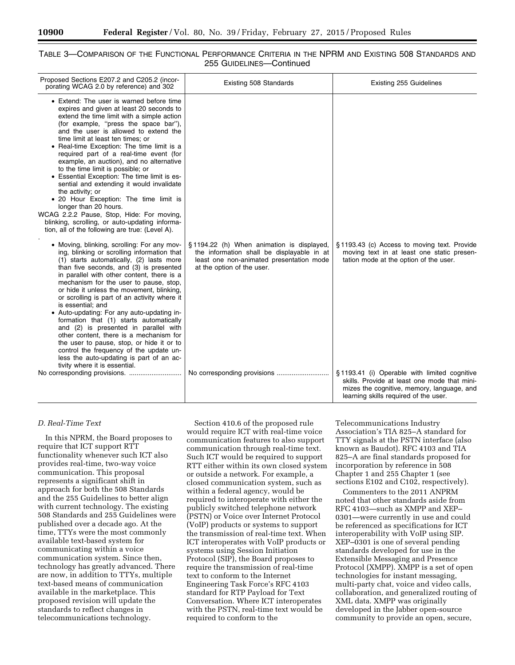# TABLE 3—COMPARISON OF THE FUNCTIONAL PERFORMANCE CRITERIA IN THE NPRM AND EXISTING 508 STANDARDS AND 255 GUIDELINES—Continued

| Proposed Sections E207.2 and C205.2 (incor-<br>porating WCAG 2.0 by reference) and 302                                                                                                                                                                                                                                                                                                                                                                                                                                                                                                                                                                                                                                                                                    | Existing 508 Standards                                                                                                                                            | Existing 255 Guidelines                                                                                                                                                             |
|---------------------------------------------------------------------------------------------------------------------------------------------------------------------------------------------------------------------------------------------------------------------------------------------------------------------------------------------------------------------------------------------------------------------------------------------------------------------------------------------------------------------------------------------------------------------------------------------------------------------------------------------------------------------------------------------------------------------------------------------------------------------------|-------------------------------------------------------------------------------------------------------------------------------------------------------------------|-------------------------------------------------------------------------------------------------------------------------------------------------------------------------------------|
| • Extend: The user is warned before time<br>expires and given at least 20 seconds to<br>extend the time limit with a simple action<br>(for example, "press the space bar"),<br>and the user is allowed to extend the<br>time limit at least ten times; or<br>• Real-time Exception: The time limit is a<br>required part of a real-time event (for<br>example, an auction), and no alternative<br>to the time limit is possible; or<br>• Essential Exception: The time limit is es-<br>sential and extending it would invalidate<br>the activity; or<br>• 20 Hour Exception: The time limit is<br>longer than 20 hours.<br>WCAG 2.2.2 Pause, Stop, Hide: For moving,<br>blinking, scrolling, or auto-updating informa-<br>tion, all of the following are true: (Level A). |                                                                                                                                                                   |                                                                                                                                                                                     |
| • Moving, blinking, scrolling: For any mov-<br>ing, blinking or scrolling information that<br>(1) starts automatically, (2) lasts more<br>than five seconds, and (3) is presented<br>in parallel with other content, there is a<br>mechanism for the user to pause, stop,<br>or hide it unless the movement, blinking,<br>or scrolling is part of an activity where it<br>is essential; and<br>• Auto-updating: For any auto-updating in-<br>formation that (1) starts automatically<br>and (2) is presented in parallel with<br>other content, there is a mechanism for<br>the user to pause, stop, or hide it or to<br>control the frequency of the update un-<br>less the auto-updating is part of an ac-<br>tivity where it is essential.                             | §1194.22 (h) When animation is displayed,<br>the information shall be displayable in at<br>least one non-animated presentation mode<br>at the option of the user. | §1193.43 (c) Access to moving text. Provide<br>moving text in at least one static presen-<br>tation mode at the option of the user.                                                 |
|                                                                                                                                                                                                                                                                                                                                                                                                                                                                                                                                                                                                                                                                                                                                                                           |                                                                                                                                                                   | §1193.41 (i) Operable with limited cognitive<br>skills. Provide at least one mode that mini-<br>mizes the cognitive, memory, language, and<br>learning skills required of the user. |

# *D. Real-Time Text*

In this NPRM, the Board proposes to require that ICT support RTT functionality whenever such ICT also provides real-time, two-way voice communication. This proposal represents a significant shift in approach for both the 508 Standards and the 255 Guidelines to better align with current technology. The existing 508 Standards and 255 Guidelines were published over a decade ago. At the time, TTYs were the most commonly available text-based system for communicating within a voice communication system. Since then, technology has greatly advanced. There are now, in addition to TTYs, multiple text-based means of communication available in the marketplace. This proposed revision will update the standards to reflect changes in telecommunications technology.

Section 410.6 of the proposed rule would require ICT with real-time voice communication features to also support communication through real-time text. Such ICT would be required to support RTT either within its own closed system or outside a network. For example, a closed communication system, such as within a federal agency, would be required to interoperate with either the publicly switched telephone network (PSTN) or Voice over Internet Protocol (VoIP) products or systems to support the transmission of real-time text. When ICT interoperates with VoIP products or systems using Session Initiation Protocol (SIP), the Board proposes to require the transmission of real-time text to conform to the Internet Engineering Task Force's RFC 4103 standard for RTP Payload for Text Conversation. Where ICT interoperates with the PSTN, real-time text would be required to conform to the

Telecommunications Industry Association's TIA 825–A standard for TTY signals at the PSTN interface (also known as Baudot). RFC 4103 and TIA 825–A are final standards proposed for incorporation by reference in 508 Chapter 1 and 255 Chapter 1 (see sections E102 and C102, respectively).

Commenters to the 2011 ANPRM noted that other standards aside from RFC 4103—such as XMPP and XEP– 0301—were currently in use and could be referenced as specifications for ICT interoperability with VoIP using SIP. XEP–0301 is one of several pending standards developed for use in the Extensible Messaging and Presence Protocol (XMPP). XMPP is a set of open technologies for instant messaging, multi-party chat, voice and video calls, collaboration, and generalized routing of XML data. XMPP was originally developed in the Jabber open-source community to provide an open, secure,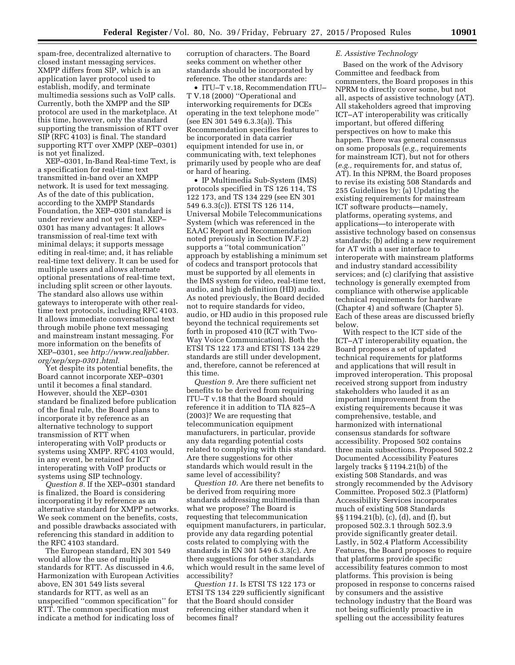spam-free, decentralized alternative to closed instant messaging services. XMPP differs from SIP, which is an application layer protocol used to establish, modify, and terminate multimedia sessions such as VoIP calls. Currently, both the XMPP and the SIP protocol are used in the marketplace. At this time, however, only the standard supporting the transmission of RTT over SIP (RFC 4103) is final. The standard supporting RTT over XMPP (XEP–0301) is not yet finalized.

XEP–0301, In-Band Real-time Text, is a specification for real-time text transmitted in-band over an XMPP network. It is used for text messaging. As of the date of this publication, according to the XMPP Standards Foundation, the XEP–0301 standard is under review and not yet final. XEP– 0301 has many advantages: It allows transmission of real-time text with minimal delays; it supports message editing in real-time; and, it has reliable real-time text delivery. It can be used for multiple users and allows alternate optional presentations of real-time text, including split screen or other layouts. The standard also allows use within gateways to interoperate with other realtime text protocols, including RFC 4103. It allows immediate conversational text through mobile phone text messaging and mainstream instant messaging. For more information on the benefits of XEP–0301, see *[http://www.realjabber.](http://www.realjabber.org/xep/xep-0301.html) [org/xep/xep-0301.html](http://www.realjabber.org/xep/xep-0301.html)*.

Yet despite its potential benefits, the Board cannot incorporate XEP–0301 until it becomes a final standard. However, should the XEP–0301 standard be finalized before publication of the final rule, the Board plans to incorporate it by reference as an alternative technology to support transmission of RTT when interoperating with VoIP products or systems using XMPP. RFC 4103 would, in any event, be retained for ICT interoperating with VoIP products or systems using SIP technology.

*Question 8.* If the XEP–0301 standard is finalized, the Board is considering incorporating it by reference as an alternative standard for XMPP networks. We seek comment on the benefits, costs, and possible drawbacks associated with referencing this standard in addition to the RFC 4103 standard.

The European standard, EN 301 549 would allow the use of multiple standards for RTT. As discussed in 4.6, Harmonization with European Activities above, EN 301 549 lists several standards for RTT, as well as an unspecified ''common specification'' for RTT. The common specification must indicate a method for indicating loss of

corruption of characters. The Board seeks comment on whether other standards should be incorporated by reference. The other standards are:

• ITU–T v.18, Recommendation ITU– T V.18 (2000) ''Operational and interworking requirements for DCEs operating in the text telephone mode'' (see EN 301 549 6.3.3(a)). This Recommendation specifies features to be incorporated in data carrier equipment intended for use in, or communicating with, text telephones primarily used by people who are deaf or hard of hearing.

• IP Multimedia Sub-System (IMS) protocols specified in TS 126 114, TS 122 173, and TS 134 229 (see EN 301 549 6.3.3(c)). ETSI TS 126 114, Universal Mobile Telecommunications System (which was referenced in the EAAC Report and Recommendation noted previously in Section IV.F.2) supports a ''total communication'' approach by establishing a minimum set of codecs and transport protocols that must be supported by all elements in the IMS system for video, real-time text, audio, and high definition (HD) audio. As noted previously, the Board decided not to require standards for video, audio, or HD audio in this proposed rule beyond the technical requirements set forth in proposed 410 (ICT with Two-Way Voice Communication). Both the ETSI TS 122 173 and ETSI TS 134 229 standards are still under development, and, therefore, cannot be referenced at this time.

*Question 9.* Are there sufficient net benefits to be derived from requiring ITU–T v.18 that the Board should reference it in addition to TIA 825–A (2003)? We are requesting that telecommunication equipment manufacturers, in particular, provide any data regarding potential costs related to complying with this standard. Are there suggestions for other standards which would result in the same level of accessibility?

*Question 10.* Are there net benefits to be derived from requiring more standards addressing multimedia than what we propose? The Board is requesting that telecommunication equipment manufacturers, in particular, provide any data regarding potential costs related to complying with the standards in EN 301 549 6.3.3(c). Are there suggestions for other standards which would result in the same level of accessibility?

*Question 11.* Is ETSI TS 122 173 or ETSI TS 134 229 sufficiently significant that the Board should consider referencing either standard when it becomes final?

### *E. Assistive Technology*

Based on the work of the Advisory Committee and feedback from commenters, the Board proposes in this NPRM to directly cover some, but not all, aspects of assistive technology (AT). All stakeholders agreed that improving ICT–AT interoperability was critically important, but offered differing perspectives on how to make this happen. There was general consensus on some proposals (*e.g.,* requirements for mainstream ICT), but not for others (*e.g.,* requirements for, and status of, AT). In this NPRM, the Board proposes to revise its existing 508 Standards and 255 Guidelines by: (a) Updating the existing requirements for mainstream ICT software products—namely, platforms, operating systems, and applications—to interoperate with assistive technology based on consensus standards; (b) adding a new requirement for AT with a user interface to interoperate with mainstream platforms and industry standard accessibility services; and (c) clarifying that assistive technology is generally exempted from compliance with otherwise applicable technical requirements for hardware (Chapter 4) and software (Chapter 5). Each of these areas are discussed briefly below.

With respect to the ICT side of the ICT–AT interoperability equation, the Board proposes a set of updated technical requirements for platforms and applications that will result in improved interoperation. This proposal received strong support from industry stakeholders who lauded it as an important improvement from the existing requirements because it was comprehensive, testable, and harmonized with international consensus standards for software accessibility. Proposed 502 contains three main subsections. Proposed 502.2 Documented Accessibility Features largely tracks § 1194.21(b) of the existing 508 Standards, and was strongly recommended by the Advisory Committee. Proposed 502.3 (Platform) Accessibility Services incorporates much of existing 508 Standards §§ 1194.21(b), (c), (d), and (f), but proposed 502.3.1 through 502.3.9 provide significantly greater detail. Lastly, in 502.4 Platform Accessibility Features, the Board proposes to require that platforms provide specific accessibility features common to most platforms. This provision is being proposed in response to concerns raised by consumers and the assistive technology industry that the Board was not being sufficiently proactive in spelling out the accessibility features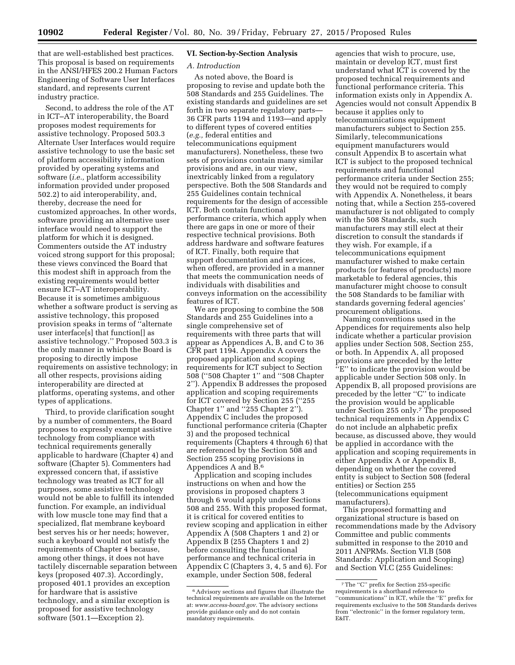that are well-established best practices. This proposal is based on requirements

in the ANSI/HFES 200.2 Human Factors Engineering of Software User Interfaces standard, and represents current industry practice.

Second, to address the role of the AT in ICT–AT interoperability, the Board proposes modest requirements for assistive technology. Proposed 503.3 Alternate User Interfaces would require assistive technology to use the basic set of platform accessibility information provided by operating systems and software (*i.e.,* platform accessibility information provided under proposed 502.2) to aid interoperability, and, thereby, decrease the need for customized approaches. In other words, software providing an alternative user interface would need to support the platform for which it is designed. Commenters outside the AT industry voiced strong support for this proposal; these views convinced the Board that this modest shift in approach from the existing requirements would better ensure ICT–AT interoperability. Because it is sometimes ambiguous whether a software product is serving as assistive technology, this proposed provision speaks in terms of ''alternate user interface[s] that function[] as assistive technology.'' Proposed 503.3 is the only manner in which the Board is proposing to directly impose requirements on assistive technology; in all other respects, provisions aiding interoperability are directed at platforms, operating systems, and other types of applications.

Third, to provide clarification sought by a number of commenters, the Board proposes to expressly exempt assistive technology from compliance with technical requirements generally applicable to hardware (Chapter 4) and software (Chapter 5). Commenters had expressed concern that, if assistive technology was treated as ICT for all purposes, some assistive technology would not be able to fulfill its intended function. For example, an individual with low muscle tone may find that a specialized, flat membrane keyboard best serves his or her needs; however, such a keyboard would not satisfy the requirements of Chapter 4 because, among other things, it does not have tactilely discernable separation between keys (proposed 407.3). Accordingly, proposed 401.1 provides an exception for hardware that is assistive technology, and a similar exception is proposed for assistive technology software (501.1—Exception 2).

# **VI. Section-by-Section Analysis**

# *A. Introduction*

As noted above, the Board is proposing to revise and update both the 508 Standards and 255 Guidelines. The existing standards and guidelines are set forth in two separate regulatory parts— 36 CFR parts 1194 and 1193—and apply to different types of covered entities (*e.g.,* federal entities and telecommunications equipment manufacturers). Nonetheless, these two sets of provisions contain many similar provisions and are, in our view, inextricably linked from a regulatory perspective. Both the 508 Standards and 255 Guidelines contain technical requirements for the design of accessible ICT. Both contain functional performance criteria, which apply when there are gaps in one or more of their respective technical provisions. Both address hardware and software features of ICT. Finally, both require that support documentation and services, when offered, are provided in a manner that meets the communication needs of individuals with disabilities and conveys information on the accessibility features of ICT.

We are proposing to combine the 508 Standards and 255 Guidelines into a single comprehensive set of requirements with three parts that will appear as Appendices A, B, and C to 36 CFR part 1194. Appendix A covers the proposed application and scoping requirements for ICT subject to Section 508 (''508 Chapter 1'' and ''508 Chapter 2''). Appendix B addresses the proposed application and scoping requirements for ICT covered by Section 255 (''255 Chapter 1'' and ''255 Chapter 2''). Appendix C includes the proposed functional performance criteria (Chapter 3) and the proposed technical requirements (Chapters 4 through 6) that are referenced by the Section 508 and Section 255 scoping provisions in Appendices A and B.6

Application and scoping includes instructions on when and how the provisions in proposed chapters 3 through 6 would apply under Sections 508 and 255. With this proposed format, it is critical for covered entities to review scoping and application in either Appendix A (508 Chapters 1 and 2) or Appendix B (255 Chapters 1 and 2) before consulting the functional performance and technical criteria in Appendix C (Chapters 3, 4, 5 and 6). For example, under Section 508, federal

agencies that wish to procure, use, maintain or develop ICT, must first understand what ICT is covered by the proposed technical requirements and functional performance criteria. This information exists only in Appendix A. Agencies would not consult Appendix B because it applies only to telecommunications equipment manufacturers subject to Section 255. Similarly, telecommunications equipment manufacturers would consult Appendix B to ascertain what ICT is subject to the proposed technical requirements and functional performance criteria under Section 255; they would not be required to comply with Appendix A. Nonetheless, it bears noting that, while a Section 255-covered manufacturer is not obligated to comply with the 508 Standards, such manufacturers may still elect at their discretion to consult the standards if they wish. For example, if a telecommunications equipment manufacturer wished to make certain products (or features of products) more marketable to federal agencies, this manufacturer might choose to consult the 508 Standards to be familiar with standards governing federal agencies' procurement obligations.

Naming conventions used in the Appendices for requirements also help indicate whether a particular provision applies under Section 508, Section 255, or both. In Appendix A, all proposed provisions are preceded by the letter ''E'' to indicate the provision would be applicable under Section 508 only. In Appendix B, all proposed provisions are preceded by the letter ''C'' to indicate the provision would be applicable under Section 255 only.7 The proposed technical requirements in Appendix C do not include an alphabetic prefix because, as discussed above, they would be applied in accordance with the application and scoping requirements in either Appendix A or Appendix B, depending on whether the covered entity is subject to Section 508 (federal entities) or Section 255 (telecommunications equipment manufacturers).

This proposed formatting and organizational structure is based on recommendations made by the Advisory Committee and public comments submitted in response to the 2010 and 2011 ANPRMs. Section VI.B (508 Standards: Application and Scoping) and Section VI.C (255 Guidelines:

<sup>6</sup>Advisory sections and figures that illustrate the technical requirements are available on the Internet at: *[www.access-board.gov](http://www.access-board.gov)*. The advisory sections provide guidance only and do not contain mandatory requirements.

<sup>7</sup>The ''C'' prefix for Section 255-specific requirements is a shorthand reference to ''communications'' in ICT, while the ''E'' prefix for requirements exclusive to the 508 Standards derives from ''electronic'' in the former regulatory term, E&IT.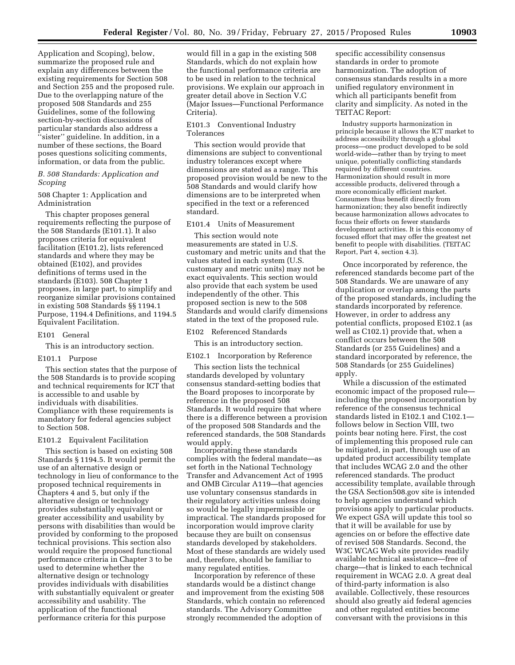Application and Scoping), below, summarize the proposed rule and explain any differences between the existing requirements for Section 508 and Section 255 and the proposed rule. Due to the overlapping nature of the proposed 508 Standards and 255 Guidelines, some of the following section-by-section discussions of particular standards also address a ''sister'' guideline. In addition, in a number of these sections, the Board poses questions soliciting comments, information, or data from the public.

*B. 508 Standards: Application and Scoping* 

# 508 Chapter 1: Application and Administration

This chapter proposes general requirements reflecting the purpose of the 508 Standards (E101.1). It also proposes criteria for equivalent facilitation (E101.2), lists referenced standards and where they may be obtained (E102), and provides definitions of terms used in the standards (E103). 508 Chapter 1 proposes, in large part, to simplify and reorganize similar provisions contained in existing 508 Standards §§ 1194.1 Purpose, 1194.4 Definitions, and 1194.5 Equivalent Facilitation.

# E101 General

This is an introductory section.

### E101.1 Purpose

This section states that the purpose of the 508 Standards is to provide scoping and technical requirements for ICT that is accessible to and usable by individuals with disabilities. Compliance with these requirements is mandatory for federal agencies subject to Section 508.

### E101.2 Equivalent Facilitation

This section is based on existing 508 Standards § 1194.5. It would permit the use of an alternative design or technology in lieu of conformance to the proposed technical requirements in Chapters 4 and 5, but only if the alternative design or technology provides substantially equivalent or greater accessibility and usability by persons with disabilities than would be provided by conforming to the proposed technical provisions. This section also would require the proposed functional performance criteria in Chapter 3 to be used to determine whether the alternative design or technology provides individuals with disabilities with substantially equivalent or greater accessibility and usability. The application of the functional performance criteria for this purpose

would fill in a gap in the existing 508 Standards, which do not explain how the functional performance criteria are to be used in relation to the technical provisions. We explain our approach in greater detail above in Section V.C (Major Issues—Functional Performance Criteria).

E101.3 Conventional Industry Tolerances

This section would provide that dimensions are subject to conventional industry tolerances except where dimensions are stated as a range. This proposed provision would be new to the 508 Standards and would clarify how dimensions are to be interpreted when specified in the text or a referenced standard.

# E101.4 Units of Measurement

This section would note measurements are stated in U.S. customary and metric units and that the values stated in each system (U.S. customary and metric units) may not be exact equivalents. This section would also provide that each system be used independently of the other. This proposed section is new to the 508 Standards and would clarify dimensions stated in the text of the proposed rule.

E102 Referenced Standards

This is an introductory section.

E102.1 Incorporation by Reference

This section lists the technical standards developed by voluntary consensus standard-setting bodies that the Board proposes to incorporate by reference in the proposed 508 Standards. It would require that where there is a difference between a provision of the proposed 508 Standards and the referenced standards, the 508 Standards would apply.

Incorporating these standards complies with the federal mandate—as set forth in the National Technology Transfer and Advancement Act of 1995 and OMB Circular A119—that agencies use voluntary consensus standards in their regulatory activities unless doing so would be legally impermissible or impractical. The standards proposed for incorporation would improve clarity because they are built on consensus standards developed by stakeholders. Most of these standards are widely used and, therefore, should be familiar to many regulated entities.

Incorporation by reference of these standards would be a distinct change and improvement from the existing 508 Standards, which contain no referenced standards. The Advisory Committee strongly recommended the adoption of

specific accessibility consensus standards in order to promote harmonization. The adoption of consensus standards results in a more unified regulatory environment in which all participants benefit from clarity and simplicity. As noted in the TEITAC Report:

Industry supports harmonization in principle because it allows the ICT market to address accessibility through a global process—one product developed to be sold world-wide—rather than by trying to meet unique, potentially conflicting standards required by different countries. Harmonization should result in more accessible products, delivered through a more economically efficient market. Consumers thus benefit directly from harmonization; they also benefit indirectly because harmonization allows advocates to focus their efforts on fewer standards development activities. It is this economy of focused effort that may offer the greatest net benefit to people with disabilities. (TEITAC Report, Part 4, section 4.3).

Once incorporated by reference, the referenced standards become part of the 508 Standards. We are unaware of any duplication or overlap among the parts of the proposed standards, including the standards incorporated by reference. However, in order to address any potential conflicts, proposed E102.1 (as well as C102.1) provide that, when a conflict occurs between the 508 Standards (or 255 Guidelines) and a standard incorporated by reference, the 508 Standards (or 255 Guidelines) apply.

While a discussion of the estimated economic impact of the proposed rule including the proposed incorporation by reference of the consensus technical standards listed in E102.1 and C102.1 follows below in Section VIII, two points bear noting here. First, the cost of implementing this proposed rule can be mitigated, in part, through use of an updated product accessibility template that includes WCAG 2.0 and the other referenced standards. The product accessibility template, available through the GSA Section508.gov site is intended to help agencies understand which provisions apply to particular products. We expect GSA will update this tool so that it will be available for use by agencies on or before the effective date of revised 508 Standards. Second, the W3C WCAG Web site provides readily available technical assistance—free of charge—that is linked to each technical requirement in WCAG 2.0. A great deal of third-party information is also available. Collectively, these resources should also greatly aid federal agencies and other regulated entities become conversant with the provisions in this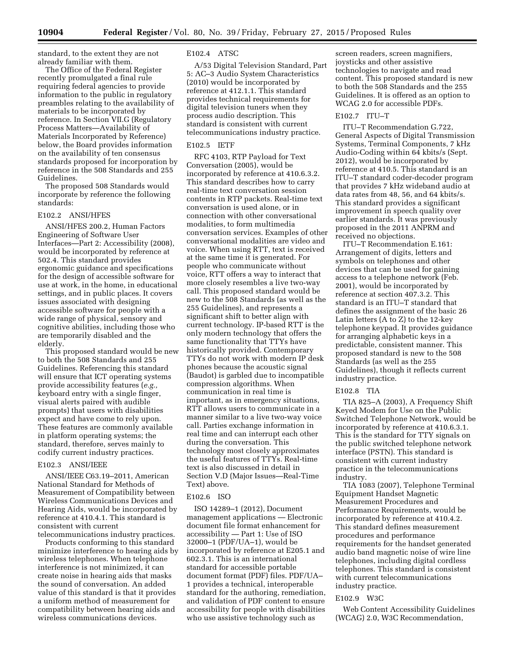standard, to the extent they are not already familiar with them.

The Office of the Federal Register recently promulgated a final rule requiring federal agencies to provide information to the public in regulatory preambles relating to the availability of materials to be incorporated by reference. In Section VII.G (Regulatory Process Matters—Availability of Materials Incorporated by Reference) below, the Board provides information on the availability of ten consensus standards proposed for incorporation by reference in the 508 Standards and 255 Guidelines.

The proposed 508 Standards would incorporate by reference the following standards:

# E102.2 ANSI/HFES

ANSI/HFES 200.2, Human Factors Engineering of Software User Interfaces—Part 2: Accessibility (2008), would be incorporated by reference at 502.4. This standard provides ergonomic guidance and specifications for the design of accessible software for use at work, in the home, in educational settings, and in public places. It covers issues associated with designing accessible software for people with a wide range of physical, sensory and cognitive abilities, including those who are temporarily disabled and the elderly.

This proposed standard would be new to both the 508 Standards and 255 Guidelines. Referencing this standard will ensure that ICT operating systems provide accessibility features (*e.g.,*  keyboard entry with a single finger, visual alerts paired with audible prompts) that users with disabilities expect and have come to rely upon. These features are commonly available in platform operating systems; the standard, therefore, serves mainly to codify current industry practices.

# E102.3 ANSI/IEEE

ANSI/IEEE C63.19–2011, American National Standard for Methods of Measurement of Compatibility between Wireless Communications Devices and Hearing Aids, would be incorporated by reference at 410.4.1. This standard is consistent with current telecommunications industry practices.

Products conforming to this standard minimize interference to hearing aids by wireless telephones. When telephone interference is not minimized, it can create noise in hearing aids that masks the sound of conversation. An added value of this standard is that it provides a uniform method of measurement for compatibility between hearing aids and wireless communications devices.

### E102.4 ATSC

A/53 Digital Television Standard, Part 5: AC–3 Audio System Characteristics (2010) would be incorporated by reference at 412.1.1. This standard provides technical requirements for digital television tuners when they process audio description. This standard is consistent with current telecommunications industry practice.

### E102.5 IETF

RFC 4103, RTP Payload for Text Conversation (2005), would be incorporated by reference at 410.6.3.2. This standard describes how to carry real-time text conversation session contents in RTP packets. Real-time text conversation is used alone, or in connection with other conversational modalities, to form multimedia conversation services. Examples of other conversational modalities are video and voice. When using RTT, text is received at the same time it is generated. For people who communicate without voice, RTT offers a way to interact that more closely resembles a live two-way call. This proposed standard would be new to the 508 Standards (as well as the 255 Guidelines), and represents a significant shift to better align with current technology. IP-based RTT is the only modern technology that offers the same functionality that TTYs have historically provided. Contemporary TTYs do not work with modern IP desk phones because the acoustic signal (Baudot) is garbled due to incompatible compression algorithms. When communication in real time is important, as in emergency situations, RTT allows users to communicate in a manner similar to a live two-way voice call. Parties exchange information in real time and can interrupt each other during the conversation. This technology most closely approximates the useful features of TTYs. Real-time text is also discussed in detail in Section V.D (Major Issues—Real-Time Text) above.

### E102.6 ISO

ISO 14289–1 (2012), Document management applications — Electronic document file format enhancement for accessibility — Part 1: Use of ISO 32000–1 (PDF/UA–1), would be incorporated by reference at E205.1 and 602.3.1. This is an international standard for accessible portable document format (PDF) files. PDF/UA– 1 provides a technical, interoperable standard for the authoring, remediation, and validation of PDF content to ensure accessibility for people with disabilities who use assistive technology such as

screen readers, screen magnifiers, joysticks and other assistive technologies to navigate and read content. This proposed standard is new to both the 508 Standards and the 255 Guidelines. It is offered as an option to WCAG 2.0 for accessible PDFs.

# E102.7 ITU–T

ITU–T Recommendation G.722, General Aspects of Digital Transmission Systems, Terminal Components, 7 kHz Audio-Coding within 64 kbits/s (Sept. 2012), would be incorporated by reference at 410.5. This standard is an ITU–T standard coder-decoder program that provides 7 kHz wideband audio at data rates from 48, 56, and 64 kbits/s. This standard provides a significant improvement in speech quality over earlier standards. It was previously proposed in the 2011 ANPRM and received no objections.

ITU–T Recommendation E.161: Arrangement of digits, letters and symbols on telephones and other devices that can be used for gaining access to a telephone network (Feb. 2001), would be incorporated by reference at section 407.3.2. This standard is an ITU–T standard that defines the assignment of the basic 26 Latin letters (A to Z) to the 12-key telephone keypad. It provides guidance for arranging alphabetic keys in a predictable, consistent manner. This proposed standard is new to the 508 Standards (as well as the 255 Guidelines), though it reflects current industry practice.

### E102.8 TIA

TIA 825–A (2003), A Frequency Shift Keyed Modem for Use on the Public Switched Telephone Network, would be incorporated by reference at 410.6.3.1. This is the standard for TTY signals on the public switched telephone network interface (PSTN). This standard is consistent with current industry practice in the telecommunications industry.

TIA 1083 (2007), Telephone Terminal Equipment Handset Magnetic Measurement Procedures and Performance Requirements, would be incorporated by reference at 410.4.2. This standard defines measurement procedures and performance requirements for the handset generated audio band magnetic noise of wire line telephones, including digital cordless telephones. This standard is consistent with current telecommunications industry practice.

### E102.9 W3C

Web Content Accessibility Guidelines (WCAG) 2.0, W3C Recommendation,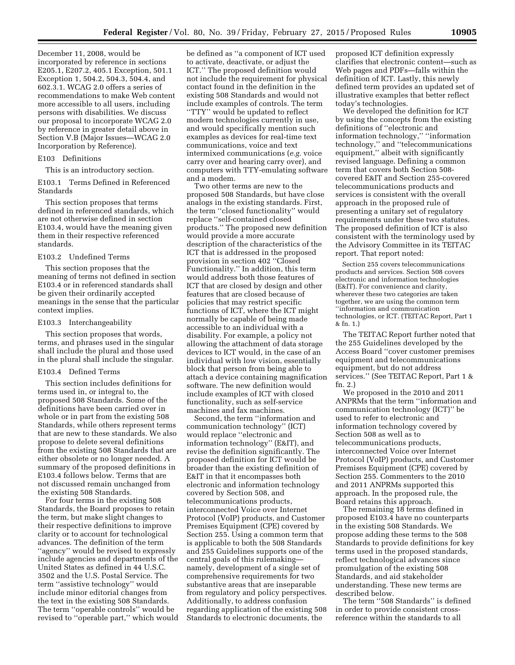December 11, 2008, would be incorporated by reference in sections E205.1, E207.2, 405.1 Exception, 501.1 Exception 1, 504.2, 504.3, 504.4, and 602.3.1. WCAG 2.0 offers a series of recommendations to make Web content more accessible to all users, including persons with disabilities. We discuss our proposal to incorporate WCAG 2.0 by reference in greater detail above in Section V.B (Major Issues—WCAG 2.0 Incorporation by Reference).

### E103 Definitions

This is an introductory section.

E103.1 Terms Defined in Referenced Standards

This section proposes that terms defined in referenced standards, which are not otherwise defined in section E103.4, would have the meaning given them in their respective referenced standards.

# E103.2 Undefined Terms

This section proposes that the meaning of terms not defined in section E103.4 or in referenced standards shall be given their ordinarily accepted meanings in the sense that the particular context implies.

# E103.3 Interchangeability

This section proposes that words, terms, and phrases used in the singular shall include the plural and those used in the plural shall include the singular.

### E103.4 Defined Terms

This section includes definitions for terms used in, or integral to, the proposed 508 Standards. Some of the definitions have been carried over in whole or in part from the existing 508 Standards, while others represent terms that are new to these standards. We also propose to delete several definitions from the existing 508 Standards that are either obsolete or no longer needed. A summary of the proposed definitions in E103.4 follows below. Terms that are not discussed remain unchanged from the existing 508 Standards.

For four terms in the existing 508 Standards, the Board proposes to retain the term, but make slight changes to their respective definitions to improve clarity or to account for technological advances. The definition of the term ''agency'' would be revised to expressly include agencies and departments of the United States as defined in 44 U.S.C. 3502 and the U.S. Postal Service. The term ''assistive technology'' would include minor editorial changes from the text in the existing 508 Standards. The term ''operable controls'' would be revised to ''operable part,'' which would

be defined as ''a component of ICT used to activate, deactivate, or adjust the ICT.'' The proposed definition would not include the requirement for physical contact found in the definition in the existing 508 Standards and would not include examples of controls. The term ''TTY'' would be updated to reflect modern technologies currently in use, and would specifically mention such examples as devices for real-time text communications, voice and text intermixed communications (*e.g.* voice carry over and hearing carry over), and computers with TTY-emulating software and a modem.

Two other terms are new to the proposed 508 Standards, but have close analogs in the existing standards. First, the term ''closed functionality'' would replace ''self-contained closed products.'' The proposed new definition would provide a more accurate description of the characteristics of the ICT that is addressed in the proposed provision in section 402 ''Closed Functionality.'' In addition, this term would address both those features of ICT that are closed by design and other features that are closed because of policies that may restrict specific functions of ICT, where the ICT might normally be capable of being made accessible to an individual with a disability. For example, a policy not allowing the attachment of data storage devices to ICT would, in the case of an individual with low vision, essentially block that person from being able to attach a device containing magnification software. The new definition would include examples of ICT with closed functionality, such as self-service machines and fax machines.

Second, the term ''information and communication technology'' (ICT) would replace ''electronic and information technology'' (E&IT), and revise the definition significantly. The proposed definition for ICT would be broader than the existing definition of E&IT in that it encompasses both electronic and information technology covered by Section 508, and telecommunications products, interconnected Voice over Internet Protocol (VoIP) products, and Customer Premises Equipment (CPE) covered by Section 255. Using a common term that is applicable to both the 508 Standards and 255 Guidelines supports one of the central goals of this rulemaking namely, development of a single set of comprehensive requirements for two substantive areas that are inseparable from regulatory and policy perspectives. Additionally, to address confusion regarding application of the existing 508 Standards to electronic documents, the

proposed ICT definition expressly clarifies that electronic content—such as Web pages and PDFs—falls within the definition of ICT. Lastly, this newly defined term provides an updated set of illustrative examples that better reflect today's technologies.

We developed the definition for ICT by using the concepts from the existing definitions of ''electronic and information technology,'' ''information technology,'' and ''telecommunications equipment," albeit with significantly revised language. Defining a common term that covers both Section 508 covered E&IT and Section 255-covered telecommunications products and services is consistent with the overall approach in the proposed rule of presenting a unitary set of regulatory requirements under these two statutes. The proposed definition of ICT is also consistent with the terminology used by the Advisory Committee in its TEITAC report. That report noted:

Section 255 covers telecommunications products and services. Section 508 covers electronic and information technologies (E&IT). For convenience and clarity, wherever these two categories are taken together, we are using the common term ''information and communication technologies, or ICT. (TEITAC Report, Part 1 & fn. 1.)

The TEITAC Report further noted that the 255 Guidelines developed by the Access Board ''cover customer premises equipment and telecommunications equipment, but do not address services.'' (See TEITAC Report, Part 1 & fn. 2.)

We proposed in the 2010 and 2011 ANPRMs that the term ''information and communication technology (ICT)'' be used to refer to electronic and information technology covered by Section 508 as well as to telecommunications products, interconnected Voice over Internet Protocol (VoIP) products, and Customer Premises Equipment (CPE) covered by Section 255. Commenters to the 2010 and 2011 ANPRMs supported this approach. In the proposed rule, the Board retains this approach.

The remaining 18 terms defined in proposed E103.4 have no counterparts in the existing 508 Standards. We propose adding these terms to the 508 Standards to provide definitions for key terms used in the proposed standards, reflect technological advances since promulgation of the existing 508 Standards, and aid stakeholder understanding. These new terms are described below.

The term ''508 Standards'' is defined in order to provide consistent crossreference within the standards to all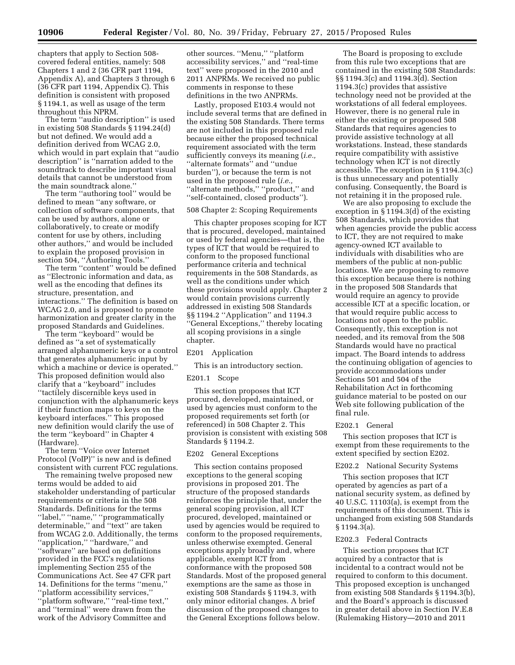chapters that apply to Section 508 covered federal entities, namely: 508 Chapters 1 and 2 (36 CFR part 1194, Appendix A), and Chapters 3 through 6 (36 CFR part 1194, Appendix C). This definition is consistent with proposed § 1194.1, as well as usage of the term throughout this NPRM.

The term ''audio description'' is used in existing 508 Standards § 1194.24(d) but not defined. We would add a definition derived from WCAG 2.0, which would in part explain that ''audio description'' is ''narration added to the soundtrack to describe important visual details that cannot be understood from the main soundtrack alone.''

The term ''authoring tool'' would be defined to mean ''any software, or collection of software components, that can be used by authors, alone or collaboratively, to create or modify content for use by others, including other authors,'' and would be included to explain the proposed provision in section 504, ''Authoring Tools.''

The term ''content'' would be defined as ''Electronic information and data, as well as the encoding that defines its structure, presentation, and interactions.'' The definition is based on WCAG 2.0, and is proposed to promote harmonization and greater clarity in the proposed Standards and Guidelines.

The term ''keyboard'' would be defined as ''a set of systematically arranged alphanumeric keys or a control that generates alphanumeric input by which a machine or device is operated.'' This proposed definition would also clarify that a ''keyboard'' includes ''tactilely discernible keys used in conjunction with the alphanumeric keys if their function maps to keys on the keyboard interfaces.'' This proposed new definition would clarify the use of the term ''keyboard'' in Chapter 4 (Hardware).

The term ''Voice over Internet Protocol (VoIP)'' is new and is defined consistent with current FCC regulations.

The remaining twelve proposed new terms would be added to aid stakeholder understanding of particular requirements or criteria in the 508 Standards. Definitions for the terms ''label,'' ''name,'' ''programmatically determinable,'' and ''text'' are taken from WCAG 2.0. Additionally, the terms ''application,'' ''hardware,'' and ''software'' are based on definitions provided in the FCC's regulations implementing Section 255 of the Communications Act. See 47 CFR part 14. Definitions for the terms ''menu,'' ''platform accessibility services,'' "platform software," "real-time text," and ''terminal'' were drawn from the work of the Advisory Committee and

other sources. ''Menu,'' ''platform accessibility services,'' and ''real-time text'' were proposed in the 2010 and 2011 ANPRMs. We received no public comments in response to these definitions in the two ANPRMs.

Lastly, proposed E103.4 would not include several terms that are defined in the existing 508 Standards. There terms are not included in this proposed rule because either the proposed technical requirement associated with the term sufficiently conveys its meaning (*i.e.,*  ''alternate formats'' and ''undue burden''), or because the term is not used in the proposed rule (*i.e.,*  ''alternate methods,'' ''product,'' and ''self-contained, closed products'').

# 508 Chapter 2: Scoping Requirements

This chapter proposes scoping for ICT that is procured, developed, maintained or used by federal agencies—that is, the types of ICT that would be required to conform to the proposed functional performance criteria and technical requirements in the 508 Standards, as well as the conditions under which these provisions would apply. Chapter 2 would contain provisions currently addressed in existing 508 Standards §§ 1194.2 ''Application'' and 1194.3 ''General Exceptions,'' thereby locating all scoping provisions in a single chapter.

### E201 Application

This is an introductory section.

### E201.1 Scope

This section proposes that ICT procured, developed, maintained, or used by agencies must conform to the proposed requirements set forth (or referenced) in 508 Chapter 2. This provision is consistent with existing 508 Standards § 1194.2.

# E202 General Exceptions

This section contains proposed exceptions to the general scoping provisions in proposed 201. The structure of the proposed standards reinforces the principle that, under the general scoping provision, all ICT procured, developed, maintained or used by agencies would be required to conform to the proposed requirements, unless otherwise exempted. General exceptions apply broadly and, where applicable, exempt ICT from conformance with the proposed 508 Standards. Most of the proposed general exemptions are the same as those in existing 508 Standards § 1194.3, with only minor editorial changes. A brief discussion of the proposed changes to the General Exceptions follows below.

The Board is proposing to exclude from this rule two exceptions that are contained in the existing 508 Standards: §§ 1194.3(c) and 1194.3(d). Section 1194.3(c) provides that assistive technology need not be provided at the workstations of all federal employees. However, there is no general rule in either the existing or proposed 508 Standards that requires agencies to provide assistive technology at all workstations. Instead, these standards require compatibility with assistive technology when ICT is not directly accessible. The exception in § 1194.3(c) is thus unnecessary and potentially confusing. Consequently, the Board is not retaining it in the proposed rule.

We are also proposing to exclude the exception in § 1194.3(d) of the existing 508 Standards, which provides that when agencies provide the public access to ICT, they are not required to make agency-owned ICT available to individuals with disabilities who are members of the public at non-public locations. We are proposing to remove this exception because there is nothing in the proposed 508 Standards that would require an agency to provide accessible ICT at a specific location, or that would require public access to locations not open to the public. Consequently, this exception is not needed, and its removal from the 508 Standards would have no practical impact. The Board intends to address the continuing obligation of agencies to provide accommodations under Sections 501 and 504 of the Rehabilitation Act in forthcoming guidance material to be posted on our Web site following publication of the final rule.

### E202.1 General

This section proposes that ICT is exempt from these requirements to the extent specified by section E202.

# E202.2 National Security Systems

This section proposes that ICT operated by agencies as part of a national security system, as defined by 40 U.S.C. 11103(a), is exempt from the requirements of this document. This is unchanged from existing 508 Standards § 1194.3(a).

### E202.3 Federal Contracts

This section proposes that ICT acquired by a contractor that is incidental to a contract would not be required to conform to this document. This proposed exception is unchanged from existing 508 Standards § 1194.3(b), and the Board's approach is discussed in greater detail above in Section IV.E.8 (Rulemaking History—2010 and 2011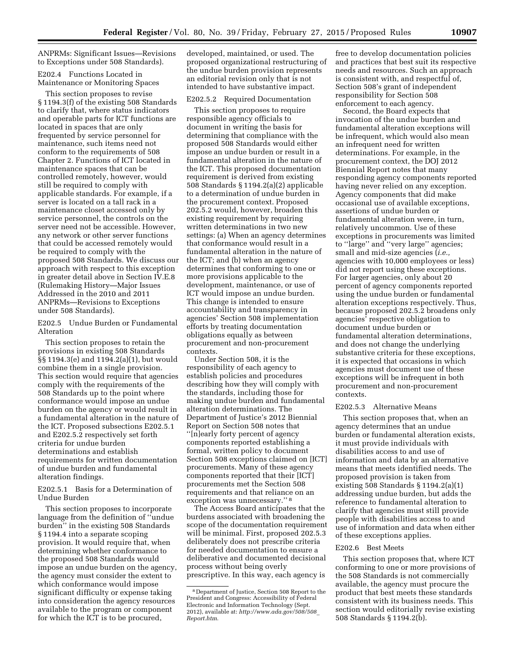ANPRMs: Significant Issues—Revisions to Exceptions under 508 Standards).

E202.4 Functions Located in Maintenance or Monitoring Spaces

This section proposes to revise § 1194.3(f) of the existing 508 Standards to clarify that, where status indicators and operable parts for ICT functions are located in spaces that are only frequented by service personnel for maintenance, such items need not conform to the requirements of 508 Chapter 2. Functions of ICT located in maintenance spaces that can be controlled remotely, however, would still be required to comply with applicable standards. For example, if a server is located on a tall rack in a maintenance closet accessed only by service personnel, the controls on the server need not be accessible. However, any network or other server functions that could be accessed remotely would be required to comply with the proposed 508 Standards. We discuss our approach with respect to this exception in greater detail above in Section IV.E.8 (Rulemaking History—Major Issues Addressed in the 2010 and 2011 ANPRMs—Revisions to Exceptions under 508 Standards).

E202.5 Undue Burden or Fundamental Alteration

This section proposes to retain the provisions in existing 508 Standards §§ 1194.3(e) and 1194.2(a)(1), but would combine them in a single provision. This section would require that agencies comply with the requirements of the 508 Standards up to the point where conformance would impose an undue burden on the agency or would result in a fundamental alteration in the nature of the ICT. Proposed subsections E202.5.1 and E202.5.2 respectively set forth criteria for undue burden determinations and establish requirements for written documentation of undue burden and fundamental alteration findings.

E202.5.1 Basis for a Determination of Undue Burden

This section proposes to incorporate language from the definition of ''undue burden'' in the existing 508 Standards § 1194.4 into a separate scoping provision. It would require that, when determining whether conformance to the proposed 508 Standards would impose an undue burden on the agency, the agency must consider the extent to which conformance would impose significant difficulty or expense taking into consideration the agency resources available to the program or component for which the ICT is to be procured,

developed, maintained, or used. The proposed organizational restructuring of the undue burden provision represents an editorial revision only that is not intended to have substantive impact.

# E202.5.2 Required Documentation

This section proposes to require responsible agency officials to document in writing the basis for determining that compliance with the proposed 508 Standards would either impose an undue burden or result in a fundamental alteration in the nature of the ICT. This proposed documentation requirement is derived from existing 508 Standards § 1194.2(a)(2) applicable to a determination of undue burden in the procurement context. Proposed 202.5.2 would, however, broaden this existing requirement by requiring written determinations in two new settings: (a) When an agency determines that conformance would result in a fundamental alteration in the nature of the ICT; and (b) when an agency determines that conforming to one or more provisions applicable to the development, maintenance, or use of ICT would impose an undue burden. This change is intended to ensure accountability and transparency in agencies' Section 508 implementation efforts by treating documentation obligations equally as between procurement and non-procurement contexts.

Under Section 508, it is the responsibility of each agency to establish policies and procedures describing how they will comply with the standards, including those for making undue burden and fundamental alteration determinations. The Department of Justice's 2012 Biennial Report on Section 508 notes that ''[n]early forty percent of agency components reported establishing a formal, written policy to document Section 508 exceptions claimed on [ICT] procurements. Many of these agency components reported that their [ICT] procurements met the Section 508 requirements and that reliance on an exception was unnecessary.'' 8

The Access Board anticipates that the burdens associated with broadening the scope of the documentation requirement will be minimal. First, proposed 202.5.3 deliberately does not prescribe criteria for needed documentation to ensure a deliberative and documented decisional process without being overly prescriptive. In this way, each agency is

free to develop documentation policies and practices that best suit its respective needs and resources. Such an approach is consistent with, and respectful of, Section 508's grant of independent responsibility for Section 508 enforcement to each agency.

Second, the Board expects that invocation of the undue burden and fundamental alteration exceptions will be infrequent, which would also mean an infrequent need for written determinations. For example, in the procurement context, the DOJ 2012 Biennial Report notes that many responding agency components reported having never relied on any exception. Agency components that did make occasional use of available exceptions, assertions of undue burden or fundamental alteration were, in turn, relatively uncommon. Use of these exceptions in procurements was limited to ''large'' and ''very large'' agencies; small and mid-size agencies (*i.e.,*  agencies with 10,000 employees or less) did not report using these exceptions. For larger agencies, only about 20 percent of agency components reported using the undue burden or fundamental alteration exceptions respectively. Thus, because proposed 202.5.2 broadens only agencies' respective obligation to document undue burden or fundamental alteration determinations, and does not change the underlying substantive criteria for these exceptions, it is expected that occasions in which agencies must document use of these exceptions will be infrequent in both procurement and non-procurement contexts.

### E202.5.3 Alternative Means

This section proposes that, when an agency determines that an undue burden or fundamental alteration exists, it must provide individuals with disabilities access to and use of information and data by an alternative means that meets identified needs. The proposed provision is taken from existing 508 Standards § 1194.2(a)(1) addressing undue burden, but adds the reference to fundamental alteration to clarify that agencies must still provide people with disabilities access to and use of information and data when either of these exceptions applies.

### E202.6 Best Meets

This section proposes that, where ICT conforming to one or more provisions of the 508 Standards is not commercially available, the agency must procure the product that best meets these standards consistent with its business needs. This section would editorially revise existing 508 Standards § 1194.2(b).

<sup>8</sup> Department of Justice, Section 508 Report to the President and Congress: Accessibility of Federal Electronic and Information Technology (Sept. 2012), available at: *[http://www.ada.gov/508/508](http://www.ada.gov/508/508_Report.htm)*\_ *[Report.htm](http://www.ada.gov/508/508_Report.htm)*.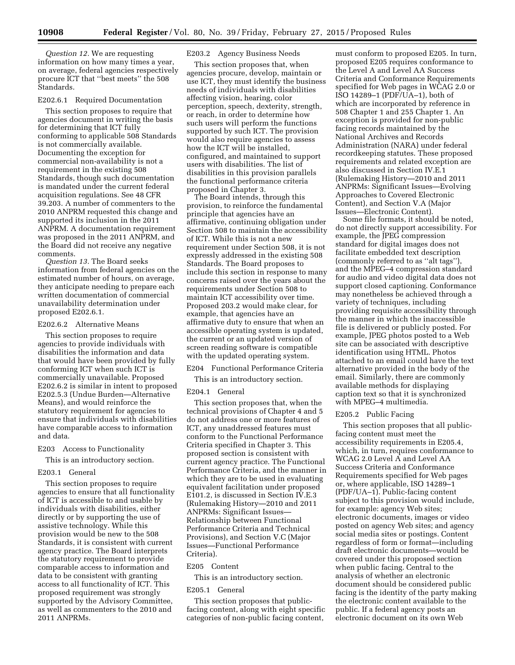*Question 12.* We are requesting information on how many times a year, on average, federal agencies respectively procure ICT that ''best meets'' the 508 Standards.

# E202.6.1 Required Documentation

This section proposes to require that agencies document in writing the basis for determining that ICT fully conforming to applicable 508 Standards is not commercially available. Documenting the exception for commercial non-availability is not a requirement in the existing 508 Standards, though such documentation is mandated under the current federal acquisition regulations. See 48 CFR 39.203. A number of commenters to the 2010 ANPRM requested this change and supported its inclusion in the 2011 ANPRM. A documentation requirement was proposed in the 2011 ANPRM, and the Board did not receive any negative comments.

*Question 13.* The Board seeks information from federal agencies on the estimated number of hours, on average, they anticipate needing to prepare each written documentation of commercial unavailability determination under proposed E202.6.1.

# E202.6.2 Alternative Means

This section proposes to require agencies to provide individuals with disabilities the information and data that would have been provided by fully conforming ICT when such ICT is commercially unavailable. Proposed E202.6.2 is similar in intent to proposed E202.5.3 (Undue Burden—Alternative Means), and would reinforce the statutory requirement for agencies to ensure that individuals with disabilities have comparable access to information and data.

# E203 Access to Functionality

This is an introductory section.

# E203.1 General

This section proposes to require agencies to ensure that all functionality of ICT is accessible to and usable by individuals with disabilities, either directly or by supporting the use of assistive technology. While this provision would be new to the 508 Standards, it is consistent with current agency practice. The Board interprets the statutory requirement to provide comparable access to information and data to be consistent with granting access to all functionality of ICT. This proposed requirement was strongly supported by the Advisory Committee, as well as commenters to the 2010 and 2011 ANPRMs.

# E203.2 Agency Business Needs

This section proposes that, when agencies procure, develop, maintain or use ICT, they must identify the business needs of individuals with disabilities affecting vision, hearing, color perception, speech, dexterity, strength, or reach, in order to determine how such users will perform the functions supported by such ICT. The provision would also require agencies to assess how the ICT will be installed, configured, and maintained to support users with disabilities. The list of disabilities in this provision parallels the functional performance criteria proposed in Chapter 3.

The Board intends, through this provision, to reinforce the fundamental principle that agencies have an affirmative, continuing obligation under Section 508 to maintain the accessibility of ICT. While this is not a new requirement under Section 508, it is not expressly addressed in the existing 508 Standards. The Board proposes to include this section in response to many concerns raised over the years about the requirements under Section 508 to maintain ICT accessibility over time. Proposed 203.2 would make clear, for example, that agencies have an affirmative duty to ensure that when an accessible operating system is updated, the current or an updated version of screen reading software is compatible with the updated operating system.

# E204 Functional Performance Criteria

This is an introductory section.

# E204.1 General

This section proposes that, when the technical provisions of Chapter 4 and 5 do not address one or more features of ICT, any unaddressed features must conform to the Functional Performance Criteria specified in Chapter 3. This proposed section is consistent with current agency practice. The Functional Performance Criteria, and the manner in which they are to be used in evaluating equivalent facilitation under proposed E101.2, is discussed in Section IV.E.3 (Rulemaking History—2010 and 2011 ANPRMs: Significant Issues— Relationship between Functional Performance Criteria and Technical Provisions), and Section V.C (Major Issues—Functional Performance Criteria).

# E205 Content

This is an introductory section.

# E205.1 General

This section proposes that publicfacing content, along with eight specific categories of non-public facing content,

must conform to proposed E205. In turn, proposed E205 requires conformance to the Level A and Level AA Success Criteria and Conformance Requirements specified for Web pages in WCAG 2.0 or ISO 14289–1 (PDF/UA–1), both of which are incorporated by reference in 508 Chapter 1 and 255 Chapter 1. An exception is provided for non-public facing records maintained by the National Archives and Records Administration (NARA) under federal recordkeeping statutes. These proposed requirements and related exception are also discussed in Section IV.E.1 (Rulemaking History—2010 and 2011 ANPRMs: Significant Issues—Evolving Approaches to Covered Electronic Content), and Section V.A (Major Issues—Electronic Content).

Some file formats, it should be noted, do not directly support accessibility. For example, the JPEG compression standard for digital images does not facilitate embedded text description (commonly referred to as ''alt tags''), and the MPEG–4 compression standard for audio and video digital data does not support closed captioning. Conformance may nonetheless be achieved through a variety of techniques, including providing requisite accessibility through the manner in which the inaccessible file is delivered or publicly posted. For example, JPEG photos posted to a Web site can be associated with descriptive identification using HTML. Photos attached to an email could have the text alternative provided in the body of the email. Similarly, there are commonly available methods for displaying caption text so that it is synchronized with MPEG–4 multimedia.

# E205.2 Public Facing

This section proposes that all publicfacing content must meet the accessibility requirements in E205.4, which, in turn, requires conformance to WCAG 2.0 Level A and Level AA Success Criteria and Conformance Requirements specified for Web pages or, where applicable, ISO 14289–1 (PDF/UA–1). Public-facing content subject to this provision would include, for example: agency Web sites; electronic documents, images or video posted on agency Web sites; and agency social media sites or postings. Content regardless of form or format—including draft electronic documents—would be covered under this proposed section when public facing. Central to the analysis of whether an electronic document should be considered public facing is the identity of the party making the electronic content available to the public. If a federal agency posts an electronic document on its own Web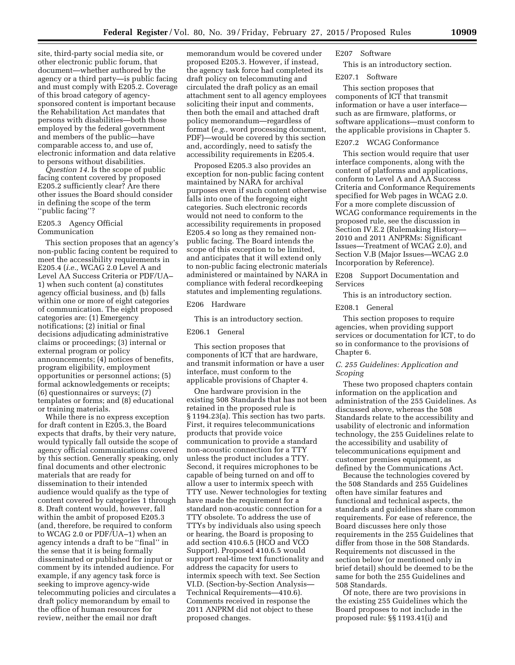site, third-party social media site, or other electronic public forum, that document—whether authored by the agency or a third party—is public facing and must comply with E205.2. Coverage of this broad category of agencysponsored content is important because the Rehabilitation Act mandates that persons with disabilities—both those employed by the federal government and members of the public—have comparable access to, and use of, electronic information and data relative to persons without disabilities.

*Question 14.* Is the scope of public facing content covered by proposed E205.2 sufficiently clear? Are there other issues the Board should consider in defining the scope of the term ''public facing''?

# E205.3 Agency Official Communication

This section proposes that an agency's non-public facing content be required to meet the accessibility requirements in E205.4 (*i.e.,* WCAG 2.0 Level A and Level AA Success Criteria or PDF/UA– 1) when such content (a) constitutes agency official business, and (b) falls within one or more of eight categories of communication. The eight proposed categories are: (1) Emergency notifications; (2) initial or final decisions adjudicating administrative claims or proceedings; (3) internal or external program or policy announcements; (4) notices of benefits, program eligibility, employment opportunities or personnel actions; (5) formal acknowledgements or receipts; (6) questionnaires or surveys; (7) templates or forms; and (8) educational or training materials.

While there is no express exception for draft content in E205.3, the Board expects that drafts, by their very nature, would typically fall outside the scope of agency official communications covered by this section. Generally speaking, only final documents and other electronic materials that are ready for dissemination to their intended audience would qualify as the type of content covered by categories 1 through 8. Draft content would, however, fall within the ambit of proposed E205.3 (and, therefore, be required to conform to WCAG 2.0 or PDF/UA–1) when an agency intends a draft to be ''final'' in the sense that it is being formally disseminated or published for input or comment by its intended audience. For example, if any agency task force is seeking to improve agency-wide telecommuting policies and circulates a draft policy memorandum by email to the office of human resources for review, neither the email nor draft

memorandum would be covered under proposed E205.3. However, if instead, the agency task force had completed its draft policy on telecommuting and circulated the draft policy as an email attachment sent to all agency employees soliciting their input and comments, then both the email and attached draft policy memorandum—regardless of format (*e.g.,* word processing document, PDF)—would be covered by this section and, accordingly, need to satisfy the accessibility requirements in E205.4.

Proposed E205.3 also provides an exception for non-public facing content maintained by NARA for archival purposes even if such content otherwise falls into one of the foregoing eight categories. Such electronic records would not need to conform to the accessibility requirements in proposed E205.4 so long as they remained nonpublic facing. The Board intends the scope of this exception to be limited, and anticipates that it will extend only to non-public facing electronic materials administered or maintained by NARA in compliance with federal recordkeeping statutes and implementing regulations.

### E206 Hardware

This is an introductory section.

### E206.1 General

This section proposes that components of ICT that are hardware, and transmit information or have a user interface, must conform to the applicable provisions of Chapter 4.

One hardware provision in the existing 508 Standards that has not been retained in the proposed rule is § 1194.23(a). This section has two parts. First, it requires telecommunications products that provide voice communication to provide a standard non-acoustic connection for a TTY unless the product includes a TTY. Second, it requires microphones to be capable of being turned on and off to allow a user to intermix speech with TTY use. Newer technologies for texting have made the requirement for a standard non-acoustic connection for a TTY obsolete. To address the use of TTYs by individuals also using speech or hearing, the Board is proposing to add section 410.6.5 (HCO and VCO Support). Proposed 410.6.5 would support real-time text functionality and address the capacity for users to intermix speech with text. See Section VI.D. (Section-by-Section Analysis— Technical Requirements—410.6). Comments received in response the 2011 ANPRM did not object to these proposed changes.

# E207 Software

This is an introductory section.

# E207.1 Software

This section proposes that components of ICT that transmit information or have a user interface such as are firmware, platforms, or software applications—must conform to the applicable provisions in Chapter 5.

# E207.2 WCAG Conformance

This section would require that user interface components, along with the content of platforms and applications, conform to Level A and AA Success Criteria and Conformance Requirements specified for Web pages in WCAG 2.0. For a more complete discussion of WCAG conformance requirements in the proposed rule, see the discussion in Section IV.E.2 (Rulemaking History— 2010 and 2011 ANPRMs: Significant Issues—Treatment of WCAG 2.0), and Section V.B (Major Issues—WCAG 2.0 Incorporation by Reference).

E208 Support Documentation and Services

This is an introductory section.

# E208.1 General

This section proposes to require agencies, when providing support services or documentation for ICT, to do so in conformance to the provisions of Chapter 6.

# *C. 255 Guidelines: Application and Scoping*

These two proposed chapters contain information on the application and administration of the 255 Guidelines. As discussed above, whereas the 508 Standards relate to the accessibility and usability of electronic and information technology, the 255 Guidelines relate to the accessibility and usability of telecommunications equipment and customer premises equipment, as defined by the Communications Act.

Because the technologies covered by the 508 Standards and 255 Guidelines often have similar features and functional and technical aspects, the standards and guidelines share common requirements. For ease of reference, the Board discusses here only those requirements in the 255 Guidelines that differ from those in the 508 Standards. Requirements not discussed in the section below (or mentioned only in brief detail) should be deemed to be the same for both the 255 Guidelines and 508 Standards.

Of note, there are two provisions in the existing 255 Guidelines which the Board proposes to not include in the proposed rule: §§ 1193.41(i) and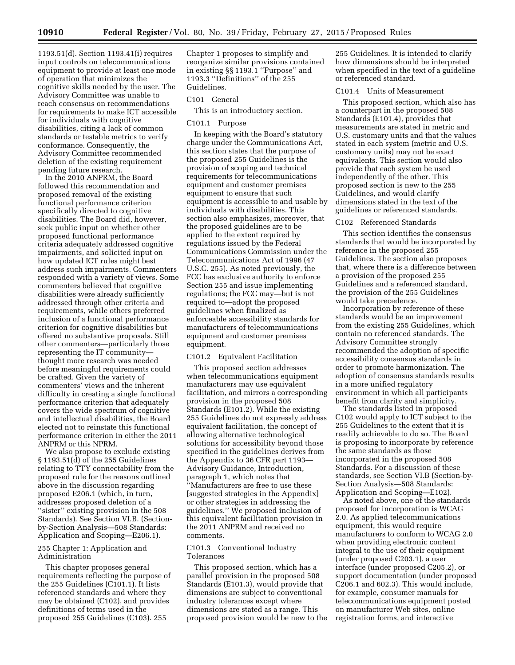1193.51(d). Section 1193.41(i) requires input controls on telecommunications equipment to provide at least one mode of operation that minimizes the cognitive skills needed by the user. The Advisory Committee was unable to reach consensus on recommendations for requirements to make ICT accessible for individuals with cognitive disabilities, citing a lack of common standards or testable metrics to verify conformance. Consequently, the Advisory Committee recommended deletion of the existing requirement pending future research.

In the 2010 ANPRM, the Board followed this recommendation and proposed removal of the existing functional performance criterion specifically directed to cognitive disabilities. The Board did, however, seek public input on whether other proposed functional performance criteria adequately addressed cognitive impairments, and solicited input on how updated ICT rules might best address such impairments. Commenters responded with a variety of views. Some commenters believed that cognitive disabilities were already sufficiently addressed through other criteria and requirements, while others preferred inclusion of a functional performance criterion for cognitive disabilities but offered no substantive proposals. Still other commenters—particularly those representing the IT community thought more research was needed before meaningful requirements could be crafted. Given the variety of commenters' views and the inherent difficulty in creating a single functional performance criterion that adequately covers the wide spectrum of cognitive and intellectual disabilities, the Board elected not to reinstate this functional performance criterion in either the 2011 ANPRM or this NPRM.

We also propose to exclude existing § 1193.51(d) of the 255 Guidelines relating to TTY connectability from the proposed rule for the reasons outlined above in the discussion regarding proposed E206.1 (which, in turn, addresses proposed deletion of a ''sister'' existing provision in the 508 Standards). See Section VI.B. (Sectionby-Section Analysis—508 Standards: Application and Scoping—E206.1).

# 255 Chapter 1: Application and Administration

This chapter proposes general requirements reflecting the purpose of the 255 Guidelines (C101.1). It lists referenced standards and where they may be obtained (C102), and provides definitions of terms used in the proposed 255 Guidelines (C103). 255

Chapter 1 proposes to simplify and reorganize similar provisions contained in existing §§ 1193.1 ''Purpose'' and 1193.3 ''Definitions'' of the 255 Guidelines.

# C101 General

This is an introductory section.

# C101.1 Purpose

In keeping with the Board's statutory charge under the Communications Act, this section states that the purpose of the proposed 255 Guidelines is the provision of scoping and technical requirements for telecommunications equipment and customer premises equipment to ensure that such equipment is accessible to and usable by individuals with disabilities. This section also emphasizes, moreover, that the proposed guidelines are to be applied to the extent required by regulations issued by the Federal Communications Commission under the Telecommunications Act of 1996 (47 U.S.C. 255). As noted previously, the FCC has exclusive authority to enforce Section 255 and issue implementing regulations; the FCC may—but is not required to—adopt the proposed guidelines when finalized as enforceable accessibility standards for manufacturers of telecommunications equipment and customer premises equipment.

# C101.2 Equivalent Facilitation

This proposed section addresses when telecommunications equipment manufacturers may use equivalent facilitation, and mirrors a corresponding provision in the proposed 508 Standards (E101.2). While the existing 255 Guidelines do not expressly address equivalent facilitation, the concept of allowing alternative technological solutions for accessibility beyond those specified in the guidelines derives from the Appendix to 36 CFR part 1193— Advisory Guidance, Introduction, paragraph 1, which notes that ''Manufacturers are free to use these [suggested strategies in the Appendix] or other strategies in addressing the guidelines.'' We proposed inclusion of this equivalent facilitation provision in the 2011 ANPRM and received no comments.

# C101.3 Conventional Industry Tolerances

This proposed section, which has a parallel provision in the proposed 508 Standards (E101.3), would provide that dimensions are subject to conventional industry tolerances except where dimensions are stated as a range. This proposed provision would be new to the

255 Guidelines. It is intended to clarify how dimensions should be interpreted when specified in the text of a guideline or referenced standard.

# C101.4 Units of Measurement

This proposed section, which also has a counterpart in the proposed 508 Standards (E101.4), provides that measurements are stated in metric and U.S. customary units and that the values stated in each system (metric and U.S. customary units) may not be exact equivalents. This section would also provide that each system be used independently of the other. This proposed section is new to the 255 Guidelines, and would clarify dimensions stated in the text of the guidelines or referenced standards.

# C102 Referenced Standards

This section identifies the consensus standards that would be incorporated by reference in the proposed 255 Guidelines. The section also proposes that, where there is a difference between a provision of the proposed 255 Guidelines and a referenced standard, the provision of the 255 Guidelines would take precedence.

Incorporation by reference of these standards would be an improvement from the existing 255 Guidelines, which contain no referenced standards. The Advisory Committee strongly recommended the adoption of specific accessibility consensus standards in order to promote harmonization. The adoption of consensus standards results in a more unified regulatory environment in which all participants benefit from clarity and simplicity.

The standards listed in proposed C102 would apply to ICT subject to the 255 Guidelines to the extent that it is readily achievable to do so. The Board is proposing to incorporate by reference the same standards as those incorporated in the proposed 508 Standards. For a discussion of these standards, see Section VI.B (Section-by-Section Analysis—508 Standards: Application and Scoping—E102).

As noted above, one of the standards proposed for incorporation is WCAG 2.0. As applied telecommunications equipment, this would require manufacturers to conform to WCAG 2.0 when providing electronic content integral to the use of their equipment (under proposed C203.1), a user interface (under proposed C205.2), or support documentation (under proposed C206.1 and 602.3). This would include, for example, consumer manuals for telecommunications equipment posted on manufacturer Web sites, online registration forms, and interactive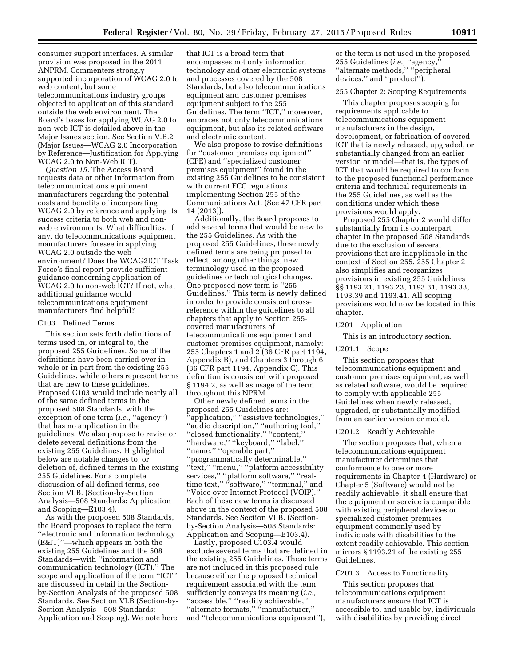consumer support interfaces. A similar provision was proposed in the 2011 ANPRM. Commenters strongly supported incorporation of WCAG 2.0 to web content, but some telecommunications industry groups objected to application of this standard outside the web environment. The Board's bases for applying WCAG 2.0 to non-web ICT is detailed above in the Major Issues section. See Section V.B.2 (Major Issues—WCAG 2.0 Incorporation by Reference—Justification for Applying WCAG 2.0 to Non-Web ICT).

*Question 15.* The Access Board requests data or other information from telecommunications equipment manufacturers regarding the potential costs and benefits of incorporating WCAG 2.0 by reference and applying its success criteria to both web and nonweb environments. What difficulties, if any, do telecommunications equipment manufacturers foresee in applying WCAG 2.0 outside the web environment? Does the WCAG2ICT Task Force's final report provide sufficient guidance concerning application of WCAG 2.0 to non-web ICT? If not, what additional guidance would telecommunications equipment manufacturers find helpful?

### C103 Defined Terms

This section sets forth definitions of terms used in, or integral to, the proposed 255 Guidelines. Some of the definitions have been carried over in whole or in part from the existing 255 Guidelines, while others represent terms that are new to these guidelines. Proposed C103 would include nearly all of the same defined terms in the proposed 508 Standards, with the exception of one term (*i.e.*, "agency") that has no application in the guidelines. We also propose to revise or delete several definitions from the existing 255 Guidelines. Highlighted below are notable changes to, or deletion of, defined terms in the existing 255 Guidelines. For a complete discussion of all defined terms, see Section VI.B. (Section-by-Section Analysis—508 Standards: Application and Scoping—E103.4).

As with the proposed 508 Standards, the Board proposes to replace the term ''electronic and information technology (E&IT)''—which appears in both the existing 255 Guidelines and the 508 Standards—with ''information and communication technology (ICT).'' The scope and application of the term ''ICT'' are discussed in detail in the Sectionby-Section Analysis of the proposed 508 Standards. See Section VI.B (Section-by-Section Analysis—508 Standards: Application and Scoping). We note here

that ICT is a broad term that encompasses not only information technology and other electronic systems and processes covered by the 508 Standards, but also telecommunications equipment and customer premises equipment subject to the 255 Guidelines. The term ''ICT,'' moreover, embraces not only telecommunications equipment, but also its related software and electronic content.

We also propose to revise definitions for ''customer premises equipment'' (CPE) and ''specialized customer premises equipment'' found in the existing 255 Guidelines to be consistent with current FCC regulations implementing Section 255 of the Communications Act. (See 47 CFR part 14 (2013)).

Additionally, the Board proposes to add several terms that would be new to the 255 Guidelines. As with the proposed 255 Guidelines, these newly defined terms are being proposed to reflect, among other things, new terminology used in the proposed guidelines or technological changes. One proposed new term is ''255 Guidelines.'' This term is newly defined in order to provide consistent crossreference within the guidelines to all chapters that apply to Section 255 covered manufacturers of telecommunications equipment and customer premises equipment, namely: 255 Chapters 1 and 2 (36 CFR part 1194, Appendix B), and Chapters 3 through 6 (36 CFR part 1194, Appendix C). This definition is consistent with proposed § 1194.2, as well as usage of the term throughout this NPRM.

Other newly defined terms in the proposed 255 Guidelines are: 'application," "assistive technologies," ''audio description,'' ''authoring tool,'' ''closed functionality,'' ''content,'' ''hardware,'' ''keyboard,'' ''label,'' ''name,'' ''operable part,'' ''programmatically determinable,'' ''text,'' ''menu,'' ''platform accessibility services," "platform software," "realtime text," "software," "terminal," and ''Voice over Internet Protocol (VOIP).'' Each of these new terms is discussed above in the context of the proposed 508 Standards. See Section VI.B. (Sectionby-Section Analysis—508 Standards: Application and Scoping—E103.4).

Lastly, proposed C103.4 would exclude several terms that are defined in the existing 255 Guidelines. These terms are not included in this proposed rule because either the proposed technical requirement associated with the term sufficiently conveys its meaning (*i.e.,*  ''accessible,'' ''readily achievable,'' ''alternate formats,'' ''manufacturer,'' and ''telecommunications equipment''),

or the term is not used in the proposed 255 Guidelines (*i.e.,* ''agency,'' ''alternate methods,'' ''peripheral devices,'' and ''product'').

# 255 Chapter 2: Scoping Requirements

This chapter proposes scoping for requirements applicable to telecommunications equipment manufacturers in the design, development, or fabrication of covered ICT that is newly released, upgraded, or substantially changed from an earlier version or model—that is, the types of ICT that would be required to conform to the proposed functional performance criteria and technical requirements in the 255 Guidelines, as well as the conditions under which these provisions would apply.

Proposed 255 Chapter 2 would differ substantially from its counterpart chapter in the proposed 508 Standards due to the exclusion of several provisions that are inapplicable in the context of Section 255. 255 Chapter 2 also simplifies and reorganizes provisions in existing 255 Guidelines §§ 1193.21, 1193.23, 1193.31, 1193.33, 1193.39 and 1193.41. All scoping provisions would now be located in this chapter.

### C201 Application

This is an introductory section.

### C201.1 Scope

This section proposes that telecommunications equipment and customer premises equipment, as well as related software, would be required to comply with applicable 255 Guidelines when newly released, upgraded, or substantially modified from an earlier version or model.

### C201.2 Readily Achievable

The section proposes that, when a telecommunications equipment manufacturer determines that conformance to one or more requirements in Chapter 4 (Hardware) or Chapter 5 (Software) would not be readily achievable, it shall ensure that the equipment or service is compatible with existing peripheral devices or specialized customer premises equipment commonly used by individuals with disabilities to the extent readily achievable. This section mirrors § 1193.21 of the existing 255 Guidelines.

### C201.3 Access to Functionality

This section proposes that telecommunications equipment manufacturers ensure that ICT is accessible to, and usable by, individuals with disabilities by providing direct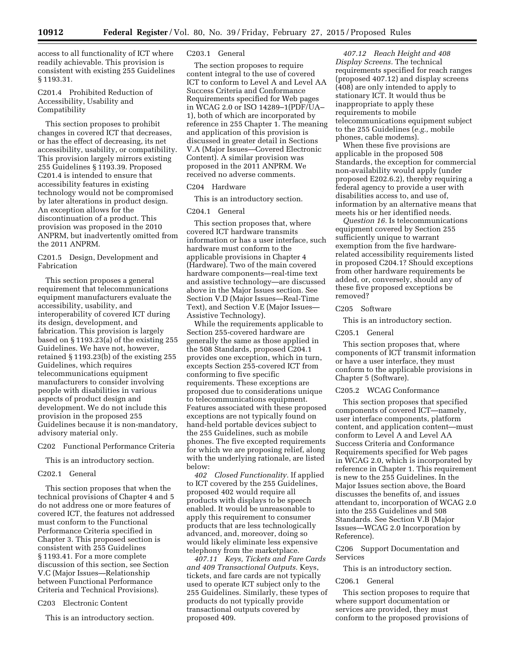access to all functionality of ICT where readily achievable. This provision is consistent with existing 255 Guidelines § 1193.31.

C201.4 Prohibited Reduction of Accessibility, Usability and Compatibility

This section proposes to prohibit changes in covered ICT that decreases, or has the effect of decreasing, its net accessibility, usability, or compatibility. This provision largely mirrors existing 255 Guidelines § 1193.39. Proposed C201.4 is intended to ensure that accessibility features in existing technology would not be compromised by later alterations in product design. An exception allows for the discontinuation of a product. This provision was proposed in the 2010 ANPRM, but inadvertently omitted from the 2011 ANPRM.

C201.5 Design, Development and Fabrication

This section proposes a general requirement that telecommunications equipment manufacturers evaluate the accessibility, usability, and interoperability of covered ICT during its design, development, and fabrication. This provision is largely based on § 1193.23(a) of the existing 255 Guidelines. We have not, however, retained § 1193.23(b) of the existing 255 Guidelines, which requires telecommunications equipment manufacturers to consider involving people with disabilities in various aspects of product design and development. We do not include this provision in the proposed 255 Guidelines because it is non-mandatory, advisory material only.

# C202 Functional Performance Criteria

This is an introductory section.

# C202.1 General

This section proposes that when the technical provisions of Chapter 4 and 5 do not address one or more features of covered ICT, the features not addressed must conform to the Functional Performance Criteria specified in Chapter 3. This proposed section is consistent with 255 Guidelines § 1193.41. For a more complete discussion of this section, see Section V.C (Major Issues—Relationship between Functional Performance Criteria and Technical Provisions).

C203 Electronic Content

This is an introductory section.

# C203.1 General

The section proposes to require content integral to the use of covered ICT to conform to Level A and Level AA Success Criteria and Conformance Requirements specified for Web pages in WCAG 2.0 or ISO 14289–1(PDF/UA– 1), both of which are incorporated by reference in 255 Chapter 1. The meaning and application of this provision is discussed in greater detail in Sections V.A (Major Issues—Covered Electronic Content). A similar provision was proposed in the 2011 ANPRM. We received no adverse comments.

# C204 Hardware

This is an introductory section.

# C204.1 General

This section proposes that, where covered ICT hardware transmits information or has a user interface, such hardware must conform to the applicable provisions in Chapter 4 (Hardware). Two of the main covered hardware components—real-time text and assistive technology—are discussed above in the Major Issues section. See Section V.D (Major Issues—Real-Time Text), and Section V.E (Major Issues— Assistive Technology).

While the requirements applicable to Section 255-covered hardware are generally the same as those applied in the 508 Standards, proposed C204.1 provides one exception, which in turn, excepts Section 255-covered ICT from conforming to five specific requirements. These exceptions are proposed due to considerations unique to telecommunications equipment. Features associated with these proposed exceptions are not typically found on hand-held portable devices subject to the 255 Guidelines, such as mobile phones. The five excepted requirements for which we are proposing relief, along with the underlying rationale, are listed below:<br>402

*402 Closed Functionality.* If applied to ICT covered by the 255 Guidelines, proposed 402 would require all products with displays to be speech enabled. It would be unreasonable to apply this requirement to consumer products that are less technologically advanced, and, moreover, doing so would likely eliminate less expensive telephony from the marketplace.

*407.11 Keys, Tickets and Fare Cards and 409 Transactional Outputs.* Keys, tickets, and fare cards are not typically used to operate ICT subject only to the 255 Guidelines. Similarly, these types of products do not typically provide transactional outputs covered by proposed 409.

*407.12 Reach Height and 408 Display Screens.* The technical requirements specified for reach ranges (proposed 407.12) and display screens (408) are only intended to apply to stationary ICT. It would thus be inappropriate to apply these requirements to mobile telecommunications equipment subject to the 255 Guidelines (*e.g.,* mobile phones, cable modems).

When these five provisions are applicable in the proposed 508 Standards, the exception for commercial non-availability would apply (under proposed E202.6.2), thereby requiring a federal agency to provide a user with disabilities access to, and use of, information by an alternative means that meets his or her identified needs.

*Question 16.* Is telecommunications equipment covered by Section 255 sufficiently unique to warrant exemption from the five hardwarerelated accessibility requirements listed in proposed C204.1? Should exceptions from other hardware requirements be added, or, conversely, should any of these five proposed exceptions be removed?

# C205 Software

This is an introductory section.

### C205.1 General

This section proposes that, where components of ICT transmit information or have a user interface, they must conform to the applicable provisions in Chapter 5 (Software).

# C205.2 WCAG Conformance

This section proposes that specified components of covered ICT—namely, user interface components, platform content, and application content—must conform to Level A and Level AA Success Criteria and Conformance Requirements specified for Web pages in WCAG 2.0, which is incorporated by reference in Chapter 1. This requirement is new to the 255 Guidelines. In the Major Issues section above, the Board discusses the benefits of, and issues attendant to, incorporation of WCAG 2.0 into the 255 Guidelines and 508 Standards. See Section V.B (Major Issues—WCAG 2.0 Incorporation by Reference).

C206 Support Documentation and Services

This is an introductory section.

### C206.1 General

This section proposes to require that where support documentation or services are provided, they must conform to the proposed provisions of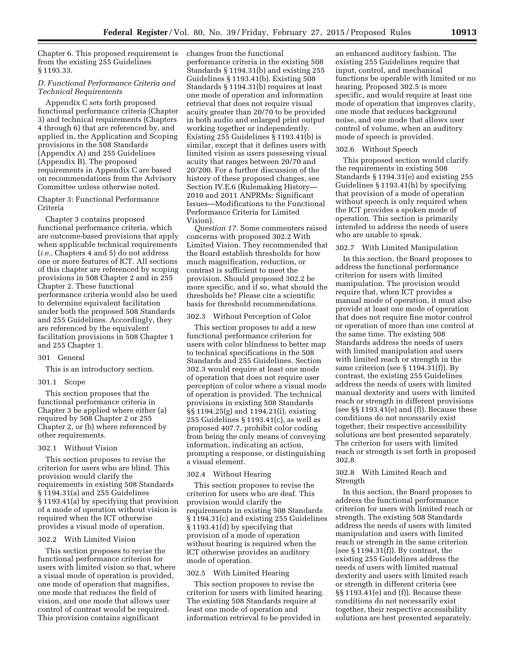Chapter 6. This proposed requirement is from the existing 255 Guidelines § 1193.33.

# *D. Functional Performance Criteria and Technical Requirements*

Appendix C sets forth proposed functional performance criteria (Chapter 3) and technical requirements (Chapters 4 through 6) that are referenced by, and applied in, the Application and Scoping provisions in the 508 Standards (Appendix A) and 255 Guidelines (Appendix B). The proposed requirements in Appendix C are based on recommendations from the Advisory Committee unless otherwise noted.

# Chapter 3: Functional Performance Criteria

Chapter 3 contains proposed functional performance criteria, which are outcome-based provisions that apply when applicable technical requirements (*i.e.,* Chapters 4 and 5) do not address one or more features of ICT. All sections of this chapter are referenced by scoping provisions in 508 Chapter 2 and in 255 Chapter 2. These functional performance criteria would also be used to determine equivalent facilitation under both the proposed 508 Standards and 255 Guidelines. Accordingly, they are referenced by the equivalent facilitation provisions in 508 Chapter 1 and 255 Chapter 1.

### 301 General

This is an introductory section.

### 301.1 Scope

This section proposes that the functional performance criteria in Chapter 3 be applied where either (a) required by 508 Chapter 2 or 255 Chapter 2, or (b) where referenced by other requirements.

# 302.1 Without Vision

This section proposes to revise the criterion for users who are blind. This provision would clarify the requirements in existing 508 Standards § 1194.31(a) and 255 Guidelines § 1193.41(a) by specifying that provision of a mode of operation without vision is required when the ICT otherwise provides a visual mode of operation.

# 302.2 With Limited Vision

This section proposes to revise the functional performance criterion for users with limited vision so that, where a visual mode of operation is provided, one mode of operation that magnifies, one mode that reduces the field of vision, and one mode that allows user control of contrast would be required. This provision contains significant

changes from the functional performance criteria in the existing 508 Standards § 1194.31(b) and existing 255 Guidelines § 1193.41(b). Existing 508 Standards § 1194.31(b) requires at least one mode of operation and information retrieval that does not require visual acuity greater than 20/70 to be provided in both audio and enlarged print output working together or independently. Existing 255 Guidelines § 1193.41(b) is similar, except that it defines users with limited vision as users possessing visual acuity that ranges between 20/70 and 20/200. For a further discussion of the history of these proposed changes, see Section IV.E.6 (Rulemaking History— 2010 and 2011 ANPRMs: Significant Issues—Modifications to the Functional Performance Criteria for Limited Vision).

*Question 17.* Some commenters raised concerns with proposed 302.2 With Limited Vision. They recommended that the Board establish thresholds for how much magnification, reduction, or contrast is sufficient to meet the provision. Should proposed 302.2 be more specific, and if so, what should the thresholds be? Please cite a scientific basis for threshold recommendations.

### 302.3 Without Perception of Color

This section proposes to add a new functional performance criterion for users with color blindness to better map to technical specifications in the 508 Standards and 255 Guidelines. Section 302.3 would require at least one mode of operation that does not require user perception of color where a visual mode of operation is provided. The technical provisions in existing 508 Standards §§ 1194.25(g) and 1194.21(i), existing 255 Guidelines § 1193.41(c), as well as proposed 407.7, prohibit color coding from being the only means of conveying information, indicating an action, prompting a response, or distinguishing a visual element.

# 302.4 Without Hearing

This section proposes to revise the criterion for users who are deaf. This provision would clarify the requirements in existing 508 Standards § 1194.31(c) and existing 255 Guidelines § 1193.41(d) by specifying that provision of a mode of operation without hearing is required when the ICT otherwise provides an auditory mode of operation.

### 302.5 With Limited Hearing

This section proposes to revise the criterion for users with limited hearing. The existing 508 Standards require at least one mode of operation and information retrieval to be provided in

an enhanced auditory fashion. The existing 255 Guidelines require that input, control, and mechanical functions be operable with limited or no hearing. Proposed 302.5 is more specific, and would require at least one mode of operation that improves clarity, one mode that reduces background noise, and one mode that allows user control of volume, when an auditory mode of speech is provided.

### 302.6 Without Speech

This proposed section would clarify the requirements in existing 508 Standards § 1194.31(e) and existing 255 Guidelines § 1193.41(h) by specifying that provision of a mode of operation without speech is only required when the ICT provides a spoken mode of operation. This section is primarily intended to address the needs of users who are unable to speak.

### 302.7 With Limited Manipulation

In this section, the Board proposes to address the functional performance criterion for users with limited manipulation. The provision would require that, when ICT provides a manual mode of operation, it must also provide at least one mode of operation that does not require fine motor control or operation of more than one control at the same time. The existing 508 Standards address the needs of users with limited manipulation and users with limited reach or strength in the same criterion (see § 1194.31(f)). By contrast, the existing 255 Guidelines address the needs of users with limited manual dexterity and users with limited reach or strength in different provisions (see §§ 1193.41(e) and (f)). Because these conditions do not necessarily exist together, their respective accessibility solutions are best presented separately. The criterion for users with limited reach or strength is set forth in proposed 302.8.

# 302.8 With Limited Reach and Strength

In this section, the Board proposes to address the functional performance criterion for users with limited reach or strength. The existing 508 Standards address the needs of users with limited manipulation and users with limited reach or strength in the same criterion (see § 1194.31(f)). By contrast, the existing 255 Guidelines address the needs of users with limited manual dexterity and users with limited reach or strength in different criteria (see §§ 1193.41(e) and (f)). Because these conditions do not necessarily exist together, their respective accessibility solutions are best presented separately.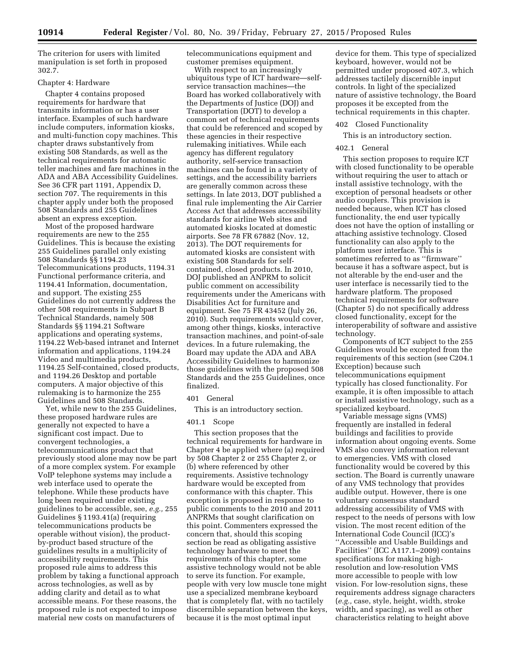The criterion for users with limited manipulation is set forth in proposed 302.7.

### Chapter 4: Hardware

Chapter 4 contains proposed requirements for hardware that transmits information or has a user interface. Examples of such hardware include computers, information kiosks, and multi-function copy machines. This chapter draws substantively from existing 508 Standards, as well as the technical requirements for automatic teller machines and fare machines in the ADA and ABA Accessibility Guidelines. See 36 CFR part 1191, Appendix D, section 707. The requirements in this chapter apply under both the proposed 508 Standards and 255 Guidelines absent an express exception.

Most of the proposed hardware requirements are new to the 255 Guidelines. This is because the existing 255 Guidelines parallel only existing 508 Standards §§ 1194.23 Telecommunications products, 1194.31 Functional performance criteria, and 1194.41 Information, documentation, and support. The existing 255 Guidelines do not currently address the other 508 requirements in Subpart B Technical Standards, namely 508 Standards §§ 1194.21 Software applications and operating systems, 1194.22 Web-based intranet and Internet information and applications, 1194.24 Video and multimedia products, 1194.25 Self-contained, closed products, and 1194.26 Desktop and portable computers. A major objective of this rulemaking is to harmonize the 255 Guidelines and 508 Standards.

Yet, while new to the 255 Guidelines, these proposed hardware rules are generally not expected to have a significant cost impact. Due to convergent technologies, a telecommunications product that previously stood alone may now be part of a more complex system. For example VoIP telephone systems may include a web interface used to operate the telephone. While these products have long been required under existing guidelines to be accessible, see, *e.g.,* 255 Guidelines § 1193.41(a) (requiring telecommunications products be operable without vision), the productby-product based structure of the guidelines results in a multiplicity of accessibility requirements. This proposed rule aims to address this problem by taking a functional approach across technologies, as well as by adding clarity and detail as to what accessible means. For these reasons, the proposed rule is not expected to impose material new costs on manufacturers of

telecommunications equipment and customer premises equipment.

With respect to an increasingly ubiquitous type of ICT hardware—selfservice transaction machines—the Board has worked collaboratively with the Departments of Justice (DOJ) and Transportation (DOT) to develop a common set of technical requirements that could be referenced and scoped by these agencies in their respective rulemaking initiatives. While each agency has different regulatory authority, self-service transaction machines can be found in a variety of settings, and the accessibility barriers are generally common across these settings. In late 2013, DOT published a final rule implementing the Air Carrier Access Act that addresses accessibility standards for airline Web sites and automated kiosks located at domestic airports. See 78 FR 67882 (Nov. 12, 2013). The DOT requirements for automated kiosks are consistent with existing 508 Standards for selfcontained, closed products. In 2010, DOJ published an ANPRM to solicit public comment on accessibility requirements under the Americans with Disabilities Act for furniture and equipment. See 75 FR 43452 (July 26, 2010). Such requirements would cover, among other things, kiosks, interactive transaction machines, and point-of-sale devices. In a future rulemaking, the Board may update the ADA and ABA Accessibility Guidelines to harmonize those guidelines with the proposed 508 Standards and the 255 Guidelines, once finalized.

# 401 General

This is an introductory section.

### 401.1 Scope

This section proposes that the technical requirements for hardware in Chapter 4 be applied where (a) required by 508 Chapter 2 or 255 Chapter 2, or (b) where referenced by other requirements. Assistive technology hardware would be excepted from conformance with this chapter. This exception is proposed in response to public comments to the 2010 and 2011 ANPRMs that sought clarification on this point. Commenters expressed the concern that, should this scoping section be read as obligating assistive technology hardware to meet the requirements of this chapter, some assistive technology would not be able to serve its function. For example, people with very low muscle tone might use a specialized membrane keyboard that is completely flat, with no tactilely discernible separation between the keys, because it is the most optimal input

device for them. This type of specialized keyboard, however, would not be permitted under proposed 407.3, which addresses tactilely discernible input controls. In light of the specialized nature of assistive technology, the Board proposes it be excepted from the technical requirements in this chapter.

# 402 Closed Functionality

This is an introductory section.

# 402.1 General

This section proposes to require ICT with closed functionality to be operable without requiring the user to attach or install assistive technology, with the exception of personal headsets or other audio couplers. This provision is needed because, when ICT has closed functionality, the end user typically does not have the option of installing or attaching assistive technology. Closed functionality can also apply to the platform user interface. This is sometimes referred to as ''firmware'' because it has a software aspect, but is not alterable by the end-user and the user interface is necessarily tied to the hardware platform. The proposed technical requirements for software (Chapter 5) do not specifically address closed functionality, except for the interoperability of software and assistive technology.

Components of ICT subject to the 255 Guidelines would be excepted from the requirements of this section (see C204.1 Exception) because such telecommunications equipment typically has closed functionality. For example, it is often impossible to attach or install assistive technology, such as a specialized keyboard.

Variable message signs (VMS) frequently are installed in federal buildings and facilities to provide information about ongoing events. Some VMS also convey information relevant to emergencies. VMS with closed functionality would be covered by this section. The Board is currently unaware of any VMS technology that provides audible output. However, there is one voluntary consensus standard addressing accessibility of VMS with respect to the needs of persons with low vision. The most recent edition of the International Code Council (ICC)'s ''Accessible and Usable Buildings and Facilities'' (ICC A117.1–2009) contains specifications for making highresolution and low-resolution VMS more accessible to people with low vision. For low-resolution signs, these requirements address signage characters (*e.g.,* case, style, height, width, stroke width, and spacing), as well as other characteristics relating to height above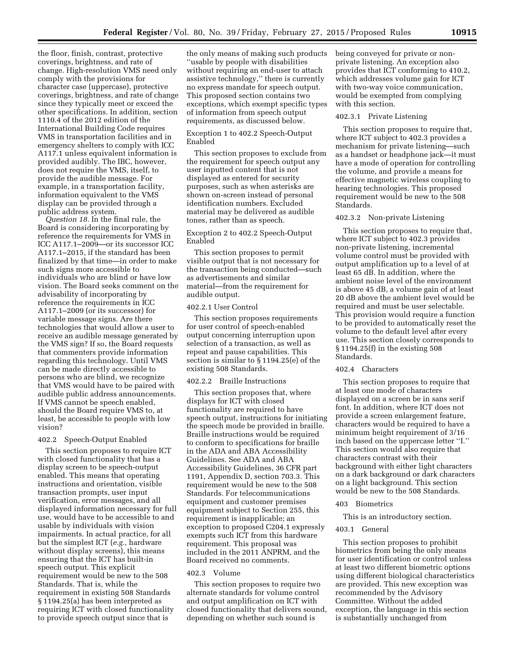the floor, finish, contrast, protective coverings, brightness, and rate of change. High-resolution VMS need only comply with the provisions for character case (uppercase), protective coverings, brightness, and rate of change since they typically meet or exceed the other specifications. In addition, section 1110.4 of the 2012 edition of the International Building Code requires VMS in transportation facilities and in emergency shelters to comply with ICC A117.1 unless equivalent information is provided audibly. The IBC, however, does not require the VMS, itself, to provide the audible message. For example, in a transportation facility, information equivalent to the VMS display can be provided through a public address system.

*Question 18.* In the final rule, the Board is considering incorporating by reference the requirements for VMS in ICC A117.1–2009—or its successor ICC A117.1–2015, if the standard has been finalized by that time—in order to make such signs more accessible to individuals who are blind or have low vision. The Board seeks comment on the advisability of incorporating by reference the requirements in ICC A117.1–2009 (or its successor) for variable message signs. Are there technologies that would allow a user to receive an audible message generated by the VMS sign? If so, the Board requests that commenters provide information regarding this technology. Until VMS can be made directly accessible to persons who are blind, we recognize that VMS would have to be paired with audible public address announcements. If VMS cannot be speech enabled, should the Board require VMS to, at least, be accessible to people with low vision?

# 402.2 Speech-Output Enabled

This section proposes to require ICT with closed functionality that has a display screen to be speech-output enabled. This means that operating instructions and orientation, visible transaction prompts, user input verification, error messages, and all displayed information necessary for full use, would have to be accessible to and usable by individuals with vision impairments. In actual practice, for all but the simplest ICT (*e.g.,* hardware without display screens), this means ensuring that the ICT has built-in speech output. This explicit requirement would be new to the 508 Standards. That is, while the requirement in existing 508 Standards § 1194.25(a) has been interpreted as requiring ICT with closed functionality to provide speech output since that is

the only means of making such products ''usable by people with disabilities without requiring an end-user to attach assistive technology,'' there is currently no express mandate for speech output. This proposed section contains two exceptions, which exempt specific types of information from speech output requirements, as discussed below.

# Exception 1 to 402.2 Speech-Output Enabled

This section proposes to exclude from the requirement for speech output any user inputted content that is not displayed as entered for security purposes, such as when asterisks are shown on-screen instead of personal identification numbers. Excluded material may be delivered as audible tones, rather than as speech.

# Exception 2 to 402.2 Speech-Output Enabled

This section proposes to permit visible output that is not necessary for the transaction being conducted—such as advertisements and similar material—from the requirement for audible output.

# 402.2.1 User Control

This section proposes requirements for user control of speech-enabled output concerning interruption upon selection of a transaction, as well as repeat and pause capabilities. This section is similar to § 1194.25(e) of the existing 508 Standards.

### 402.2.2 Braille Instructions

This section proposes that, where displays for ICT with closed functionality are required to have speech output, instructions for initiating the speech mode be provided in braille. Braille instructions would be required to conform to specifications for braille in the ADA and ABA Accessibility Guidelines. See ADA and ABA Accessibility Guidelines, 36 CFR part 1191, Appendix D, section 703.3. This requirement would be new to the 508 Standards. For telecommunications equipment and customer premises equipment subject to Section 255, this requirement is inapplicable; an exception to proposed C204.1 expressly exempts such ICT from this hardware requirement. This proposal was included in the 2011 ANPRM, and the Board received no comments.

# 402.3 Volume

This section proposes to require two alternate standards for volume control and output amplification on ICT with closed functionality that delivers sound, depending on whether such sound is

being conveyed for private or nonprivate listening. An exception also provides that ICT conforming to 410.2, which addresses volume gain for ICT with two-way voice communication, would be exempted from complying with this section.

### 402.3.1 Private Listening

This section proposes to require that, where ICT subject to 402.3 provides a mechanism for private listening—such as a handset or headphone jack—it must have a mode of operation for controlling the volume, and provide a means for effective magnetic wireless coupling to hearing technologies. This proposed requirement would be new to the 508 Standards.

### 402.3.2 Non-private Listening

This section proposes to require that, where ICT subject to 402.3 provides non-private listening, incremental volume control must be provided with output amplification up to a level of at least 65 dB. In addition, where the ambient noise level of the environment is above 45 dB, a volume gain of at least 20 dB above the ambient level would be required and must be user selectable. This provision would require a function to be provided to automatically reset the volume to the default level after every use. This section closely corresponds to § 1194.25(f) in the existing 508 Standards.

### 402.4 Characters

This section proposes to require that at least one mode of characters displayed on a screen be in sans serif font. In addition, where ICT does not provide a screen enlargement feature, characters would be required to have a minimum height requirement of 3/16 inch based on the uppercase letter ''I.'' This section would also require that characters contrast with their background with either light characters on a dark background or dark characters on a light background. This section would be new to the 508 Standards.

# 403 Biometrics

This is an introductory section.

### 403.1 General

This section proposes to prohibit biometrics from being the only means for user identification or control unless at least two different biometric options using different biological characteristics are provided. This new exception was recommended by the Advisory Committee. Without the added exception, the language in this section is substantially unchanged from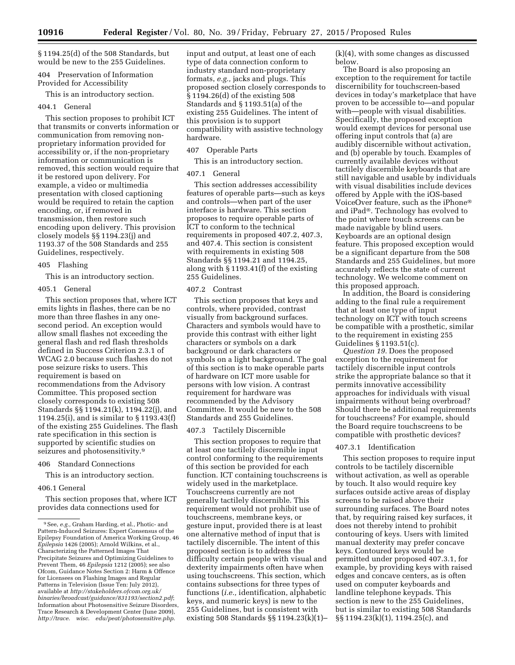§ 1194.25(d) of the 508 Standards, but would be new to the 255 Guidelines.

404 Preservation of Information Provided for Accessibility

This is an introductory section.

### 404.1 General

This section proposes to prohibit ICT that transmits or converts information or communication from removing nonproprietary information provided for accessibility or, if the non-proprietary information or communication is removed, this section would require that it be restored upon delivery. For example, a video or multimedia presentation with closed captioning would be required to retain the caption encoding, or, if removed in transmission, then restore such encoding upon delivery. This provision closely models §§ 1194.23(j) and 1193.37 of the 508 Standards and 255 Guidelines, respectively.

### 405 Flashing

This is an introductory section.

### 405.1 General

This section proposes that, where ICT emits lights in flashes, there can be no more than three flashes in any onesecond period. An exception would allow small flashes not exceeding the general flash and red flash thresholds defined in Success Criterion 2.3.1 of WCAG 2.0 because such flashes do not pose seizure risks to users. This requirement is based on recommendations from the Advisory Committee. This proposed section closely corresponds to existing 508 Standards §§ 1194.21(k), 1194.22(j), and 1194.25(i), and is similar to § 1193.43(f) of the existing 255 Guidelines. The flash rate specification in this section is supported by scientific studies on seizures and photosensitivity.<sup>9</sup>

# 406 Standard Connections

This is an introductory section.

# 406.1 General

This section proposes that, where ICT provides data connections used for

input and output, at least one of each type of data connection conform to industry standard non-proprietary formats, *e.g.,* jacks and plugs. This proposed section closely corresponds to § 1194.26(d) of the existing 508 Standards and § 1193.51(a) of the existing 255 Guidelines. The intent of this provision is to support compatibility with assistive technology hardware.

### 407 Operable Parts

This is an introductory section.

# 407.1 General

This section addresses accessibility features of operable parts—such as keys and controls—when part of the user interface is hardware. This section proposes to require operable parts of ICT to conform to the technical requirements in proposed 407.2, 407.3, and 407.4. This section is consistent with requirements in existing 508 Standards §§ 1194.21 and 1194.25, along with § 1193.41(f) of the existing 255 Guidelines.

# 407.2 Contrast

This section proposes that keys and controls, where provided, contrast visually from background surfaces. Characters and symbols would have to provide this contrast with either light characters or symbols on a dark background or dark characters or symbols on a light background. The goal of this section is to make operable parts of hardware on ICT more usable for persons with low vision. A contrast requirement for hardware was recommended by the Advisory Committee. It would be new to the 508 Standards and 255 Guidelines.

### 407.3 Tactilely Discernible

This section proposes to require that at least one tactilely discernible input control conforming to the requirements of this section be provided for each function. ICT containing touchscreens is widely used in the marketplace. Touchscreens currently are not generally tactilely discernible. This requirement would not prohibit use of touchscreens, membrane keys, or gesture input, provided there is at least one alternative method of input that is tactilely discernible. The intent of this proposed section is to address the difficulty certain people with visual and dexterity impairments often have when using touchscreens. This section, which contains subsections for three types of functions (*i.e.,* identification, alphabetic keys, and numeric keys) is new to the 255 Guidelines, but is consistent with existing 508 Standards §§ 1194.23(k)(1)– (k)(4), with some changes as discussed below.

The Board is also proposing an exception to the requirement for tactile discernibility for touchscreen-based devices in today's marketplace that have proven to be accessible to—and popular with—people with visual disabilities. Specifically, the proposed exception would exempt devices for personal use offering input controls that (a) are audibly discernible without activation, and (b) operable by touch. Examples of currently available devices without tactilely discernible keyboards that are still navigable and usable by individuals with visual disabilities include devices offered by Apple with the iOS-based VoiceOver feature, such as the iPhone® and iPad®. Technology has evolved to the point where touch screens can be made navigable by blind users. Keyboards are an optional design feature. This proposed exception would be a significant departure from the 508 Standards and 255 Guidelines, but more accurately reflects the state of current technology. We welcome comment on this proposed approach.

In addition, the Board is considering adding to the final rule a requirement that at least one type of input technology on ICT with touch screens be compatible with a prosthetic, similar to the requirement in existing 255 Guidelines § 1193.51(c).

*Question 19.* Does the proposed exception to the requirement for tactilely discernible input controls strike the appropriate balance so that it permits innovative accessibility approaches for individuals with visual impairments without being overbroad? Should there be additional requirements for touchscreens? For example, should the Board require touchscreens to be compatible with prosthetic devices?

### 407.3.1 Identification

This section proposes to require input controls to be tactilely discernible without activation, as well as operable by touch. It also would require key surfaces outside active areas of display screens to be raised above their surrounding surfaces. The Board notes that, by requiring raised key surfaces, it does not thereby intend to prohibit contouring of keys. Users with limited manual dexterity may prefer concave keys. Contoured keys would be permitted under proposed 407.3.1, for example, by providing keys with raised edges and concave centers, as is often used on computer keyboards and landline telephone keypads. This section is new to the 255 Guidelines, but is similar to existing 508 Standards §§ 1194.23(k)(1), 1194.25(c), and

<sup>9</sup>See, *e.g.,* Graham Harding, et al., Photic- and Pattern-Induced Seizures: Expert Consensus of the Epilepsy Foundation of America Working Group, 46 *Epilepsia* 1426 (2005); Arnold Wilkins, et al., Characterizing the Patterned Images That Precipitate Seizures and Optimizing Guidelines to Prevent Them, 46 *Epilepsia* 1212 (2005); see also Ofcom, Guidance Notes Section 2: Harm & Offence for Licensees on Flashing Images and Regular Patterns in Television (Issue Ten: July 2012), available at *[http://stakeholders.ofcom.org.uk/](http://stakeholders.ofcom.org.uk/binaries/broadcast/guidance/831193/section2.pdf) [binaries/broadcast/guidance/831193/section2.pdf](http://stakeholders.ofcom.org.uk/binaries/broadcast/guidance/831193/section2.pdf)*; Information about Photosensitive Seizure Disorders, Trace Research & Development Center (June 2009), *[http://trace. wisc. edu/peat/photosensitive.php](http://trace.wisc.edu/peat/photosensitive.php)*.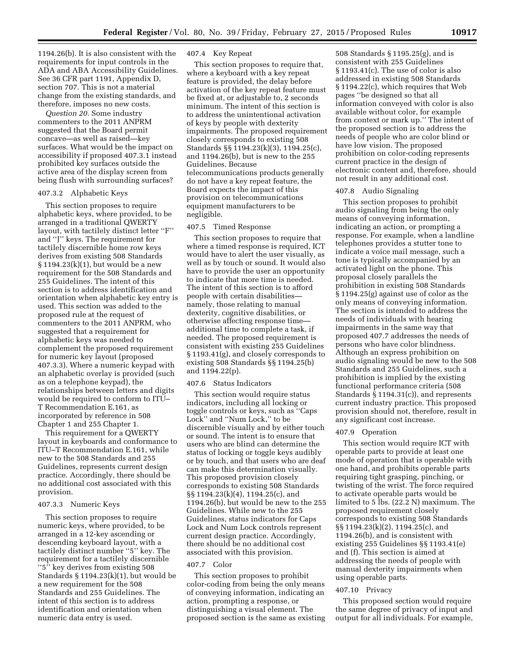1194.26(b). It is also consistent with the requirements for input controls in the ADA and ABA Accessibility Guidelines. See 36 CFR part 1191, Appendix D, section 707. This is not a material change from the existing standards, and therefore, imposes no new costs.

*Question 20.* Some industry commenters to the 2011 ANPRM suggested that the Board permit concave—as well as raised—key surfaces. What would be the impact on accessibility if proposed 407.3.1 instead prohibited key surfaces outside the active area of the display screen from being flush with surrounding surfaces?

### 407.3.2 Alphabetic Keys

This section proposes to require alphabetic keys, where provided, to be arranged in a traditional QWERTY layout, with tactilely distinct letter ''F'' and ''J'' keys. The requirement for tactilely discernible home row keys derives from existing 508 Standards § 1194.23(k)(1), but would be a new requirement for the 508 Standards and 255 Guidelines. The intent of this section is to address identification and orientation when alphabetic key entry is used. This section was added to the proposed rule at the request of commenters to the 2011 ANPRM, who suggested that a requirement for alphabetic keys was needed to complement the proposed requirement for numeric key layout (proposed 407.3.3). Where a numeric keypad with an alphabetic overlay is provided (such as on a telephone keypad), the relationships between letters and digits would be required to conform to ITU– T Recommendation E.161, as incorporated by reference in 508 Chapter 1 and 255 Chapter 1.

This requirement for a QWERTY layout in keyboards and conformance to ITU–T Recommendation E.161, while new to the 508 Standards and 255 Guidelines, represents current design practice. Accordingly, there should be no additional cost associated with this provision.

### 407.3.3 Numeric Keys

This section proposes to require numeric keys, where provided, to be arranged in a 12-key ascending or descending keyboard layout, with a tactilely distinct number ''5'' key. The requirement for a tactilely discernible ''5'' key derives from existing 508 Standards § 1194.23(k)(1), but would be a new requirement for the 508 Standards and 255 Guidelines. The intent of this section is to address identification and orientation when numeric data entry is used.

# 407.4 Key Repeat

This section proposes to require that, where a keyboard with a key repeat feature is provided, the delay before activation of the key repeat feature must be fixed at, or adjustable to, 2 seconds minimum. The intent of this section is to address the unintentional activation of keys by people with dexterity impairments. The proposed requirement closely corresponds to existing 508 Standards §§ 1194.23(k)(3), 1194.25(c), and 1194.26(b), but is new to the 255 Guidelines. Because telecommunications products generally do not have a key repeat feature, the Board expects the impact of this provision on telecommunications equipment manufacturers to be negligible.

# 407.5 Timed Response

This section proposes to require that where a timed response is required, ICT would have to alert the user visually, as well as by touch or sound. It would also have to provide the user an opportunity to indicate that more time is needed. The intent of this section is to afford people with certain disabilities namely, those relating to manual dexterity, cognitive disabilities, or otherwise affecting response time additional time to complete a task, if needed. The proposed requirement is consistent with existing 255 Guidelines § 1193.41(g), and closely corresponds to existing 508 Standards §§ 1194.25(b) and 1194.22(p).

### 407.6 Status Indicators

This section would require status indicators, including all locking or toggle controls or keys, such as ''Caps Lock'' and ''Num Lock,'' to be discernible visually and by either touch or sound. The intent is to ensure that users who are blind can determine the status of locking or toggle keys audibly or by touch, and that users who are deaf can make this determination visually. This proposed provision closely corresponds to existing 508 Standards §§ 1194.23(k)(4), 1194.25(c), and 1194.26(b), but would be new to the 255 Guidelines. While new to the 255 Guidelines, status indicators for Caps Lock and Num Lock controls represent current design practice. Accordingly, there should be no additional cost associated with this provision.

### 407.7 Color

This section proposes to prohibit color-coding from being the only means of conveying information, indicating an action, prompting a response, or distinguishing a visual element. The proposed section is the same as existing

508 Standards § 1195.25(g), and is consistent with 255 Guidelines § 1193.41(c). The use of color is also addressed in existing 508 Standards § 1194.22(c), which requires that Web pages ''be designed so that all information conveyed with color is also available without color, for example from context or mark up.'' The intent of the proposed section is to address the needs of people who are color blind or have low vision. The proposed prohibition on color-coding represents current practice in the design of electronic content and, therefore, should not result in any additional cost.

### 407.8 Audio Signaling

This section proposes to prohibit audio signaling from being the only means of conveying information, indicating an action, or prompting a response. For example, when a landline telephones provides a stutter tone to indicate a voice mail message, such a tone is typically accompanied by an activated light on the phone. This proposal closely parallels the prohibition in existing 508 Standards § 1194.25(g) against use of color as the only means of conveying information. The section is intended to address the needs of individuals with hearing impairments in the same way that proposed 407.7 addresses the needs of persons who have color blindness. Although an express prohibition on audio signaling would be new to the 508 Standards and 255 Guidelines, such a prohibition is implied by the existing functional performance criteria (508 Standards § 1194.31(c)), and represents current industry practice. This proposed provision should not, therefore, result in any significant cost increase.

### 407.9 Operation

This section would require ICT with operable parts to provide at least one mode of operation that is operable with one hand, and prohibits operable parts requiring tight grasping, pinching, or twisting of the wrist. The force required to activate operable parts would be limited to 5 lbs. (22.2 N) maximum. The proposed requirement closely corresponds to existing 508 Standards §§ 1194.23(k)(2), 1194.25(c), and 1194.26(b), and is consistent with existing 255 Guidelines §§ 1193.41(e) and (f). This section is aimed at addressing the needs of people with manual dexterity impairments when using operable parts.

# 407.10 Privacy

This proposed section would require the same degree of privacy of input and output for all individuals. For example,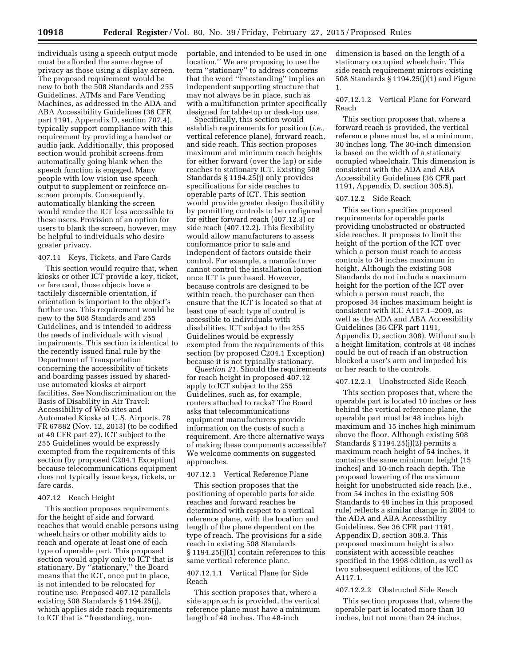individuals using a speech output mode must be afforded the same degree of privacy as those using a display screen. The proposed requirement would be new to both the 508 Standards and 255 Guidelines. ATMs and Fare Vending Machines, as addressed in the ADA and ABA Accessibility Guidelines (36 CFR part 1191, Appendix D, section 707.4), typically support compliance with this requirement by providing a handset or audio jack. Additionally, this proposed section would prohibit screens from automatically going blank when the speech function is engaged. Many people with low vision use speech output to supplement or reinforce onscreen prompts. Consequently, automatically blanking the screen would render the ICT less accessible to these users. Provision of an option for users to blank the screen, however, may be helpful to individuals who desire greater privacy.

# 407.11 Keys, Tickets, and Fare Cards

This section would require that, when kiosks or other ICT provide a key, ticket, or fare card, those objects have a tactilely discernible orientation, if orientation is important to the object's further use. This requirement would be new to the 508 Standards and 255 Guidelines, and is intended to address the needs of individuals with visual impairments. This section is identical to the recently issued final rule by the Department of Transportation concerning the accessibility of tickets and boarding passes issued by shareduse automated kiosks at airport facilities. See Nondiscrimination on the Basis of Disability in Air Travel: Accessibility of Web sites and Automated Kiosks at U.S. Airports, 78 FR 67882 (Nov. 12, 2013) (to be codified at 49 CFR part 27). ICT subject to the 255 Guidelines would be expressly exempted from the requirements of this section (by proposed C204.1 Exception) because telecommunications equipment does not typically issue keys, tickets, or fare cards.

### 407.12 Reach Height

This section proposes requirements for the height of side and forward reaches that would enable persons using wheelchairs or other mobility aids to reach and operate at least one of each type of operable part. This proposed section would apply only to ICT that is stationary. By ''stationary,'' the Board means that the ICT, once put in place, is not intended to be relocated for routine use. Proposed 407.12 parallels existing 508 Standards § 1194.25(j), which applies side reach requirements to ICT that is ''freestanding, non-

portable, and intended to be used in one location.'' We are proposing to use the term ''stationary'' to address concerns that the word ''freestanding'' implies an independent supporting structure that may not always be in place, such as with a multifunction printer specifically designed for table-top or desk-top use.

Specifically, this section would establish requirements for position (*i.e.,*  vertical reference plane), forward reach, and side reach. This section proposes maximum and minimum reach heights for either forward (over the lap) or side reaches to stationary ICT. Existing 508 Standards § 1194.25(j) only provides specifications for side reaches to operable parts of ICT. This section would provide greater design flexibility by permitting controls to be configured for either forward reach (407.12.3) or side reach (407.12.2). This flexibility would allow manufacturers to assess conformance prior to sale and independent of factors outside their control. For example, a manufacturer cannot control the installation location once ICT is purchased. However, because controls are designed to be within reach, the purchaser can then ensure that the ICT is located so that at least one of each type of control is accessible to individuals with disabilities. ICT subject to the 255 Guidelines would be expressly exempted from the requirements of this section (by proposed C204.1 Exception) because it is not typically stationary.

*Question 21.* Should the requirements for reach height in proposed 407.12 apply to ICT subject to the 255 Guidelines, such as, for example, routers attached to racks? The Board asks that telecommunications equipment manufacturers provide information on the costs of such a requirement. Are there alternative ways of making these components accessible? We welcome comments on suggested approaches.

# 407.12.1 Vertical Reference Plane

This section proposes that the positioning of operable parts for side reaches and forward reaches be determined with respect to a vertical reference plane, with the location and length of the plane dependent on the type of reach. The provisions for a side reach in existing 508 Standards § 1194.25(j)(1) contain references to this same vertical reference plane.

# 407.12.1.1 Vertical Plane for Side Reach

This section proposes that, where a side approach is provided, the vertical reference plane must have a minimum length of 48 inches. The 48-inch

dimension is based on the length of a stationary occupied wheelchair. This side reach requirement mirrors existing 508 Standards § 1194.25(j)(1) and Figure 1.

407.12.1.2 Vertical Plane for Forward Reach

This section proposes that, where a forward reach is provided, the vertical reference plane must be, at a minimum, 30 inches long. The 30-inch dimension is based on the width of a stationary occupied wheelchair. This dimension is consistent with the ADA and ABA Accessibility Guidelines (36 CFR part 1191, Appendix D, section 305.5).

### 407.12.2 Side Reach

This section specifies proposed requirements for operable parts providing unobstructed or obstructed side reaches. It proposes to limit the height of the portion of the ICT over which a person must reach to access controls to 34 inches maximum in height. Although the existing 508 Standards do not include a maximum height for the portion of the ICT over which a person must reach, the proposed 34 inches maximum height is consistent with ICC A117.1–2009, as well as the ADA and ABA Accessibility Guidelines (36 CFR part 1191, Appendix D, section 308). Without such a height limitation, controls at 48 inches could be out of reach if an obstruction blocked a user's arm and impeded his or her reach to the controls.

### 407.12.2.1 Unobstructed Side Reach

This section proposes that, where the operable part is located 10 inches or less behind the vertical reference plane, the operable part must be 48 inches high maximum and 15 inches high minimum above the floor. Although existing 508 Standards § 1194.25(j)(2) permits a maximum reach height of 54 inches, it contains the same minimum height (15 inches) and 10-inch reach depth. The proposed lowering of the maximum height for unobstructed side reach (*i.e.,*  from 54 inches in the existing 508 Standards to 48 inches in this proposed rule) reflects a similar change in 2004 to the ADA and ABA Accessibility Guidelines. See 36 CFR part 1191, Appendix D, section 308.3. This proposed maximum height is also consistent with accessible reaches specified in the 1998 edition, as well as two subsequent editions, of the ICC A117.1.

# 407.12.2.2 Obstructed Side Reach

This section proposes that, where the operable part is located more than 10 inches, but not more than 24 inches,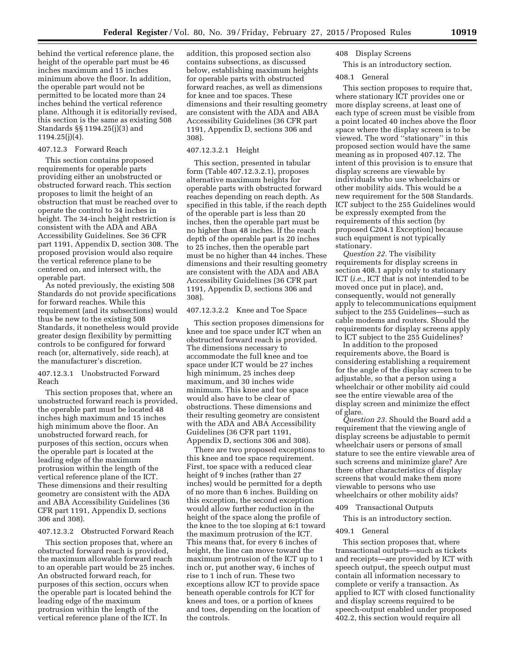behind the vertical reference plane, the height of the operable part must be 46 inches maximum and 15 inches minimum above the floor. In addition, the operable part would not be permitted to be located more than 24 inches behind the vertical reference plane. Although it is editorially revised, this section is the same as existing 508 Standards §§ 1194.25(j)(3) and 1194.25(j)(4).

### 407.12.3 Forward Reach

This section contains proposed requirements for operable parts providing either an unobstructed or obstructed forward reach. This section proposes to limit the height of an obstruction that must be reached over to operate the control to 34 inches in height. The 34-inch height restriction is consistent with the ADA and ABA Accessibility Guidelines. See 36 CFR part 1191, Appendix D, section 308. The proposed provision would also require the vertical reference plane to be centered on, and intersect with, the operable part.

As noted previously, the existing 508 Standards do not provide specifications for forward reaches. While this requirement (and its subsections) would thus be new to the existing 508 Standards, it nonetheless would provide greater design flexibility by permitting controls to be configured for forward reach (or, alternatively, side reach), at the manufacturer's discretion.

### 407.12.3.1 Unobstructed Forward Reach

This section proposes that, where an unobstructed forward reach is provided, the operable part must be located 48 inches high maximum and 15 inches high minimum above the floor. An unobstructed forward reach, for purposes of this section, occurs when the operable part is located at the leading edge of the maximum protrusion within the length of the vertical reference plane of the ICT. These dimensions and their resulting geometry are consistent with the ADA and ABA Accessibility Guidelines (36 CFR part 1191, Appendix D, sections 306 and 308).

# 407.12.3.2 Obstructed Forward Reach

This section proposes that, where an obstructed forward reach is provided, the maximum allowable forward reach to an operable part would be 25 inches. An obstructed forward reach, for purposes of this section, occurs when the operable part is located behind the leading edge of the maximum protrusion within the length of the vertical reference plane of the ICT. In

addition, this proposed section also contains subsections, as discussed below, establishing maximum heights for operable parts with obstructed forward reaches, as well as dimensions for knee and toe spaces. These dimensions and their resulting geometry are consistent with the ADA and ABA Accessibility Guidelines (36 CFR part 1191, Appendix D, sections 306 and 308).

### 407.12.3.2.1 Height

This section, presented in tabular form (Table 407.12.3.2.1), proposes alternative maximum heights for operable parts with obstructed forward reaches depending on reach depth. As specified in this table, if the reach depth of the operable part is less than 20 inches, then the operable part must be no higher than 48 inches. If the reach depth of the operable part is 20 inches to 25 inches, then the operable part must be no higher than 44 inches. These dimensions and their resulting geometry are consistent with the ADA and ABA Accessibility Guidelines (36 CFR part 1191, Appendix D, sections 306 and 308).

# 407.12.3.2.2 Knee and Toe Space

This section proposes dimensions for knee and toe space under ICT when an obstructed forward reach is provided. The dimensions necessary to accommodate the full knee and toe space under ICT would be 27 inches high minimum, 25 inches deep maximum, and 30 inches wide minimum. This knee and toe space would also have to be clear of obstructions. These dimensions and their resulting geometry are consistent with the ADA and ABA Accessibility Guidelines (36 CFR part 1191, Appendix D, sections 306 and 308).

There are two proposed exceptions to this knee and toe space requirement. First, toe space with a reduced clear height of 9 inches (rather than 27 inches) would be permitted for a depth of no more than 6 inches. Building on this exception, the second exception would allow further reduction in the height of the space along the profile of the knee to the toe sloping at 6:1 toward the maximum protrusion of the ICT. This means that, for every 6 inches of height, the line can move toward the maximum protrusion of the ICT up to 1 inch or, put another way, 6 inches of rise to 1 inch of run. These two exceptions allow ICT to provide space beneath operable controls for ICT for knees and toes, or a portion of knees and toes, depending on the location of the controls.

### 408 Display Screens

# This is an introductory section.

### 408.1 General

This section proposes to require that, where stationary ICT provides one or more display screens, at least one of each type of screen must be visible from a point located 40 inches above the floor space where the display screen is to be viewed. The word ''stationary'' in this proposed section would have the same meaning as in proposed 407.12. The intent of this provision is to ensure that display screens are viewable by individuals who use wheelchairs or other mobility aids. This would be a new requirement for the 508 Standards. ICT subject to the 255 Guidelines would be expressly exempted from the requirements of this section (by proposed C204.1 Exception) because such equipment is not typically stationary.

*Question 22.* The visibility requirements for display screens in section 408.1 apply only to stationary ICT (*i.e.,* ICT that is not intended to be moved once put in place), and, consequently, would not generally apply to telecommunications equipment subject to the 255 Guidelines—such as cable modems and routers. Should the requirements for display screens apply to ICT subject to the 255 Guidelines?

In addition to the proposed requirements above, the Board is considering establishing a requirement for the angle of the display screen to be adjustable, so that a person using a wheelchair or other mobility aid could see the entire viewable area of the display screen and minimize the effect of glare.

*Question 23.* Should the Board add a requirement that the viewing angle of display screens be adjustable to permit wheelchair users or persons of small stature to see the entire viewable area of such screens and minimize glare? Are there other characteristics of display screens that would make them more viewable to persons who use wheelchairs or other mobility aids?

409 Transactional Outputs

This is an introductory section.

# 409.1 General

This section proposes that, where transactional outputs—such as tickets and receipts—are provided by ICT with speech output, the speech output must contain all information necessary to complete or verify a transaction. As applied to ICT with closed functionality and display screens required to be speech-output enabled under proposed 402.2, this section would require all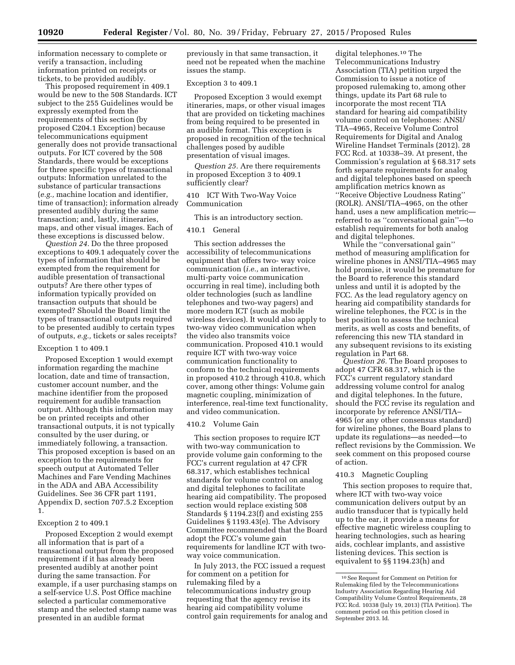information necessary to complete or verify a transaction, including information printed on receipts or tickets, to be provided audibly.

This proposed requirement in 409.1 would be new to the 508 Standards. ICT subject to the 255 Guidelines would be expressly exempted from the requirements of this section (by proposed C204.1 Exception) because telecommunications equipment generally does not provide transactional outputs. For ICT covered by the 508 Standards, there would be exceptions for three specific types of transactional outputs: Information unrelated to the substance of particular transactions (*e.g.,* machine location and identifier, time of transaction); information already presented audibly during the same transaction; and, lastly, itineraries, maps, and other visual images. Each of these exceptions is discussed below.

*Question 24.* Do the three proposed exceptions to 409.1 adequately cover the types of information that should be exempted from the requirement for audible presentation of transactional outputs? Are there other types of information typically provided on transaction outputs that should be exempted? Should the Board limit the types of transactional outputs required to be presented audibly to certain types of outputs, *e.g.,* tickets or sales receipts?

# Exception 1 to 409.1

Proposed Exception 1 would exempt information regarding the machine location, date and time of transaction, customer account number, and the machine identifier from the proposed requirement for audible transaction output. Although this information may be on printed receipts and other transactional outputs, it is not typically consulted by the user during, or immediately following, a transaction. This proposed exception is based on an exception to the requirements for speech output at Automated Teller Machines and Fare Vending Machines in the ADA and ABA Accessibility Guidelines. See 36 CFR part 1191, Appendix D, section 707.5.2 Exception 1.

# Exception 2 to 409.1

Proposed Exception 2 would exempt all information that is part of a transactional output from the proposed requirement if it has already been presented audibly at another point during the same transaction. For example, if a user purchasing stamps on a self-service U.S. Post Office machine selected a particular commemorative stamp and the selected stamp name was presented in an audible format

previously in that same transaction, it need not be repeated when the machine issues the stamp.

# Exception 3 to 409.1

Proposed Exception 3 would exempt itineraries, maps, or other visual images that are provided on ticketing machines from being required to be presented in an audible format. This exception is proposed in recognition of the technical challenges posed by audible presentation of visual images.

*Question 25.* Are there requirements in proposed Exception 3 to 409.1 sufficiently clear?

# 410 ICT With Two-Way Voice Communication

This is an introductory section.

# 410.1 General

This section addresses the accessibility of telecommunications equipment that offers two- way voice communication (*i.e.,* an interactive, multi-party voice communication occurring in real time), including both older technologies (such as landline telephones and two-way pagers) and more modern ICT (such as mobile wireless devices). It would also apply to two-way video communication when the video also transmits voice communication. Proposed 410.1 would require ICT with two-way voice communication functionality to conform to the technical requirements in proposed 410.2 through 410.8, which cover, among other things: Volume gain magnetic coupling, minimization of interference, real-time text functionality, and video communication.

### 410.2 Volume Gain

This section proposes to require ICT with two-way communication to provide volume gain conforming to the FCC's current regulation at 47 CFR 68.317, which establishes technical standards for volume control on analog and digital telephones to facilitate hearing aid compatibility. The proposed section would replace existing 508 Standards § 1194.23(f) and existing 255 Guidelines § 1193.43(e). The Advisory Committee recommended that the Board adopt the FCC's volume gain requirements for landline ICT with twoway voice communication.

In July 2013, the FCC issued a request for comment on a petition for rulemaking filed by a telecommunications industry group requesting that the agency revise its hearing aid compatibility volume control gain requirements for analog and

digital telephones.10 The Telecommunications Industry Association (TIA) petition urged the Commission to issue a notice of proposed rulemaking to, among other things, update its Part 68 rule to incorporate the most recent TIA standard for hearing aid compatibility volume control on telephones: ANSI/ TIA–4965, Receive Volume Control Requirements for Digital and Analog Wireline Handset Terminals (2012). 28 FCC Rcd. at 10338–39. At present, the Commission's regulation at § 68.317 sets forth separate requirements for analog and digital telephones based on speech amplification metrics known as ''Receive Objective Loudness Rating'' (ROLR). ANSI/TIA–4965, on the other hand, uses a new amplification metric referred to as ''conversational gain''—to establish requirements for both analog and digital telephones.

While the ''conversational gain'' method of measuring amplification for wireline phones in ANSI/TIA–4965 may hold promise, it would be premature for the Board to reference this standard unless and until it is adopted by the FCC. As the lead regulatory agency on hearing aid compatibility standards for wireline telephones, the FCC is in the best position to assess the technical merits, as well as costs and benefits, of referencing this new TIA standard in any subsequent revisions to its existing regulation in Part 68.

*Question 26.* The Board proposes to adopt 47 CFR 68.317, which is the FCC's current regulatory standard addressing volume control for analog and digital telephones. In the future, should the FCC revise its regulation and incorporate by reference ANSI/TIA– 4965 (or any other consensus standard) for wireline phones, the Board plans to update its regulations—as needed—to reflect revisions by the Commission. We seek comment on this proposed course of action.

### 410.3 Magnetic Coupling

This section proposes to require that, where ICT with two-way voice communication delivers output by an audio transducer that is typically held up to the ear, it provide a means for effective magnetic wireless coupling to hearing technologies, such as hearing aids, cochlear implants, and assistive listening devices. This section is equivalent to §§ 1194.23(h) and

<sup>10</sup>See Request for Comment on Petition for Rulemaking filed by the Telecommunications Industry Association Regarding Hearing Aid Compatibility Volume Control Requirements, 28 FCC Rcd. 10338 (July 19, 2013) (TIA Petition). The comment period on this petition closed in September 2013. Id.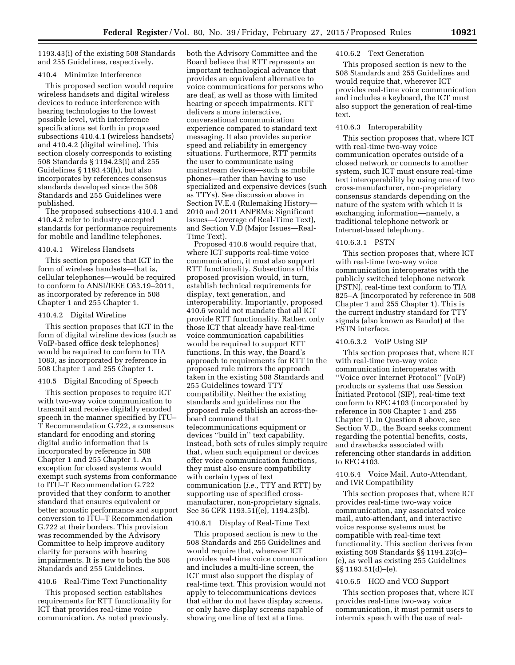1193.43(i) of the existing 508 Standards and 255 Guidelines, respectively.

### 410.4 Minimize Interference

This proposed section would require wireless handsets and digital wireless devices to reduce interference with hearing technologies to the lowest possible level, with interference specifications set forth in proposed subsections 410.4.1 (wireless handsets) and 410.4.2 (digital wireline). This section closely corresponds to existing 508 Standards § 1194.23(i) and 255 Guidelines § 1193.43(h), but also incorporates by references consensus standards developed since the 508 Standards and 255 Guidelines were published.

The proposed subsections 410.4.1 and 410.4.2 refer to industry-accepted standards for performance requirements for mobile and landline telephones.

### 410.4.1 Wireless Handsets

This section proposes that ICT in the form of wireless handsets—that is, cellular telephones—would be required to conform to ANSI/IEEE C63.19–2011, as incorporated by reference in 508 Chapter 1 and 255 Chapter 1.

# 410.4.2 Digital Wireline

This section proposes that ICT in the form of digital wireline devices (such as VoIP-based office desk telephones) would be required to conform to TIA 1083, as incorporated by reference in 508 Chapter 1 and 255 Chapter 1.

# 410.5 Digital Encoding of Speech

This section proposes to require ICT with two-way voice communication to transmit and receive digitally encoded speech in the manner specified by ITU– T Recommendation G.722, a consensus standard for encoding and storing digital audio information that is incorporated by reference in 508 Chapter 1 and 255 Chapter 1. An exception for closed systems would exempt such systems from conformance to ITU–T Recommendation G.722 provided that they conform to another standard that ensures equivalent or better acoustic performance and support conversion to ITU–T Recommendation G.722 at their borders. This provision was recommended by the Advisory Committee to help improve auditory clarity for persons with hearing impairments. It is new to both the 508 Standards and 255 Guidelines.

# 410.6 Real-Time Text Functionality

This proposed section establishes requirements for RTT functionality for ICT that provides real-time voice communication. As noted previously,

both the Advisory Committee and the Board believe that RTT represents an important technological advance that provides an equivalent alternative to voice communications for persons who are deaf, as well as those with limited hearing or speech impairments. RTT delivers a more interactive, conversational communication experience compared to standard text messaging. It also provides superior speed and reliability in emergency situations. Furthermore, RTT permits the user to communicate using mainstream devices—such as mobile phones—rather than having to use specialized and expensive devices (such as TTYs). See discussion above in Section IV.E.4 (Rulemaking History— 2010 and 2011 ANPRMs: Significant Issues—Coverage of Real-Time Text), and Section V.D (Major Issues—Real-Time Text).

Proposed 410.6 would require that, where ICT supports real-time voice communication, it must also support RTT functionality. Subsections of this proposed provision would, in turn, establish technical requirements for display, text generation, and interoperability. Importantly, proposed 410.6 would not mandate that all ICT provide RTT functionality. Rather, only those ICT that already have real-time voice communication capabilities would be required to support RTT functions. In this way, the Board's approach to requirements for RTT in the proposed rule mirrors the approach taken in the existing 508 Standards and 255 Guidelines toward TTY compatibility. Neither the existing standards and guidelines nor the proposed rule establish an across-theboard command that telecommunications equipment or devices ''build in'' text capability. Instead, both sets of rules simply require that, when such equipment or devices offer voice communication functions, they must also ensure compatibility with certain types of text communication (*i.e.,* TTY and RTT) by supporting use of specified crossmanufacturer, non-proprietary signals. See 36 CFR 1193.51((e), 1194.23(b).

### 410.6.1 Display of Real-Time Text

This proposed section is new to the 508 Standards and 255 Guidelines and would require that, wherever ICT provides real-time voice communication and includes a multi-line screen, the ICT must also support the display of real-time text. This provision would not apply to telecommunications devices that either do not have display screens, or only have display screens capable of showing one line of text at a time.

# 410.6.2 Text Generation

This proposed section is new to the 508 Standards and 255 Guidelines and would require that, wherever ICT provides real-time voice communication and includes a keyboard, the ICT must also support the generation of real-time text.

### 410.6.3 Interoperability

This section proposes that, where ICT with real-time two-way voice communication operates outside of a closed network or connects to another system, such ICT must ensure real-time text interoperability by using one of two cross-manufacturer, non-proprietary consensus standards depending on the nature of the system with which it is exchanging information—namely, a traditional telephone network or Internet-based telephony.

# 410.6.3.1 PSTN

This section proposes that, where ICT with real-time two-way voice communication interoperates with the publicly switched telephone network (PSTN), real-time text conform to TIA 825–A (incorporated by reference in 508 Chapter 1 and 255 Chapter 1). This is the current industry standard for TTY signals (also known as Baudot) at the PSTN interface.

# 410.6.3.2 VoIP Using SIP

This section proposes that, where ICT with real-time two-way voice communication interoperates with ''Voice over Internet Protocol'' (VoIP) products or systems that use Session Initiated Protocol (SIP), real-time text conform to RFC 4103 (incorporated by reference in 508 Chapter 1 and 255 Chapter 1). In Question 8 above, see Section V.D., the Board seeks comment regarding the potential benefits, costs, and drawbacks associated with referencing other standards in addition to RFC 4103.

410.6.4 Voice Mail, Auto-Attendant, and IVR Compatibility

This section proposes that, where ICT provides real-time two-way voice communication, any associated voice mail, auto-attendant, and interactive voice response systems must be compatible with real-time text functionality. This section derives from existing 508 Standards §§ 1194.23(c)– (e), as well as existing 255 Guidelines §§ 1193.51(d)–(e).

### 410.6.5 HCO and VCO Support

This section proposes that, where ICT provides real-time two-way voice communication, it must permit users to intermix speech with the use of real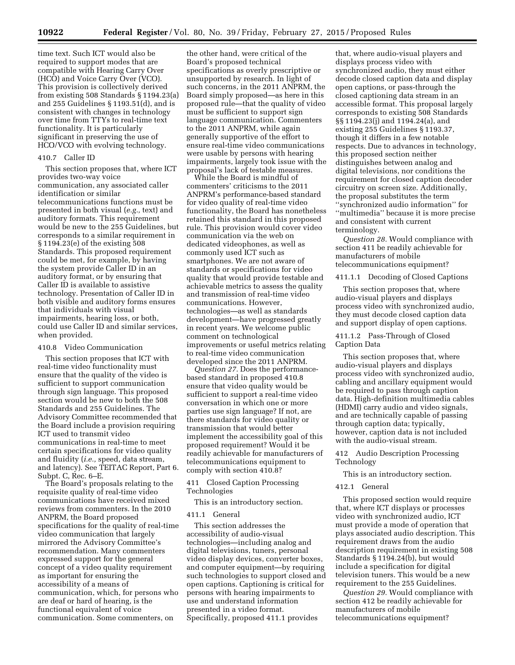time text. Such ICT would also be required to support modes that are compatible with Hearing Carry Over (HCO) and Voice Carry Over (VCO). This provision is collectively derived from existing 508 Standards § 1194.23(a) and 255 Guidelines § 1193.51(d), and is consistent with changes in technology over time from TTYs to real-time text functionality. It is particularly significant in preserving the use of HCO/VCO with evolving technology.

# 410.7 Caller ID

This section proposes that, where ICT provides two-way voice communication, any associated caller identification or similar telecommunications functions must be presented in both visual (*e.g.,* text) and auditory formats. This requirement would be new to the 255 Guidelines, but corresponds to a similar requirement in § 1194.23(e) of the existing 508 Standards. This proposed requirement could be met, for example, by having the system provide Caller ID in an auditory format, or by ensuring that Caller ID is available to assistive technology. Presentation of Caller ID in both visible and auditory forms ensures that individuals with visual impairments, hearing loss, or both, could use Caller ID and similar services, when provided.

### 410.8 Video Communication

This section proposes that ICT with real-time video functionality must ensure that the quality of the video is sufficient to support communication through sign language. This proposed section would be new to both the 508 Standards and 255 Guidelines. The Advisory Committee recommended that the Board include a provision requiring ICT used to transmit video communications in real-time to meet certain specifications for video quality and fluidity (*i.e.,* speed, data stream, and latency). See TEITAC Report, Part 6. Subpt. C, Rec. 6–E.

The Board's proposals relating to the requisite quality of real-time video communications have received mixed reviews from commenters. In the 2010 ANPRM, the Board proposed specifications for the quality of real-time video communication that largely mirrored the Advisory Committee's recommendation. Many commenters expressed support for the general concept of a video quality requirement as important for ensuring the accessibility of a means of communication, which, for persons who are deaf or hard of hearing, is the functional equivalent of voice communication. Some commenters, on

the other hand, were critical of the Board's proposed technical specifications as overly prescriptive or unsupported by research. In light of such concerns, in the 2011 ANPRM, the Board simply proposed—as here in this proposed rule—that the quality of video must be sufficient to support sign language communication. Commenters to the 2011 ANPRM, while again generally supportive of the effort to ensure real-time video communications were usable by persons with hearing impairments, largely took issue with the proposal's lack of testable measures.

While the Board is mindful of commenters' criticisms to the 2011 ANPRM's performance-based standard for video quality of real-time video functionality, the Board has nonetheless retained this standard in this proposed rule. This provision would cover video communication via the web on dedicated videophones, as well as commonly used ICT such as smartphones. We are not aware of standards or specifications for video quality that would provide testable and achievable metrics to assess the quality and transmission of real-time video communications. However, technologies—as well as standards development—have progressed greatly in recent years. We welcome public comment on technological improvements or useful metrics relating to real-time video communication developed since the 2011 ANPRM.

*Question 27.* Does the performancebased standard in proposed 410.8 ensure that video quality would be sufficient to support a real-time video conversation in which one or more parties use sign language? If not, are there standards for video quality or transmission that would better implement the accessibility goal of this proposed requirement? Would it be readily achievable for manufacturers of telecommunications equipment to comply with section 410.8?

411 Closed Caption Processing Technologies

This is an introductory section.

### 411.1 General

This section addresses the accessibility of audio-visual technologies—including analog and digital televisions, tuners, personal video display devices, converter boxes, and computer equipment—by requiring such technologies to support closed and open captions. Captioning is critical for persons with hearing impairments to use and understand information presented in a video format. Specifically, proposed 411.1 provides

that, where audio-visual players and displays process video with synchronized audio, they must either decode closed caption data and display open captions, or pass-through the closed captioning data stream in an accessible format. This proposal largely corresponds to existing 508 Standards §§ 1194.23(j) and 1194.24(a), and existing 255 Guidelines § 1193.37, though it differs in a few notable respects. Due to advances in technology, this proposed section neither distinguishes between analog and digital televisions, nor conditions the requirement for closed caption decoder circuitry on screen size. Additionally, the proposal substitutes the term ''synchronized audio information'' for ''multimedia'' because it is more precise and consistent with current terminology.

*Question 28.* Would compliance with section 411 be readily achievable for manufacturers of mobile telecommunications equipment?

411.1.1 Decoding of Closed Captions

This section proposes that, where audio-visual players and displays process video with synchronized audio, they must decode closed caption data and support display of open captions.

411.1.2 Pass-Through of Closed Caption Data

This section proposes that, where audio-visual players and displays process video with synchronized audio, cabling and ancillary equipment would be required to pass through caption data. High-definition multimedia cables (HDMI) carry audio and video signals, and are technically capable of passing through caption data; typically, however, caption data is not included with the audio-visual stream.

412 Audio Description Processing Technology

This is an introductory section.

### 412.1 General

This proposed section would require that, where ICT displays or processes video with synchronized audio, ICT must provide a mode of operation that plays associated audio description. This requirement draws from the audio description requirement in existing 508 Standards § 1194.24(b), but would include a specification for digital television tuners. This would be a new requirement to the 255 Guidelines.

*Question 29.* Would compliance with section 412 be readily achievable for manufacturers of mobile telecommunications equipment?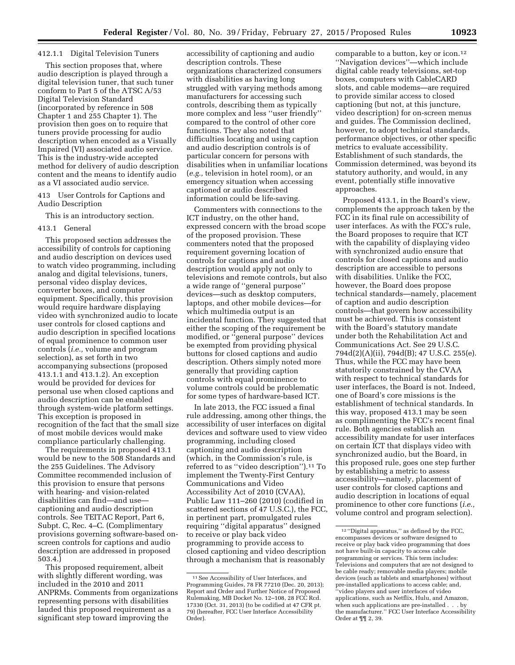### 412.1.1 Digital Television Tuners

This section proposes that, where audio description is played through a digital television tuner, that such tuner conform to Part 5 of the ATSC A/53 Digital Television Standard (incorporated by reference in 508 Chapter 1 and 255 Chapter 1). The provision then goes on to require that tuners provide processing for audio description when encoded as a Visually Impaired (VI) associated audio service. This is the industry-wide accepted method for delivery of audio description content and the means to identify audio as a VI associated audio service.

413 User Controls for Captions and Audio Description

This is an introductory section.

### 413.1 General

This proposed section addresses the accessibility of controls for captioning and audio description on devices used to watch video programming, including analog and digital televisions, tuners, personal video display devices, converter boxes, and computer equipment. Specifically, this provision would require hardware displaying video with synchronized audio to locate user controls for closed captions and audio description in specified locations of equal prominence to common user controls (*i.e.,* volume and program selection), as set forth in two accompanying subsections (proposed 413.1.1 and 413.1.2). An exception would be provided for devices for personal use when closed captions and audio description can be enabled through system-wide platform settings. This exception is proposed in recognition of the fact that the small size of most mobile devices would make compliance particularly challenging.

The requirements in proposed 413.1 would be new to the 508 Standards and the 255 Guidelines. The Advisory Committee recommended inclusion of this provision to ensure that persons with hearing- and vision-related disabilities can find—and use captioning and audio description controls. See TEITAC Report, Part 6, Subpt. C, Rec. 4–C. (Complimentary provisions governing software-based onscreen controls for captions and audio description are addressed in proposed 503.4.)

This proposed requirement, albeit with slightly different wording, was included in the 2010 and 2011 ANPRMs. Comments from organizations representing persons with disabilities lauded this proposed requirement as a significant step toward improving the

accessibility of captioning and audio description controls. These organizations characterized consumers with disabilities as having long struggled with varying methods among manufacturers for accessing such controls, describing them as typically more complex and less ''user friendly'' compared to the control of other core functions. They also noted that difficulties locating and using caption and audio description controls is of particular concern for persons with disabilities when in unfamiliar locations (*e.g.,* television in hotel room), or an emergency situation when accessing captioned or audio described information could be life-saving.

Commenters with connections to the ICT industry, on the other hand, expressed concern with the broad scope of the proposed provision. These commenters noted that the proposed requirement governing location of controls for captions and audio description would apply not only to televisions and remote controls, but also a wide range of ''general purpose'' devices—such as desktop computers, laptops, and other mobile devices—for which multimedia output is an incidental function. They suggested that either the scoping of the requirement be modified, or ''general purpose'' devices be exempted from providing physical buttons for closed captions and audio description. Others simply noted more generally that providing caption controls with equal prominence to volume controls could be problematic for some types of hardware-based ICT.

In late 2013, the FCC issued a final rule addressing, among other things, the accessibility of user interfaces on digital devices and software used to view video programming, including closed captioning and audio description (which, in the Commission's rule, is referred to as ''video description'').11 To implement the Twenty-First Century Communications and Video Accessibility Act of 2010 (CVAA), Public Law 111–260 (2010) (codified in scattered sections of 47 U.S.C.), the FCC, in pertinent part, promulgated rules requiring ''digital apparatus'' designed to receive or play back video programming to provide access to closed captioning and video description through a mechanism that is reasonably

comparable to a button, key or icon.12 ''Navigation devices''—which include digital cable ready televisions, set-top boxes, computers with CableCARD slots, and cable modems—are required to provide similar access to closed captioning (but not, at this juncture, video description) for on-screen menus and guides. The Commission declined, however, to adopt technical standards, performance objectives, or other specific metrics to evaluate accessibility. Establishment of such standards, the Commission determined, was beyond its statutory authority, and would, in any event, potentially stifle innovative approaches.

Proposed 413.1, in the Board's view, complements the approach taken by the FCC in its final rule on accessibility of user interfaces. As with the FCC's rule, the Board proposes to require that ICT with the capability of displaying video with synchronized audio ensure that controls for closed captions and audio description are accessible to persons with disabilities. Unlike the FCC, however, the Board does propose technical standards—namely, placement of caption and audio description controls—that govern how accessibility must be achieved. This is consistent with the Board's statutory mandate under both the Rehabilitation Act and Communications Act. See 29 U.S.C. 794d(2)(A)(ii), 794d(B); 47 U.S.C. 255(e). Thus, while the FCC may have been statutorily constrained by the CVAA with respect to technical standards for user interfaces, the Board is not. Indeed, one of Board's core missions is the establishment of technical standards. In this way, proposed 413.1 may be seen as complimenting the FCC's recent final rule. Both agencies establish an accessibility mandate for user interfaces on certain ICT that displays video with synchronized audio, but the Board, in this proposed rule, goes one step further by establishing a metric to assess accessibility—namely, placement of user controls for closed captions and audio description in locations of equal prominence to other core functions (*i.e.,*  volume control and program selection).

<sup>11</sup>See Accessibility of User Interfaces, and Programming Guides, 78 FR 77210 (Dec. 20, 2013); Report and Order and Further Notice of Proposed Rulemaking, MB Docket No. 12–108, 28 FCC Rcd. 17330 (Oct. 31, 2013) (to be codified at 47 CFR pt. 79) (hereafter, FCC User Interface Accessibility Order).

 $^{12}$  ''Digital apparatus,'' as defined by the FCC, encompasses devices or software designed to receive or play back video programming that does not have built-in capacity to access cable programming or services. This term includes: Televisions and computers that are not designed to be cable ready; removable media players; mobile devices (such as tablets and smartphones) without pre-installed applications to access cable; and, ''video players and user interfaces of video applications, such as Netflix, Hulu, and Amazon, when such applications are pre-installed . . . by the manufacturer.'' FCC User Interface Accessibility Order at ¶¶ 2, 39.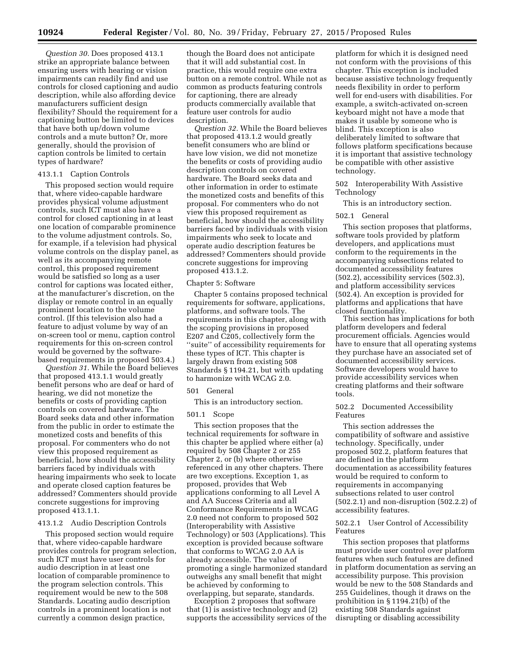*Question 30.* Does proposed 413.1 strike an appropriate balance between ensuring users with hearing or vision impairments can readily find and use controls for closed captioning and audio description, while also affording device manufacturers sufficient design flexibility? Should the requirement for a captioning button be limited to devices that have both up/down volume controls and a mute button? Or, more generally, should the provision of caption controls be limited to certain types of hardware?

# 413.1.1 Caption Controls

This proposed section would require that, where video-capable hardware provides physical volume adjustment controls, such ICT must also have a control for closed captioning in at least one location of comparable prominence to the volume adjustment controls. So, for example, if a television had physical volume controls on the display panel, as well as its accompanying remote control, this proposed requirement would be satisfied so long as a user control for captions was located either, at the manufacturer's discretion, on the display or remote control in an equally prominent location to the volume control. (If this television also had a feature to adjust volume by way of an on-screen tool or menu, caption control requirements for this on-screen control would be governed by the softwarebased requirements in proposed 503.4.)

*Question 31.* While the Board believes that proposed 413.1.1 would greatly benefit persons who are deaf or hard of hearing, we did not monetize the benefits or costs of providing caption controls on covered hardware. The Board seeks data and other information from the public in order to estimate the monetized costs and benefits of this proposal. For commenters who do not view this proposed requirement as beneficial, how should the accessibility barriers faced by individuals with hearing impairments who seek to locate and operate closed caption features be addressed? Commenters should provide concrete suggestions for improving proposed 413.1.1.

# 413.1.2 Audio Description Controls

This proposed section would require that, where video-capable hardware provides controls for program selection, such ICT must have user controls for audio description in at least one location of comparable prominence to the program selection controls. This requirement would be new to the 508 Standards. Locating audio description controls in a prominent location is not currently a common design practice,

though the Board does not anticipate that it will add substantial cost. In practice, this would require one extra button on a remote control. While not as common as products featuring controls for captioning, there are already products commercially available that feature user controls for audio description.

*Question 32.* While the Board believes that proposed 413.1.2 would greatly benefit consumers who are blind or have low vision, we did not monetize the benefits or costs of providing audio description controls on covered hardware. The Board seeks data and other information in order to estimate the monetized costs and benefits of this proposal. For commenters who do not view this proposed requirement as beneficial, how should the accessibility barriers faced by individuals with vision impairments who seek to locate and operate audio description features be addressed? Commenters should provide concrete suggestions for improving proposed 413.1.2.

### Chapter 5: Software

Chapter 5 contains proposed technical requirements for software, applications, platforms, and software tools. The requirements in this chapter, along with the scoping provisions in proposed E207 and C205, collectively form the ''suite'' of accessibility requirements for these types of ICT. This chapter is largely drawn from existing 508 Standards § 1194.21, but with updating to harmonize with WCAG 2.0.

# 501 General

This is an introductory section.

# 501.1 Scope

This section proposes that the technical requirements for software in this chapter be applied where either (a) required by 508 Chapter 2 or 255 Chapter 2, or (b) where otherwise referenced in any other chapters. There are two exceptions. Exception 1, as proposed, provides that Web applications conforming to all Level A and AA Success Criteria and all Conformance Requirements in WCAG 2.0 need not conform to proposed 502 (Interoperability with Assistive Technology) or 503 (Applications). This exception is provided because software that conforms to WCAG 2.0 AA is already accessible. The value of promoting a single harmonized standard outweighs any small benefit that might be achieved by conforming to overlapping, but separate, standards.

Exception 2 proposes that software that (1) is assistive technology and (2) supports the accessibility services of the

platform for which it is designed need not conform with the provisions of this chapter. This exception is included because assistive technology frequently needs flexibility in order to perform well for end-users with disabilities. For example, a switch-activated on-screen keyboard might not have a mode that makes it usable by someone who is blind. This exception is also deliberately limited to software that follows platform specifications because it is important that assistive technology be compatible with other assistive technology.

502 Interoperability With Assistive Technology

This is an introductory section.

### 502.1 General

This section proposes that platforms, software tools provided by platform developers, and applications must conform to the requirements in the accompanying subsections related to documented accessibility features (502.2), accessibility services (502.3), and platform accessibility services (502.4). An exception is provided for platforms and applications that have closed functionality.

This section has implications for both platform developers and federal procurement officials. Agencies would have to ensure that all operating systems they purchase have an associated set of documented accessibility services. Software developers would have to provide accessibility services when creating platforms and their software tools.

# 502.2 Documented Accessibility Features

This section addresses the compatibility of software and assistive technology. Specifically, under proposed 502.2, platform features that are defined in the platform documentation as accessibility features would be required to conform to requirements in accompanying subsections related to user control (502.2.1) and non-disruption (502.2.2) of accessibility features.

# 502.2.1 User Control of Accessibility Features

This section proposes that platforms must provide user control over platform features when such features are defined in platform documentation as serving an accessibility purpose. This provision would be new to the 508 Standards and 255 Guidelines, though it draws on the prohibition in § 1194.21(b) of the existing 508 Standards against disrupting or disabling accessibility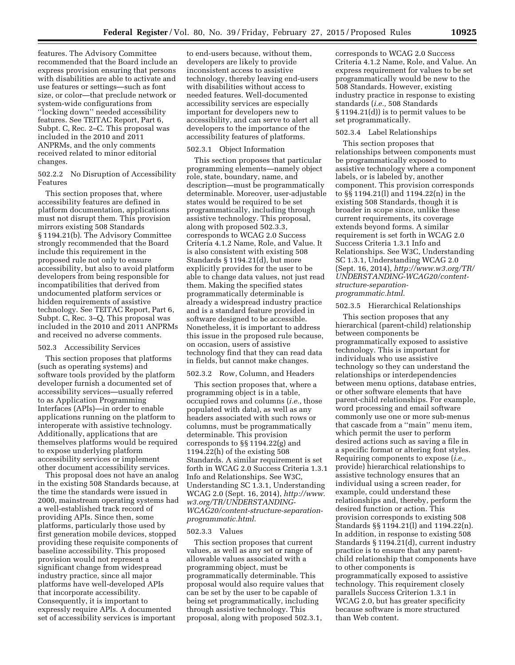features. The Advisory Committee recommended that the Board include an express provision ensuring that persons with disabilities are able to activate and use features or settings—such as font size, or color—that preclude network or system-wide configurations from ''locking down'' needed accessibility features. See TEITAC Report, Part 6, Subpt. C, Rec. 2–C. This proposal was included in the 2010 and 2011 ANPRMs, and the only comments received related to minor editorial changes.

# 502.2.2 No Disruption of Accessibility Features

This section proposes that, where accessibility features are defined in platform documentation, applications must not disrupt them. This provision mirrors existing 508 Standards § 1194.21(b). The Advisory Committee strongly recommended that the Board include this requirement in the proposed rule not only to ensure accessibility, but also to avoid platform developers from being responsible for incompatibilities that derived from undocumented platform services or hidden requirements of assistive technology. See TEITAC Report, Part 6, Subpt. C, Rec. 3–Q. This proposal was included in the 2010 and 2011 ANPRMs and received no adverse comments.

### 502.3 Accessibility Services

This section proposes that platforms (such as operating systems) and software tools provided by the platform developer furnish a documented set of accessibility services—usually referred to as Application Programming Interfaces (APIs)—in order to enable applications running on the platform to interoperate with assistive technology. Additionally, applications that are themselves platforms would be required to expose underlying platform accessibility services or implement other document accessibility services.

This proposal does not have an analog in the existing 508 Standards because, at the time the standards were issued in 2000, mainstream operating systems had a well-established track record of providing APIs. Since then, some platforms, particularly those used by first generation mobile devices, stopped providing these requisite components of baseline accessibility. This proposed provision would not represent a significant change from widespread industry practice, since all major platforms have well-developed APIs that incorporate accessibility. Consequently, it is important to expressly require APIs. A documented set of accessibility services is important

to end-users because, without them, developers are likely to provide inconsistent access to assistive technology, thereby leaving end-users with disabilities without access to needed features. Well-documented accessibility services are especially important for developers new to accessibility, and can serve to alert all developers to the importance of the accessibility features of platforms.

### 502.3.1 Object Information

This section proposes that particular programming elements—namely object role, state, boundary, name, and description—must be programmatically determinable. Moreover, user-adjustable states would be required to be set programmatically, including through assistive technology. This proposal, along with proposed 502.3.3, corresponds to WCAG 2.0 Success Criteria 4.1.2 Name, Role, and Value. It is also consistent with existing 508 Standards § 1194.21(d), but more explicitly provides for the user to be able to change data values, not just read them. Making the specified states programmatically determinable is already a widespread industry practice and is a standard feature provided in software designed to be accessible. Nonetheless, it is important to address this issue in the proposed rule because, on occasion, users of assistive technology find that they can read data in fields, but cannot make changes.

### 502.3.2 Row, Column, and Headers

This section proposes that, where a programming object is in a table, occupied rows and columns (*i.e.,* those populated with data), as well as any headers associated with such rows or columns, must be programmatically determinable. This provision corresponds to §§ 1194.22(g) and 1194.22(h) of the existing 508 Standards. A similar requirement is set forth in WCAG 2.0 Success Criteria 1.3.1 Info and Relationships. See W3C, Understanding SC 1.3.1, Understanding WCAG 2.0 (Sept. 16, 2014), *[http://www.](http://www.w3.org/TR/UNDERSTANDING-WCAG20/content-structure-separation-programmatic.html) [w3.org/TR/UNDERSTANDING-](http://www.w3.org/TR/UNDERSTANDING-WCAG20/content-structure-separation-programmatic.html)[WCAG20/content-structure-separation](http://www.w3.org/TR/UNDERSTANDING-WCAG20/content-structure-separation-programmatic.html)[programmatic.html](http://www.w3.org/TR/UNDERSTANDING-WCAG20/content-structure-separation-programmatic.html)*.

### 502.3.3 Values

This section proposes that current values, as well as any set or range of allowable values associated with a programming object, must be programmatically determinable. This proposal would also require values that can be set by the user to be capable of being set programmatically, including through assistive technology. This proposal, along with proposed 502.3.1,

corresponds to WCAG 2.0 Success Criteria 4.1.2 Name, Role, and Value. An express requirement for values to be set programmatically would be new to the 508 Standards. However, existing industry practice in response to existing standards (*i.e.,* 508 Standards § 1194.21(d)) is to permit values to be set programmatically.

# 502.3.4 Label Relationships

This section proposes that relationships between components must be programmatically exposed to assistive technology where a component labels, or is labeled by, another component. This provision corresponds to §§ 1194.21(l) and 1194.22(n) in the existing 508 Standards, though it is broader in scope since, unlike these current requirements, its coverage extends beyond forms. A similar requirement is set forth in WCAG 2.0 Success Criteria 1.3.1 Info and Relationships. See W3C, Understanding SC 1.3.1, Understanding WCAG 2.0 (Sept. 16, 2014), *[http://www.w3.org/TR/](http://www.w3.org/TR/UNDERSTANDING-WCAG20/content-structure-separation-programmatic.html)  [UNDERSTANDING-WCAG20/content](http://www.w3.org/TR/UNDERSTANDING-WCAG20/content-structure-separation-programmatic.html)[structure-separation](http://www.w3.org/TR/UNDERSTANDING-WCAG20/content-structure-separation-programmatic.html)[programmatic.html](http://www.w3.org/TR/UNDERSTANDING-WCAG20/content-structure-separation-programmatic.html)*.

# 502.3.5 Hierarchical Relationships

This section proposes that any hierarchical (parent-child) relationship between components be programmatically exposed to assistive technology. This is important for individuals who use assistive technology so they can understand the relationships or interdependencies between menu options, database entries, or other software elements that have parent-child relationships. For example, word processing and email software commonly use one or more sub-menus that cascade from a ''main'' menu item, which permit the user to perform desired actions such as saving a file in a specific format or altering font styles. Requiring components to expose (*i.e.,*  provide) hierarchical relationships to assistive technology ensures that an individual using a screen reader, for example, could understand these relationships and, thereby, perform the desired function or action. This provision corresponds to existing 508 Standards §§ 1194.21(l) and 1194.22(n). In addition, in response to existing 508 Standards § 1194.21(d), current industry practice is to ensure that any parentchild relationship that components have to other components is programmatically exposed to assistive technology. This requirement closely parallels Success Criterion 1.3.1 in WCAG 2.0, but has greater specificity because software is more structured than Web content.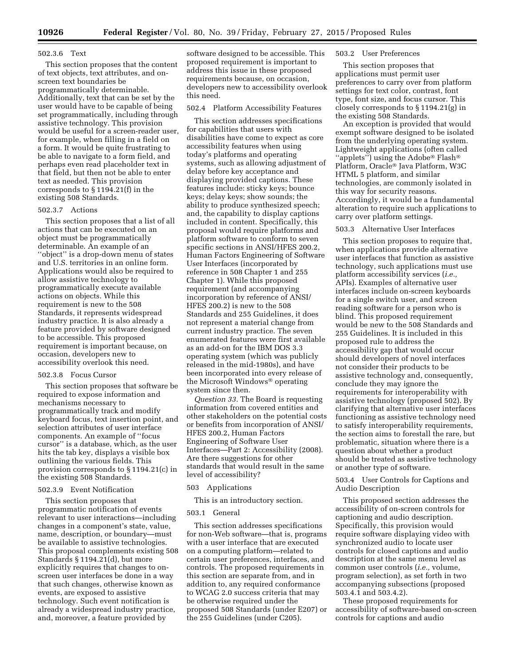### 502.3.6 Text

This section proposes that the content of text objects, text attributes, and onscreen text boundaries be programmatically determinable. Additionally, text that can be set by the user would have to be capable of being set programmatically, including through assistive technology. This provision would be useful for a screen-reader user, for example, when filling in a field on a form. It would be quite frustrating to be able to navigate to a form field, and perhaps even read placeholder text in that field, but then not be able to enter text as needed. This provision corresponds to § 1194.21(f) in the existing 508 Standards.

### 502.3.7 Actions

This section proposes that a list of all actions that can be executed on an object must be programmatically determinable. An example of an ''object'' is a drop-down menu of states and U.S. territories in an online form. Applications would also be required to allow assistive technology to programmatically execute available actions on objects. While this requirement is new to the 508 Standards, it represents widespread industry practice. It is also already a feature provided by software designed to be accessible. This proposed requirement is important because, on occasion, developers new to accessibility overlook this need.

# 502.3.8 Focus Cursor

This section proposes that software be required to expose information and mechanisms necessary to programmatically track and modify keyboard focus, text insertion point, and selection attributes of user interface components. An example of ''focus cursor'' is a database, which, as the user hits the tab key, displays a visible box outlining the various fields. This provision corresponds to § 1194.21(c) in the existing 508 Standards.

# 502.3.9 Event Notification

This section proposes that programmatic notification of events relevant to user interactions—including changes in a component's state, value, name, description, or boundary—must be available to assistive technologies. This proposal complements existing 508 Standards § 1194.21(d), but more explicitly requires that changes to onscreen user interfaces be done in a way that such changes, otherwise known as events, are exposed to assistive technology. Such event notification is already a widespread industry practice, and, moreover, a feature provided by

software designed to be accessible. This proposed requirement is important to address this issue in these proposed requirements because, on occasion, developers new to accessibility overlook this need.

### 502.4 Platform Accessibility Features

This section addresses specifications for capabilities that users with disabilities have come to expect as core accessibility features when using today's platforms and operating systems, such as allowing adjustment of delay before key acceptance and displaying provided captions. These features include: sticky keys; bounce keys; delay keys; show sounds; the ability to produce synthesized speech; and, the capability to display captions included in content. Specifically, this proposal would require platforms and platform software to conform to seven specific sections in ANSI/HFES 200.2, Human Factors Engineering of Software User Interfaces (incorporated by reference in 508 Chapter 1 and 255 Chapter 1). While this proposed requirement (and accompanying incorporation by reference of ANSI/ HFES 200.2) is new to the 508 Standards and 255 Guidelines, it does not represent a material change from current industry practice. The seven enumerated features were first available as an add-on for the IBM DOS 3.3 operating system (which was publicly released in the mid-1980s), and have been incorporated into every release of the Microsoft Windows® operating system since then.

*Question 33.* The Board is requesting information from covered entities and other stakeholders on the potential costs or benefits from incorporation of ANSI/ HFES 200.2, Human Factors Engineering of Software User Interfaces—Part 2: Accessibility (2008). Are there suggestions for other standards that would result in the same level of accessibility?

### 503 Applications

### This is an introductory section.

### 503.1 General

This section addresses specifications for non-Web software—that is, programs with a user interface that are executed on a computing platform—related to certain user preferences, interfaces, and controls. The proposed requirements in this section are separate from, and in addition to, any required conformance to WCAG 2.0 success criteria that may be otherwise required under the proposed 508 Standards (under E207) or the 255 Guidelines (under C205).

# 503.2 User Preferences

This section proposes that applications must permit user preferences to carry over from platform settings for text color, contrast, font type, font size, and focus cursor. This closely corresponds to § 1194.21(g) in the existing 508 Standards.

An exception is provided that would exempt software designed to be isolated from the underlying operating system. Lightweight applications (often called  $``\text{applets}''$ ) using the Adobe® Flash® Platform, Oracle® Java Platform, W3C HTML 5 platform, and similar technologies, are commonly isolated in this way for security reasons. Accordingly, it would be a fundamental alteration to require such applications to carry over platform settings.

# 503.3 Alternative User Interfaces

This section proposes to require that, when applications provide alternative user interfaces that function as assistive technology, such applications must use platform accessibility services (*i.e.,*  APIs). Examples of alternative user interfaces include on-screen keyboards for a single switch user, and screen reading software for a person who is blind. This proposed requirement would be new to the 508 Standards and 255 Guidelines. It is included in this proposed rule to address the accessibility gap that would occur should developers of novel interfaces not consider their products to be assistive technology and, consequently, conclude they may ignore the requirements for interoperability with assistive technology (proposed 502). By clarifying that alternative user interfaces functioning as assistive technology need to satisfy interoperability requirements, the section aims to forestall the rare, but problematic, situation where there is a question about whether a product should be treated as assistive technology or another type of software.

503.4 User Controls for Captions and Audio Description

This proposed section addresses the accessibility of on-screen controls for captioning and audio description. Specifically, this provision would require software displaying video with synchronized audio to locate user controls for closed captions and audio description at the same menu level as common user controls (*i.e.,* volume, program selection), as set forth in two accompanying subsections (proposed 503.4.1 and 503.4.2).

These proposed requirements for accessibility of software-based on-screen controls for captions and audio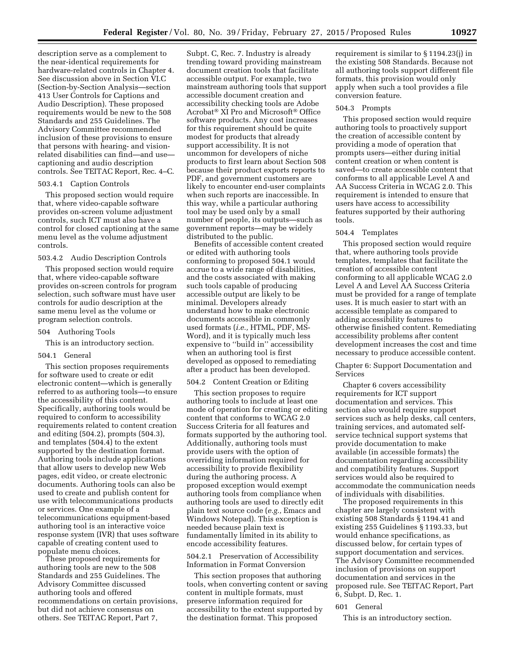description serve as a complement to the near-identical requirements for hardware-related controls in Chapter 4. See discussion above in Section VI.C (Section-by-Section Analysis—section 413 User Controls for Captions and Audio Description). These proposed requirements would be new to the 508 Standards and 255 Guidelines. The Advisory Committee recommended inclusion of these provisions to ensure that persons with hearing- and visionrelated disabilities can find—and use captioning and audio description controls. See TEITAC Report, Rec. 4–C.

# 503.4.1 Caption Controls

This proposed section would require that, where video-capable software provides on-screen volume adjustment controls, such ICT must also have a control for closed captioning at the same menu level as the volume adjustment controls.

### 503.4.2 Audio Description Controls

This proposed section would require that, where video-capable software provides on-screen controls for program selection, such software must have user controls for audio description at the same menu level as the volume or program selection controls.

# 504 Authoring Tools

This is an introductory section.

### 504.1 General

This section proposes requirements for software used to create or edit electronic content—which is generally referred to as authoring tools—to ensure the accessibility of this content. Specifically, authoring tools would be required to conform to accessibility requirements related to content creation and editing (504.2), prompts (504.3), and templates (504.4) to the extent supported by the destination format. Authoring tools include applications that allow users to develop new Web pages, edit video, or create electronic documents. Authoring tools can also be used to create and publish content for use with telecommunications products or services. One example of a telecommunications equipment-based authoring tool is an interactive voice response system (IVR) that uses software capable of creating content used to populate menu choices.

These proposed requirements for authoring tools are new to the 508 Standards and 255 Guidelines. The Advisory Committee discussed authoring tools and offered recommendations on certain provisions, but did not achieve consensus on others. See TEITAC Report, Part 7,

Subpt. C, Rec. 7. Industry is already trending toward providing mainstream document creation tools that facilitate accessible output. For example, two mainstream authoring tools that support accessible document creation and accessibility checking tools are Adobe Acrobat® XI Pro and Microsoft® Office software products. Any cost increases for this requirement should be quite modest for products that already support accessibility. It is not uncommon for developers of niche products to first learn about Section 508 because their product exports reports to PDF, and government customers are likely to encounter end-user complaints when such reports are inaccessible. In this way, while a particular authoring tool may be used only by a small number of people, its outputs—such as government reports—may be widely distributed to the public.

Benefits of accessible content created or edited with authoring tools conforming to proposed 504.1 would accrue to a wide range of disabilities, and the costs associated with making such tools capable of producing accessible output are likely to be minimal. Developers already understand how to make electronic documents accessible in commonly used formats (*i.e.,* HTML, PDF, MS-Word), and it is typically much less expensive to ''build in'' accessibility when an authoring tool is first developed as opposed to remediating after a product has been developed.

# 504.2 Content Creation or Editing

This section proposes to require authoring tools to include at least one mode of operation for creating or editing content that conforms to WCAG 2.0 Success Criteria for all features and formats supported by the authoring tool. Additionally, authoring tools must provide users with the option of overriding information required for accessibility to provide flexibility during the authoring process. A proposed exception would exempt authoring tools from compliance when authoring tools are used to directly edit plain text source code (*e.g.,* Emacs and Windows Notepad). This exception is needed because plain text is fundamentally limited in its ability to encode accessibility features.

# 504.2.1 Preservation of Accessibility Information in Format Conversion

This section proposes that authoring tools, when converting content or saving content in multiple formats, must preserve information required for accessibility to the extent supported by the destination format. This proposed

requirement is similar to § 1194.23(j) in the existing 508 Standards. Because not all authoring tools support different file formats, this provision would only apply when such a tool provides a file conversion feature.

### 504.3 Prompts

This proposed section would require authoring tools to proactively support the creation of accessible content by providing a mode of operation that prompts users—either during initial content creation or when content is saved—to create accessible content that conforms to all applicable Level A and AA Success Criteria in WCAG 2.0. This requirement is intended to ensure that users have access to accessibility features supported by their authoring tools.

### 504.4 Templates

This proposed section would require that, where authoring tools provide templates, templates that facilitate the creation of accessible content conforming to all applicable WCAG 2.0 Level A and Level AA Success Criteria must be provided for a range of template uses. It is much easier to start with an accessible template as compared to adding accessibility features to otherwise finished content. Remediating accessibility problems after content development increases the cost and time necessary to produce accessible content.

Chapter 6: Support Documentation and Services

Chapter 6 covers accessibility requirements for ICT support documentation and services. This section also would require support services such as help desks, call centers, training services, and automated selfservice technical support systems that provide documentation to make available (in accessible formats) the documentation regarding accessibility and compatibility features. Support services would also be required to accommodate the communication needs of individuals with disabilities.

The proposed requirements in this chapter are largely consistent with existing 508 Standards § 1194.41 and existing 255 Guidelines § 1193.33, but would enhance specifications, as discussed below, for certain types of support documentation and services. The Advisory Committee recommended inclusion of provisions on support documentation and services in the proposed rule. See TEITAC Report, Part 6, Subpt. D, Rec. 1.

### 601 General

This is an introductory section.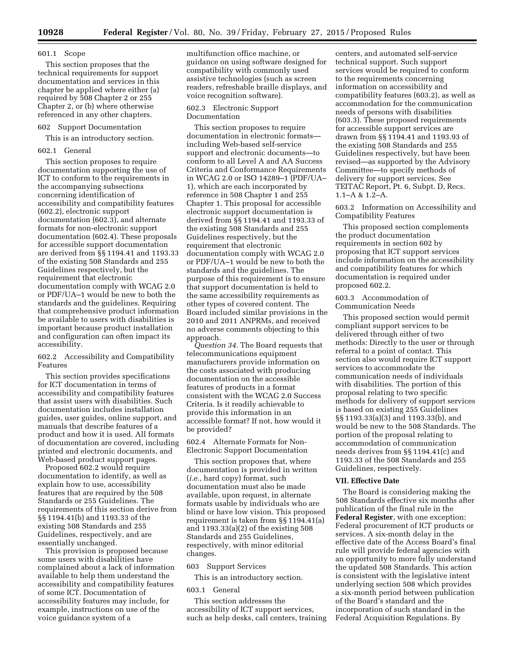### 601.1 Scope

This section proposes that the technical requirements for support documentation and services in this chapter be applied where either (a) required by 508 Chapter 2 or 255 Chapter 2, or (b) where otherwise referenced in any other chapters.

# 602 Support Documentation

This is an introductory section.

# 602.1 General

This section proposes to require documentation supporting the use of ICT to conform to the requirements in the accompanying subsections concerning identification of accessibility and compatibility features (602.2), electronic support documentation (602.3), and alternate formats for non-electronic support documentation (602.4). These proposals for accessible support documentation are derived from §§ 1194.41 and 1193.33 of the existing 508 Standards and 255 Guidelines respectively, but the requirement that electronic documentation comply with WCAG 2.0 or PDF/UA–1 would be new to both the standards and the guidelines. Requiring that comprehensive product information be available to users with disabilities is important because product installation and configuration can often impact its accessibility.

602.2 Accessibility and Compatibility Features

This section provides specifications for ICT documentation in terms of accessibility and compatibility features that assist users with disabilities. Such documentation includes installation guides, user guides, online support, and manuals that describe features of a product and how it is used. All formats of documentation are covered, including printed and electronic documents, and Web-based product support pages.

Proposed 602.2 would require documentation to identify, as well as explain how to use, accessibility features that are required by the 508 Standards or 255 Guidelines. The requirements of this section derive from §§ 1194.41(b) and 1193.33 of the existing 508 Standards and 255 Guidelines, respectively, and are essentially unchanged.

This provision is proposed because some users with disabilities have complained about a lack of information available to help them understand the accessibility and compatibility features of some ICT. Documentation of accessibility features may include, for example, instructions on use of the voice guidance system of a

multifunction office machine, or guidance on using software designed for compatibility with commonly used assistive technologies (such as screen readers, refreshable braille displays, and voice recognition software).

### 602.3 Electronic Support Documentation

This section proposes to require documentation in electronic formats including Web-based self-service support and electronic documents—to conform to all Level A and AA Success Criteria and Conformance Requirements in WCAG 2.0 or ISO 14289–1 (PDF/UA– 1), which are each incorporated by reference in 508 Chapter 1 and 255 Chapter 1. This proposal for accessible electronic support documentation is derived from §§ 1194.41 and 1193.33 of the existing 508 Standards and 255 Guidelines respectively, but the requirement that electronic documentation comply with WCAG 2.0 or PDF/UA–1 would be new to both the standards and the guidelines. The purpose of this requirement is to ensure that support documentation is held to the same accessibility requirements as other types of covered content. The Board included similar provisions in the 2010 and 2011 ANPRMs, and received no adverse comments objecting to this approach.

*Question 34.* The Board requests that telecommunications equipment manufacturers provide information on the costs associated with producing documentation on the accessible features of products in a format consistent with the WCAG 2.0 Success Criteria. Is it readily achievable to provide this information in an accessible format? If not, how would it be provided?

602.4 Alternate Formats for Non-Electronic Support Documentation

This section proposes that, where documentation is provided in written (*i.e.,* hard copy) format, such documentation must also be made available, upon request, in alternate formats usable by individuals who are blind or have low vision. This proposed requirement is taken from §§ 1194.41(a) and 1193.33(a)(2) of the existing 508 Standards and 255 Guidelines, respectively, with minor editorial changes.

603 Support Services

This is an introductory section.

### 603.1 General

This section addresses the accessibility of ICT support services, such as help desks, call centers, training

centers, and automated self-service technical support. Such support services would be required to conform to the requirements concerning information on accessibility and compatibility features (603.2), as well as accommodation for the communication needs of persons with disabilities (603.3). These proposed requirements for accessible support services are drawn from §§ 1194.41 and 1193.93 of the existing 508 Standards and 255 Guidelines respectively, but have been revised—as supported by the Advisory Committee—to specify methods of delivery for support services. See TEITAC Report, Pt. 6, Subpt. D, Recs. 1.1–A & 1.2–A.

603.2 Information on Accessibility and Compatibility Features

This proposed section complements the product documentation requirements in section 602 by proposing that ICT support services include information on the accessibility and compatibility features for which documentation is required under proposed 602.2.

# 603.3 Accommodation of Communication Needs

This proposed section would permit compliant support services to be delivered through either of two methods: Directly to the user or through referral to a point of contact. This section also would require ICT support services to accommodate the communication needs of individuals with disabilities. The portion of this proposal relating to two specific methods for delivery of support services is based on existing 255 Guidelines §§ 1193.33(a)(3) and 1193.33(b), and would be new to the 508 Standards. The portion of the proposal relating to accommodation of communication needs derives from §§ 1194.41(c) and 1193.33 of the 508 Standards and 255 Guidelines, respectively.

# **VII. Effective Date**

The Board is considering making the 508 Standards effective six months after publication of the final rule in the **Federal Register**, with one exception: Federal procurement of ICT products or services. A six-month delay in the effective date of the Access Board's final rule will provide federal agencies with an opportunity to more fully understand the updated 508 Standards. This action is consistent with the legislative intent underlying section 508 which provides a six-month period between publication of the Board's standard and the incorporation of such standard in the Federal Acquisition Regulations. By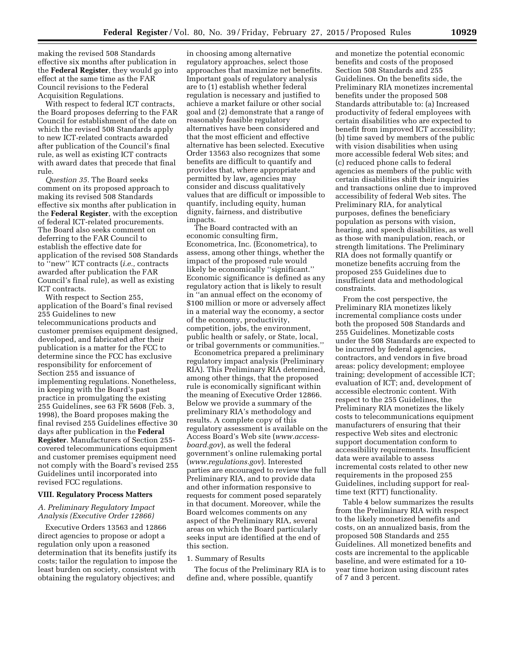making the revised 508 Standards effective six months after publication in the **Federal Register**, they would go into effect at the same time as the FAR Council revisions to the Federal Acquisition Regulations.

With respect to federal ICT contracts, the Board proposes deferring to the FAR Council for establishment of the date on which the revised 508 Standards apply to new ICT-related contracts awarded after publication of the Council's final rule, as well as existing ICT contracts with award dates that precede that final rule.

*Question 35.* The Board seeks comment on its proposed approach to making its revised 508 Standards effective six months after publication in the **Federal Register**, with the exception of federal ICT-related procurements. The Board also seeks comment on deferring to the FAR Council to establish the effective date for application of the revised 508 Standards to ''new'' ICT contracts (*i.e.,* contracts awarded after publication the FAR Council's final rule), as well as existing ICT contracts.

With respect to Section 255, application of the Board's final revised 255 Guidelines to new telecommunications products and customer premises equipment designed, developed, and fabricated after their publication is a matter for the FCC to determine since the FCC has exclusive responsibility for enforcement of Section 255 and issuance of implementing regulations. Nonetheless, in keeping with the Board's past practice in promulgating the existing 255 Guidelines, see 63 FR 5608 (Feb. 3, 1998), the Board proposes making the final revised 255 Guidelines effective 30 days after publication in the **Federal Register**. Manufacturers of Section 255 covered telecommunications equipment and customer premises equipment need not comply with the Board's revised 255 Guidelines until incorporated into revised FCC regulations.

### **VIII. Regulatory Process Matters**

# *A. Preliminary Regulatory Impact Analysis (Executive Order 12866)*

Executive Orders 13563 and 12866 direct agencies to propose or adopt a regulation only upon a reasoned determination that its benefits justify its costs; tailor the regulation to impose the least burden on society, consistent with obtaining the regulatory objectives; and

in choosing among alternative regulatory approaches, select those approaches that maximize net benefits. Important goals of regulatory analysis are to (1) establish whether federal regulation is necessary and justified to achieve a market failure or other social goal and (2) demonstrate that a range of reasonably feasible regulatory alternatives have been considered and that the most efficient and effective alternative has been selected. Executive Order 13563 also recognizes that some benefits are difficult to quantify and provides that, where appropriate and permitted by law, agencies may consider and discuss qualitatively values that are difficult or impossible to quantify, including equity, human dignity, fairness, and distributive impacts.

The Board contracted with an economic consulting firm, Econometrica, Inc. (Econometrica), to assess, among other things, whether the impact of the proposed rule would likely be economically ''significant.'' Economic significance is defined as any regulatory action that is likely to result in ''an annual effect on the economy of \$100 million or more or adversely affect in a material way the economy, a sector of the economy, productivity, competition, jobs, the environment, public health or safely, or State, local, or tribal governments or communities.''

Econometrica prepared a preliminary regulatory impact analysis (Preliminary RIA). This Preliminary RIA determined, among other things, that the proposed rule is economically significant within the meaning of Executive Order 12866. Below we provide a summary of the preliminary RIA's methodology and results. A complete copy of this regulatory assessment is available on the Access Board's Web site (*[www.access](http://www.access-board.gov)[board.gov](http://www.access-board.gov)*), as well the federal government's online rulemaking portal (*[www.regulations.gov](http://www.regulations.gov)*). Interested parties are encouraged to review the full Preliminary RIA, and to provide data and other information responsive to requests for comment posed separately in that document. Moreover, while the Board welcomes comments on any aspect of the Preliminary RIA, several areas on which the Board particularly seeks input are identified at the end of this section.

# 1. Summary of Results

The focus of the Preliminary RIA is to define and, where possible, quantify

and monetize the potential economic benefits and costs of the proposed Section 508 Standards and 255 Guidelines. On the benefits side, the Preliminary RIA monetizes incremental benefits under the proposed 508 Standards attributable to: (a) Increased productivity of federal employees with certain disabilities who are expected to benefit from improved ICT accessibility; (b) time saved by members of the public with vision disabilities when using more accessible federal Web sites; and (c) reduced phone calls to federal agencies as members of the public with certain disabilities shift their inquiries and transactions online due to improved accessibility of federal Web sites. The Preliminary RIA, for analytical purposes, defines the beneficiary population as persons with vision, hearing, and speech disabilities, as well as those with manipulation, reach, or strength limitations. The Preliminary RIA does not formally quantify or monetize benefits accruing from the proposed 255 Guidelines due to insufficient data and methodological constraints.

From the cost perspective, the Preliminary RIA monetizes likely incremental compliance costs under both the proposed 508 Standards and 255 Guidelines. Monetizable costs under the 508 Standards are expected to be incurred by federal agencies, contractors, and vendors in five broad areas: policy development; employee training; development of accessible ICT; evaluation of ICT; and, development of accessible electronic content. With respect to the 255 Guidelines, the Preliminary RIA monetizes the likely costs to telecommunications equipment manufacturers of ensuring that their respective Web sites and electronic support documentation conform to accessibility requirements. Insufficient data were available to assess incremental costs related to other new requirements in the proposed 255 Guidelines, including support for realtime text (RTT) functionality.

Table 4 below summarizes the results from the Preliminary RIA with respect to the likely monetized benefits and costs, on an annualized basis, from the proposed 508 Standards and 255 Guidelines. All monetized benefits and costs are incremental to the applicable baseline, and were estimated for a 10 year time horizon using discount rates of 7 and 3 percent.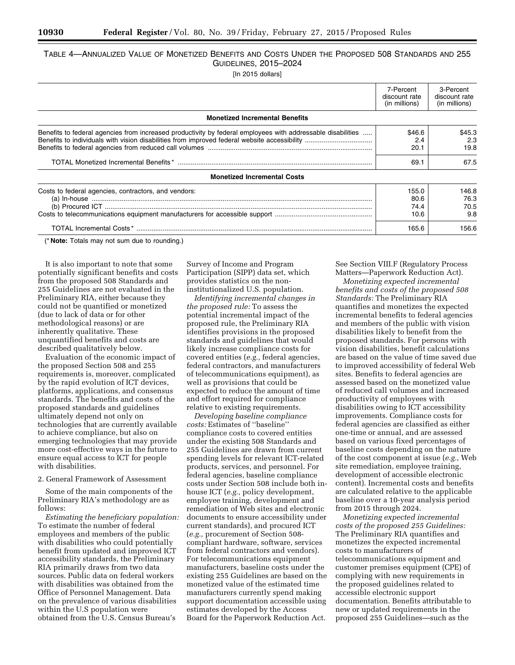# TABLE 4—ANNUALIZED VALUE OF MONETIZED BENEFITS AND COSTS UNDER THE PROPOSED 508 STANDARDS AND 255 GUIDELINES, 2015–2024

[In 2015 dollars]

|                                                                                                                                                                                                                                                                                                                                                                                                                                                                                                                                                                                      | 7-Percent<br>discount rate<br>(in millions) | 3-Percent<br>discount rate<br>(in millions) |
|--------------------------------------------------------------------------------------------------------------------------------------------------------------------------------------------------------------------------------------------------------------------------------------------------------------------------------------------------------------------------------------------------------------------------------------------------------------------------------------------------------------------------------------------------------------------------------------|---------------------------------------------|---------------------------------------------|
| <b>Monetized Incremental Benefits</b>                                                                                                                                                                                                                                                                                                                                                                                                                                                                                                                                                |                                             |                                             |
| Benefits to federal agencies from increased productivity by federal employees with addressable disabilities                                                                                                                                                                                                                                                                                                                                                                                                                                                                          | \$46.6<br>2.4<br>20.1<br>69.1               | \$45.3<br>2.3<br>19.8<br>67.5               |
| <b>Monetized Incremental Costs</b>                                                                                                                                                                                                                                                                                                                                                                                                                                                                                                                                                   |                                             |                                             |
| Costs to federal agencies, contractors, and vendors:<br>$\begin{minipage}{.4\linewidth} \begin{tabular}{l} \bf{(a) In-house} \end{tabular} \end{minipage} \begin{minipage}{.4\linewidth} \begin{tabular}{l} \bf{(a) In-house} \end{tabular} \end{minipage} \end{minipage} \begin{minipage}{.4\linewidth} \begin{tabular}{l} \bf{(b) Procured ICT} \end{tabular} \end{minipage} \end{minipage} \end{minipage} \begin{minipage}{.4\linewidth} \begin{tabular}{l} \bf{(c) In-Provered ICT} \end{tabular} \end{minipage} \end{minipage} \begin{minipage}{.4\linewidth} \begin{tabular}{$ | 155.0<br>80.6<br>74.4<br>10.6               | 146.8<br>76.3<br>70.5<br>9.8                |
|                                                                                                                                                                                                                                                                                                                                                                                                                                                                                                                                                                                      | 165.6                                       | 156.6                                       |

(\* **Note:** Totals may not sum due to rounding.)

It is also important to note that some potentially significant benefits and costs from the proposed 508 Standards and 255 Guidelines are not evaluated in the Preliminary RIA, either because they could not be quantified or monetized (due to lack of data or for other methodological reasons) or are inherently qualitative. These unquantified benefits and costs are described qualitatively below.

Evaluation of the economic impact of the proposed Section 508 and 255 requirements is, moreover, complicated by the rapid evolution of ICT devices, platforms, applications, and consensus standards. The benefits and costs of the proposed standards and guidelines ultimately depend not only on technologies that are currently available to achieve compliance, but also on emerging technologies that may provide more cost-effective ways in the future to ensure equal access to ICT for people with disabilities.

# 2. General Framework of Assessment

Some of the main components of the Preliminary RIA's methodology are as follows:

*Estimating the beneficiary population:*  To estimate the number of federal employees and members of the public with disabilities who could potentially benefit from updated and improved ICT accessibility standards, the Preliminary RIA primarily draws from two data sources. Public data on federal workers with disabilities was obtained from the Office of Personnel Management. Data on the prevalence of various disabilities within the U.S population were obtained from the U.S. Census Bureau's

Survey of Income and Program Participation (SIPP) data set, which provides statistics on the noninstitutionalized U.S. population.

*Identifying incremental changes in the proposed rule:* To assess the potential incremental impact of the proposed rule, the Preliminary RIA identifies provisions in the proposed standards and guidelines that would likely increase compliance costs for covered entities (*e.g.,* federal agencies, federal contractors, and manufacturers of telecommunications equipment), as well as provisions that could be expected to reduce the amount of time and effort required for compliance relative to existing requirements.

*Developing baseline compliance costs:* Estimates of ''baseline'' compliance costs to covered entities under the existing 508 Standards and 255 Guidelines are drawn from current spending levels for relevant ICT-related products, services, and personnel. For federal agencies, baseline compliance costs under Section 508 include both inhouse ICT (*e.g.,* policy development, employee training, development and remediation of Web sites and electronic documents to ensure accessibility under current standards), and procured ICT (*e.g.,* procurement of Section 508 compliant hardware, software, services from federal contractors and vendors). For telecommunications equipment manufacturers, baseline costs under the existing 255 Guidelines are based on the monetized value of the estimated time manufacturers currently spend making support documentation accessible using estimates developed by the Access Board for the Paperwork Reduction Act.

See Section VIII.F (Regulatory Process Matters—Paperwork Reduction Act).

*Monetizing expected incremental benefits and costs of the proposed 508 Standards:* The Preliminary RIA quantifies and monetizes the expected incremental benefits to federal agencies and members of the public with vision disabilities likely to benefit from the proposed standards. For persons with vision disabilities, benefit calculations are based on the value of time saved due to improved accessibility of federal Web sites. Benefits to federal agencies are assessed based on the monetized value of reduced call volumes and increased productivity of employees with disabilities owing to ICT accessibility improvements. Compliance costs for federal agencies are classified as either one-time or annual, and are assessed based on various fixed percentages of baseline costs depending on the nature of the cost component at issue (*e.g.,* Web site remediation, employee training, development of accessible electronic content). Incremental costs and benefits are calculated relative to the applicable baseline over a 10-year analysis period from 2015 through 2024.

*Monetizing expected incremental costs of the proposed 255 Guidelines:*  The Preliminary RIA quantifies and monetizes the expected incremental costs to manufacturers of telecommunications equipment and customer premises equipment (CPE) of complying with new requirements in the proposed guidelines related to accessible electronic support documentation. Benefits attributable to new or updated requirements in the proposed 255 Guidelines—such as the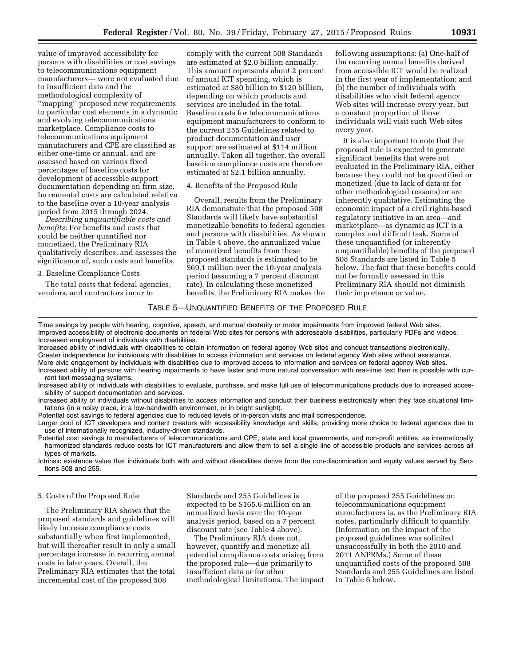value of improved accessibility for persons with disabilities or cost savings to telecommunications equipment manufacturers— were not evaluated due to insufficient data and the methodological complexity of ''mapping'' proposed new requirements to particular cost elements in a dynamic and evolving telecommunications marketplace. Compliance costs to telecommunications equipment manufacturers and CPE are classified as either one-time or annual, and are assessed based on various fixed percentages of baseline costs for development of accessible support documentation depending on firm size. Incremental costs are calculated relative to the baseline over a 10-year analysis period from 2015 through 2024.

*Describing unquantifiable costs and benefits:* For benefits and costs that could be neither quantified nor monetized, the Preliminary RIA qualitatively describes, and assesses the significance of, such costs and benefits.

3. Baseline Compliance Costs

The total costs that federal agencies, vendors, and contractors incur to

comply with the current 508 Standards are estimated at \$2.0 billion annually. This amount represents about 2 percent of annual ICT spending, which is estimated at \$80 billion to \$120 billion, depending on which products and services are included in the total. Baseline costs for telecommunications equipment manufacturers to conform to the current 255 Guidelines related to product documentation and user support are estimated at \$114 million annually. Taken all together, the overall baseline compliance costs are therefore estimated at \$2.1 billion annually.

4. Benefits of the Proposed Rule

Overall, results from the Preliminary RIA demonstrate that the proposed 508 Standards will likely have substantial monetizable benefits to federal agencies and persons with disabilities. As shown in Table 4 above, the annualized value of monetized benefits from these proposed standards is estimated to be \$69.1 million over the 10-year analysis period (assuming a 7 percent discount rate). In calculating these monetized benefits, the Preliminary RIA makes the

following assumptions: (a) One-half of the recurring annual benefits derived from accessible ICT would be realized in the first year of implementation; and (b) the number of individuals with disabilities who visit federal agency Web sites will increase every year, but a constant proportion of those individuals will visit such Web sites every year.

It is also important to note that the proposed rule is expected to generate significant benefits that were not evaluated in the Preliminary RIA, either because they could not be quantified or monetized (due to lack of data or for other methodological reasons) or are inherently qualitative. Estimating the economic impact of a civil rights-based regulatory initiative in an area—and marketplace—as dynamic as ICT is a complex and difficult task. Some of these unquantified (or inherently unquantifiable) benefits of the proposed 508 Standards are listed in Table 5 below. The fact that these benefits could not be formally assessed in this Preliminary RIA should not diminish their importance or value.

# TABLE 5—UNQUANTIFIED BENEFITS OF THE PROPOSED RULE

Time savings by people with hearing, cognitive, speech, and manual dexterity or motor impairments from improved federal Web sites. Improved accessibility of electronic documents on federal Web sites for persons with addressable disabilities, particularly PDFs and videos. Increased employment of individuals with disabilities.

Increased ability of individuals with disabilities to obtain information on federal agency Web sites and conduct transactions electronically. Greater independence for individuals with disabilities to access information and services on federal agency Web sites without assistance. More civic engagement by individuals with disabilities due to improved access to information and services on federal agency Web sites. Increased ability of persons with hearing impairments to have faster and more natural conversation with real-time text than is possible with cur-

rent text-messaging systems. Increased ability of individuals with disabilities to evaluate, purchase, and make full use of telecommunications products due to increased acces-

sibility of support documentation and services. Increased ability of individuals without disabilities to access information and conduct their business electronically when they face situational limi-

tations (in a noisy place, in a low-bandwidth environment, or in bright sunlight).

Potential cost savings to federal agencies due to reduced levels of in-person visits and mail correspondence.

Larger pool of ICT developers and content creators with accessibility knowledge and skills, providing more choice to federal agencies due to use of internationally recognized, industry-driven standards.

Potential cost savings to manufacturers of telecommunications and CPE, state and local governments, and non-profit entities, as internationally harmonized standards reduce costs for ICT manufacturers and allow them to sell a single line of accessible products and services across all types of markets.

Intrinsic existence value that individuals both with and without disabilities derive from the non-discrimination and equity values served by Sections 508 and 255.

# 5. Costs of the Proposed Rule

The Preliminary RIA shows that the proposed standards and guidelines will likely increase compliance costs substantially when first implemented, but will thereafter result in only a small percentage increase in recurring annual costs in later years. Overall, the Preliminary RIA estimates that the total incremental cost of the proposed 508

Standards and 255 Guidelines is expected to be \$165.6 million on an annualized basis over the 10-year analysis period, based on a 7 percent discount rate (see Table 4 above).

The Preliminary RIA does not, however, quantify and monetize all potential compliance costs arising from the proposed rule—due primarily to insufficient data or for other methodological limitations. The impact

of the proposed 255 Guidelines on telecommunications equipment manufacturers is, as the Preliminary RIA notes, particularly difficult to quantify. (Information on the impact of the proposed guidelines was solicited unsuccessfully in both the 2010 and 2011 ANPRMs.) Some of these unquantified costs of the proposed 508 Standards and 255 Guidelines are listed in Table 6 below.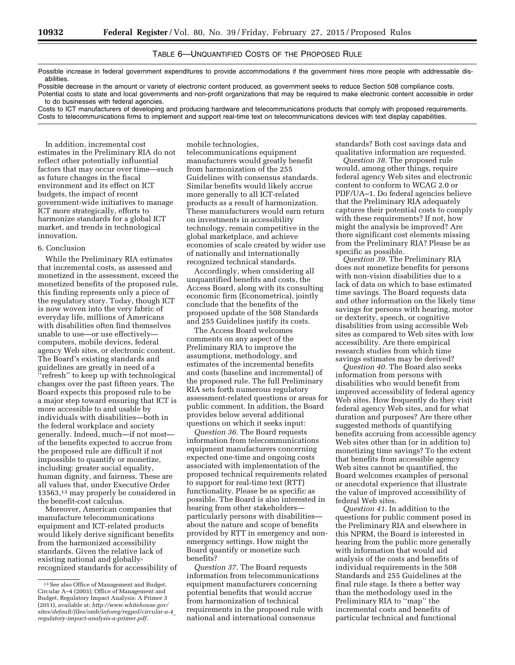# TABLE 6—UNQUANTIFIED COSTS OF THE PROPOSED RULE

Possible increase in federal government expenditures to provide accommodations if the government hires more people with addressable disabilities.

Possible decrease in the amount or variety of electronic content produced, as government seeks to reduce Section 508 compliance costs. Potential costs to state and local governments and non-profit organizations that may be required to make electronic content accessible in order to do businesses with federal agencies.

Costs to ICT manufacturers of developing and producing hardware and telecommunications products that comply with proposed requirements. Costs to telecommunications firms to implement and support real-time text on telecommunications devices with text display capabilities.

In addition, incremental cost estimates in the Preliminary RIA do not reflect other potentially influential factors that may occur over time—such as future changes in the fiscal environment and its effect on ICT budgets, the impact of recent government-wide initiatives to manage ICT more strategically, efforts to harmonize standards for a global ICT market, and trends in technological innovation.

# 6. Conclusion

While the Preliminary RIA estimates that incremental costs, as assessed and monetized in the assessment, exceed the monetized benefits of the proposed rule, this finding represents only a piece of the regulatory story. Today, though ICT is now woven into the very fabric of everyday life, millions of Americans with disabilities often find themselves unable to use—or use effectively computers, mobile devices, federal agency Web sites, or electronic content. The Board's existing standards and guidelines are greatly in need of a ''refresh'' to keep up with technological changes over the past fifteen years. The Board expects this proposed rule to be a major step toward ensuring that ICT is more accessible to and usable by individuals with disabilities—both in the federal workplace and society generally. Indeed, much—if not most of the benefits expected to accrue from the proposed rule are difficult if not impossible to quantify or monetize, including: greater social equality, human dignity, and fairness. These are all values that, under Executive Order 13563,13 may properly be considered in the benefit-cost calculus.

Moreover, American companies that manufacture telecommunications equipment and ICT-related products would likely derive significant benefits from the harmonized accessibility standards. Given the relative lack of existing national and globallyrecognized standards for accessibility of mobile technologies, telecommunications equipment manufacturers would greatly benefit from harmonization of the 255 Guidelines with consensus standards. Similar benefits would likely accrue more generally to all ICT-related products as a result of harmonization. These manufacturers would earn return on investments in accessibility technology, remain competitive in the global marketplace, and achieve economies of scale created by wider use of nationally and internationally recognized technical standards.

Accordingly, when considering all unquantified benefits and costs, the Access Board, along with its consulting economic firm (Econometrica), jointly conclude that the benefits of the proposed update of the 508 Standards and 255 Guidelines justify its costs.

The Access Board welcomes comments on any aspect of the Preliminary RIA to improve the assumptions, methodology, and estimates of the incremental benefits and costs (baseline and incremental) of the proposed rule. The full Preliminary RIA sets forth numerous regulatory assessment-related questions or areas for public comment. In addition, the Board provides below several additional questions on which it seeks input:

*Question 36.* The Board requests information from telecommunications equipment manufacturers concerning expected one-time and ongoing costs associated with implementation of the proposed technical requirements related to support for real-time text (RTT) functionality. Please be as specific as possible. The Board is also interested in hearing from other stakeholders particularly persons with disabilities about the nature and scope of benefits provided by RTT in emergency and nonemergency settings. How might the Board quantify or monetize such benefits?

*Question 37.* The Board requests information from telecommunications equipment manufacturers concerning potential benefits that would accrue from harmonization of technical requirements in the proposed rule with national and international consensus

standards? Both cost savings data and qualitative information are requested.

*Question 38.* The proposed rule would, among other things, require federal agency Web sites and electronic content to conform to WCAG 2.0 or PDF/UA–1. Do federal agencies believe that the Preliminary RIA adequately captures their potential costs to comply with these requirements? If not, how might the analysis be improved? Are there significant cost elements missing from the Preliminary RIA? Please be as specific as possible.

*Question 39.* The Preliminary RIA does not monetize benefits for persons with non-vision disabilities due to a lack of data on which to base estimated time savings. The Board requests data and other information on the likely time savings for persons with hearing, motor or dexterity, speech, or cognitive disabilities from using accessible Web sites as compared to Web sites with low accessibility. Are there empirical research studies from which time savings estimates may be derived?

*Question 40.* The Board also seeks information from persons with disabilities who would benefit from improved accessibility of federal agency Web sites. How frequently do they visit federal agency Web sites, and for what duration and purposes? Are there other suggested methods of quantifying benefits accruing from accessible agency Web sites other than (or in addition to) monetizing time savings? To the extent that benefits from accessible agency Web sites cannot be quantified, the Board welcomes examples of personal or anecdotal experience that illustrate the value of improved accessibility of federal Web sites.

*Question 41.* In addition to the questions for public comment posed in the Preliminary RIA and elsewhere in this NPRM, the Board is interested in hearing from the public more generally with information that would aid analysis of the costs and benefits of individual requirements in the 508 Standards and 255 Guidelines at the final rule stage. Is there a better way than the methodology used in the Preliminary RIA to "map" the incremental costs and benefits of particular technical and functional

<sup>13</sup>See also Office of Management and Budget, Circular A–4 (2003); Office of Management and Budget, Regulatory Impact Analysis: A Primer 3 (2011), available at: *[http://www.whitehouse.gov/](http://www.whitehouse.gov/sites/default/files/omb/inforeg/regpol/circular-a-4_regulatory-impact-analysis-a-primer.pdf) [sites/default/files/omb/inforeg/regpol/circular-a-4](http://www.whitehouse.gov/sites/default/files/omb/inforeg/regpol/circular-a-4_regulatory-impact-analysis-a-primer.pdf)*\_ *[regulatory-impact-analysis-a-primer.pdf](http://www.whitehouse.gov/sites/default/files/omb/inforeg/regpol/circular-a-4_regulatory-impact-analysis-a-primer.pdf)*.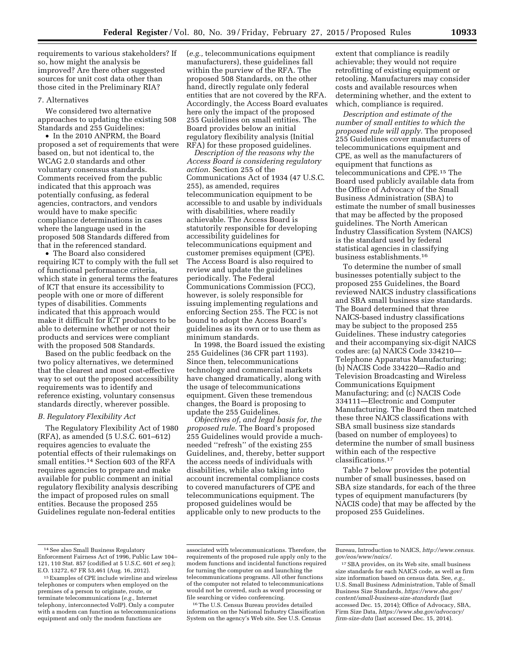requirements to various stakeholders? If so, how might the analysis be improved? Are there other suggested sources for unit cost data other than those cited in the Preliminary RIA?

# 7. Alternatives

We considered two alternative approaches to updating the existing 508 Standards and 255 Guidelines:

• In the 2010 ANPRM, the Board proposed a set of requirements that were based on, but not identical to, the WCAG 2.0 standards and other voluntary consensus standards. Comments received from the public indicated that this approach was potentially confusing, as federal agencies, contractors, and vendors would have to make specific compliance determinations in cases where the language used in the proposed 508 Standards differed from that in the referenced standard.

• The Board also considered requiring ICT to comply with the full set of functional performance criteria, which state in general terms the features of ICT that ensure its accessibility to people with one or more of different types of disabilities. Comments indicated that this approach would make it difficult for ICT producers to be able to determine whether or not their products and services were compliant with the proposed 508 Standards.

Based on the public feedback on the two policy alternatives, we determined that the clearest and most cost-effective way to set out the proposed accessibility requirements was to identify and reference existing, voluntary consensus standards directly, wherever possible.

# *B. Regulatory Flexibility Act*

The Regulatory Flexibility Act of 1980 (RFA), as amended (5 U.S.C. 601–612) requires agencies to evaluate the potential effects of their rulemakings on small entities.<sup>14</sup> Section 603 of the RFA requires agencies to prepare and make available for public comment an initial regulatory flexibility analysis describing the impact of proposed rules on small entities. Because the proposed 255 Guidelines regulate non-federal entities

(*e.g.,* telecommunications equipment manufacturers), these guidelines fall within the purview of the RFA. The proposed 508 Standards, on the other hand, directly regulate only federal entities that are not covered by the RFA. Accordingly, the Access Board evaluates here only the impact of the proposed 255 Guidelines on small entities. The Board provides below an initial regulatory flexibility analysis (Initial RFA) for these proposed guidelines.

*Description of the reasons why the Access Board is considering regulatory action.* Section 255 of the Communications Act of 1934 (47 U.S.C. 255), as amended, requires telecommunication equipment to be accessible to and usable by individuals with disabilities, where readily achievable. The Access Board is statutorily responsible for developing accessibility guidelines for telecommunications equipment and customer premises equipment (CPE). The Access Board is also required to review and update the guidelines periodically. The Federal Communications Commission (FCC), however, is solely responsible for issuing implementing regulations and enforcing Section 255. The FCC is not bound to adopt the Access Board's guidelines as its own or to use them as minimum standards.

In 1998, the Board issued the existing 255 Guidelines (36 CFR part 1193). Since then, telecommunications technology and commercial markets have changed dramatically, along with the usage of telecommunications equipment. Given these tremendous changes, the Board is proposing to update the 255 Guidelines.

*Objectives of, and legal basis for, the proposed rule.* The Board's proposed 255 Guidelines would provide a muchneeded ''refresh'' of the existing 255 Guidelines, and, thereby, better support the access needs of individuals with disabilities, while also taking into account incremental compliance costs to covered manufacturers of CPE and telecommunications equipment. The proposed guidelines would be applicable only to new products to the

extent that compliance is readily achievable; they would not require retrofitting of existing equipment or retooling. Manufacturers may consider costs and available resources when determining whether, and the extent to which, compliance is required.

*Description and estimate of the number of small entities to which the proposed rule will apply.* The proposed 255 Guidelines cover manufacturers of telecommunications equipment and CPE, as well as the manufacturers of equipment that functions as telecommunications and CPE.15 The Board used publicly available data from the Office of Advocacy of the Small Business Administration (SBA) to estimate the number of small businesses that may be affected by the proposed guidelines. The North American Industry Classification System (NAICS) is the standard used by federal statistical agencies in classifying business establishments.16

To determine the number of small businesses potentially subject to the proposed 255 Guidelines, the Board reviewed NAICS industry classifications and SBA small business size standards. The Board determined that three NAICS-based industry classifications may be subject to the proposed 255 Guidelines. These industry categories and their accompanying six-digit NAICS codes are: (a) NAICS Code 334210— Telephone Apparatus Manufacturing; (b) NACIS Code 334220—Radio and Television Broadcasting and Wireless Communications Equipment Manufacturing; and (c) NACIS Code 334111—Electronic and Computer Manufacturing. The Board then matched these three NAICS classifications with SBA small business size standards (based on number of employees) to determine the number of small business within each of the respective classifications.17

Table 7 below provides the potential number of small businesses, based on SBA size standards, for each of the three types of equipment manufacturers (by NACIS code) that may be affected by the proposed 255 Guidelines.

16The U.S. Census Bureau provides detailed information on the National Industry Classification System on the agency's Web site. See U.S. Census

<sup>14</sup>See also Small Business Regulatory Enforcement Fairness Act of 1996, Public Law 104– 121, 110 Stat. 857 (codified at 5 U.S.C. 601 *et seq.*); E.O. 13272, 67 FR 53,461 (Aug. 16, 2012).

<sup>15</sup>Examples of CPE include wireline and wireless telephones or computers when employed on the premises of a person to originate, route, or terminate telecommunications (*e.g.,* Internet telephony, interconnected VoIP). Only a computer with a modem can function as telecommunications equipment and only the modem functions are

associated with telecommunications. Therefore, the requirements of the proposed rule apply only to the modem functions and incidental functions required for turning the computer on and launching the telecommunications programs. All other functions of the computer not related to telecommunications would not be covered, such as word processing or file searching or video conferencing.

Bureau, Introduction to NAICS, *[http://www.census.](http://www.census.gov/eos/www/naics/) [gov/eos/www/naics/](http://www.census.gov/eos/www/naics/)*.

<sup>17</sup>SBA provides, on its Web site, small business size standards for each NAICS code, as well as firm size information based on census data. See, *e.g.,*  U.S. Small Business Administration, Table of Small Business Size Standards, *[https://www.sba.gov/](https://www.sba.gov/content/small-business-size-standards) [content/small-business-size-standards](https://www.sba.gov/content/small-business-size-standards)* (last accessed Dec. 15, 2014); Office of Advocacy, SBA, Firm Size Data, *[https://www.sba.gov/advocacy/](https://www.sba.gov/advocacy/firm-size-data) [firm-size-data](https://www.sba.gov/advocacy/firm-size-data)* (last accessed Dec. 15, 2014).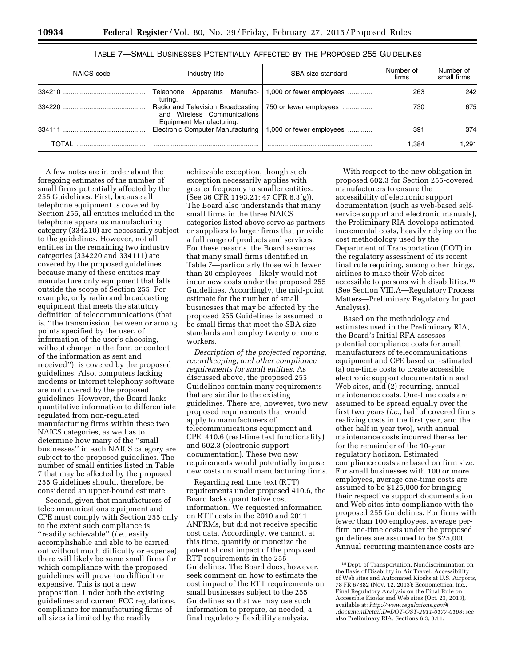| NAICS code | Industry title                                          | SBA size standard                                            | Number of<br>firms | Number of<br>small firms |
|------------|---------------------------------------------------------|--------------------------------------------------------------|--------------------|--------------------------|
|            | Apparatus Manufac-<br>Telephone<br>turina.              | $1,000$ or fewer employees                                   | 263                | 242                      |
| 334220     | and Wireless Communications<br>Equipment Manufacturing. | Radio and Television Broadcasting   750 or fewer employees   | 730                | 675                      |
| 334111     |                                                         | Electronic Computer Manufacturing   1,000 or fewer employees | 391                | 374                      |
| TOTAI      |                                                         |                                                              | 1.384              | 1.291                    |

# TABLE 7—SMALL BUSINESSES POTENTIALLY AFFECTED BY THE PROPOSED 255 GUIDELINES

A few notes are in order about the foregoing estimates of the number of small firms potentially affected by the 255 Guidelines. First, because all telephone equipment is covered by Section 255, all entities included in the telephone apparatus manufacturing category (334210) are necessarily subject to the guidelines. However, not all entities in the remaining two industry categories (334220 and 334111) are covered by the proposed guidelines because many of these entities may manufacture only equipment that falls outside the scope of Section 255. For example, only radio and broadcasting equipment that meets the statutory definition of telecommunications (that is, ''the transmission, between or among points specified by the user, of information of the user's choosing, without change in the form or content of the information as sent and received''), is covered by the proposed guidelines. Also, computers lacking modems or Internet telephony software are not covered by the proposed guidelines. However, the Board lacks quantitative information to differentiate regulated from non-regulated manufacturing firms within these two NAICS categories, as well as to determine how many of the ''small businesses'' in each NAICS category are subject to the proposed guidelines. The number of small entities listed in Table 7 that may be affected by the proposed 255 Guidelines should, therefore, be considered an upper-bound estimate.

Second, given that manufacturers of telecommunications equipment and CPE must comply with Section 255 only to the extent such compliance is ''readily achievable'' (*i.e.,* easily accomplishable and able to be carried out without much difficulty or expense), there will likely be some small firms for which compliance with the proposed guidelines will prove too difficult or expensive. This is not a new proposition. Under both the existing guidelines and current FCC regulations, compliance for manufacturing firms of all sizes is limited by the readily

achievable exception, though such exception necessarily applies with greater frequency to smaller entities. (See 36 CFR 1193.21; 47 CFR 6.3(g)). The Board also understands that many small firms in the three NAICS categories listed above serve as partners or suppliers to larger firms that provide a full range of products and services. For these reasons, the Board assumes that many small firms identified in Table 7—particularly those with fewer than 20 employees—likely would not incur new costs under the proposed 255 Guidelines. Accordingly, the mid-point estimate for the number of small businesses that may be affected by the proposed 255 Guidelines is assumed to be small firms that meet the SBA size standards and employ twenty or more workers.

*Description of the projected reporting, recordkeeping, and other compliance requirements for small entities.* As discussed above, the proposed 255 Guidelines contain many requirements that are similar to the existing guidelines. There are, however, two new proposed requirements that would apply to manufacturers of telecommunications equipment and CPE: 410.6 (real-time text functionality) and 602.3 (electronic support documentation). These two new requirements would potentially impose new costs on small manufacturing firms.

Regarding real time text (RTT) requirements under proposed 410.6, the Board lacks quantitative cost information. We requested information on RTT costs in the 2010 and 2011 ANPRMs, but did not receive specific cost data. Accordingly, we cannot, at this time, quantify or monetize the potential cost impact of the proposed RTT requirements in the 255 Guidelines. The Board does, however, seek comment on how to estimate the cost impact of the RTT requirements on small businesses subject to the 255 Guidelines so that we may use such information to prepare, as needed, a final regulatory flexibility analysis.

With respect to the new obligation in proposed 602.3 for Section 255-covered manufacturers to ensure the accessibility of electronic support documentation (such as web-based selfservice support and electronic manuals), the Preliminary RIA develops estimated incremental costs, heavily relying on the cost methodology used by the Department of Transportation (DOT) in the regulatory assessment of its recent final rule requiring, among other things, airlines to make their Web sites accessible to persons with disabilities.18 (See Section VIII.A—Regulatory Process Matters—Preliminary Regulatory Impact Analysis).

Based on the methodology and estimates used in the Preliminary RIA, the Board's Initial RFA assesses potential compliance costs for small manufacturers of telecommunications equipment and CPE based on estimated (a) one-time costs to create accessible electronic support documentation and Web sites, and (2) recurring, annual maintenance costs. One-time costs are assumed to be spread equally over the first two years (*i.e.,* half of covered firms realizing costs in the first year, and the other half in year two), with annual maintenance costs incurred thereafter for the remainder of the 10-year regulatory horizon. Estimated compliance costs are based on firm size. For small businesses with 100 or more employees, average one-time costs are assumed to be \$125,000 for bringing their respective support documentation and Web sites into compliance with the proposed 255 Guidelines. For firms with fewer than 100 employees, average perfirm one-time costs under the proposed guidelines are assumed to be \$25,000. Annual recurring maintenance costs are

<sup>18</sup> Dept. of Transportation, Nondiscrimination on the Basis of Disability in Air Travel: Accessibility of Web sites and Automated Kiosks at U.S. Airports, 78 FR 67882 (Nov. 12, 2013); Econometrica, Inc., Final Regulatory Analysis on the Final Rule on Accessible Kiosks and Web sites (Oct. 23, 2013), available at: *[http://www.regulations.gov/#](http://www.regulations.gov/#!documentDetail;D=DOT-OST-2011-0177-0108) [!documentDetail;D=DOT-OST-2011-0177-0108](http://www.regulations.gov/#!documentDetail;D=DOT-OST-2011-0177-0108)*; see also Preliminary RIA, Sections 6.3, 8.11.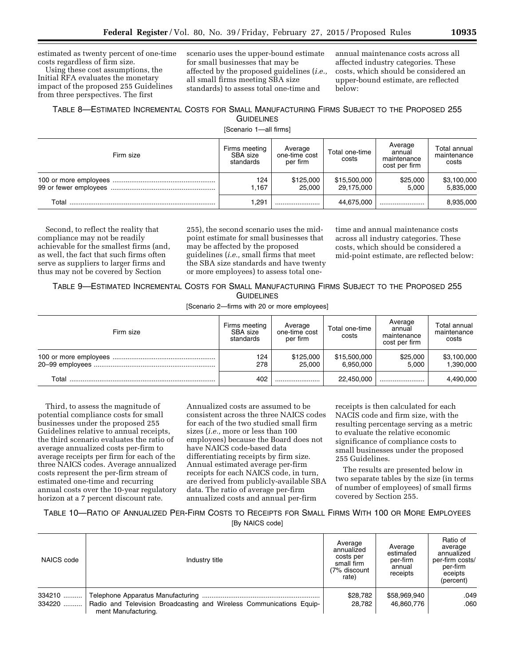estimated as twenty percent of one-time costs regardless of firm size.

Using these cost assumptions, the Initial RFA evaluates the monetary impact of the proposed 255 Guidelines from three perspectives. The first

scenario uses the upper-bound estimate for small businesses that may be affected by the proposed guidelines (*i.e.,*  all small firms meeting SBA size standards) to assess total one-time and

annual maintenance costs across all affected industry categories. These costs, which should be considered an upper-bound estimate, are reflected below:

# TABLE 8—ESTIMATED INCREMENTAL COSTS FOR SMALL MANUFACTURING FIRMS SUBJECT TO THE PROPOSED 255 **GUIDELINES**

[Scenario 1—all firms]

| Firm size | Firms meeting<br>SBA size<br>standards | Average<br>one-time cost<br>per firm | Total one-time<br>costs    | Average<br>annual<br>maintenance<br>cost per firm | Total annual<br>maintenance<br>costs |
|-----------|----------------------------------------|--------------------------------------|----------------------------|---------------------------------------------------|--------------------------------------|
|           | 124<br>1.167                           | \$125,000<br>25.000                  | \$15,500,000<br>29,175,000 | \$25,000<br>5.000                                 | \$3,100,000<br>5,835,000             |
| Total     | 1.291                                  |                                      | 44.675.000                 |                                                   | 8,935,000                            |

Second, to reflect the reality that compliance may not be readily achievable for the smallest firms (and, as well, the fact that such firms often serve as suppliers to larger firms and thus may not be covered by Section

255), the second scenario uses the midpoint estimate for small businesses that may be affected by the proposed guidelines (*i.e.,* small firms that meet the SBA size standards and have twenty or more employees) to assess total one-

time and annual maintenance costs across all industry categories. These costs, which should be considered a mid-point estimate, are reflected below:

TABLE 9—ESTIMATED INCREMENTAL COSTS FOR SMALL MANUFACTURING FIRMS SUBJECT TO THE PROPOSED 255 GUIDELINES

[Scenario 2—firms with 20 or more employees]

| Firm size | Firms meeting<br>SBA size<br>standards | Average<br>one-time cost<br>per firm | Total one-time<br>costs   | Average<br>annual<br>maintenance<br>cost per firm | Total annual<br>maintenance<br>costs |
|-----------|----------------------------------------|--------------------------------------|---------------------------|---------------------------------------------------|--------------------------------------|
|           | 124<br>278                             | \$125,000<br>25.000                  | \$15,500,000<br>6.950.000 | \$25,000<br>5.000                                 | \$3,100,000<br>1,390,000             |
| Total     | 402                                    |                                      | 22.450.000                |                                                   | 4,490,000                            |

Third, to assess the magnitude of potential compliance costs for small businesses under the proposed 255 Guidelines relative to annual receipts, the third scenario evaluates the ratio of average annualized costs per-firm to average receipts per firm for each of the three NAICS codes. Average annualized costs represent the per-firm stream of estimated one-time and recurring annual costs over the 10-year regulatory horizon at a 7 percent discount rate.

Annualized costs are assumed to be consistent across the three NAICS codes for each of the two studied small firm sizes (*i.e.,* more or less than 100 employees) because the Board does not have NAICS code-based data differentiating receipts by firm size. Annual estimated average per-firm receipts for each NAICS code, in turn, are derived from publicly-available SBA data. The ratio of average per-firm annualized costs and annual per-firm

receipts is then calculated for each NACIS code and firm size, with the resulting percentage serving as a metric to evaluate the relative economic significance of compliance costs to small businesses under the proposed 255 Guidelines.

The results are presented below in two separate tables by the size (in terms of number of employees) of small firms covered by Section 255.

TABLE 10—RATIO OF ANNUALIZED PER-FIRM COSTS TO RECEIPTS FOR SMALL FIRMS WITH 100 OR MORE EMPLOYEES

[By NAICS code]

| NAICS code       | Industry title                                                                              | Average<br>annualized<br>costs per<br>small firm<br>(7% discount<br>rate) | Average<br>estimated<br>per-firm<br>annual<br>receipts | Ratio of<br>average<br>annualized<br>per-firm costs/<br>per-firm<br>eceipts<br>(percent) |
|------------------|---------------------------------------------------------------------------------------------|---------------------------------------------------------------------------|--------------------------------------------------------|------------------------------------------------------------------------------------------|
| 334210<br>334220 | Radio and Television Broadcasting and Wireless Communications Equip-<br>ment Manufacturing. | \$28.782<br>28.782                                                        | \$58,969,940<br>46.860.776                             | .049<br>.060                                                                             |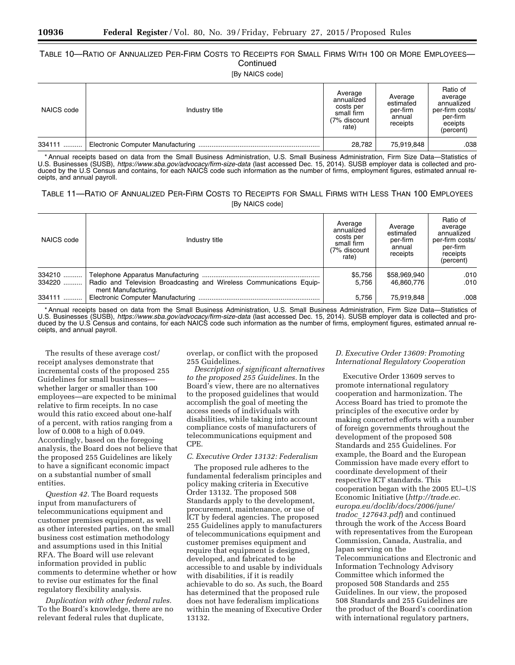# TABLE 10—RATIO OF ANNUALIZED PER-FIRM COSTS TO RECEIPTS FOR SMALL FIRMS WITH 100 OR MORE EMPLOYEES— **Continued**

[By NAICS code]

| NAICS code | Industry title | Average<br>annualized<br>costs per<br>small firm<br>(7% discount<br>rate) | Average<br>estimated<br>per-firm<br>annual<br>receipts | Ratio of<br>average<br>annualized<br>per-firm costs/<br>per-firm<br>eceipts<br>(percent) |
|------------|----------------|---------------------------------------------------------------------------|--------------------------------------------------------|------------------------------------------------------------------------------------------|
| 334111     |                | 28.782                                                                    | 75,919,848                                             | .038                                                                                     |

\* Annual receipts based on data from the Small Business Administration, U.S. Small Business Administration, Firm Size Data—Statistics of U.S. Businesses (SUSB), *<https://www.sba.gov/advocacy/firm-size-data>*(last accessed Dec. 15, 2014). SUSB employer data is collected and produced by the U.S Census and contains, for each NAICS code such information as the number of firms, employment figures, estimated annual receipts, and annual payroll.

# TABLE 11—RATIO OF ANNUALIZED PER-FIRM COSTS TO RECEIPTS FOR SMALL FIRMS WITH LESS THAN 100 EMPLOYEES [By NAICS code]

| NAICS code | Industry title                                                                              | Average<br>annualized<br>costs per<br>small firm<br>(7% discount<br>rate) | Average<br>estimated<br>per-firm<br>annual<br>receipts | Ratio of<br>average<br>annualized<br>per-firm costs/<br>per-firm<br>receipts<br>(percent) |
|------------|---------------------------------------------------------------------------------------------|---------------------------------------------------------------------------|--------------------------------------------------------|-------------------------------------------------------------------------------------------|
| 334210     |                                                                                             | \$5,756                                                                   | \$58,969,940                                           | .010                                                                                      |
| $334220$   | Radio and Television Broadcasting and Wireless Communications Equip-<br>ment Manufacturing. | 5.756                                                                     | 46.860.776                                             | .010                                                                                      |
| 334111     |                                                                                             | 5.756                                                                     | 75,919,848                                             | .008                                                                                      |

\* Annual receipts based on data from the Small Business Administration, U.S. Small Business Administration, Firm Size Data—Statistics of U.S. Businesses (SUSB), *<https://www.sba.gov/advocacy/firm-size-data>*(last accessed Dec. 15, 2014). SUSB employer data is collected and produced by the U.S Census and contains, for each NAICS code such information as the number of firms, employment figures, estimated annual receipts, and annual payroll.

The results of these average cost/ receipt analyses demonstrate that incremental costs of the proposed 255 Guidelines for small businesses whether larger or smaller than 100 employees—are expected to be minimal relative to firm receipts. In no case would this ratio exceed about one-half of a percent, with ratios ranging from a low of 0.008 to a high of 0.049. Accordingly, based on the foregoing analysis, the Board does not believe that the proposed 255 Guidelines are likely to have a significant economic impact on a substantial number of small entities.

*Question 42.* The Board requests input from manufacturers of telecommunications equipment and customer premises equipment, as well as other interested parties, on the small business cost estimation methodology and assumptions used in this Initial RFA. The Board will use relevant information provided in public comments to determine whether or how to revise our estimates for the final regulatory flexibility analysis.

*Duplication with other federal rules.*  To the Board's knowledge, there are no relevant federal rules that duplicate,

overlap, or conflict with the proposed 255 Guidelines.

*Description of significant alternatives to the proposed 255 Guidelines.* In the Board's view, there are no alternatives to the proposed guidelines that would accomplish the goal of meeting the access needs of individuals with disabilities, while taking into account compliance costs of manufacturers of telecommunications equipment and CPE.

### *C. Executive Order 13132: Federalism*

The proposed rule adheres to the fundamental federalism principles and policy making criteria in Executive Order 13132. The proposed 508 Standards apply to the development, procurement, maintenance, or use of ICT by federal agencies. The proposed 255 Guidelines apply to manufacturers of telecommunications equipment and customer premises equipment and require that equipment is designed, developed, and fabricated to be accessible to and usable by individuals with disabilities, if it is readily achievable to do so. As such, the Board has determined that the proposed rule does not have federalism implications within the meaning of Executive Order 13132.

# *D. Executive Order 13609: Promoting International Regulatory Cooperation*

Executive Order 13609 serves to promote international regulatory cooperation and harmonization. The Access Board has tried to promote the principles of the executive order by making concerted efforts with a number of foreign governments throughout the development of the proposed 508 Standards and 255 Guidelines. For example, the Board and the European Commission have made every effort to coordinate development of their respective ICT standards. This cooperation began with the 2005 EU–US Economic Initiative (*[http://trade.ec.](http://trade.ec.europa.eu/doclib/docs/2006/june/tradoc_127643.pdf) [europa.eu/doclib/docs/2006/june/](http://trade.ec.europa.eu/doclib/docs/2006/june/tradoc_127643.pdf) tradoc*\_*[127643.pdf](http://trade.ec.europa.eu/doclib/docs/2006/june/tradoc_127643.pdf)*) and continued through the work of the Access Board with representatives from the European Commission, Canada, Australia, and Japan serving on the Telecommunications and Electronic and Information Technology Advisory Committee which informed the proposed 508 Standards and 255 Guidelines. In our view, the proposed 508 Standards and 255 Guidelines are the product of the Board's coordination with international regulatory partners,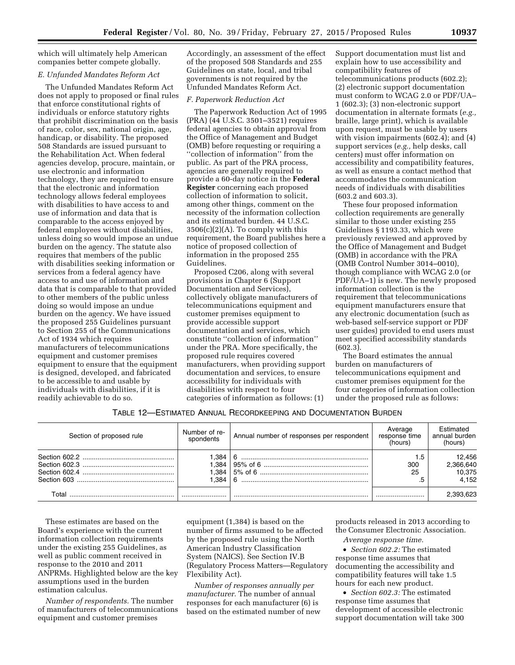which will ultimately help American companies better compete globally.

# *E. Unfunded Mandates Reform Act*

The Unfunded Mandates Reform Act does not apply to proposed or final rules that enforce constitutional rights of individuals or enforce statutory rights that prohibit discrimination on the basis of race, color, sex, national origin, age, handicap, or disability. The proposed 508 Standards are issued pursuant to the Rehabilitation Act. When federal agencies develop, procure, maintain, or use electronic and information technology, they are required to ensure that the electronic and information technology allows federal employees with disabilities to have access to and use of information and data that is comparable to the access enjoyed by federal employees without disabilities, unless doing so would impose an undue burden on the agency. The statute also requires that members of the public with disabilities seeking information or services from a federal agency have access to and use of information and data that is comparable to that provided to other members of the public unless doing so would impose an undue burden on the agency. We have issued the proposed 255 Guidelines pursuant to Section 255 of the Communications Act of 1934 which requires manufacturers of telecommunications equipment and customer premises equipment to ensure that the equipment is designed, developed, and fabricated to be accessible to and usable by individuals with disabilities, if it is readily achievable to do so.

Accordingly, an assessment of the effect of the proposed 508 Standards and 255 Guidelines on state, local, and tribal governments is not required by the Unfunded Mandates Reform Act.

### *F. Paperwork Reduction Act*

The Paperwork Reduction Act of 1995 (PRA) (44 U.S.C. 3501–3521) requires federal agencies to obtain approval from the Office of Management and Budget (OMB) before requesting or requiring a ''collection of information'' from the public. As part of the PRA process, agencies are generally required to provide a 60-day notice in the **Federal Register** concerning each proposed collection of information to solicit, among other things, comment on the necessity of the information collection and its estimated burden. 44 U.S.C.  $3506(c)(2)(A)$ . To comply with this requirement, the Board publishes here a notice of proposed collection of information in the proposed 255 Guidelines.

Proposed C206, along with several provisions in Chapter 6 (Support Documentation and Services), collectively obligate manufacturers of telecommunications equipment and customer premises equipment to provide accessible support documentation and services, which constitute ''collection of information'' under the PRA. More specifically, the proposed rule requires covered manufacturers, when providing support documentation and services, to ensure accessibility for individuals with disabilities with respect to four categories of information as follows: (1)

Support documentation must list and explain how to use accessibility and compatibility features of telecommunications products (602.2); (2) electronic support documentation must conform to WCAG 2.0 or PDF/UA– 1 (602.3); (3) non-electronic support documentation in alternate formats (*e.g.,*  braille, large print), which is available upon request, must be usable by users with vision impairments (602.4); and (4) support services (*e.g.,* help desks, call centers) must offer information on accessibility and compatibility features, as well as ensure a contact method that accommodates the communication needs of individuals with disabilities (603.2 and 603.3).

These four proposed information collection requirements are generally similar to those under existing 255 Guidelines § 1193.33, which were previously reviewed and approved by the Office of Management and Budget (OMB) in accordance with the PRA (OMB Control Number 3014–0010), though compliance with WCAG 2.0 (or PDF/UA–1) is new. The newly proposed information collection is the requirement that telecommunications equipment manufacturers ensure that any electronic documentation (such as web-based self-service support or PDF user guides) provided to end users must meet specified accessibility standards (602.3).

The Board estimates the annual burden on manufacturers of telecommunications equipment and customer premises equipment for the four categories of information collection under the proposed rule as follows:

| TABLE 12-ESTIMATED ANNUAL RECORDKEEPING AND DOCUMENTATION BURDEN |  |
|------------------------------------------------------------------|--|
|------------------------------------------------------------------|--|

| Section of proposed rule | Number of re-<br>spondents   | Annual number of responses per respondent | Average<br>response time<br>(hours) | Fstimated<br>annual burden<br>(hours)  |
|--------------------------|------------------------------|-------------------------------------------|-------------------------------------|----------------------------------------|
|                          | .384<br>.384<br>.384<br>.384 | 6                                         | 1.5<br>300<br>25                    | 12.456<br>2,366,640<br>10.375<br>4.152 |
|                          |                              |                                           |                                     |                                        |

These estimates are based on the Board's experience with the current information collection requirements under the existing 255 Guidelines, as well as public comment received in response to the 2010 and 2011 ANPRMs. Highlighted below are the key assumptions used in the burden estimation calculus.

*Number of respondents.* The number of manufacturers of telecommunications equipment and customer premises

equipment (1,384) is based on the number of firms assumed to be affected by the proposed rule using the North American Industry Classification System (NAICS). See Section IV.B (Regulatory Process Matters—Regulatory Flexibility Act).

*Number of responses annually per manufacturer.* The number of annual responses for each manufacturer (6) is based on the estimated number of new products released in 2013 according to the Consumer Electronic Association.

*Average response time.* 

• *Section 602.2:* The estimated response time assumes that documenting the accessibility and compatibility features will take 1.5 hours for each new product.

• *Section 602.3:* The estimated response time assumes that development of accessible electronic support documentation will take 300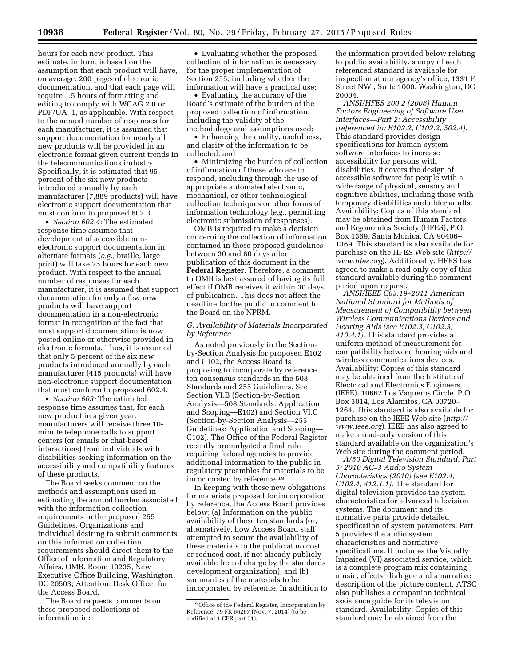hours for each new product. This estimate, in turn, is based on the assumption that each product will have, on average, 200 pages of electronic documentation, and that each page will require 1.5 hours of formatting and editing to comply with WCAG 2.0 or PDF/UA–1, as applicable. With respect to the annual number of responses for each manufacturer, it is assumed that support documentation for nearly all new products will be provided in an electronic format given current trends in the telecommunications industry. Specifically, it is estimated that 95 percent of the six new products introduced annually by each manufacturer (7,889 products) will have electronic support documentation that must conform to proposed 602.3.

• *Section 602.4:* The estimated response time assumes that development of accessible nonelectronic support documentation in alternate formats (*e.g.,* braille, large print) will take 25 hours for each new product. With respect to the annual number of responses for each manufacturer, it is assumed that support documentation for only a few new products will have support documentation in a non-electronic format in recognition of the fact that most support documentation is now posted online or otherwise provided in electronic formats. Thus, it is assumed that only 5 percent of the six new products introduced annually by each manufacturer (415 products) will have non-electronic support documentation that must conform to proposed 602.4.

• *Section 603:* The estimated response time assumes that, for each new product in a given year, manufacturers will receive three 10 minute telephone calls to support centers (or emails or chat-based interactions) from individuals with disabilities seeking information on the accessibility and compatibility features of these products.

The Board seeks comment on the methods and assumptions used in estimating the annual burden associated with the information collection requirements in the proposed 255 Guidelines. Organizations and individual desiring to submit comments on this information collection requirements should direct them to the Office of Information and Regulatory Affairs, OMB, Room 10235, New Executive Office Building, Washington, DC 20503; Attention: Desk Officer for the Access Board.

The Board requests comments on these proposed collections of information in:

• Evaluating whether the proposed collection of information is necessary for the proper implementation of Section 255, including whether the information will have a practical use;

• Evaluating the accuracy of the Board's estimate of the burden of the proposed collection of information, including the validity of the methodology and assumptions used;

• Enhancing the quality, usefulness, and clarity of the information to be collected; and

• Minimizing the burden of collection of information of those who are to respond, including through the use of appropriate automated electronic, mechanical, or other technological collection techniques or other forms of information technology (*e.g.,* permitting electronic submission of responses).

OMB is required to make a decision concerning the collection of information contained in these proposed guidelines between 30 and 60 days after publication of this document in the **Federal Register**. Therefore, a comment to OMB is best assured of having its full effect if OMB receives it within 30 days of publication. This does not affect the deadline for the public to comment to the Board on the NPRM.

# *G. Availability of Materials Incorporated by Reference*

As noted previously in the Sectionby-Section Analysis for proposed E102 and C102, the Access Board is proposing to incorporate by reference ten consensus standards in the 508 Standards and 255 Guidelines. See Section VI.B (Section-by-Section Analysis—508 Standards: Application and Scoping—E102) and Section VI.C (Section-by-Section Analysis—255 Guidelines: Application and Scoping— C102). The Office of the Federal Register recently promulgated a final rule requiring federal agencies to provide additional information to the public in regulatory preambles for materials to be incorporated by reference.19

In keeping with these new obligations for materials proposed for incorporation by reference, the Access Board provides below: (a) Information on the public availability of these ten standards (or, alternatively, how Access Board staff attempted to secure the availability of these materials to the public at no cost or reduced cost, if not already publicly available free of charge by the standards development organization); and (b) summaries of the materials to be incorporated by reference. In addition to

the information provided below relating to public availability, a copy of each referenced standard is available for inspection at our agency's office, 1331 F Street NW., Suite 1000, Washington, DC 20004.

*ANSI/HFES 200.2 (2008) Human Factors Engineering of Software User Interfaces—Part 2: Accessibility (referenced in: E102.2, C102.2, 502.4).*  This standard provides design specifications for human-system software interfaces to increase accessibility for persons with disabilities. It covers the design of accessible software for people with a wide range of physical, sensory and cognitive abilities, including those with temporary disabilities and older adults. Availability: Copies of this standard may be obtained from Human Factors and Ergonomics Society (HFES), P.O. Box 1369, Santa Monica, CA 90406– 1369. This standard is also available for purchase on the HFES Web site (*[http://](http://www.hfes.org)  [www.hfes.org](http://www.hfes.org)*). Additionally, HFES has agreed to make a read-only copy of this standard available during the comment period upon request.

*ANSI/IEEE C63.19–2011 American National Standard for Methods of Measurement of Compatibility between Wireless Communications Devices and Hearing Aids (see E102.3, C102.3, 410.4.1).* This standard provides a uniform method of measurement for compatibility between hearing aids and wireless communications devices. Availability: Copies of this standard may be obtained from the Institute of Electrical and Electronics Engineers (IEEE), 10662 Los Vaqueros Circle, P.O. Box 3014, Los Alamitos, CA 90720– 1264. This standard is also available for purchase on the IEEE Web site (*[http://](http://www.ieee.org)  [www.ieee.org](http://www.ieee.org)*). IEEE has also agreed to make a read-only version of this standard available on the organization's Web site during the comment period.

*A/53 Digital Television Standard, Part 5: 2010 AC–3 Audio System Characteristics (2010) (see E102.4, C102.4, 412.1.1).* The standard for digital television provides the system characteristics for advanced television systems. The document and its normative parts provide detailed specification of system parameters. Part 5 provides the audio system characteristics and normative specifications. It includes the Visually Impaired (VI) associated service, which is a complete program mix containing music, effects, dialogue and a narrative description of the picture content. ATSC also publishes a companion technical assistance guide for its television standard. Availability: Copies of this standard may be obtained from the

<sup>19</sup>Office of the Federal Register, Incorporation by Reference, 79 FR 66267 (Nov. 7, 2014) (to be codified at 1 CFR part 51).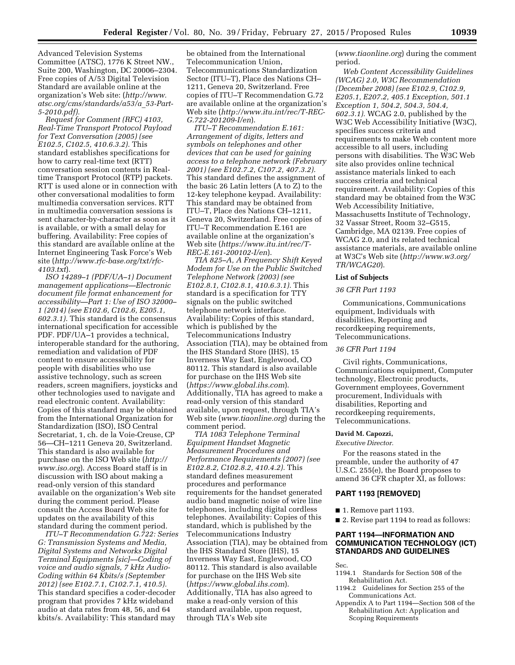Advanced Television Systems Committee (ATSC), 1776 K Street NW., Suite 200, Washington, DC 20006–2304. Free copies of A/53 Digital Television Standard are available online at the organization's Web site: (*[http://www.](http://www.atsc.org/cms/standards/a53/a_53-Part-5-2010.pdf) [atsc.org/cms/standards/a53/a](http://www.atsc.org/cms/standards/a53/a_53-Part-5-2010.pdf)*\_*53-Part-[5-2010.pdf\)](http://www.atsc.org/cms/standards/a53/a_53-Part-5-2010.pdf).* 

*Request for Comment (RFC) 4103, Real-Time Transport Protocol Payload for Text Conversation (2005) (see E102.5, C102.5, 410.6.3.2).* This standard establishes specifications for how to carry real-time text (RTT) conversation session contents in Realtime Transport Protocol (RTP) packets. RTT is used alone or in connection with other conversational modalities to form multimedia conversation services. RTT in multimedia conversation sessions is sent character-by-character as soon as it is available, or with a small delay for buffering. Availability: Free copies of this standard are available online at the Internet Engineering Task Force's Web site (*[http://www.rfc-base.org/txt/rfc-](http://www.rfc-base.org/txt/rfc-4103.txt)[4103.txt](http://www.rfc-base.org/txt/rfc-4103.txt)*).

*ISO 14289–1 (PDF/UA–1) Document management applications—Electronic document file format enhancement for accessibility—Part 1: Use of ISO 32000– 1 (2014) (see E102.6, C102.6, E205.1, 602.3.1).* This standard is the consensus international specification for accessible PDF. PDF/UA–1 provides a technical, interoperable standard for the authoring, remediation and validation of PDF content to ensure accessibility for people with disabilities who use assistive technology, such as screen readers, screen magnifiers, joysticks and other technologies used to navigate and read electronic content. Availability: Copies of this standard may be obtained from the International Organization for Standardization (ISO), ISO Central Secretariat, 1, ch. de la Voie-Creuse, CP 56—CH–1211 Geneva 20, Switzerland. This standard is also available for purchase on the ISO Web site (*[http://](http://www.iso.org) [www.iso.org](http://www.iso.org)*). Access Board staff is in discussion with ISO about making a read-only version of this standard available on the organization's Web site during the comment period. Please consult the Access Board Web site for updates on the availability of this standard during the comment period.

*ITU–T Recommendation G.722: Series G: Transmission Systems and Media, Digital Systems and Networks Digital Terminal Equipments [sic]—Coding of voice and audio signals, 7 kHz Audio-Coding within 64 Kbits/s (September 2012) (see E102.7.1, C102.7.1, 410.5).*  This standard specifies a coder-decoder program that provides 7 kHz wideband audio at data rates from 48, 56, and 64 kbits/s. Availability: This standard may

be obtained from the International Telecommunication Union, Telecommunications Standardization Sector (ITU–T), Place des Nations CH– 1211, Geneva 20, Switzerland. Free copies of ITU–T Recommendation G.72 are available online at the organization's Web site (*[http://www.itu.int/rec/T-REC-](http://www.itu.int/rec/T-REC-G.722-201209-I/en)[G.722-201209-I/en](http://www.itu.int/rec/T-REC-G.722-201209-I/en)*).

*ITU–T Recommendation E.161: Arrangement of digits, letters and symbols on telephones and other devices that can be used for gaining access to a telephone network (February 2001) (see E102.7.2, C107.2, 407.3.2).*  This standard defines the assignment of the basic 26 Latin letters (A to Z) to the 12-key telephone keypad. Availability: This standard may be obtained from ITU–T, Place des Nations CH–1211, Geneva 20, Switzerland. Free copies of ITU–T Recommendation E.161 are available online at the organization's Web site (*[https://www.itu.int/rec/T-](https://www.itu.int/rec/T-REC-E.161-200102-I/en)[REC-E.161-200102-I/en](https://www.itu.int/rec/T-REC-E.161-200102-I/en)*).

*TIA 825–A, A Frequency Shift Keyed Modem for Use on the Public Switched Telephone Network (2003) (see E102.8.1, C102.8.1, 410.6.3.1).* This standard is a specification for TTY signals on the public switched telephone network interface. Availability: Copies of this standard, which is published by the Telecommunications Industry Association (TIA), may be obtained from the IHS Standard Store (IHS), 15 Inverness Way East, Englewood, CO 80112. This standard is also available for purchase on the IHS Web site (*<https://www.global.ihs.com>*). Additionally, TIA has agreed to make a read-only version of this standard available, upon request, through TIA's Web site (*[www.tiaonline.org](http://www.tiaonline.org)*) during the comment period.

*TIA 1083 Telephone Terminal Equipment Handset Magnetic Measurement Procedures and Performance Requirements (2007) (see E102.8.2, C102.8.2, 410.4.2).* This standard defines measurement procedures and performance requirements for the handset generated audio band magnetic noise of wire line telephones, including digital cordless telephones. Availability: Copies of this standard, which is published by the Telecommunications Industry Association (TIA), may be obtained from the IHS Standard Store (IHS), 15 Inverness Way East, Englewood, CO 80112. This standard is also available for purchase on the IHS Web site (*<https://www.global.ihs.com>*). Additionally, TIA has also agreed to make a read-only version of this standard available, upon request, through TIA's Web site

(*[www.tiaonline.org](http://www.tiaonline.org)*) during the comment period.

*Web Content Accessibility Guidelines (WCAG) 2.0, W3C Recommendation (December 2008) (see E102.9, C102.9, E205.1, E207.2, 405.1 Exception, 501.1 Exception 1, 504.2, 504.3, 504.4, 602.3.1).* WCAG 2.0, published by the W3C Web Accessibility Initiative (W3C), specifies success criteria and requirements to make Web content more accessible to all users, including persons with disabilities. The W3C Web site also provides online technical assistance materials linked to each success criteria and technical requirement. Availability: Copies of this standard may be obtained from the W3C Web Accessibility Initiative, Massachusetts Institute of Technology, 32 Vassar Street, Room 32–G515, Cambridge, MA 02139. Free copies of WCAG 2.0, and its related technical assistance materials, are available online at W3C's Web site (*[http://www.w3.org/](http://www.w3.org/TR/WCAG20) [TR/WCAG20](http://www.w3.org/TR/WCAG20)*).

### **List of Subjects**

### *36 CFR Part 1193*

Communications, Communications equipment, Individuals with disabilities, Reporting and recordkeeping requirements, Telecommunications.

# *36 CFR Part 1194*

Civil rights, Communications, Communications equipment, Computer technology, Electronic products, Government employees, Government procurement, Individuals with disabilities, Reporting and recordkeeping requirements, Telecommunications.

# **David M. Capozzi,**

*Executive Director.* 

For the reasons stated in the preamble, under the authority of 47 U.S.C. 255(e), the Board proposes to amend 36 CFR chapter XI, as follows:

# **PART 1193 [REMOVED]**

- 1. Remove part 1193.
- 2. Revise part 1194 to read as follows:

# **PART 1194—INFORMATION AND COMMUNICATION TECHNOLOGY (ICT) STANDARDS AND GUIDELINES**

Sec.

- 1194.1 Standards for Section 508 of the Rehabilitation Act.
- 1194.2 Guidelines for Section 255 of the Communications Act.
- Appendix A to Part 1194—Section 508 of the Rehabilitation Act: Application and Scoping Requirements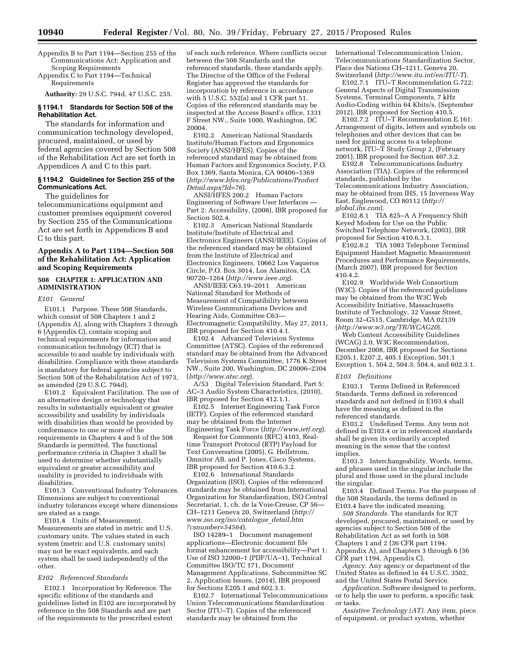Appendix B to Part 1194—Section 255 of the Communications Act: Application and Scoping Requirements

Appendix C to Part 1194—Technical Requirements

**Authority:** 29 U.S.C. 794d, 47 U.S.C. 255.

# **§ 1194.1 Standards for Section 508 of the Rehabilitation Act.**

The standards for information and communication technology developed, procured, maintained, or used by federal agencies covered by Section 508 of the Rehabilitation Act are set forth in Appendices A and C to this part.

# **§ 1194.2 Guidelines for Section 255 of the Communications Act.**

The guidelines for telecommunications equipment and customer premises equipment covered by Section 255 of the Communications Act are set forth in Appendices B and C to this part.

# **Appendix A to Part 1194—Section 508 of the Rehabilitation Act: Application and Scoping Requirements**

# **508 CHAPTER 1: APPLICATION AND ADMINISTRATION**

### *E101 General*

E101.1 Purpose. These 508 Standards, which consist of 508 Chapters 1 and 2 (Appendix A), along with Chapters 3 through 6 (Appendix C), contain scoping and technical requirements for information and communication technology (ICT) that is accessible to and usable by individuals with disabilities. Compliance with these standards is mandatory for federal agencies subject to Section 508 of the Rehabilitation Act of 1973, as amended (29 U.S.C. 794d).

E101.2 Equivalent Facilitation. The use of an alternative design or technology that results in substantially equivalent or greater accessibility and usability by individuals with disabilities than would be provided by conformance to one or more of the requirements in Chapters 4 and 5 of the 508 Standards is permitted. The functional performance criteria in Chapter 3 shall be used to determine whether substantially equivalent or greater accessibility and usability is provided to individuals with disabilities.

E101.3 Conventional Industry Tolerances. Dimensions are subject to conventional industry tolerances except where dimensions are stated as a range.

E101.4 Units of Measurement. Measurements are stated in metric and U.S. customary units. The values stated in each system (metric and U.S. customary units) may not be exact equivalents, and each system shall be used independently of the other.

### *E102 Referenced Standards*

E102.1 Incorporation by Reference. The specific editions of the standards and guidelines listed in E102 are incorporated by reference in the 508 Standards and are part of the requirements to the prescribed extent

of each such reference. Where conflicts occur between the 508 Standards and the referenced standards, these standards apply. The Director of the Office of the Federal Register has approved the standards for incorporation by reference in accordance with 5 U.S.C. 552(a) and 1 CFR part 51. Copies of the referenced standards may be inspected at the Access Board's office, 1331 F Street NW., Suite 1000, Washington, DC 20004.

E102.2 American National Standards Institute/Human Factors and Ergonomics Society (ANSI/HFES). Copies of the referenced standard may be obtained from Human Factors and Ergonomics Society, P.O. Box 1369, Santa Monica, CA 90406–1369 (*[http://www.hfes.org/Publications/Product](http://www.hfes.org/Publications/ProductDetail.aspx?Id=76) [Detail.aspx?Id=76](http://www.hfes.org/Publications/ProductDetail.aspx?Id=76)*).

ANSI/HFES 200.2 Human Factors Engineering of Software User Interfaces — Part 2: Accessibility, (2008), IBR proposed for Section 502.4.

E102.3 American National Standards Institute/Institute of Electrical and Electronics Engineers (ANSI/IEEE). Copies of the referenced standard may be obtained from the Institute of Electrical and Electronics Engineers, 10662 Los Vaqueros Circle, P.O. Box 3014, Los Alamitos, CA 90720–1264 (*<http://www.ieee.org>*).

ANSI/IEEE C63.19–2011 American National Standard for Methods of Measurement of Compatibility between Wireless Communications Devices and Hearing Aids, Committee C63— Electromagnetic Compatibility, May 27, 2011, IBR proposed for Section 410.4.1.

E102.4 Advanced Television Systems Committee (ATSC). Copies of the referenced standard may be obtained from the Advanced Television Systems Committee, 1776 K Street NW., Suite 200, Washington, DC 20006–2304 (*<http://www.atsc.org>*).

A/53 Digital Television Standard, Part 5: AC–3 Audio System Characteristics, (2010), IBR proposed for Section 412.1.1.

E102.5 Internet Engineering Task Force (IETF). Copies of the referenced standard may be obtained from the Internet Engineering Task Force (*<http://www.ietf.org>*).

Request for Comments (RFC) 4103, Realtime Transport Protocol (RTP) Payload for Text Conversation (2005), G. Hellstrom, Omnitor AB, and P. Jones, Cisco Systems, IBR proposed for Section 410.6.3.2.

E102.6 International Standards Organization (ISO). Copies of the referenced standards may be obtained from International Organization for Standardization, ISO Central Secretariat, 1, ch. de la Voie-Creuse, CP 56— CH–1211 Geneva 20, Switzerland (*[http://](http://www.iso.org/iso/catalogue_detail.htm?csnumber=54564) [www.iso.org/iso/catalogue](http://www.iso.org/iso/catalogue_detail.htm?csnumber=54564)*\_*detail.htm [?csnumber=54564](http://www.iso.org/iso/catalogue_detail.htm?csnumber=54564)*).

ISO 14289–1 Document management applications—Electronic document file format enhancement for accessibility—Part 1: Use of ISO 32000–1 (PDF/UA–1), Technical Committee ISO/TC 171, Document Management Applications, Subcommittee SC 2, Application Issues, (2014), IBR proposed for Sections E205.1 and 602.3.1.

E102.7 International Telecommunications Union Telecommunications Standardization Sector (ITU–T). Copies of the referenced standards may be obtained from the

International Telecommunication Union, Telecommunications Standardization Sector, Place des Nations CH–1211, Geneva 20, Switzerland (*<http://www.itu.int/en/ITU-T>*).

E102.7.1 ITU-T Recommendation G.722: General Aspects of Digital Transmission Systems, Terminal Components, 7 kHz Audio-Coding within 64 Kbits/s, (September 2012), IBR proposed for Section 410.5.

E102.7.2 ITU-T Recommendation E.161: Arrangement of digits, letters and symbols on telephones and other devices that can be used for gaining access to a telephone network, ITU–T Study Group 2, (February 2001), IBR proposed for Section 407.3.2.

E102.8 Telecommunications Industry Association (TIA). Copies of the referenced standards, published by the Telecommunications Industry Association, may be obtained from IHS, 15 Inverness Way East, Englewood, CO 80112 (*[http://](http://global.ihs.com) [global.ihs.com](http://global.ihs.com)*).

E102.8.1 TIA 825–A A Frequency Shift Keyed Modem for Use on the Public Switched Telephone Network, (2003), IBR proposed for Section 410.6.3.1.

E102.8.2 TIA 1083 Telephone Terminal Equipment Handset Magnetic Measurement Procedures and Performance Requirements, (March 2007), IBR proposed for Section 410.4.2.

E102.9 Worldwide Web Consortium (W3C). Copies of the referenced guidelines may be obtained from the W3C Web Accessibility Initiative, Massachusetts Institute of Technology, 32 Vassar Street, Room 32–G515, Cambridge, MA 02139 (*<http://www.w3.org/TR/WCAG20>*).

Web Content Accessibility Guidelines (WCAG) 2.0, W3C Recommendation, December 2008, IBR proposed for Sections E205.1, E207.2, 405.1 Exception, 501.1 Exception 1, 504.2, 504.3, 504.4, and 602.3.1.

### *E103 Definitions*

E103.1 Terms Defined in Referenced Standards. Terms defined in referenced standards and not defined in E103.4 shall have the meaning as defined in the referenced standards.

E103.2 Undefined Terms. Any term not defined in E103.4 or in referenced standards shall be given its ordinarily accepted meaning in the sense that the context implies.

E103.3 Interchangeability. Words, terms, and phrases used in the singular include the plural and those used in the plural include the singular.

E103.4 Defined Terms. For the purpose of the 508 Standards, the terms defined in E103.4 have the indicated meaning.

*508 Standards.* The standards for ICT developed, procured, maintained, or used by agencies subject to Section 508 of the Rehabilitation Act as set forth in 508 Chapters 1 and 2 (36 CFR part 1194, Appendix A), and Chapters 3 through 6 (36 CFR part 1194, Appendix C).

*Agency.* Any agency or department of the United States as defined in 44 U.S.C. 3502, and the United States Postal Service.

*Application.* Software designed to perform, or to help the user to perform, a specific task or tasks.

*Assistive Technology (AT).* Any item, piece of equipment, or product system, whether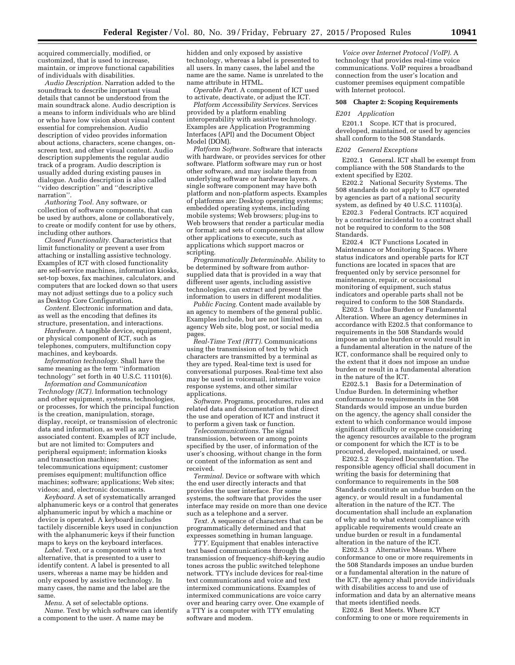acquired commercially, modified, or customized, that is used to increase, maintain, or improve functional capabilities of individuals with disabilities.

*Audio Description.* Narration added to the soundtrack to describe important visual details that cannot be understood from the main soundtrack alone. Audio description is a means to inform individuals who are blind or who have low vision about visual content essential for comprehension. Audio description of video provides information about actions, characters, scene changes, onscreen text, and other visual content. Audio description supplements the regular audio track of a program. Audio description is usually added during existing pauses in dialogue. Audio description is also called ''video description'' and ''descriptive narration''.

*Authoring Tool.* Any software, or collection of software components, that can be used by authors, alone or collaboratively, to create or modify content for use by others, including other authors.

*Closed Functionality.* Characteristics that limit functionality or prevent a user from attaching or installing assistive technology. Examples of ICT with closed functionality are self-service machines, information kiosks, set-top boxes, fax machines, calculators, and computers that are locked down so that users may not adjust settings due to a policy such as Desktop Core Configuration.

*Content.* Electronic information and data, as well as the encoding that defines its structure, presentation, and interactions.

*Hardware.* A tangible device, equipment, or physical component of ICT, such as telephones, computers, multifunction copy machines, and keyboards.

*Information technology.* Shall have the same meaning as the term ''information technology'' set forth in 40 U.S.C. 11101(6).

*Information and Communication Technology (ICT).* Information technology and other equipment, systems, technologies, or processes, for which the principal function is the creation, manipulation, storage, display, receipt, or transmission of electronic data and information, as well as any associated content. Examples of ICT include, but are not limited to: Computers and peripheral equipment; information kiosks and transaction machines; telecommunications equipment; customer premises equipment; multifunction office

machines; software; applications; Web sites; videos; and, electronic documents. *Keyboard.* A set of systematically arranged

alphanumeric keys or a control that generates alphanumeric input by which a machine or device is operated. A keyboard includes tactilely discernible keys used in conjunction with the alphanumeric keys if their function maps to keys on the keyboard interfaces.

*Label.* Text, or a component with a text alternative, that is presented to a user to identify content. A label is presented to all users, whereas a name may be hidden and only exposed by assistive technology. In many cases, the name and the label are the same.

*Menu.* A set of selectable options.

*Name.* Text by which software can identify a component to the user. A name may be

hidden and only exposed by assistive technology, whereas a label is presented to all users. In many cases, the label and the name are the same. Name is unrelated to the name attribute in HTML.

*Operable Part.* A component of ICT used to activate, deactivate, or adjust the ICT.

*Platform Accessibility Services.* Services provided by a platform enabling interoperability with assistive technology. Examples are Application Programming Interfaces (API) and the Document Object Model (DOM).

*Platform Software.* Software that interacts with hardware, or provides services for other software. Platform software may run or host other software, and may isolate them from underlying software or hardware layers. A single software component may have both platform and non-platform aspects. Examples of platforms are: Desktop operating systems; embedded operating systems, including mobile systems; Web browsers; plug-ins to Web browsers that render a particular media or format; and sets of components that allow other applications to execute, such as applications which support macros or scripting.

*Programmatically Determinable.* Ability to be determined by software from authorsupplied data that is provided in a way that different user agents, including assistive technologies, can extract and present the information to users in different modalities.

*Public Facing.* Content made available by an agency to members of the general public. Examples include, but are not limited to, an agency Web site, blog post, or social media pages.

*Real-Time Text (RTT).* Communications using the transmission of text by which characters are transmitted by a terminal as they are typed. Real-time text is used for conversational purposes. Real-time text also may be used in voicemail, interactive voice response systems, and other similar applications.

*Software.* Programs, procedures, rules and related data and documentation that direct the use and operation of ICT and instruct it to perform a given task or function.

*Telecommunications.* The signal transmission, between or among points specified by the user, of information of the user's choosing, without change in the form or content of the information as sent and received.

*Terminal.* Device or software with which the end user directly interacts and that provides the user interface. For some systems, the software that provides the user interface may reside on more than one device such as a telephone and a server.

*Text.* A sequence of characters that can be programmatically determined and that expresses something in human language.

*TTY.* Equipment that enables interactive text based communications through the transmission of frequency-shift-keying audio tones across the public switched telephone network. TTYs include devices for real-time text communications and voice and text intermixed communications. Examples of intermixed communications are voice carry over and hearing carry over. One example of a TTY is a computer with TTY emulating software and modem.

*Voice over Internet Protocol (VoIP).* A technology that provides real-time voice communications. VoIP requires a broadband connection from the user's location and customer premises equipment compatible with Internet protocol.

# **508 Chapter 2: Scoping Requirements**

### *E201 Application*

E201.1 Scope. ICT that is procured, developed, maintained, or used by agencies shall conform to the 508 Standards.

### *E202 General Exceptions*

E202.1 General. ICT shall be exempt from compliance with the 508 Standards to the extent specified by E202.

E202.2 National Security Systems. The 508 standards do not apply to ICT operated by agencies as part of a national security system, as defined by 40 U.S.C. 11103(a).

E202.3 Federal Contracts. ICT acquired by a contractor incidental to a contract shall not be required to conform to the 508 Standards.

E202.4 ICT Functions Located in Maintenance or Monitoring Spaces. Where status indicators and operable parts for ICT functions are located in spaces that are frequented only by service personnel for maintenance, repair, or occasional monitoring of equipment, such status indicators and operable parts shall not be required to conform to the 508 Standards.

E202.5 Undue Burden or Fundamental Alteration. Where an agency determines in accordance with E202.5 that conformance to requirements in the 508 Standards would impose an undue burden or would result in a fundamental alteration in the nature of the ICT, conformance shall be required only to the extent that it does not impose an undue burden or result in a fundamental alteration in the nature of the ICT.

E202.5.1 Basis for a Determination of Undue Burden. In determining whether conformance to requirements in the 508 Standards would impose an undue burden on the agency, the agency shall consider the extent to which conformance would impose significant difficulty or expense considering the agency resources available to the program or component for which the ICT is to be procured, developed, maintained, or used.

E202.5.2 Required Documentation. The responsible agency official shall document in writing the basis for determining that conformance to requirements in the 508 Standards constitute an undue burden on the agency, or would result in a fundamental alteration in the nature of the ICT. The documentation shall include an explanation of why and to what extent compliance with applicable requirements would create an undue burden or result in a fundamental alteration in the nature of the ICT.

E202.5.3 Alternative Means. Where conformance to one or more requirements in the 508 Standards imposes an undue burden or a fundamental alteration in the nature of the ICT, the agency shall provide individuals with disabilities access to and use of information and data by an alternative means that meets identified needs.

E202.6 Best Meets. Where ICT conforming to one or more requirements in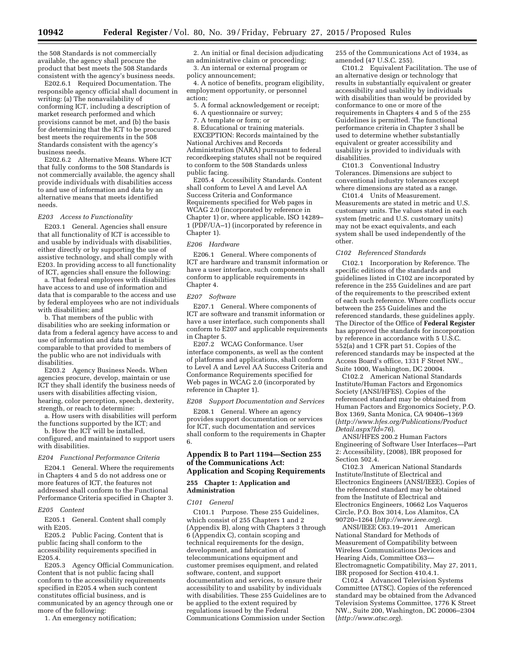the 508 Standards is not commercially available, the agency shall procure the product that best meets the 508 Standards consistent with the agency's business needs.

E202.6.1 Required Documentation. The responsible agency official shall document in writing: (a) The nonavailability of conforming ICT, including a description of market research performed and which provisions cannot be met, and (b) the basis for determining that the ICT to be procured best meets the requirements in the 508 Standards consistent with the agency's business needs.

E202.6.2 Alternative Means. Where ICT that fully conforms to the 508 Standards is not commercially available, the agency shall provide individuals with disabilities access to and use of information and data by an alternative means that meets identified needs.

### *E203 Access to Functionality*

E203.1 General. Agencies shall ensure that all functionality of ICT is accessible to and usable by individuals with disabilities, either directly or by supporting the use of assistive technology, and shall comply with E203. In providing access to all functionality of ICT, agencies shall ensure the following:

a. That federal employees with disabilities have access to and use of information and data that is comparable to the access and use by federal employees who are not individuals with disabilities; and

b. That members of the public with disabilities who are seeking information or data from a federal agency have access to and use of information and data that is comparable to that provided to members of the public who are not individuals with disabilities.

E203.2 Agency Business Needs. When agencies procure, develop, maintain or use ICT they shall identify the business needs of users with disabilities affecting vision, hearing, color perception, speech, dexterity, strength, or reach to determine:

a. How users with disabilities will perform the functions supported by the ICT; and

b. How the ICT will be installed, configured, and maintained to support users with disabilities.

### *E204 Functional Performance Criteria*

E204.1 General. Where the requirements in Chapters 4 and 5 do not address one or more features of ICT, the features not addressed shall conform to the Functional Performance Criteria specified in Chapter 3.

### *E205 Content*

E205.1 General. Content shall comply with E205.

E205.2 Public Facing. Content that is public facing shall conform to the accessibility requirements specified in E205.4.

E205.3 Agency Official Communication. Content that is not public facing shall conform to the accessibility requirements specified in E205.4 when such content constitutes official business, and is communicated by an agency through one or more of the following:

1. An emergency notification;

2. An initial or final decision adjudicating an administrative claim or proceeding; 3. An internal or external program or

policy announcement;

4. A notice of benefits, program eligibility, employment opportunity, or personnel action;

5. A formal acknowledgement or receipt;

6. A questionnaire or survey;

7. A template or form; or

8. Educational or training materials. EXCEPTION: Records maintained by the National Archives and Records Administration (NARA) pursuant to federal recordkeeping statutes shall not be required to conform to the 508 Standards unless public facing.

E205.4 Accessibility Standards. Content shall conform to Level A and Level AA Success Criteria and Conformance Requirements specified for Web pages in WCAG 2.0 (incorporated by reference in Chapter 1) or, where applicable, ISO 14289– 1 (PDF/UA–1) (incorporated by reference in Chapter 1).

### *E206 Hardware*

E206.1 General. Where components of ICT are hardware and transmit information or have a user interface, such components shall conform to applicable requirements in Chapter 4.

### *E207 Software*

E207.1 General. Where components of ICT are software and transmit information or have a user interface, such components shall conform to E207 and applicable requirements in Chapter 5.

E207.2 WCAG Conformance. User interface components, as well as the content of platforms and applications, shall conform to Level A and Level AA Success Criteria and Conformance Requirements specified for Web pages in WCAG 2.0 (incorporated by reference in Chapter 1).

*E208 Support Documentation and Services* 

E208.1 General. Where an agency provides support documentation or services for ICT, such documentation and services shall conform to the requirements in Chapter 6.

# **Appendix B to Part 1194—Section 255 of the Communications Act: Application and Scoping Requirements**

# **255 Chapter 1: Application and Administration**

### *C101 General*

C101.1 Purpose. These 255 Guidelines, which consist of 255 Chapters 1 and 2 (Appendix B), along with Chapters 3 through 6 (Appendix C), contain scoping and technical requirements for the design, development, and fabrication of telecommunications equipment and customer premises equipment, and related software, content, and support documentation and services, to ensure their accessibility to and usability by individuals with disabilities. These 255 Guidelines are to be applied to the extent required by regulations issued by the Federal Communications Commission under Section

255 of the Communications Act of 1934, as amended (47 U.S.C. 255).

C101.2 Equivalent Facilitation. The use of an alternative design or technology that results in substantially equivalent or greater accessibility and usability by individuals with disabilities than would be provided by conformance to one or more of the requirements in Chapters 4 and 5 of the 255 Guidelines is permitted. The functional performance criteria in Chapter 3 shall be used to determine whether substantially equivalent or greater accessibility and usability is provided to individuals with disabilities.

C101.3 Conventional Industry Tolerances. Dimensions are subject to conventional industry tolerances except where dimensions are stated as a range.

C101.4 Units of Measurement. Measurements are stated in metric and U.S. customary units. The values stated in each system (metric and U.S. customary units) may not be exact equivalents, and each system shall be used independently of the other.

### *C102 Referenced Standards*

C102.1 Incorporation by Reference. The specific editions of the standards and guidelines listed in C102 are incorporated by reference in the 255 Guidelines and are part of the requirements to the prescribed extent of each such reference. Where conflicts occur between the 255 Guidelines and the referenced standards, these guidelines apply. The Director of the Office of **Federal Register**  has approved the standards for incorporation by reference in accordance with 5 U.S.C. 552(a) and 1 CFR part 51. Copies of the referenced standards may be inspected at the Access Board's office, 1331 F Street NW., Suite 1000, Washington, DC 20004.

C102.2 American National Standards Institute/Human Factors and Ergonomics Society (ANSI/HFES). Copies of the referenced standard may be obtained from Human Factors and Ergonomics Society, P.O. Box 1369, Santa Monica, CA 90406–1369 (*[http://www.hfes.org/Publications/Product](http://www.hfes.org/Publications/ProductDetail.aspx?Id=76) [Detail.aspx?Id=76](http://www.hfes.org/Publications/ProductDetail.aspx?Id=76)*).

ANSI/HFES 200.2 Human Factors Engineering of Software User Interfaces—Part 2: Accessibility, (2008), IBR proposed for Section 502.4.

C102.3 American National Standards Institute/Institute of Electrical and Electronics Engineers (ANSI/IEEE). Copies of the referenced standard may be obtained from the Institute of Electrical and Electronics Engineers, 10662 Los Vaqueros Circle, P.O. Box 3014, Los Alamitos, CA 90720–1264 (*<http://www.ieee.org>*).

ANSI/IEEE C63.19–2011 American National Standard for Methods of Measurement of Compatibility between Wireless Communications Devices and Hearing Aids, Committee C63— Electromagnetic Compatibility, May 27, 2011, IBR proposed for Section 410.4.1.

C102.4 Advanced Television Systems Committee (ATSC). Copies of the referenced standard may be obtained from the Advanced Television Systems Committee, 1776 K Street NW., Suite 200, Washington, DC 20006–2304 (*<http://www.atsc.org>*).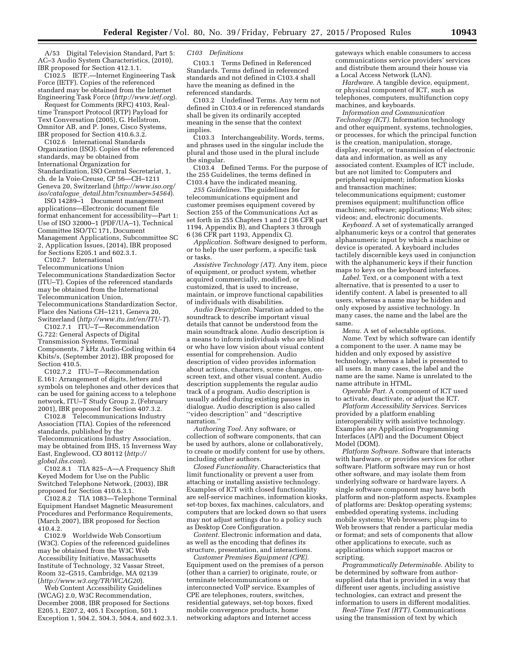A/53 Digital Television Standard, Part 5: AC–3 Audio System Characteristics, (2010), IBR proposed for Section 412.1.1.

C102.5 IETF.—Internet Engineering Task Force (IETF). Copies of the referenced standard may be obtained from the Internet Engineering Task Force (*<http://www.ietf.org>*).

Request for Comments (RFC) 4103, Realtime Transport Protocol (RTP) Payload for Text Conversation (2005), G. Hellstrom, Omnitor AB, and P. Jones, Cisco Systems, IBR proposed for Section 410.6.3.2.

C102.6 International Standards Organization (ISO). Copies of the referenced standards, may be obtained from International Organization for Standardization, ISO Central Secretariat, 1, ch. de la Voie-Creuse, CP 56—CH–1211 Geneva 20, Switzerland (*[http://www.iso.org/](http://www.iso.org/iso/catalogue_detail.htm?csnumber=54564) iso/catalogue*\_*[detail.htm?csnumber=54564](http://www.iso.org/iso/catalogue_detail.htm?csnumber=54564)*).

ISO 14289–1 Document management applications—Electronic document file format enhancement for accessibility—Part 1: Use of ISO 32000–1 (PDF/UA–1), Technical Committee ISO/TC 171, Document Management Applications, Subcommittee SC 2, Application Issues, (2014), IBR proposed for Sections E205.1 and 602.3.1.

C102.7 International

Telecommunications Union Telecommunications Standardization Sector (ITU–T). Copies of the referenced standards may be obtained from the International Telecommunication Union, Telecommunications Standardization Sector, Place des Nations CH–1211, Geneva 20, Switzerland (*<http://www.itu.int/en/ITU-T>*).

C102.7.1 ITU-T-Recommendation G.722: General Aspects of Digital Transmission Systems, Terminal Components, 7 kHz Audio-Coding within 64 Kbits/s, (September 2012), IBR proposed for Section 410.5.

C102.7.2 ITU–T—Recommendation E.161: Arrangement of digits, letters and symbols on telephones and other devices that can be used for gaining access to a telephone network, ITU–T Study Group 2, (February 2001), IBR proposed for Section 407.3.2.

C102.8 Telecommunications Industry Association (TIA). Copies of the referenced standards, published by the Telecommunications Industry Association, may be obtained from IHS, 15 Inverness Way East, Englewood, CO 80112 (*[http://](http://global.ihs.com) [global.ihs.com](http://global.ihs.com)*).

C102.8.1 TIA 825–A—A Frequency Shift Keyed Modem for Use on the Public Switched Telephone Network, (2003), IBR proposed for Section 410.6.3.1.

C102.8.2 TIA 1083—Telephone Terminal Equipment Handset Magnetic Measurement Procedures and Performance Requirements, (March 2007), IBR proposed for Section 410.4.2.

C102.9 Worldwide Web Consortium (W3C). Copies of the referenced guidelines may be obtained from the W3C Web Accessibility Initiative, Massachusetts Institute of Technology, 32 Vassar Street, Room 32–G515, Cambridge, MA 02139 (*<http://www.w3.org/TR/WCAG20>*).

Web Content Accessibility Guidelines (WCAG) 2.0, W3C Recommendation, December 2008, IBR proposed for Sections E205.1, E207.2, 405.1 Exception, 501.1 Exception 1, 504.2, 504.3, 504.4, and 602.3.1. *C103 Definitions* 

C103.1 Terms Defined in Referenced Standards. Terms defined in referenced standards and not defined in C103.4 shall have the meaning as defined in the referenced standards.

C103.2 Undefined Terms. Any term not defined in C103.4 or in referenced standards shall be given its ordinarily accepted meaning in the sense that the context implies.

C103.3 Interchangeability. Words, terms, and phrases used in the singular include the plural and those used in the plural include the singular.

C103.4 Defined Terms. For the purpose of the 255 Guidelines, the terms defined in C103.4 have the indicated meaning.

*255 Guidelines.* The guidelines for telecommunications equipment and customer premises equipment covered by Section 255 of the Communications Act as set forth in 255 Chapters 1 and 2 (36 CFR part 1194, Appendix B), and Chapters 3 through 6 (36 CFR part 1193, Appendix C).

*Application.* Software designed to perform, or to help the user perform, a specific task or tasks.

*Assistive Technology (AT).* Any item, piece of equipment, or product system, whether acquired commercially, modified, or customized, that is used to increase, maintain, or improve functional capabilities of individuals with disabilities.

*Audio Description.* Narration added to the soundtrack to describe important visual details that cannot be understood from the main soundtrack alone. Audio description is a means to inform individuals who are blind or who have low vision about visual content essential for comprehension. Audio description of video provides information about actions, characters, scene changes, onscreen text, and other visual content. Audio description supplements the regular audio track of a program. Audio description is usually added during existing pauses in dialogue. Audio description is also called ''video description'' and ''descriptive narration.''

*Authoring Tool.* Any software, or collection of software components, that can be used by authors, alone or collaboratively, to create or modify content for use by others, including other authors.

*Closed Functionality.* Characteristics that limit functionality or prevent a user from attaching or installing assistive technology. Examples of ICT with closed functionality are self-service machines, information kiosks, set-top boxes, fax machines, calculators, and computers that are locked down so that users may not adjust settings due to a policy such as Desktop Core Configuration.

*Content.* Electronic information and data, as well as the encoding that defines its structure, presentation, and interactions.

*Customer Premises Equipment (CPE).*  Equipment used on the premises of a person (other than a carrier) to originate, route, or terminate telecommunications or interconnected VoIP service. Examples of CPE are telephones, routers, switches, residential gateways, set-top boxes, fixed mobile convergence products, home networking adaptors and Internet access

gateways which enable consumers to access communications service providers' services and distribute them around their house via a Local Access Network (LAN).

*Hardware.* A tangible device, equipment, or physical component of ICT, such as telephones, computers, multifunction copy machines, and keyboards.

*Information and Communication Technology (ICT).* Information technology and other equipment, systems, technologies, or processes, for which the principal function is the creation, manipulation, storage, display, receipt, or transmission of electronic data and information, as well as any associated content. Examples of ICT include, but are not limited to: Computers and peripheral equipment; information kiosks and transaction machines; telecommunications equipment; customer premises equipment; multifunction office

machines; software; applications; Web sites; videos; and, electronic documents.

*Keyboard.* A set of systematically arranged alphanumeric keys or a control that generates alphanumeric input by which a machine or device is operated. A keyboard includes tactilely discernible keys used in conjunction with the alphanumeric keys if their function maps to keys on the keyboard interfaces.

*Label.* Text, or a component with a text alternative, that is presented to a user to identify content. A label is presented to all users, whereas a name may be hidden and only exposed by assistive technology. In many cases, the name and the label are the same.

*Menu.* A set of selectable options.

*Name.* Text by which software can identify a component to the user. A name may be hidden and only exposed by assistive technology, whereas a label is presented to all users. In many cases, the label and the name are the same. Name is unrelated to the name attribute in HTML.

*Operable Part.* A component of ICT used to activate, deactivate, or adjust the ICT.

*Platform Accessibility Services.* Services provided by a platform enabling interoperability with assistive technology. Examples are Application Programming Interfaces (API) and the Document Object Model (DOM).

*Platform Software.* Software that interacts with hardware, or provides services for other software. Platform software may run or host other software, and may isolate them from underlying software or hardware layers. A single software component may have both platform and non-platform aspects. Examples of platforms are: Desktop operating systems; embedded operating systems, including mobile systems; Web browsers; plug-ins to Web browsers that render a particular media or format; and sets of components that allow other applications to execute, such as applications which support macros or scripting.

*Programmatically Determinable.* Ability to be determined by software from authorsupplied data that is provided in a way that different user agents, including assistive technologies, can extract and present the information to users in different modalities.

*Real-Time Text (RTT).* Communications using the transmission of text by which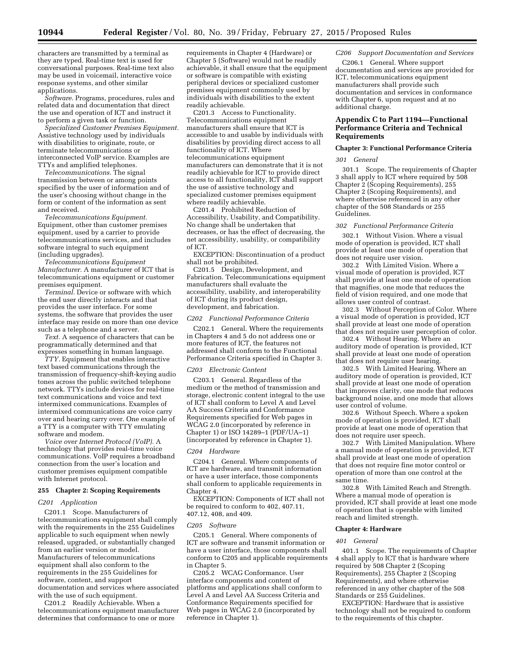characters are transmitted by a terminal as they are typed. Real-time text is used for conversational purposes. Real-time text also may be used in voicemail, interactive voice response systems, and other similar applications.

*Software.* Programs, procedures, rules and related data and documentation that direct the use and operation of ICT and instruct it to perform a given task or function.

*Specialized Customer Premises Equipment.*  Assistive technology used by individuals with disabilities to originate, route, or terminate telecommunications or interconnected VoIP service. Examples are TTYs and amplified telephones.

*Telecommunications.* The signal transmission between or among points specified by the user of information and of the user's choosing without change in the form or content of the information as sent and received.

*Telecommunications Equipment.*  Equipment, other than customer premises equipment, used by a carrier to provide telecommunications services, and includes software integral to such equipment (including upgrades).

*Telecommunications Equipment Manufacturer.* A manufacturer of ICT that is telecommunications equipment or customer premises equipment.

*Terminal.* Device or software with which the end user directly interacts and that provides the user interface. For some systems, the software that provides the user interface may reside on more than one device such as a telephone and a server.

*Text.* A sequence of characters that can be programmatically determined and that expresses something in human language.

*TTY.* Equipment that enables interactive text based communications through the transmission of frequency-shift-keying audio tones across the public switched telephone network. TTYs include devices for real-time text communications and voice and text intermixed communications. Examples of intermixed communications are voice carry over and hearing carry over. One example of a TTY is a computer with TTY emulating software and modem.

*Voice over Internet Protocol (VoIP).* A technology that provides real-time voice communications. VoIP requires a broadband connection from the user's location and customer premises equipment compatible with Internet protocol.

# **255 Chapter 2: Scoping Requirements**

### *C201 Application*

C201.1 Scope. Manufacturers of telecommunications equipment shall comply with the requirements in the 255 Guidelines applicable to such equipment when newly released, upgraded, or substantially changed from an earlier version or model. Manufacturers of telecommunications equipment shall also conform to the requirements in the 255 Guidelines for software, content, and support documentation and services where associated with the use of such equipment.

C201.2 Readily Achievable. When a telecommunications equipment manufacturer determines that conformance to one or more

requirements in Chapter 4 (Hardware) or Chapter 5 (Software) would not be readily achievable, it shall ensure that the equipment or software is compatible with existing peripheral devices or specialized customer premises equipment commonly used by individuals with disabilities to the extent readily achievable.

C201.3 Access to Functionality. Telecommunications equipment manufacturers shall ensure that ICT is accessible to and usable by individuals with disabilities by providing direct access to all functionality of ICT. Where telecommunications equipment manufacturers can demonstrate that it is not readily achievable for ICT to provide direct access to all functionality, ICT shall support the use of assistive technology and specialized customer premises equipment where readily achievable.

C201.4 Prohibited Reduction of Accessibility, Usability, and Compatibility. No change shall be undertaken that decreases, or has the effect of decreasing, the net accessibility, usability, or compatibility of ICT.

EXCEPTION: Discontinuation of a product shall not be prohibited.

C201.5 Design, Development, and Fabrication. Telecommunications equipment manufacturers shall evaluate the accessibility, usability, and interoperability of ICT during its product design, development, and fabrication.

### *C202 Functional Performance Criteria*

C202.1 General. Where the requirements in Chapters 4 and 5 do not address one or more features of ICT, the features not addressed shall conform to the Functional Performance Criteria specified in Chapter 3.

### *C203 Electronic Content*

C203.1 General. Regardless of the medium or the method of transmission and storage, electronic content integral to the use of ICT shall conform to Level A and Level AA Success Criteria and Conformance Requirements specified for Web pages in WCAG 2.0 (incorporated by reference in Chapter 1) or ISO 14289–1 (PDF/UA–1) (incorporated by reference in Chapter 1).

### *C204 Hardware*

C204.1 General. Where components of ICT are hardware, and transmit information or have a user interface, those components shall conform to applicable requirements in Chapter 4.

EXCEPTION: Components of ICT shall not be required to conform to 402, 407.11, 407.12, 408, and 409.

### *C205 Software*

C205.1 General. Where components of ICT are software and transmit information or have a user interface, those components shall conform to C205 and applicable requirements in Chapter 5.

C205.2 WCAG Conformance. User interface components and content of platforms and applications shall conform to Level A and Level AA Success Criteria and Conformance Requirements specified for Web pages in WCAG 2.0 (incorporated by reference in Chapter 1).

*C206 Support Documentation and Services* 

C206.1 General. Where support documentation and services are provided for ICT, telecommunications equipment manufacturers shall provide such documentation and services in conformance with Chapter 6, upon request and at no additional charge.

# **Appendix C to Part 1194—Functional Performance Criteria and Technical Requirements**

# **Chapter 3: Functional Performance Criteria**

### *301 General*

301.1 Scope. The requirements of Chapter 3 shall apply to ICT where required by 508 Chapter 2 (Scoping Requirements), 255 Chapter 2 (Scoping Requirements), and where otherwise referenced in any other chapter of the 508 Standards or 255 Guidelines.

### *302 Functional Performance Criteria*

302.1 Without Vision. Where a visual mode of operation is provided, ICT shall provide at least one mode of operation that does not require user vision.

302.2 With Limited Vision. Where a visual mode of operation is provided, ICT shall provide at least one mode of operation that magnifies, one mode that reduces the field of vision required, and one mode that allows user control of contrast.

302.3 Without Perception of Color. Where a visual mode of operation is provided, ICT shall provide at least one mode of operation that does not require user perception of color.

302.4 Without Hearing. Where an auditory mode of operation is provided, ICT shall provide at least one mode of operation that does not require user hearing.

302.5 With Limited Hearing. Where an auditory mode of operation is provided, ICT shall provide at least one mode of operation that improves clarity, one mode that reduces background noise, and one mode that allows user control of volume.

302.6 Without Speech. Where a spoken mode of operation is provided, ICT shall provide at least one mode of operation that does not require user speech.

302.7 With Limited Manipulation. Where a manual mode of operation is provided, ICT shall provide at least one mode of operation that does not require fine motor control or operation of more than one control at the same time.

302.8 With Limited Reach and Strength. Where a manual mode of operation is provided, ICT shall provide at least one mode of operation that is operable with limited reach and limited strength.

### **Chapter 4: Hardware**

### *401 General*

401.1 Scope. The requirements of Chapter 4 shall apply to ICT that is hardware where required by 508 Chapter 2 (Scoping Requirements), 255 Chapter 2 (Scoping Requirements), and where otherwise referenced in any other chapter of the 508 Standards or 255 Guidelines.

EXCEPTION: Hardware that is assistive technology shall not be required to conform to the requirements of this chapter.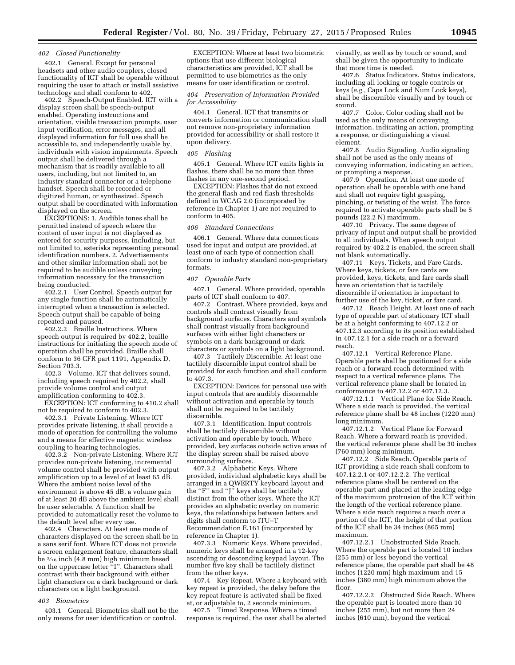### *402 Closed Functionality*

402.1 General. Except for personal headsets and other audio couplers, closed functionality of ICT shall be operable without requiring the user to attach or install assistive technology and shall conform to 402.

402.2 Speech-Output Enabled. ICT with a display screen shall be speech-output enabled. Operating instructions and orientation, visible transaction prompts, user input verification, error messages, and all displayed information for full use shall be accessible to, and independently usable by, individuals with vision impairments. Speech output shall be delivered through a mechanism that is readily available to all users, including, but not limited to, an industry standard connector or a telephone handset. Speech shall be recorded or digitized human, or synthesized. Speech output shall be coordinated with information displayed on the screen.

EXCEPTIONS: 1. Audible tones shall be permitted instead of speech where the content of user input is not displayed as entered for security purposes, including, but not limited to, asterisks representing personal identification numbers. 2. Advertisements and other similar information shall not be required to be audible unless conveying information necessary for the transaction being conducted.

402.2.1 User Control. Speech output for any single function shall be automatically interrupted when a transaction is selected. Speech output shall be capable of being repeated and paused.

402.2.2 Braille Instructions. Where speech output is required by 402.2, braille instructions for initiating the speech mode of operation shall be provided. Braille shall conform to 36 CFR part 1191, Appendix D, Section 703.3.

402.3 Volume. ICT that delivers sound, including speech required by 402.2, shall provide volume control and output amplification conforming to 402.3.

EXCEPTION: ICT conforming to 410.2 shall not be required to conform to 402.3.

402.3.1 Private Listening. Where ICT provides private listening, it shall provide a mode of operation for controlling the volume and a means for effective magnetic wireless coupling to hearing technologies.

402.3.2 Non-private Listening. Where ICT provides non-private listening, incremental volume control shall be provided with output amplification up to a level of at least 65 dB. Where the ambient noise level of the environment is above 45 dB, a volume gain of at least 20 dB above the ambient level shall be user selectable. A function shall be provided to automatically reset the volume to the default level after every use.

402.4 Characters. At least one mode of characters displayed on the screen shall be in a sans serif font. Where ICT does not provide a screen enlargement feature, characters shall be 3⁄16 inch (4.8 mm) high minimum based on the uppercase letter ''I''. Characters shall contrast with their background with either light characters on a dark background or dark characters on a light background.

### *403 Biometrics*

403.1 General. Biometrics shall not be the only means for user identification or control.

EXCEPTION: Where at least two biometric options that use different biological characteristics are provided, ICT shall be permitted to use biometrics as the only means for user identification or control.

### *404 Preservation of Information Provided for Accessibility*

404.1 General. ICT that transmits or converts information or communication shall not remove non-proprietary information provided for accessibility or shall restore it upon delivery.

### *405 Flashing*

405.1 General. Where ICT emits lights in flashes, there shall be no more than three flashes in any one-second period.

EXCEPTION: Flashes that do not exceed the general flash and red flash thresholds defined in WCAG 2.0 (incorporated by reference in Chapter 1) are not required to conform to 405.

### *406 Standard Connections*

406.1 General. Where data connections used for input and output are provided, at least one of each type of connection shall conform to industry standard non-proprietary formats.

### *407 Operable Parts*

407.1 General. Where provided, operable parts of ICT shall conform to 407.

407.2 Contrast. Where provided, keys and controls shall contrast visually from background surfaces. Characters and symbols shall contrast visually from background surfaces with either light characters or symbols on a dark background or dark characters or symbols on a light background.

407.3 Tactilely Discernible. At least one tactilely discernible input control shall be provided for each function and shall conform to 407.3.

EXCEPTION: Devices for personal use with input controls that are audibly discernable without activation and operable by touch shall not be required to be tactilely discernible.

407.3.1 Identification. Input controls shall be tactilely discernible without activation and operable by touch. Where provided, key surfaces outside active areas of the display screen shall be raised above surrounding surfaces.

407.3.2 Alphabetic Keys. Where provided, individual alphabetic keys shall be arranged in a QWERTY keyboard layout and the "F" and "J" keys shall be tactilely distinct from the other keys. Where the ICT provides an alphabetic overlay on numeric keys, the relationships between letters and digits shall conform to ITU–T Recommendation E.161 (incorporated by reference in Chapter 1).

407.3.3 Numeric Keys. Where provided, numeric keys shall be arranged in a 12-key ascending or descending keypad layout. The number five key shall be tactilely distinct from the other keys.

407.4 Key Repeat. Where a keyboard with key repeat is provided, the delay before the key repeat feature is activated shall be fixed at, or adjustable to, 2 seconds minimum.

407.5 Timed Response. Where a timed response is required, the user shall be alerted visually, as well as by touch or sound, and shall be given the opportunity to indicate that more time is needed.

407.6 Status Indicators. Status indicators, including all locking or toggle controls or keys (*e.g.,* Caps Lock and Num Lock keys), shall be discernible visually and by touch or sound.<br>407.7

Color. Color coding shall not be used as the only means of conveying information, indicating an action, prompting a response, or distinguishing a visual element.

407.8 Audio Signaling. Audio signaling shall not be used as the only means of conveying information, indicating an action, or prompting a response.

407.9 Operation. At least one mode of operation shall be operable with one hand and shall not require tight grasping, pinching, or twisting of the wrist. The force required to activate operable parts shall be 5 pounds (22.2 N) maximum.

407.10 Privacy. The same degree of privacy of input and output shall be provided to all individuals. When speech output required by 402.2 is enabled, the screen shall not blank automatically.

407.11 Keys, Tickets, and Fare Cards. Where keys, tickets, or fare cards are provided, keys, tickets, and fare cards shall have an orientation that is tactilely discernible if orientation is important to further use of the key, ticket, or fare card.

407.12 Reach Height. At least one of each type of operable part of stationary ICT shall be at a height conforming to 407.12.2 or 407.12.3 according to its position established in 407.12.1 for a side reach or a forward reach.

407.12.1 Vertical Reference Plane. Operable parts shall be positioned for a side reach or a forward reach determined with respect to a vertical reference plane. The vertical reference plane shall be located in conformance to 407.12.2 or 407.12.3.

407.12.1.1 Vertical Plane for Side Reach. Where a side reach is provided, the vertical reference plane shall be 48 inches (1220 mm) long minimum.

407.12.1.2 Vertical Plane for Forward Reach. Where a forward reach is provided, the vertical reference plane shall be 30 inches (760 mm) long minimum.

407.12.2 Side Reach. Operable parts of ICT providing a side reach shall conform to 407.12.2.1 or 407.12.2.2. The vertical reference plane shall be centered on the operable part and placed at the leading edge of the maximum protrusion of the ICT within the length of the vertical reference plane. Where a side reach requires a reach over a portion of the ICT, the height of that portion of the ICT shall be 34 inches (865 mm) maximum.

407.12.2.1 Unobstructed Side Reach. Where the operable part is located 10 inches (255 mm) or less beyond the vertical reference plane, the operable part shall be 48 inches (1220 mm) high maximum and 15 inches (380 mm) high minimum above the floor.

407.12.2.2 Obstructed Side Reach. Where the operable part is located more than 10 inches (255 mm), but not more than 24 inches (610 mm), beyond the vertical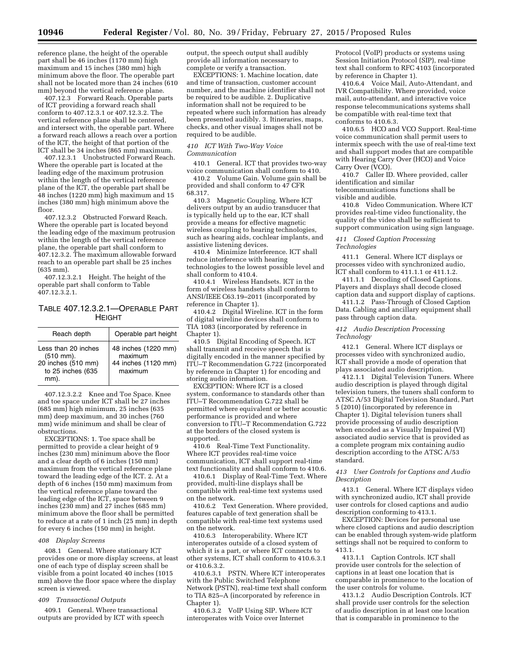reference plane, the height of the operable part shall be 46 inches (1170 mm) high maximum and 15 inches (380 mm) high minimum above the floor. The operable part shall not be located more than 24 inches (610 mm) beyond the vertical reference plane.

407.12.3 Forward Reach. Operable parts of ICT providing a forward reach shall conform to 407.12.3.1 or 407.12.3.2. The vertical reference plane shall be centered, and intersect with, the operable part. Where a forward reach allows a reach over a portion of the ICT, the height of that portion of the ICT shall be 34 inches (865 mm) maximum.

407.12.3.1 Unobstructed Forward Reach. Where the operable part is located at the leading edge of the maximum protrusion within the length of the vertical reference plane of the ICT, the operable part shall be 48 inches (1220 mm) high maximum and 15 inches (380 mm) high minimum above the floor.

407.12.3.2 Obstructed Forward Reach. Where the operable part is located beyond the leading edge of the maximum protrusion within the length of the vertical reference plane, the operable part shall conform to 407.12.3.2. The maximum allowable forward reach to an operable part shall be 25 inches (635 mm).

407.12.3.2.1 Height. The height of the operable part shall conform to Table 407.12.3.2.1.

TABLE 407.12.3.2.1—OPERABLE PART HEIGHT

| Reach depth                                                                                        | Operable part height                                             |
|----------------------------------------------------------------------------------------------------|------------------------------------------------------------------|
| Less than 20 inches<br>$(510 \, \text{mm})$ .<br>$20$ inches (510 mm)<br>to 25 inches (635<br>mm). | 48 inches (1220 mm)<br>maximum<br>44 inches (1120 mm)<br>maximum |

407.12.3.2.2 Knee and Toe Space. Knee and toe space under ICT shall be 27 inches (685 mm) high minimum, 25 inches (635 mm) deep maximum, and 30 inches (760 mm) wide minimum and shall be clear of obstructions.

EXCEPTIONS: 1. Toe space shall be permitted to provide a clear height of 9 inches (230 mm) minimum above the floor and a clear depth of 6 inches (150 mm) maximum from the vertical reference plane toward the leading edge of the ICT. 2. At a depth of 6 inches (150 mm) maximum from the vertical reference plane toward the leading edge of the ICT, space between 9 inches (230 mm) and 27 inches (685 mm) minimum above the floor shall be permitted to reduce at a rate of 1 inch (25 mm) in depth for every 6 inches (150 mm) in height.

### *408 Display Screens*

408.1 General. Where stationary ICT provides one or more display screens, at least one of each type of display screen shall be visible from a point located 40 inches (1015 mm) above the floor space where the display screen is viewed.

### *409 Transactional Outputs*

409.1 General. Where transactional outputs are provided by ICT with speech output, the speech output shall audibly provide all information necessary to complete or verify a transaction.

EXCEPTIONS: 1. Machine location, date and time of transaction, customer account number, and the machine identifier shall not be required to be audible. 2. Duplicative information shall not be required to be repeated where such information has already been presented audibly. 3. Itineraries, maps, checks, and other visual images shall not be required to be audible.

### *410 ICT With Two-Way Voice Communication*

410.1 General. ICT that provides two-way voice communication shall conform to 410.

410.2 Volume Gain. Volume gain shall be provided and shall conform to 47 CFR 68.317.

410.3 Magnetic Coupling. Where ICT delivers output by an audio transducer that is typically held up to the ear, ICT shall provide a means for effective magnetic wireless coupling to hearing technologies, such as hearing aids, cochlear implants, and assistive listening devices.

410.4 Minimize Interference. ICT shall reduce interference with hearing technologies to the lowest possible level and shall conform to 410.4.

410.4.1 Wireless Handsets. ICT in the form of wireless handsets shall conform to ANSI/IEEE C63.19–2011 (incorporated by reference in Chapter 1).

410.4.2 Digital Wireline. ICT in the form of digital wireline devices shall conform to TIA 1083 (incorporated by reference in Chapter 1).

410.5 Digital Encoding of Speech. ICT shall transmit and receive speech that is digitally encoded in the manner specified by ITU–T Recommendation G.722 (incorporated by reference in Chapter 1) for encoding and storing audio information.

EXCEPTION: Where ICT is a closed system, conformance to standards other than ITU–T Recommendation G.722 shall be permitted where equivalent or better acoustic performance is provided and where conversion to ITU–T Recommendation G.722 at the borders of the closed system is supported.

410.6 Real-Time Text Functionality. Where ICT provides real-time voice communication, ICT shall support real-time text functionality and shall conform to 410.6.

410.6.1 Display of Real-Time Text. Where provided, multi-line displays shall be compatible with real-time text systems used on the network.

410.6.2 Text Generation. Where provided, features capable of text generation shall be compatible with real-time text systems used on the network.

410.6.3 Interoperability. Where ICT interoperates outside of a closed system of which it is a part, or where ICT connects to other systems, ICT shall conform to 410.6.3.1 or 410.6.3.2.

410.6.3.1 PSTN. Where ICT interoperates with the Public Switched Telephone Network (PSTN), real-time text shall conform to TIA 825–A (incorporated by reference in Chapter 1).

410.6.3.2 VoIP Using SIP. Where ICT interoperates with Voice over Internet

Protocol (VoIP) products or systems using Session Initiation Protocol (SIP), real-time text shall conform to RFC 4103 (incorporated by reference in Chapter 1).

410.6.4 Voice Mail, Auto-Attendant, and IVR Compatibility. Where provided, voice mail, auto-attendant, and interactive voice response telecommunications systems shall be compatible with real-time text that conforms to 410.6.3.

410.6.5 HCO and VCO Support. Real-time voice communication shall permit users to intermix speech with the use of real-time text and shall support modes that are compatible with Hearing Carry Over (HCO) and Voice Carry Over (VCO).

410.7 Caller ID. Where provided, caller identification and similar telecommunications functions shall be

visible and audible.

410.8 Video Communication. Where ICT provides real-time video functionality, the quality of the video shall be sufficient to support communication using sign language.

*411 Closed Caption Processing Technologies* 

411.1 General. Where ICT displays or processes video with synchronized audio, ICT shall conform to 411.1.1 or 411.1.2.

411.1.1 Decoding of Closed Captions. Players and displays shall decode closed caption data and support display of captions.

411.1.2 Pass-Through of Closed Caption Data. Cabling and ancillary equipment shall pass through caption data.

# *412 Audio Description Processing Technology*

412.1 General. Where ICT displays or processes video with synchronized audio, ICT shall provide a mode of operation that plays associated audio description.

412.1.1 Digital Television Tuners. Where audio description is played through digital television tuners, the tuners shall conform to ATSC A/53 Digital Television Standard, Part 5 (2010) (incorporated by reference in Chapter 1). Digital television tuners shall provide processing of audio description when encoded as a Visually Impaired (VI) associated audio service that is provided as a complete program mix containing audio description according to the ATSC A/53 standard.

# *413 User Controls for Captions and Audio Description*

413.1 General. Where ICT displays video with synchronized audio, ICT shall provide user controls for closed captions and audio description conforming to 413.1.

EXCEPTION: Devices for personal use where closed captions and audio description can be enabled through system-wide platform settings shall not be required to conform to 413.1.

413.1.1 Caption Controls. ICT shall provide user controls for the selection of captions in at least one location that is comparable in prominence to the location of the user controls for volume.

413.1.2 Audio Description Controls. ICT shall provide user controls for the selection of audio description in at least one location that is comparable in prominence to the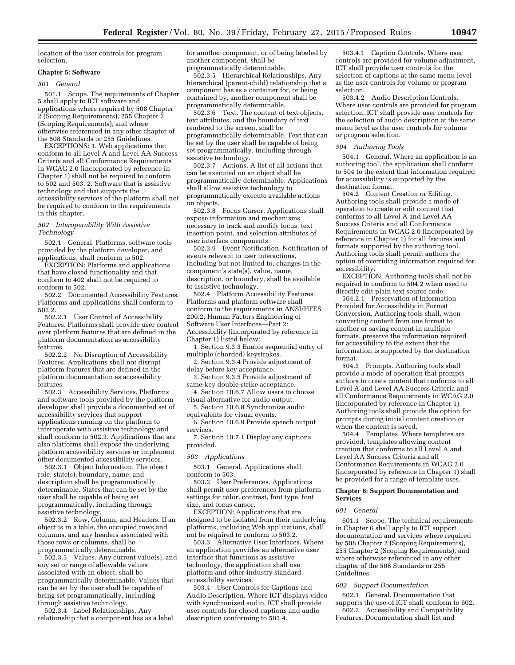location of the user controls for program selection.

### **Chapter 5: Software**

### *501 General*

501.1 Scope. The requirements of Chapter 5 shall apply to ICT software and applications where required by 508 Chapter 2 (Scoping Requirements), 255 Chapter 2 (Scoping Requirements), and where otherwise referenced in any other chapter of the 508 Standards or 255 Guidelines.

EXCEPTIONS: 1. Web applications that conform to all Level A and Level AA Success Criteria and all Conformance Requirements in WCAG 2.0 (incorporated by reference in Chapter 1) shall not be required to conform to 502 and 503. 2. Software that is assistive technology and that supports the accessibility services of the platform shall not be required to conform to the requirements in this chapter.

### *502 Interoperability With Assistive Technology*

502.1 General. Platforms, software tools provided by the platform developer, and applications, shall conform to 502.

EXCEPTION: Platforms and applications that have closed functionality and that conform to 402 shall not be required to conform to 502.

502.2 Documented Accessibility Features. Platforms and applications shall conform to 502.2.

502.2.1 User Control of Accessibility Features. Platforms shall provide user control over platform features that are defined in the platform documentation as accessibility features.

502.2.2 No Disruption of Accessibility Features. Applications shall not disrupt platform features that are defined in the platform documentation as accessibility features.

502.3 Accessibility Services. Platforms and software tools provided by the platform developer shall provide a documented set of accessibility services that support applications running on the platform to interoperate with assistive technology and shall conform to 502.3. Applications that are also platforms shall expose the underlying platform accessibility services or implement other documented accessibility services.

502.3.1 Object Information. The object role, state(s), boundary, name, and description shall be programmatically determinable. States that can be set by the user shall be capable of being set programmatically, including through assistive technology.

502.3.2 Row, Column, and Headers. If an object is in a table, the occupied rows and columns, and any headers associated with those rows or columns, shall be programmatically determinable.

502.3.3 Values. Any current value(s), and any set or range of allowable values associated with an object, shall be programmatically determinable. Values that can be set by the user shall be capable of being set programmatically, including through assistive technology.

502.3.4 Label Relationships. Any relationship that a component has as a label for another component, or of being labeled by another component, shall be programmatically determinable.

502.3.5 Hierarchical Relationships. Any hierarchical (parent-child) relationship that a component has as a container for, or being contained by, another component shall be programmatically determinable.

502.3.6 Text. The content of text objects, text attributes, and the boundary of text rendered to the screen, shall be programmatically determinable. Text that can be set by the user shall be capable of being set programmatically, including through assistive technology.

502.3.7 Actions. A list of all actions that can be executed on an object shall be programmatically determinable. Applications shall allow assistive technology to programmatically execute available actions on objects.

502.3.8 Focus Cursor. Applications shall expose information and mechanisms necessary to track and modify focus, text insertion point, and selection attributes of user interface components.

502.3.9 Event Notification. Notification of events relevant to user interactions, including but not limited to, changes in the component's state(s), value, name, description, or boundary, shall be available to assistive technology.

502.4 Platform Accessibility Features. Platforms and platform software shall conform to the requirements in ANSI/HFES 200.2, Human Factors Engineering of Software User Interfaces—Part 2: Accessibility (incorporated by reference in Chapter 1) listed below:

1. Section 9.3.3 Enable sequential entry of multiple (chorded) keystrokes.

2. Section 9.3.4 Provide adjustment of delay before key acceptance.

3. Section 9.3.5 Provide adjustment of same-key double-strike acceptance.

4. Section 10.6.7 Allow users to choose visual alternative for audio output.

5. Section 10.6.8 Synchronize audio equivalents for visual events.

6. Section 10.6.9 Provide speech output services.

7. Section 10.7.1 Display any captions provided.

### *503 Applications*

503.1 General. Applications shall conform to 503.

503.2 User Preferences. Applications shall permit user preferences from platform settings for color, contrast, font type, font size, and focus cursor.

EXCEPTION: Applications that are designed to be isolated from their underlying platforms, including Web applications, shall not be required to conform to 503.2.

503.3 Alternative User Interfaces. Where an application provides an alternative user interface that functions as assistive technology, the application shall use platform and other industry standard accessibility services.

503.4 User Controls for Captions and Audio Description. Where ICT displays video with synchronized audio, ICT shall provide user controls for closed captions and audio description conforming to 503.4.

503.4.1 Caption Controls. Where user controls are provided for volume adjustment, ICT shall provide user controls for the selection of captions at the same menu level as the user controls for volume or program selection.

503.4.2 Audio Description Controls. Where user controls are provided for program selection, ICT shall provide user controls for the selection of audio description at the same menu level as the user controls for volume or program selection.

### *504 Authoring Tools*

504.1 General. Where an application is an authoring tool, the application shall conform to 504 to the extent that information required for accessibility is supported by the destination format.

504.2 Content Creation or Editing. Authoring tools shall provide a mode of operation to create or edit content that conforms to all Level A and Level AA Success Criteria and all Conformance Requirements in WCAG 2.0 (incorporated by reference in Chapter 1) for all features and formats supported by the authoring tool. Authoring tools shall permit authors the option of overriding information required for accessibility.

EXCEPTION: Authoring tools shall not be required to conform to 504.2 when used to directly edit plain text source code.

504.2.1 Preservation of Information Provided for Accessibility in Format Conversion. Authoring tools shall, when converting content from one format to another or saving content in multiple formats, preserve the information required for accessibility to the extent that the information is supported by the destination format.

504.3 Prompts. Authoring tools shall provide a mode of operation that prompts authors to create content that conforms to all Level A and Level AA Success Criteria and all Conformance Requirements in WCAG 2.0 (incorporated by reference in Chapter 1). Authoring tools shall provide the option for prompts during initial content creation or when the content is saved.

504.4 Templates. Where templates are provided, templates allowing content creation that conforms to all Level A and Level AA Success Criteria and all Conformance Requirements in WCAG 2.0 (incorporated by reference in Chapter 1) shall be provided for a range of template uses.

### **Chapter 6: Support Documentation and Services**

### *601 General*

601.1 Scope. The technical requirements in Chapter 6 shall apply to ICT support documentation and services where required by 508 Chapter 2 (Scoping Requirements), 255 Chapter 2 (Scoping Requirements), and where otherwise referenced in any other chapter of the 508 Standards or 255 Guidelines.

# *602 Support Documentation*

602.1 General. Documentation that supports the use of ICT shall conform to 602. 602.2 Accessibility and Compatibility

Features. Documentation shall list and